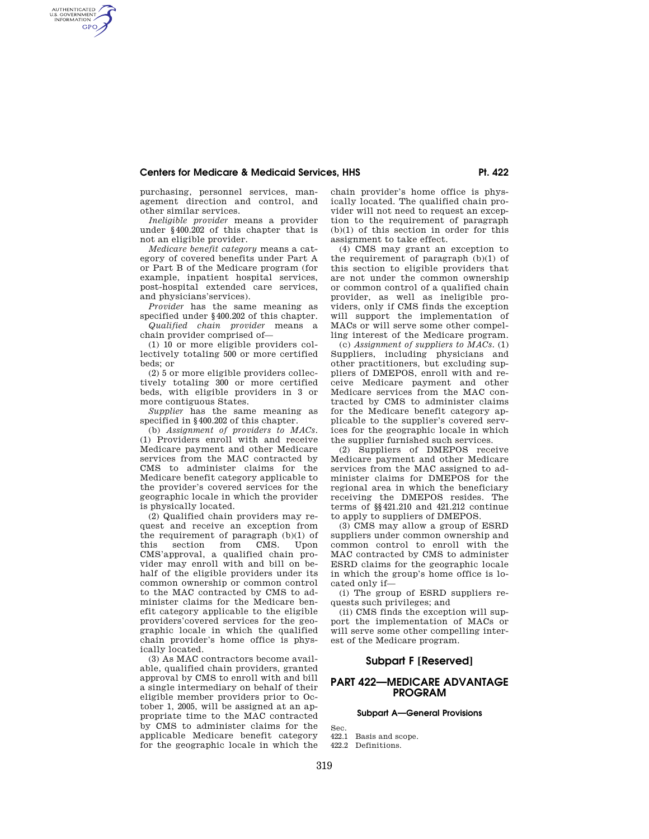purchasing, personnel services, management direction and control, and other similar services.

AUTHENTICATED<br>U.S. GOVERNMENT<br>INFORMATION **GPO** 

> *Ineligible provider* means a provider under §400.202 of this chapter that is not an eligible provider.

> *Medicare benefit category* means a category of covered benefits under Part A or Part B of the Medicare program (for example, inpatient hospital services, post-hospital extended care services, and physicians'services).

> *Provider* has the same meaning as specified under §400.202 of this chapter. *Qualified chain provider* means a

> chain provider comprised of— (1) 10 or more eligible providers col-

> lectively totaling 500 or more certified beds; or (2) 5 or more eligible providers collec-

> tively totaling 300 or more certified beds, with eligible providers in 3 or more contiguous States.

> *Supplier* has the same meaning as specified in §400.202 of this chapter.

> (b) *Assignment of providers to MACs.*  (1) Providers enroll with and receive Medicare payment and other Medicare services from the MAC contracted by CMS to administer claims for the Medicare benefit category applicable to the provider's covered services for the geographic locale in which the provider is physically located.

> (2) Qualified chain providers may request and receive an exception from the requirement of paragraph (b)(1) of this section from CMS. Upon CMS'approval, a qualified chain provider may enroll with and bill on behalf of the eligible providers under its common ownership or common control to the MAC contracted by CMS to administer claims for the Medicare benefit category applicable to the eligible providers'covered services for the geographic locale in which the qualified chain provider's home office is physically located.

> (3) As MAC contractors become available, qualified chain providers, granted approval by CMS to enroll with and bill a single intermediary on behalf of their eligible member providers prior to October 1, 2005, will be assigned at an appropriate time to the MAC contracted by CMS to administer claims for the applicable Medicare benefit category for the geographic locale in which the

chain provider's home office is physically located. The qualified chain provider will not need to request an exception to the requirement of paragraph (b)(1) of this section in order for this assignment to take effect.

(4) CMS may grant an exception to the requirement of paragraph (b)(1) of this section to eligible providers that are not under the common ownership or common control of a qualified chain provider, as well as ineligible providers, only if CMS finds the exception will support the implementation of MACs or will serve some other compelling interest of the Medicare program.

(c) *Assignment of suppliers to MACs.* (1) Suppliers, including physicians and other practitioners, but excluding suppliers of DMEPOS, enroll with and receive Medicare payment and other Medicare services from the MAC contracted by CMS to administer claims for the Medicare benefit category applicable to the supplier's covered services for the geographic locale in which the supplier furnished such services.

(2) Suppliers of DMEPOS receive Medicare payment and other Medicare services from the MAC assigned to administer claims for DMEPOS for the regional area in which the beneficiary receiving the DMEPOS resides. The terms of §§421.210 and 421.212 continue to apply to suppliers of DMEPOS.

(3) CMS may allow a group of ESRD suppliers under common ownership and common control to enroll with the MAC contracted by CMS to administer ESRD claims for the geographic locale in which the group's home office is located only if—

(i) The group of ESRD suppliers requests such privileges; and

(ii) CMS finds the exception will support the implementation of MACs or will serve some other compelling interest of the Medicare program.

## **Subpart F [Reserved]**

# **PART 422—MEDICARE ADVANTAGE PROGRAM**

#### **Subpart A—General Provisions**

Sec.

- 422.1 Basis and scope.
- 422.2 Definitions.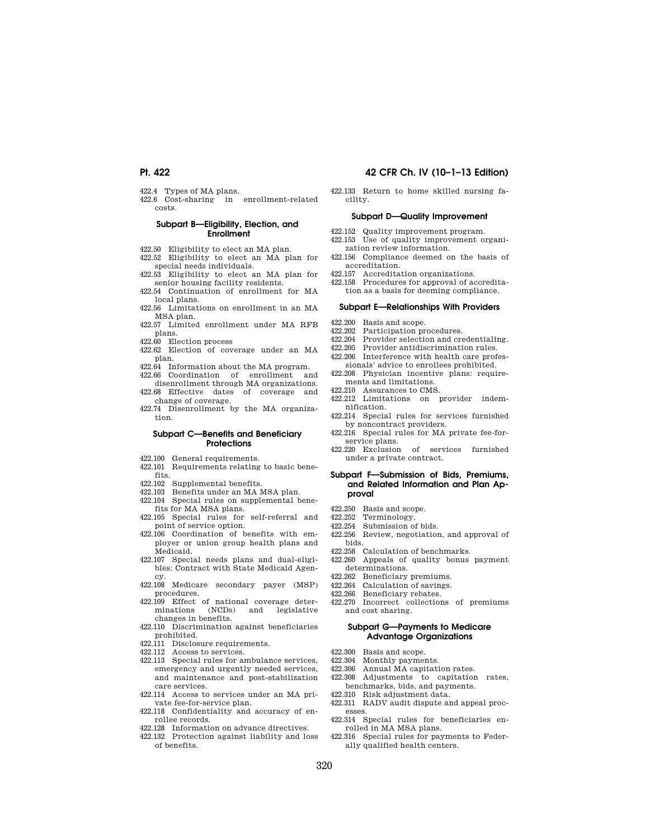- 422.4 Types of MA plans.
- 422.6 Cost-sharing in enrollment-related costs.

## **Subpart B—Eligibility, Election, and Enrollment**

- 422.50 Eligibility to elect an MA plan.
- 422.52 Eligibility to elect an MA plan for special needs individuals. 422.53 Eligibility to elect an MA plan for
- senior housing facility residents. 422.54 Continuation of enrollment for MA
- local plans. 422.56 Limitations on enrollment in an MA
- MSA plan.
- 422.57 Limited enrollment under MA RFB plans.
- 422.60 Election process
- 422.62 Election of coverage under an MA plan.
- 422.64 Information about the MA program.
- 422.66 Coordination of enrollment and disenrollment through MA organizations.
- 422.68 Effective dates of coverage and change of coverage.
- 422.74 Disenrollment by the MA organization.

#### **Subpart C—Benefits and Beneficiary Protections**

- 422.100 General requirements.
- 422.101 Requirements relating to basic benefits.
- 422.102 Supplemental benefits.
- 422.103 Benefits under an MA MSA plan.
- 422.104 Special rules on supplemental benefits for MA MSA plans.
- 422.105 Special rules for self-referral and point of service option.
- 422.106 Coordination of benefits with employer or union group health plans and Medicaid.
- 422.107 Special needs plans and dual-eligibles: Contract with State Medicaid Agency.
- 422.108 Medicare secondary payer (MSP) procedures.
- 422.109 Effect of national coverage deter-<br>minations (NCDs) and legislative legislative changes in benefits.
- 422.110 Discrimination against beneficiaries prohibited.
- $422.111$  Disclosure requirements.<br> $422.112$  Access to services
- Access to services.
- 422.113 Special rules for ambulance services, emergency and urgently needed services, and maintenance and post-stabilization care services.
- 422.114 Access to services under an MA private fee-for-service plan.
- 422.118 Confidentiality and accuracy of enrollee records.
- 422.128 Information on advance directives.
- 422.132 Protection against liability and loss of benefits.

# **Pt. 422 42 CFR Ch. IV (10–1–13 Edition)**

422.133 Return to home skilled nursing facility.

# **Subpart D—Quality Improvement**

- 422.152 Quality improvement program.
- 422.153 Use of quality improvement organization review information.
- 422.156 Compliance deemed on the basis of accreditation.
- 422.157 Accreditation organizations.
- 422.158 Procedures for approval of accreditation as a basis for deeming compliance.

#### **Subpart E—Relationships With Providers**

- 422.200 Basis and scope.<br>422.202 Participation pr
- Participation procedures.
- 422.204 Provider selection and credentialing.<br>422.205 Provider antidiscrimination rules
- Provider antidiscrimination rules.
- 422.206 Interference with health care profes-
- sionals' advice to enrollees prohibited. 422.208 Physician incentive plans: requirements and limitations.
- 422.210 Assurances to CMS.
- 422.212 Limitations on provider indemnification.
- 422.214 Special rules for services furnished by noncontract providers.
- 422.216 Special rules for MA private fee-forservice plans.
- 422.220 Exclusion of services furnished under a private contract.

#### **Subpart F—Submission of Bids, Premiums, and Related Information and Plan Approval**

- 422.250 Basis and scope.
- 422.252 Terminology.
- 422.254 Submission of bids.
- 422.256 Review, negotiation, and approval of bids.
- 422.258 Calculation of benchmarks.
- 422.260 Appeals of quality bonus payment determinations.
- 422.262 Beneficiary premiums.<br>422.264 Calculation of savings.
- Calculation of savings.
- 422.266 Beneficiary rebates.
- 422.270 Incorrect collections of premiums and cost sharing.

### **Subpart G—Payments to Medicare Advantage Organizations**

- 422.300 Basis and scope.<br>422.304 Monthly paymer
- 422.304 Monthly payments.<br>422.306 Annual MA capitati
- 422.306 Annual MA capitation rates.
- Adjustments to capitation rates, benchmarks, bids, and payments.
- 422.310 Risk adjustment data.
- 422.311 RADV audit dispute and appeal processes.
- 422.314 Special rules for beneficiaries enrolled in MA MSA plans.
- 422.316 Special rules for payments to Federally qualified health centers.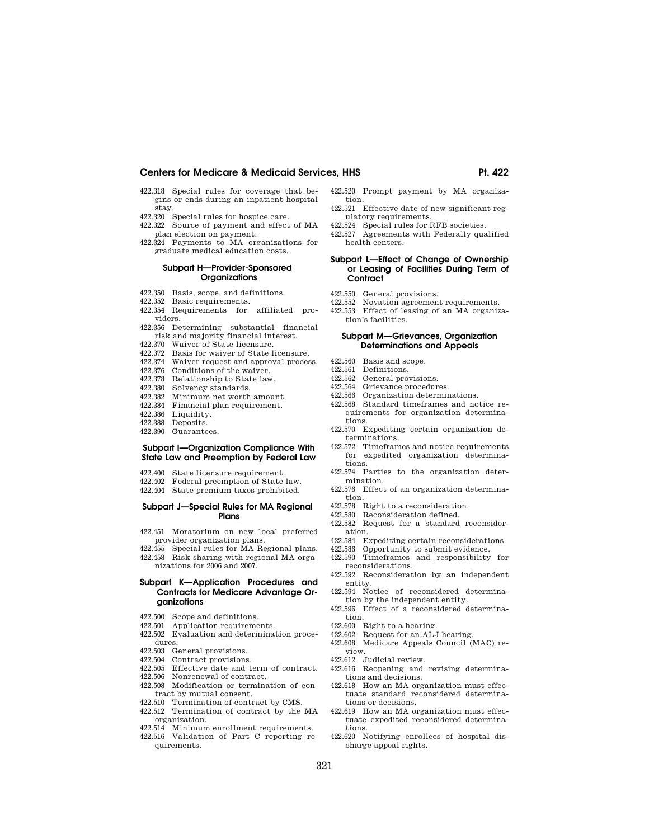- 422.318 Special rules for coverage that begins or ends during an inpatient hospital stay.
- 422.320 Special rules for hospice care.
- 422.322 Source of payment and effect of MA plan election on payment.
- 422.324 Payments to MA organizations for graduate medical education costs.

### **Subpart H—Provider-Sponsored Organizations**

- 422.350 Basis, scope, and definitions.
- 422.352 Basic requirements.
- 422.354 Requirements for affiliated providers.
- 422.356 Determining substantial financial risk and majority financial interest.
- 422.370 Waiver of State licensure.
- 422.372 Basis for waiver of State licensure.
- 422.374 Waiver request and approval process.
- 422.376 Conditions of the waiver.
- 422.378 Relationship to State law.
- 422.380 Solvency standards.
- 422.382 Minimum net worth amount.
- 422.384 Financial plan requirement.
- 
- 422.386 Liquidity.<br>422.388 Deposits. Deposits.
- 422.390 Guarantees.

## **Subpart I—Organization Compliance With State Law and Preemption by Federal Law**

- 422.400 State licensure requirement.<br>422.402 Federal preemption of State
- Federal preemption of State law.
- 422.404 State premium taxes prohibited.

# **Subpart J—Special Rules for MA Regional Plans**

- 422.451 Moratorium on new local preferred provider organization plans.
- 422.455 Special rules for MA Regional plans. 422.458 Risk sharing with regional MA orga-
- nizations for 2006 and 2007.

### **Subpart K—Application Procedures and Contracts for Medicare Advantage Organizations**

- 422.500 Scope and definitions.
- 422.501 Application requirements.
- 422.502 Evaluation and determination procedures.
- 422.503 General provisions.
- 
- 422.504 Contract provisions.<br>422.505 Effective date and t
- 422.505 Effective date and term of contract.<br>422.506 Nonrenewal of contract. Nonrenewal of contract.
- 422.508 Modification or termination of contract by mutual consent.
- 422.510 Termination of contract by CMS.
- 422.512 Termination of contract by the MA organization.
- 422.514 Minimum enrollment requirements.
- 422.516 Validation of Part C reporting requirements.
- 422.520 Prompt payment by MA organization.
- 422.521 Effective date of new significant regulatory requirements.
- 422.524 Special rules for RFB societies.
- 422.527 Agreements with Federally qualified health centers.

### **Subpart L—Effect of Change of Ownership or Leasing of Facilities During Term of Contract**

- 422.550 General provisions.
- 422.552 Novation agreement requirements.
- 422.553 Effect of leasing of an MA organization's facilities.

## **Subpart M—Grievances, Organization Determinations and Appeals**

- 
- 422.560 Basis and scope.<br>422.561 Definitions. 422.561 Definitions.<br>422.562 General pro
- 422.562 General provisions.<br>422.564 Grievance procedur
- Grievance procedures.
- 422.566 Organization determinations.
- 422.568 Standard timeframes and notice requirements for organization determinations.
- 422.570 Expediting certain organization determinations.
- 422.572 Timeframes and notice requirements for expedited organization determinations.
- 422.574 Parties to the organization determination.
- 422.576 Effect of an organization determination.
- 422.578 Right to a reconsideration.
- 422.580 Reconsideration defined.
- 422.582 Request for a standard reconsideration.
- 422.584 Expediting certain reconsiderations.<br>422.586 Opportunity to submit evidence
- Opportunity to submit evidence.
- 422.590 Timeframes and responsibility for
- reconsiderations. 422.592 Reconsideration by an independent
- entity. 422.594 Notice of reconsidered determina-
- tion by the independent entity. 422.596 Effect of a reconsidered determina-
- tion.
- 422.600 Right to a hearing.
- 422.602 Request for an ALJ hearing. 422.608 Medicare Appeals Council (MAC) re-
- view.
- 422.612 Judicial review.
- 422.616 Reopening and revising determinations and decisions.
- 422.618 How an MA organization must effectuate standard reconsidered determinations or decisions.
- 422.619 How an MA organization must effectuate expedited reconsidered determinations.
- 422.620 Notifying enrollees of hospital discharge appeal rights.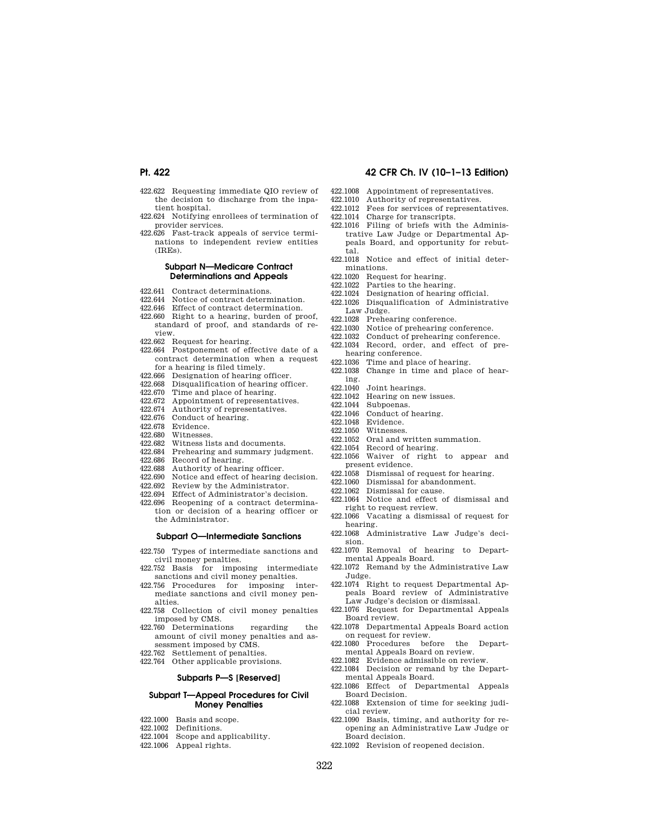- 422.622 Requesting immediate QIO review of the decision to discharge from the inpatient hospital.
- 422.624 Notifying enrollees of termination of provider services.
- 422.626 Fast-track appeals of service terminations to independent review entities  $(IREs)$ .

### **Subpart N—Medicare Contract Determinations and Appeals**

- 422.641 Contract determinations.
- 422.644 Notice of contract determination.
- 422.646 Effect of contract determination.
- 422.660 Right to a hearing, burden of proof, standard of proof, and standards of review.
- 422.662 Request for hearing.
- 422.664 Postponement of effective date of a contract determination when a request for a hearing is filed timely.
- 422.666 Designation of hearing officer.
- 422.668 Disqualification of hearing officer.<br>422.670 Time and place of hearing.
- 422.670 Time and place of hearing.<br>422.672 Appointment of representa
- Appointment of representatives.
- 422.674 Authority of representatives.
- 422.676 Conduct of hearing.
- 422.678 Evidence.
- 422.680 Witnesses.<br>422.682 Witness li
- Witness lists and documents.
- 422.684 Prehearing and summary judgment.
- 422.686 Record of hearing.
- 422.688 Authority of hearing officer.
- 422.690 Notice and effect of hearing decision.
- 422.692 Review by the Administrator.<br>422.694 Effect of Administrator's deci-
- Effect of Administrator's decision.
- 422.696 Reopening of a contract determination or decision of a hearing officer or the Administrator.

## **Subpart O—Intermediate Sanctions**

- 422.750 Types of intermediate sanctions and civil money penalties.
- 422.752 Basis for imposing intermediate sanctions and civil money penalties.
- 422.756 Procedures for imposing intermediate sanctions and civil money penalties.
- 422.758 Collection of civil money penalties imposed by CMS.
- 422.760 Determinations regarding the amount of civil money penalties and assessment imposed by CMS.
- 422.762 Settlement of penalties.
- 422.764 Other applicable provisions.

#### **Subparts P—S [Reserved]**

#### **Subpart T—Appeal Procedures for Civil Money Penalties**

- 422.1000 Basis and scope.
- 422.1002 Definitions.
- 422.1004 Scope and applicability.
- 422.1006 Appeal rights.
- 422.1008 Appointment of representatives.
- 422.1010 Authority of representatives.
- 422.1012 Fees for services of representatives.
- 422.1014 Charge for transcripts.
- 422.1016 Filing of briefs with the Administrative Law Judge or Departmental Appeals Board, and opportunity for rebuttal.
- 422.1018 Notice and effect of initial determinations.
- 422.1020 Request for hearing.<br>422.1022 Parties to the hearing.
- Parties to the hearing.
- 422.1024 Designation of hearing official.<br>422.1026 Disqualification of Administration
- Disqualification of Administrative Law Judge.
- 422.1028 Prehearing conference.<br>422.1030 Notice of prehearing co
- 422.1030 Notice of prehearing conference.<br>422.1032 Conduct of prehearing conference
- Conduct of prehearing conference.
- 422.1034 Record, order, and effect of prehearing conference.
- 422.1036 Time and place of hearing.
- 422.1038 Change in time and place of hearing.<br>422 1040
- 422.1040 Joint hearings.<br>422.1042 Hearing on new
- Hearing on new issues.
- 422.1044 Subpoenas.
- 422.1046 Conduct of hearing.
- 422.1048 Evidence.<br>422.1050 Witnesses
- Witnesses.
- 422.1052 Oral and written summation.
- 422.1054 Record of hearing.
- 422.1056 Waiver of right to appear and present evidence.
- 422.1058 Dismissal of request for hearing.
- 422.1060 Dismissal for abandonment.
- 422.1062 Dismissal for cause.
- 422.1064 Notice and effect of dismissal and right to request review.
- 422.1066 Vacating a dismissal of request for hearing.
- 422.1068 Administrative Law Judge's decision.
- 422.1070 Removal of hearing to Departmental Appeals Board.
- 422.1072 Remand by the Administrative Law Judge.
- 422.1074 Right to request Departmental Appeals Board review of Administrative Law Judge's decision or dismissal.
- 422.1076 Request for Departmental Appeals Board review.
- 422.1078 Departmental Appeals Board action on request for review.
- 422.1080 Procedures before the Departmental Appeals Board on review.
- 422.1082 Evidence admissible on review. 422.1084 Decision or remand by the Departmental Appeals Board.
- 422.1086 Effect of Departmental Appeals Board Decision.
- 422.1088 Extension of time for seeking judicial review.
- 422.1090 Basis, timing, and authority for reopening an Administrative Law Judge or Board decision.
- 422.1092 Revision of reopened decision.

# **Pt. 422 42 CFR Ch. IV (10–1–13 Edition)**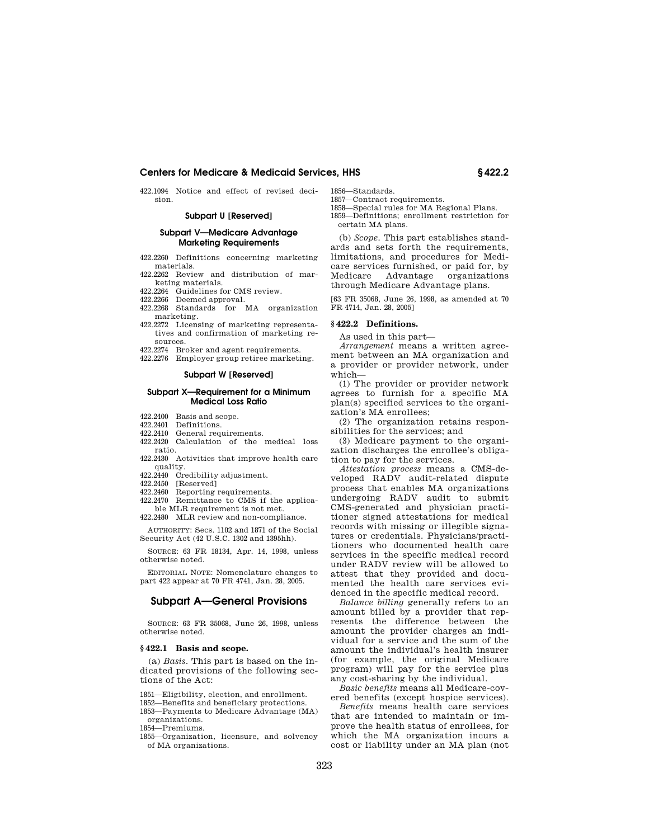422.1094 Notice and effect of revised decision.

### **Subpart U [Reserved]**

## **Subpart V—Medicare Advantage Marketing Requirements**

- 422.2260 Definitions concerning marketing materials.
- 422.2262 Review and distribution of marketing materials.
- 422.2264 Guidelines for CMS review.
- 422.2266 Deemed approval.
- 422.2268 Standards for MA organization marketing.
- 422.2272 Licensing of marketing representatives and confirmation of marketing resources.
- 422.2274 Broker and agent requirements.
- 422.2276 Employer group retiree marketing.

### **Subpart W [Reserved]**

### **Subpart X—Requirement for a Minimum Medical Loss Ratio**

- 422.2400 Basis and scope.<br>422.2401 Definitions.
- Definitions.
- 422.2410 General requirements.
- 422.2420 Calculation of the medical loss ratio.
- 422.2430 Activities that improve health care quality.
- 422.2440 Credibility adjustment.
- 422.2450 [Reserved]
- 422.2460 Reporting requirements.
- 422.2470 Remittance to CMS if the applicable MLR requirement is not met.
- 422.2480 MLR review and non-compliance.

AUTHORITY: Secs. 1102 and 1871 of the Social Security Act (42 U.S.C. 1302 and 1395hh).

SOURCE: 63 FR 18134, Apr. 14, 1998, unless otherwise noted.

EDITORIAL NOTE: Nomenclature changes to part 422 appear at 70 FR 4741, Jan. 28, 2005.

## **Subpart A—General Provisions**

SOURCE: 63 FR 35068, June 26, 1998, unless otherwise noted.

#### **§ 422.1 Basis and scope.**

(a) *Basis.* This part is based on the indicated provisions of the following sections of the Act:

1851—Eligibility, election, and enrollment.

1852—Benefits and beneficiary protections.

1853—Payments to Medicare Advantage (MA) organizations.

1854—Premiums.

1855—Organization, licensure, and solvency of MA organizations.

1856—Standards. 1857—Contract requirements.

1858—Special rules for MA Regional Plans.

1859—Definitions; enrollment restriction for certain MA plans.

(b) *Scope.* This part establishes standards and sets forth the requirements, limitations, and procedures for Medicare services furnished, or paid for, by Medicare Advantage organizations through Medicare Advantage plans.

[63 FR 35068, June 26, 1998, as amended at 70 FR 4714, Jan. 28, 2005]

## **§ 422.2 Definitions.**

As used in this part—

*Arrangement* means a written agreement between an MA organization and a provider or provider network, under which—

(1) The provider or provider network agrees to furnish for a specific MA plan(s) specified services to the organization's MA enrollees;

(2) The organization retains responsibilities for the services; and

(3) Medicare payment to the organization discharges the enrollee's obligation to pay for the services.

*Attestation process* means a CMS-developed RADV audit-related dispute process that enables MA organizations undergoing RADV audit to submit CMS-generated and physician practitioner signed attestations for medical records with missing or illegible signatures or credentials. Physicians/practitioners who documented health care services in the specific medical record under RADV review will be allowed to attest that they provided and documented the health care services evidenced in the specific medical record.

*Balance billing* generally refers to an amount billed by a provider that represents the difference between the amount the provider charges an individual for a service and the sum of the amount the individual's health insurer (for example, the original Medicare program) will pay for the service plus any cost-sharing by the individual.

*Basic benefits* means all Medicare-covered benefits (except hospice services).

*Benefits* means health care services that are intended to maintain or improve the health status of enrollees, for which the MA organization incurs a cost or liability under an MA plan (not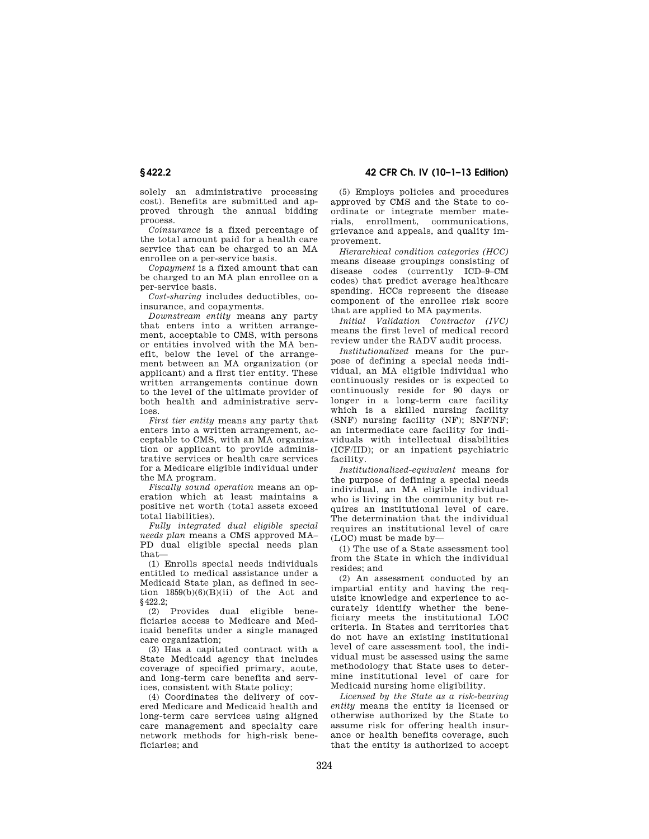**§ 422.2 42 CFR Ch. IV (10–1–13 Edition)** 

solely an administrative processing cost). Benefits are submitted and approved through the annual bidding process.

*Coinsurance* is a fixed percentage of the total amount paid for a health care service that can be charged to an MA enrollee on a per-service basis.

*Copayment* is a fixed amount that can be charged to an MA plan enrollee on a per-service basis.

*Cost-sharing* includes deductibles, coinsurance, and copayments.

*Downstream entity* means any party that enters into a written arrangement, acceptable to CMS, with persons or entities involved with the MA benefit, below the level of the arrangement between an MA organization (or applicant) and a first tier entity. These written arrangements continue down to the level of the ultimate provider of both health and administrative services.

*First tier entity* means any party that enters into a written arrangement, acceptable to CMS, with an MA organization or applicant to provide administrative services or health care services for a Medicare eligible individual under the MA program.

*Fiscally sound operation* means an operation which at least maintains a positive net worth (total assets exceed total liabilities).

*Fully integrated dual eligible special needs plan* means a CMS approved MA– PD dual eligible special needs plan that—

(1) Enrolls special needs individuals entitled to medical assistance under a Medicaid State plan, as defined in section  $1859(b)(6)(B)(ii)$  of the Act and §422.2;

(2) Provides dual eligible beneficiaries access to Medicare and Medicaid benefits under a single managed care organization;

(3) Has a capitated contract with a State Medicaid agency that includes coverage of specified primary, acute, and long-term care benefits and services, consistent with State policy;

(4) Coordinates the delivery of covered Medicare and Medicaid health and long-term care services using aligned care management and specialty care network methods for high-risk beneficiaries; and

(5) Employs policies and procedures approved by CMS and the State to coordinate or integrate member materials, enrollment, communications, grievance and appeals, and quality improvement.

*Hierarchical condition categories (HCC)*  means disease groupings consisting of disease codes (currently ICD–9–CM codes) that predict average healthcare spending. HCCs represent the disease component of the enrollee risk score that are applied to MA payments.

*Initial Validation Contractor (IVC)*  means the first level of medical record review under the RADV audit process.

*Institutionalized* means for the purpose of defining a special needs individual, an MA eligible individual who continuously resides or is expected to continuously reside for 90 days or longer in a long-term care facility which is a skilled nursing facility (SNF) nursing facility (NF); SNF/NF; an intermediate care facility for individuals with intellectual disabilities (ICF/IID); or an inpatient psychiatric facility.

*Institutionalized-equivalent* means for the purpose of defining a special needs individual, an MA eligible individual who is living in the community but requires an institutional level of care. The determination that the individual requires an institutional level of care (LOC) must be made by—

(1) The use of a State assessment tool from the State in which the individual resides; and

(2) An assessment conducted by an impartial entity and having the requisite knowledge and experience to accurately identify whether the beneficiary meets the institutional LOC criteria. In States and territories that do not have an existing institutional level of care assessment tool, the individual must be assessed using the same methodology that State uses to determine institutional level of care for Medicaid nursing home eligibility.

*Licensed by the State as a risk-bearing entity* means the entity is licensed or otherwise authorized by the State to assume risk for offering health insurance or health benefits coverage, such that the entity is authorized to accept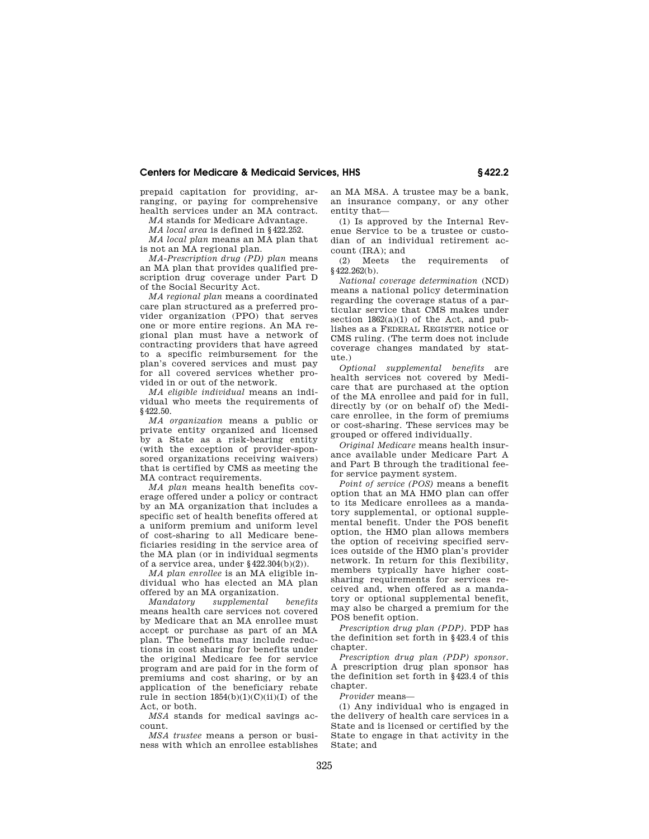prepaid capitation for providing, arranging, or paying for comprehensive health services under an MA contract.

*MA* stands for Medicare Advantage.

*MA local area* is defined in §422.252.

*MA local plan* means an MA plan that is not an MA regional plan.

*MA-Prescription drug (PD) plan* means an MA plan that provides qualified prescription drug coverage under Part D of the Social Security Act.

*MA regional plan* means a coordinated care plan structured as a preferred provider organization (PPO) that serves one or more entire regions. An MA regional plan must have a network of contracting providers that have agreed to a specific reimbursement for the plan's covered services and must pay for all covered services whether provided in or out of the network.

*MA eligible individual* means an individual who meets the requirements of §422.50.

*MA organization* means a public or private entity organized and licensed by a State as a risk-bearing entity (with the exception of provider-sponsored organizations receiving waivers) that is certified by CMS as meeting the MA contract requirements.

*MA plan* means health benefits coverage offered under a policy or contract by an MA organization that includes a specific set of health benefits offered at a uniform premium and uniform level of cost-sharing to all Medicare beneficiaries residing in the service area of the MA plan (or in individual segments of a service area, under §422.304(b)(2)).

*MA plan enrollee* is an MA eligible individual who has elected an MA plan offered by an MA organization.

*Mandatory supplemental benefits*  means health care services not covered by Medicare that an MA enrollee must accept or purchase as part of an MA plan. The benefits may include reductions in cost sharing for benefits under the original Medicare fee for service program and are paid for in the form of premiums and cost sharing, or by an application of the beneficiary rebate rule in section  $1854(b)(1)(C)(ii)(I)$  of the Act, or both.

*MSA* stands for medical savings account.

*MSA trustee* means a person or business with which an enrollee establishes an MA MSA. A trustee may be a bank, an insurance company, or any other entity that—

(1) Is approved by the Internal Revenue Service to be a trustee or custodian of an individual retirement account (IRA); and

(2) Meets the requirements of §422.262(b).

*National coverage determination* (NCD) means a national policy determination regarding the coverage status of a particular service that CMS makes under section  $1862(a)(1)$  of the Act, and publishes as a FEDERAL REGISTER notice or CMS ruling. (The term does not include coverage changes mandated by statute.)

*Optional supplemental benefits* are health services not covered by Medicare that are purchased at the option of the MA enrollee and paid for in full, directly by (or on behalf of) the Medicare enrollee, in the form of premiums or cost-sharing. These services may be grouped or offered individually.

*Original Medicare* means health insurance available under Medicare Part A and Part B through the traditional feefor service payment system.

*Point of service (POS)* means a benefit option that an MA HMO plan can offer to its Medicare enrollees as a mandatory supplemental, or optional supplemental benefit. Under the POS benefit option, the HMO plan allows members the option of receiving specified services outside of the HMO plan's provider network. In return for this flexibility, members typically have higher costsharing requirements for services received and, when offered as a mandatory or optional supplemental benefit, may also be charged a premium for the POS benefit option.

*Prescription drug plan (PDP).* PDP has the definition set forth in §423.4 of this chapter.

*Prescription drug plan (PDP) sponsor.*  A prescription drug plan sponsor has the definition set forth in §423.4 of this chapter.

*Provider* means—

(1) Any individual who is engaged in the delivery of health care services in a State and is licensed or certified by the State to engage in that activity in the State; and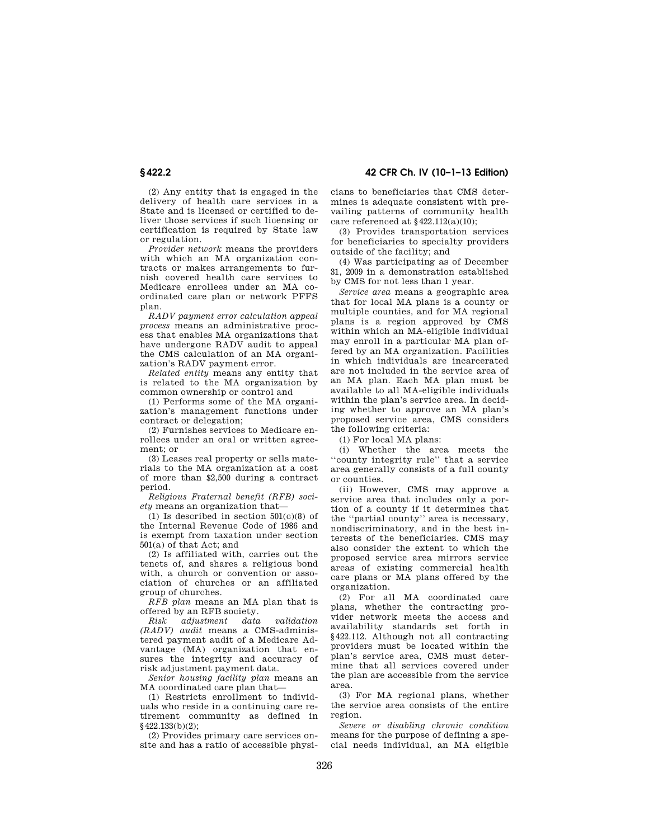(2) Any entity that is engaged in the delivery of health care services in a State and is licensed or certified to deliver those services if such licensing or certification is required by State law or regulation.

*Provider network* means the providers with which an MA organization contracts or makes arrangements to furnish covered health care services to Medicare enrollees under an MA coordinated care plan or network PFFS plan.

*RADV payment error calculation appeal process* means an administrative process that enables MA organizations that have undergone RADV audit to appeal the CMS calculation of an MA organization's RADV payment error.

*Related entity* means any entity that is related to the MA organization by common ownership or control and

(1) Performs some of the MA organization's management functions under contract or delegation;

(2) Furnishes services to Medicare enrollees under an oral or written agreement; or

(3) Leases real property or sells materials to the MA organization at a cost of more than \$2,500 during a contract period.

*Religious Fraternal benefit (RFB) society* means an organization that—

 $(1)$  Is described in section  $501(c)(8)$  of the Internal Revenue Code of 1986 and is exempt from taxation under section 501(a) of that Act; and

(2) Is affiliated with, carries out the tenets of, and shares a religious bond with, a church or convention or association of churches or an affiliated group of churches.

*RFB plan* means an MA plan that is offered by an RFB society.

*Risk adjustment data validation (RADV) audit* means a CMS-administered payment audit of a Medicare Advantage (MA) organization that ensures the integrity and accuracy of risk adjustment payment data.

*Senior housing facility plan* means an MA coordinated care plan that—

(1) Restricts enrollment to individuals who reside in a continuing care retirement community as defined in  $$422.133(b)(2)$ ;

(2) Provides primary care services onsite and has a ratio of accessible physicians to beneficiaries that CMS determines is adequate consistent with prevailing patterns of community health care referenced at §422.112(a)(10);

(3) Provides transportation services for beneficiaries to specialty providers outside of the facility; and

(4) Was participating as of December 31, 2009 in a demonstration established by CMS for not less than 1 year.

*Service area* means a geographic area that for local MA plans is a county or multiple counties, and for MA regional plans is a region approved by CMS within which an MA-eligible individual may enroll in a particular MA plan offered by an MA organization. Facilities in which individuals are incarcerated are not included in the service area of an MA plan. Each MA plan must be available to all MA-eligible individuals within the plan's service area. In deciding whether to approve an MA plan's proposed service area, CMS considers the following criteria:

(1) For local MA plans:

(i) Whether the area meets the ''county integrity rule'' that a service area generally consists of a full county or counties.

(ii) However, CMS may approve a service area that includes only a portion of a county if it determines that the ''partial county'' area is necessary, nondiscriminatory, and in the best interests of the beneficiaries. CMS may also consider the extent to which the proposed service area mirrors service areas of existing commercial health care plans or MA plans offered by the organization.

(2) For all MA coordinated care plans, whether the contracting provider network meets the access and availability standards set forth in §422.112. Although not all contracting providers must be located within the plan's service area, CMS must determine that all services covered under the plan are accessible from the service area.

(3) For MA regional plans, whether the service area consists of the entire region.

*Severe or disabling chronic condition*  means for the purpose of defining a special needs individual, an MA eligible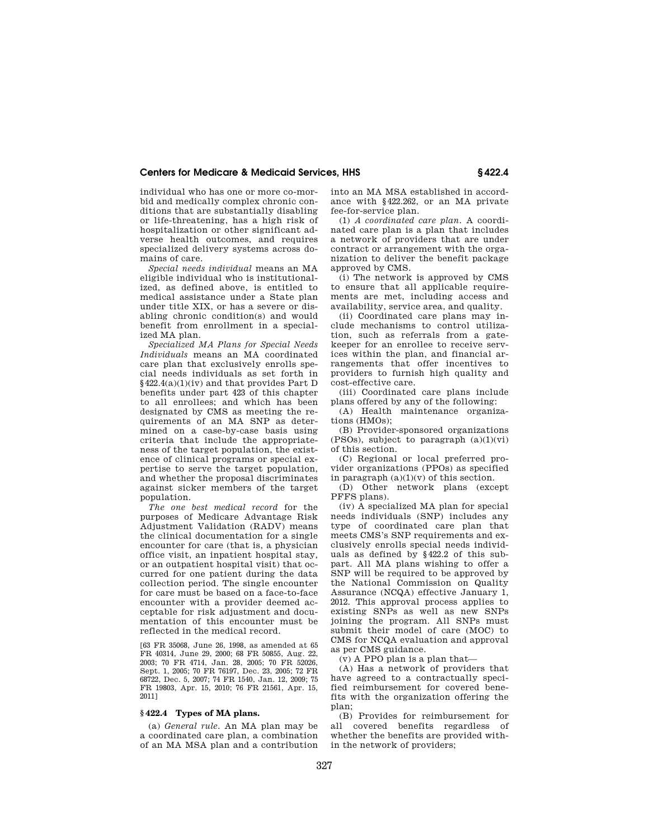individual who has one or more co-morbid and medically complex chronic conditions that are substantially disabling or life-threatening, has a high risk of hospitalization or other significant adverse health outcomes, and requires specialized delivery systems across domains of care.

*Special needs individual* means an MA eligible individual who is institutionalized, as defined above, is entitled to medical assistance under a State plan under title XIX, or has a severe or disabling chronic condition(s) and would benefit from enrollment in a specialized MA plan.

*Specialized MA Plans for Special Needs Individuals* means an MA coordinated care plan that exclusively enrolls special needs individuals as set forth in §422.4(a)(1)(iv) and that provides Part D benefits under part 423 of this chapter to all enrollees; and which has been designated by CMS as meeting the requirements of an MA SNP as determined on a case-by-case basis using criteria that include the appropriateness of the target population, the existence of clinical programs or special expertise to serve the target population, and whether the proposal discriminates against sicker members of the target population.

*The one best medical record* for the purposes of Medicare Advantage Risk Adjustment Validation (RADV) means the clinical documentation for a single encounter for care (that is, a physician office visit, an inpatient hospital stay, or an outpatient hospital visit) that occurred for one patient during the data collection period. The single encounter for care must be based on a face-to-face encounter with a provider deemed acceptable for risk adjustment and documentation of this encounter must be reflected in the medical record.

[63 FR 35068, June 26, 1998, as amended at 65 FR 40314, June 29, 2000; 68 FR 50855, Aug. 22, 2003; 70 FR 4714, Jan. 28, 2005; 70 FR 52026, Sept. 1, 2005; 70 FR 76197, Dec. 23, 2005; 72 FR 68722, Dec. 5, 2007; 74 FR 1540, Jan. 12, 2009; 75 FR 19803, Apr. 15, 2010; 76 FR 21561, Apr. 15, 2011]

## **§ 422.4 Types of MA plans.**

(a) *General rule.* An MA plan may be a coordinated care plan, a combination of an MA MSA plan and a contribution into an MA MSA established in accordance with §422.262, or an MA private fee-for-service plan.

(1) *A coordinated care plan.* A coordinated care plan is a plan that includes a network of providers that are under contract or arrangement with the organization to deliver the benefit package approved by CMS.

(i) The network is approved by CMS to ensure that all applicable requirements are met, including access and availability, service area, and quality.

(ii) Coordinated care plans may include mechanisms to control utilization, such as referrals from a gatekeeper for an enrollee to receive services within the plan, and financial arrangements that offer incentives to providers to furnish high quality and cost-effective care.

(iii) Coordinated care plans include plans offered by any of the following:

(A) Health maintenance organizations (HMOs);

(B) Provider-sponsored organizations (PSOs), subject to paragraph  $(a)(1)(vi)$ of this section.

(C) Regional or local preferred provider organizations (PPOs) as specified in paragraph  $(a)(1)(v)$  of this section.

(D) Other network plans (except PFFS plans).

(iv) A specialized MA plan for special needs individuals (SNP) includes any type of coordinated care plan that meets CMS's SNP requirements and exclusively enrolls special needs individuals as defined by §422.2 of this subpart. All MA plans wishing to offer a SNP will be required to be approved by the National Commission on Quality Assurance (NCQA) effective January 1, 2012. This approval process applies to existing SNPs as well as new SNPs joining the program. All SNPs must submit their model of care (MOC) to CMS for NCQA evaluation and approval as per CMS guidance.

(v) A PPO plan is a plan that—

(A) Has a network of providers that have agreed to a contractually specified reimbursement for covered benefits with the organization offering the plan;

(B) Provides for reimbursement for all covered benefits regardless of whether the benefits are provided within the network of providers;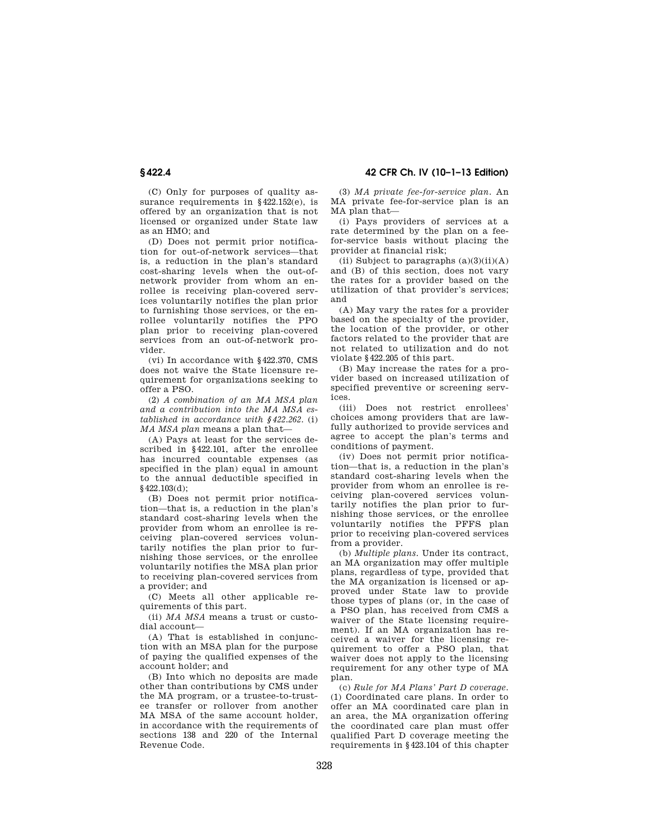**§ 422.4 42 CFR Ch. IV (10–1–13 Edition)** 

(C) Only for purposes of quality assurance requirements in §422.152(e), is offered by an organization that is not licensed or organized under State law as an HMO; and

(D) Does not permit prior notification for out-of-network services—that is, a reduction in the plan's standard cost-sharing levels when the out-ofnetwork provider from whom an enrollee is receiving plan-covered services voluntarily notifies the plan prior to furnishing those services, or the enrollee voluntarily notifies the PPO plan prior to receiving plan-covered services from an out-of-network provider.

(vi) In accordance with §422.370, CMS does not waive the State licensure requirement for organizations seeking to offer a PSO.

(2) *A combination of an MA MSA plan and a contribution into the MA MSA established in accordance with §422.262.* (i) *MA MSA plan* means a plan that—

(A) Pays at least for the services described in §422.101, after the enrollee has incurred countable expenses (as specified in the plan) equal in amount to the annual deductible specified in §422.103(d);

(B) Does not permit prior notification—that is, a reduction in the plan's standard cost-sharing levels when the provider from whom an enrollee is receiving plan-covered services voluntarily notifies the plan prior to furnishing those services, or the enrollee voluntarily notifies the MSA plan prior to receiving plan-covered services from a provider; and

(C) Meets all other applicable requirements of this part.

(ii) *MA MSA* means a trust or custodial account—

(A) That is established in conjunction with an MSA plan for the purpose of paying the qualified expenses of the account holder; and

(B) Into which no deposits are made other than contributions by CMS under the MA program, or a trustee-to-trustee transfer or rollover from another MA MSA of the same account holder, in accordance with the requirements of sections 138 and 220 of the Internal Revenue Code.

(3) *MA private fee-for-service plan.* An MA private fee-for-service plan is an MA plan that—

(i) Pays providers of services at a rate determined by the plan on a feefor-service basis without placing the provider at financial risk;

(ii) Subject to paragraphs  $(a)(3)(ii)(A)$ and (B) of this section, does not vary the rates for a provider based on the utilization of that provider's services; and

(A) May vary the rates for a provider based on the specialty of the provider, the location of the provider, or other factors related to the provider that are not related to utilization and do not violate §422.205 of this part.

(B) May increase the rates for a provider based on increased utilization of specified preventive or screening services.

(iii) Does not restrict enrollees' choices among providers that are lawfully authorized to provide services and agree to accept the plan's terms and conditions of payment.

(iv) Does not permit prior notification—that is, a reduction in the plan's standard cost-sharing levels when the provider from whom an enrollee is receiving plan-covered services voluntarily notifies the plan prior to furnishing those services, or the enrollee voluntarily notifies the PFFS plan prior to receiving plan-covered services from a provider.

(b) *Multiple plans.* Under its contract, an MA organization may offer multiple plans, regardless of type, provided that the MA organization is licensed or approved under State law to provide those types of plans (or, in the case of a PSO plan, has received from CMS a waiver of the State licensing requirement). If an MA organization has received a waiver for the licensing requirement to offer a PSO plan, that waiver does not apply to the licensing requirement for any other type of MA plan.

(c) *Rule for MA Plans' Part D coverage.*  (1) Coordinated care plans. In order to offer an MA coordinated care plan in an area, the MA organization offering the coordinated care plan must offer qualified Part D coverage meeting the requirements in §423.104 of this chapter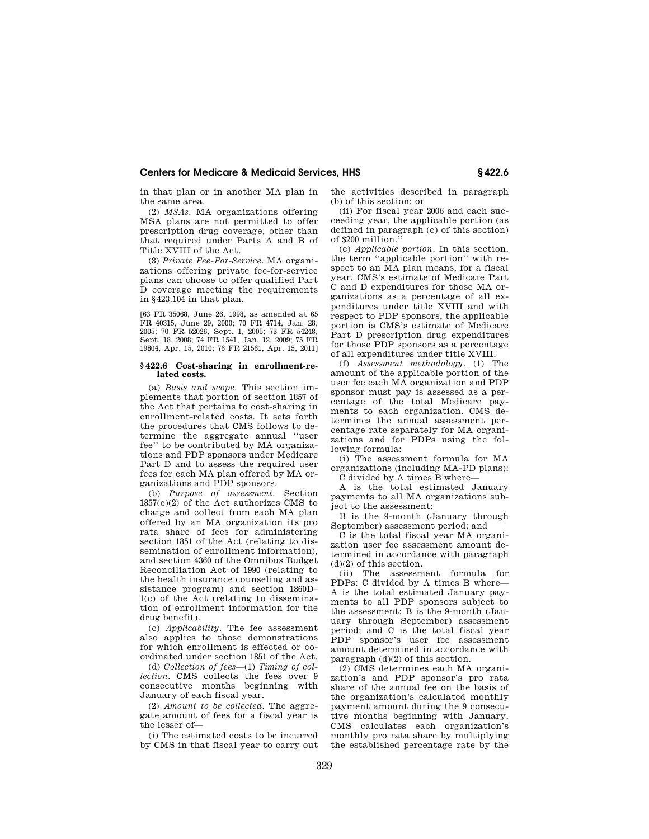in that plan or in another MA plan in the same area.

(2) *MSAs.* MA organizations offering MSA plans are not permitted to offer prescription drug coverage, other than that required under Parts A and B of Title XVIII of the Act.

(3) *Private Fee-For-Service.* MA organizations offering private fee-for-service plans can choose to offer qualified Part D coverage meeting the requirements in §423.104 in that plan.

[63 FR 35068, June 26, 1998, as amended at 65 FR 40315, June 29, 2000; 70 FR 4714, Jan. 28, 2005; 70 FR 52026, Sept. 1, 2005; 73 FR 54248, Sept. 18, 2008; 74 FR 1541, Jan. 12, 2009; 75 FR 19804, Apr. 15, 2010; 76 FR 21561, Apr. 15, 2011]

### **§ 422.6 Cost-sharing in enrollment-related costs.**

(a) *Basis and scope.* This section implements that portion of section 1857 of the Act that pertains to cost-sharing in enrollment-related costs. It sets forth the procedures that CMS follows to determine the aggregate annual ''user fee'' to be contributed by MA organizations and PDP sponsors under Medicare Part D and to assess the required user fees for each MA plan offered by MA organizations and PDP sponsors.

(b) *Purpose of assessment.* Section 1857(e)(2) of the Act authorizes CMS to charge and collect from each MA plan offered by an MA organization its pro rata share of fees for administering section 1851 of the Act (relating to dissemination of enrollment information), and section 4360 of the Omnibus Budget Reconciliation Act of 1990 (relating to the health insurance counseling and assistance program) and section 1860D– 1(c) of the Act (relating to dissemination of enrollment information for the drug benefit).

(c) *Applicability.* The fee assessment also applies to those demonstrations for which enrollment is effected or coordinated under section 1851 of the Act.

(d) *Collection of fees*—(1) *Timing of collection.* CMS collects the fees over 9 consecutive months beginning with January of each fiscal year.

(2) *Amount to be collected.* The aggregate amount of fees for a fiscal year is the lesser of—

(i) The estimated costs to be incurred by CMS in that fiscal year to carry out the activities described in paragraph (b) of this section; or

(ii) For fiscal year 2006 and each succeeding year, the applicable portion (as defined in paragraph (e) of this section) of \$200 million.''

(e) *Applicable portion.* In this section, the term ''applicable portion'' with respect to an MA plan means, for a fiscal year, CMS's estimate of Medicare Part C and D expenditures for those MA organizations as a percentage of all expenditures under title XVIII and with respect to PDP sponsors, the applicable portion is CMS's estimate of Medicare Part D prescription drug expenditures for those PDP sponsors as a percentage of all expenditures under title XVIII.

(f) *Assessment methodology.* (1) The amount of the applicable portion of the user fee each MA organization and PDP sponsor must pay is assessed as a percentage of the total Medicare payments to each organization. CMS determines the annual assessment percentage rate separately for MA organizations and for PDPs using the following formula:

(i) The assessment formula for MA organizations (including MA-PD plans): C divided by A times B where—

A is the total estimated January payments to all MA organizations subject to the assessment;

B is the 9-month (January through September) assessment period; and

C is the total fiscal year MA organization user fee assessment amount determined in accordance with paragraph  $(d)(2)$  of this section.

(ii) The assessment formula for PDPs: C divided by A times B where— A is the total estimated January payments to all PDP sponsors subject to the assessment; B is the 9-month (January through September) assessment period; and C is the total fiscal year PDP sponsor's user fee assessment amount determined in accordance with paragraph (d)(2) of this section.

(2) CMS determines each MA organization's and PDP sponsor's pro rata share of the annual fee on the basis of the organization's calculated monthly payment amount during the 9 consecutive months beginning with January. CMS calculates each organization's monthly pro rata share by multiplying the established percentage rate by the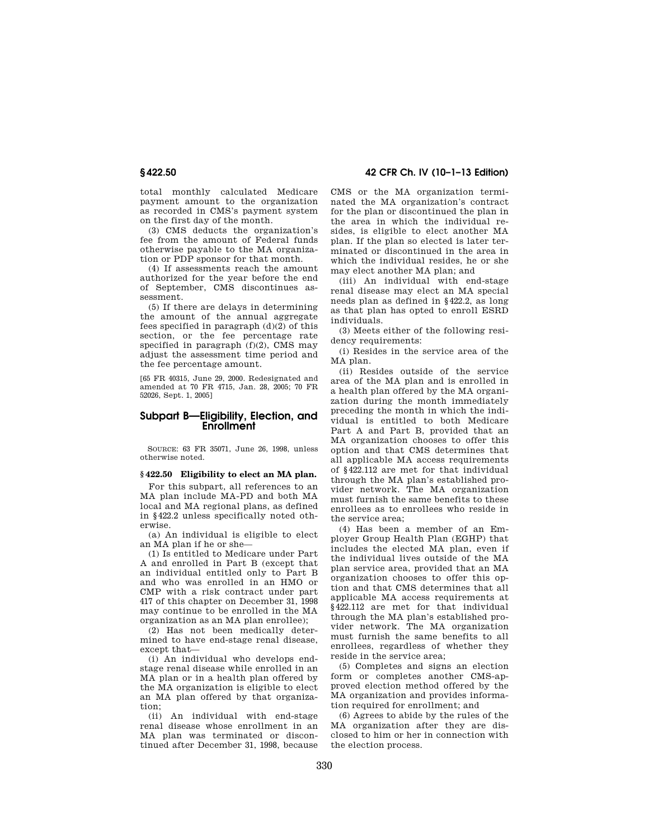total monthly calculated Medicare payment amount to the organization as recorded in CMS's payment system on the first day of the month.

(3) CMS deducts the organization's fee from the amount of Federal funds otherwise payable to the MA organization or PDP sponsor for that month.

(4) If assessments reach the amount authorized for the year before the end of September, CMS discontinues assessment.

(5) If there are delays in determining the amount of the annual aggregate fees specified in paragraph (d)(2) of this section, or the fee percentage rate specified in paragraph (f)(2), CMS may adjust the assessment time period and the fee percentage amount.

[65 FR 40315, June 29, 2000. Redesignated and amended at 70 FR 4715, Jan. 28, 2005; 70 FR 52026, Sept. 1, 2005]

# **Subpart B—Eligibility, Election, and Enrollment**

SOURCE: 63 FR 35071, June 26, 1998, unless otherwise noted.

#### **§ 422.50 Eligibility to elect an MA plan.**

For this subpart, all references to an MA plan include MA-PD and both MA local and MA regional plans, as defined in §422.2 unless specifically noted otherwise.

(a) An individual is eligible to elect an MA plan if he or she—

(1) Is entitled to Medicare under Part A and enrolled in Part B (except that an individual entitled only to Part B and who was enrolled in an HMO or CMP with a risk contract under part 417 of this chapter on December 31, 1998 may continue to be enrolled in the MA organization as an MA plan enrollee);

(2) Has not been medically determined to have end-stage renal disease, except that—

(i) An individual who develops endstage renal disease while enrolled in an MA plan or in a health plan offered by the MA organization is eligible to elect an MA plan offered by that organization;<br>(ii)

An individual with end-stage renal disease whose enrollment in an MA plan was terminated or discontinued after December 31, 1998, because

**§ 422.50 42 CFR Ch. IV (10–1–13 Edition)** 

CMS or the MA organization terminated the MA organization's contract for the plan or discontinued the plan in the area in which the individual resides, is eligible to elect another MA plan. If the plan so elected is later terminated or discontinued in the area in which the individual resides, he or she may elect another MA plan; and

(iii) An individual with end-stage renal disease may elect an MA special needs plan as defined in §422.2, as long as that plan has opted to enroll ESRD individuals.

(3) Meets either of the following residency requirements:

(i) Resides in the service area of the MA plan.

(ii) Resides outside of the service area of the MA plan and is enrolled in a health plan offered by the MA organization during the month immediately preceding the month in which the individual is entitled to both Medicare Part A and Part B, provided that an MA organization chooses to offer this option and that CMS determines that all applicable MA access requirements of §422.112 are met for that individual through the MA plan's established provider network. The MA organization must furnish the same benefits to these enrollees as to enrollees who reside in the service area;

(4) Has been a member of an Employer Group Health Plan (EGHP) that includes the elected MA plan, even if the individual lives outside of the MA plan service area, provided that an MA organization chooses to offer this option and that CMS determines that all applicable MA access requirements at §422.112 are met for that individual through the MA plan's established provider network. The MA organization must furnish the same benefits to all enrollees, regardless of whether they reside in the service area;

(5) Completes and signs an election form or completes another CMS-approved election method offered by the MA organization and provides information required for enrollment; and

(6) Agrees to abide by the rules of the MA organization after they are disclosed to him or her in connection with the election process.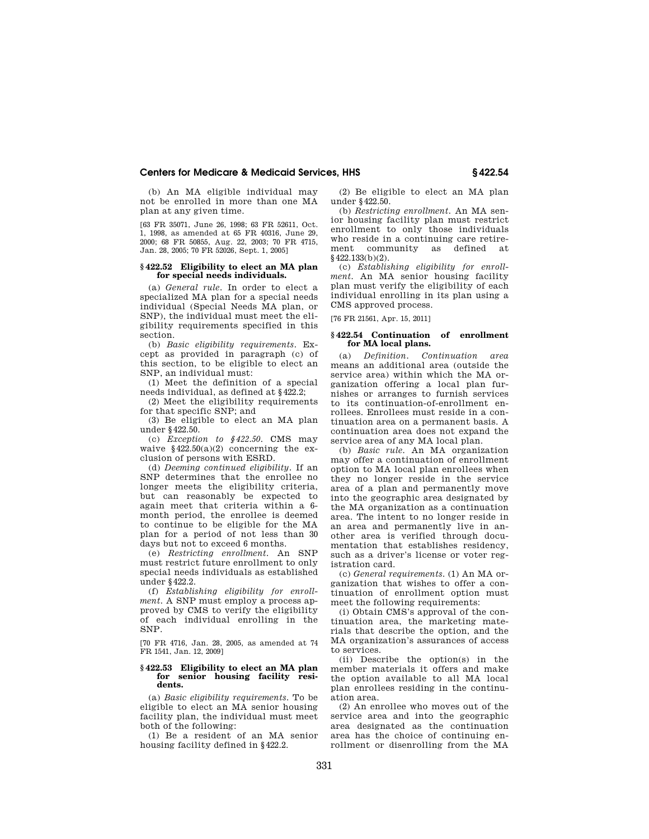(b) An MA eligible individual may not be enrolled in more than one MA plan at any given time.

[63 FR 35071, June 26, 1998; 63 FR 52611, Oct. 1, 1998, as amended at 65 FR 40316, June 29, 2000; 68 FR 50855, Aug. 22, 2003; 70 FR 4715, Jan. 28, 2005; 70 FR 52026, Sept. 1, 2005]

## **§ 422.52 Eligibility to elect an MA plan for special needs individuals.**

(a) *General rule.* In order to elect a specialized MA plan for a special needs individual (Special Needs MA plan, or SNP), the individual must meet the eligibility requirements specified in this section.

(b) *Basic eligibility requirements.* Except as provided in paragraph (c) of this section, to be eligible to elect an SNP, an individual must:

(1) Meet the definition of a special needs individual, as defined at §422.2;

(2) Meet the eligibility requirements for that specific SNP; and

(3) Be eligible to elect an MA plan under §422.50.

(c) *Exception to §422.50.* CMS may waive  $$422.50(a)(2)$  concerning the exclusion of persons with ESRD.

(d) *Deeming continued eligibility.* If an SNP determines that the enrollee no longer meets the eligibility criteria, but can reasonably be expected to again meet that criteria within a 6 month period, the enrollee is deemed to continue to be eligible for the MA plan for a period of not less than 30 days but not to exceed 6 months.

(e) *Restricting enrollment.* An SNP must restrict future enrollment to only special needs individuals as established under §422.2.

(f) *Establishing eligibility for enrollment.* A SNP must employ a process approved by CMS to verify the eligibility of each individual enrolling in the SNP.

[70 FR 4716, Jan. 28, 2005, as amended at 74 FR 1541, Jan. 12, 2009]

#### **§ 422.53 Eligibility to elect an MA plan for senior housing facility residents.**

(a) *Basic eligibility requirements.* To be eligible to elect an MA senior housing facility plan, the individual must meet both of the following:

(1) Be a resident of an MA senior housing facility defined in §422.2.

(2) Be eligible to elect an MA plan under §422.50.

(b) *Restricting enrollment.* An MA senior housing facility plan must restrict enrollment to only those individuals who reside in a continuing care retirement community as defined at §422.133(b)(2).

(c) *Establishing eligibility for enrollment.* An MA senior housing facility plan must verify the eligibility of each individual enrolling in its plan using a CMS approved process.

[76 FR 21561, Apr. 15, 2011]

### **§ 422.54 Continuation of enrollment for MA local plans.**

(a) *Definition. Continuation area*  means an additional area (outside the service area) within which the MA organization offering a local plan furnishes or arranges to furnish services to its continuation-of-enrollment enrollees. Enrollees must reside in a continuation area on a permanent basis. A continuation area does not expand the service area of any MA local plan.

(b) *Basic rule.* An MA organization may offer a continuation of enrollment option to MA local plan enrollees when they no longer reside in the service area of a plan and permanently move into the geographic area designated by the MA organization as a continuation area. The intent to no longer reside in an area and permanently live in another area is verified through documentation that establishes residency, such as a driver's license or voter registration card.

(c) *General requirements.* (1) An MA organization that wishes to offer a continuation of enrollment option must meet the following requirements:

(i) Obtain CMS's approval of the continuation area, the marketing materials that describe the option, and the MA organization's assurances of access to services.

(ii) Describe the option(s) in the member materials it offers and make the option available to all MA local plan enrollees residing in the continuation area.

(2) An enrollee who moves out of the service area and into the geographic area designated as the continuation area has the choice of continuing enrollment or disenrolling from the MA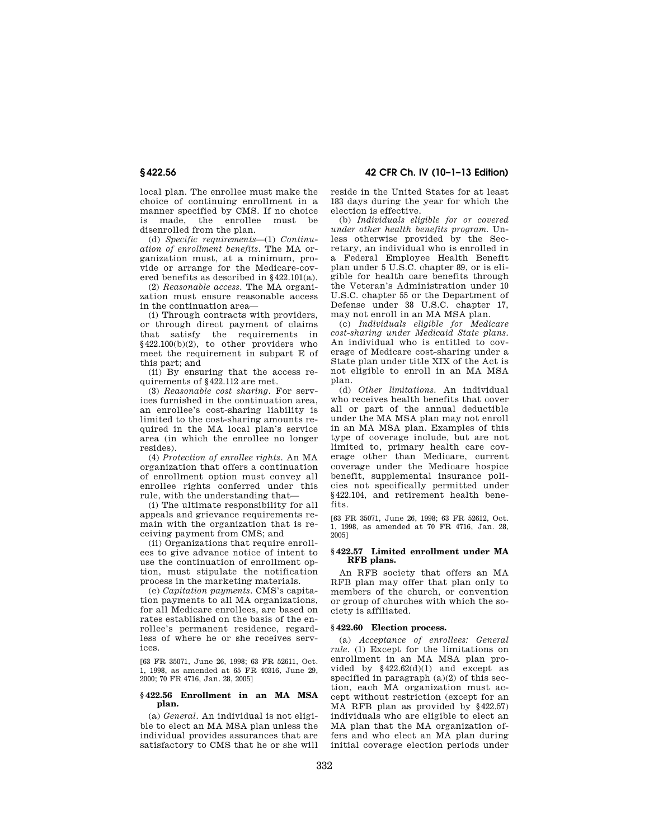local plan. The enrollee must make the choice of continuing enrollment in a manner specified by CMS. If no choice is made, the enrollee must be disenrolled from the plan.

(d) *Specific requirements*—(1) *Continuation of enrollment benefits.* The MA organization must, at a minimum, provide or arrange for the Medicare-covered benefits as described in §422.101(a).

(2) *Reasonable access.* The MA organization must ensure reasonable access in the continuation area—

(i) Through contracts with providers, or through direct payment of claims that satisfy the requirements in §422.100(b)(2), to other providers who meet the requirement in subpart E of this part; and

(ii) By ensuring that the access requirements of §422.112 are met.

(3) *Reasonable cost sharing.* For services furnished in the continuation area, an enrollee's cost-sharing liability is limited to the cost-sharing amounts required in the MA local plan's service area (in which the enrollee no longer resides).

(4) *Protection of enrollee rights.* An MA organization that offers a continuation of enrollment option must convey all enrollee rights conferred under this rule, with the understanding that—

(i) The ultimate responsibility for all appeals and grievance requirements remain with the organization that is receiving payment from CMS; and

(ii) Organizations that require enrollees to give advance notice of intent to use the continuation of enrollment option, must stipulate the notification process in the marketing materials.

(e) *Capitation payments.* CMS's capitation payments to all MA organizations, for all Medicare enrollees, are based on rates established on the basis of the enrollee's permanent residence, regardless of where he or she receives services.

[63 FR 35071, June 26, 1998; 63 FR 52611, Oct. 1, 1998, as amended at 65 FR 40316, June 29, 2000; 70 FR 4716, Jan. 28, 2005]

#### **§ 422.56 Enrollment in an MA MSA plan.**

(a) *General.* An individual is not eligible to elect an MA MSA plan unless the individual provides assurances that are satisfactory to CMS that he or she will

**§ 422.56 42 CFR Ch. IV (10–1–13 Edition)** 

reside in the United States for at least 183 days during the year for which the election is effective.

(b) *Individuals eligible for or covered under other health benefits program.* Unless otherwise provided by the Secretary, an individual who is enrolled in a Federal Employee Health Benefit plan under 5 U.S.C. chapter 89, or is eligible for health care benefits through the Veteran's Administration under 10 U.S.C. chapter 55 or the Department of Defense under 38 U.S.C. chapter 17, may not enroll in an MA MSA plan.

(c) *Individuals eligible for Medicare cost-sharing under Medicaid State plans.*  An individual who is entitled to coverage of Medicare cost-sharing under a State plan under title XIX of the Act is not eligible to enroll in an MA MSA plan.

(d) *Other limitations.* An individual who receives health benefits that cover all or part of the annual deductible under the MA MSA plan may not enroll in an MA MSA plan. Examples of this type of coverage include, but are not limited to, primary health care coverage other than Medicare, current coverage under the Medicare hospice benefit, supplemental insurance policies not specifically permitted under §422.104, and retirement health benefits.

[63 FR 35071, June 26, 1998; 63 FR 52612, Oct. 1, 1998, as amended at 70 FR 4716, Jan. 28, 2005]

## **§ 422.57 Limited enrollment under MA RFB plans.**

An RFB society that offers an MA RFB plan may offer that plan only to members of the church, or convention or group of churches with which the society is affiliated.

## **§ 422.60 Election process.**

(a) *Acceptance of enrollees: General rule.* (1) Except for the limitations on enrollment in an MA MSA plan provided by  $§422.62(d)(1)$  and except as specified in paragraph (a)(2) of this section, each MA organization must accept without restriction (except for an MA RFB plan as provided by §422.57) individuals who are eligible to elect an MA plan that the MA organization offers and who elect an MA plan during initial coverage election periods under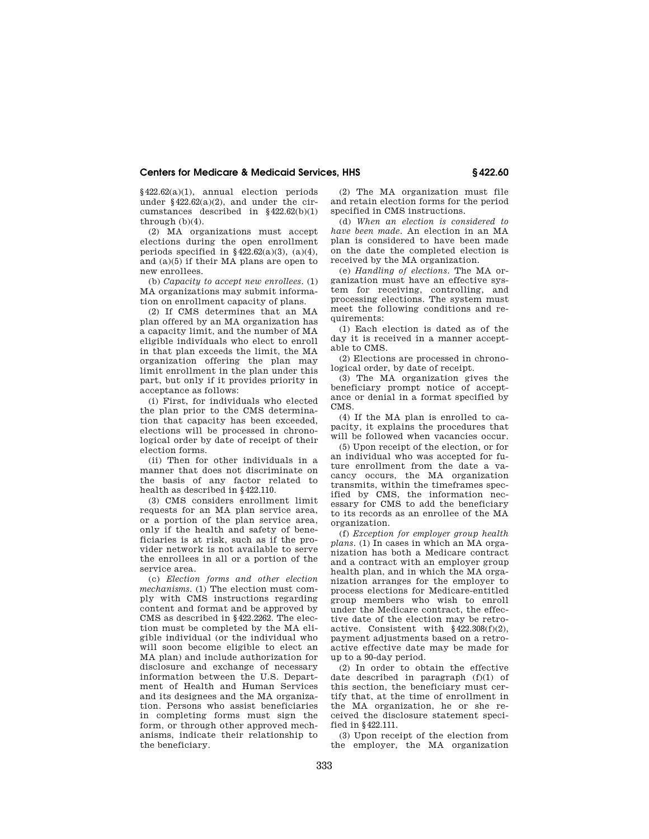§422.62(a)(1), annual election periods under  $§422.62(a)(2)$ , and under the circumstances described in §422.62(b)(1) through (b)(4).

(2) MA organizations must accept elections during the open enrollment periods specified in  $§422.62(a)(3)$ ,  $(a)(4)$ , and (a)(5) if their MA plans are open to new enrollees.

(b) *Capacity to accept new enrollees.* (1) MA organizations may submit information on enrollment capacity of plans.

(2) If CMS determines that an MA plan offered by an MA organization has a capacity limit, and the number of MA eligible individuals who elect to enroll in that plan exceeds the limit, the MA organization offering the plan may limit enrollment in the plan under this part, but only if it provides priority in acceptance as follows:

(i) First, for individuals who elected the plan prior to the CMS determination that capacity has been exceeded, elections will be processed in chronological order by date of receipt of their election forms.

(ii) Then for other individuals in a manner that does not discriminate on the basis of any factor related to health as described in §422.110.

(3) CMS considers enrollment limit requests for an MA plan service area, or a portion of the plan service area, only if the health and safety of beneficiaries is at risk, such as if the provider network is not available to serve the enrollees in all or a portion of the service area.

(c) *Election forms and other election mechanisms.* (1) The election must comply with CMS instructions regarding content and format and be approved by CMS as described in §422.2262. The election must be completed by the MA eligible individual (or the individual who will soon become eligible to elect an MA plan) and include authorization for disclosure and exchange of necessary information between the U.S. Department of Health and Human Services and its designees and the MA organization. Persons who assist beneficiaries in completing forms must sign the form, or through other approved mechanisms, indicate their relationship to the beneficiary.

(2) The MA organization must file and retain election forms for the period specified in CMS instructions.

(d) *When an election is considered to have been made.* An election in an MA plan is considered to have been made on the date the completed election is received by the MA organization.

(e) *Handling of elections.* The MA organization must have an effective system for receiving, controlling, and processing elections. The system must meet the following conditions and requirements:

(1) Each election is dated as of the day it is received in a manner acceptable to CMS.

(2) Elections are processed in chronological order, by date of receipt.

(3) The MA organization gives the beneficiary prompt notice of acceptance or denial in a format specified by CMS.

(4) If the MA plan is enrolled to capacity, it explains the procedures that will be followed when vacancies occur.

(5) Upon receipt of the election, or for an individual who was accepted for future enrollment from the date a vacancy occurs, the MA organization transmits, within the timeframes specified by CMS, the information necessary for CMS to add the beneficiary to its records as an enrollee of the MA organization.

(f) *Exception for employer group health plans.* (1) In cases in which an MA organization has both a Medicare contract and a contract with an employer group health plan, and in which the MA organization arranges for the employer to process elections for Medicare-entitled group members who wish to enroll under the Medicare contract, the effective date of the election may be retroactive. Consistent with §422.308(f)(2), payment adjustments based on a retroactive effective date may be made for up to a 90-day period.

(2) In order to obtain the effective date described in paragraph  $(f)(1)$  of this section, the beneficiary must certify that, at the time of enrollment in the MA organization, he or she received the disclosure statement specified in §422.111.

(3) Upon receipt of the election from the employer, the MA organization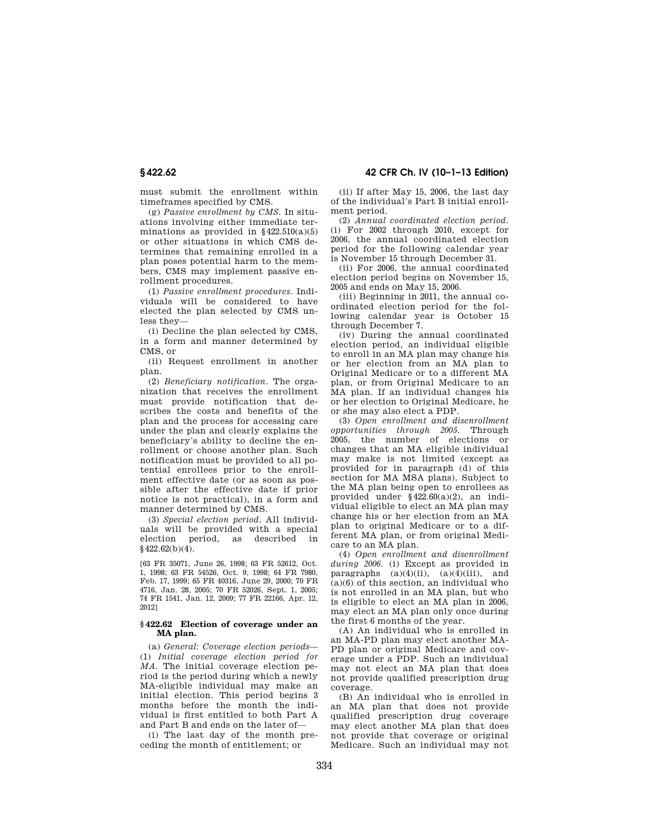must submit the enrollment within timeframes specified by CMS.

(g) *Passive enrollment by CMS.* In situations involving either immediate terminations as provided in  $§422.510(a)(5)$ or other situations in which CMS determines that remaining enrolled in a plan poses potential harm to the members, CMS may implement passive enrollment procedures.

(1) *Passive enrollment procedures.* Individuals will be considered to have elected the plan selected by CMS unless they—

(i) Decline the plan selected by CMS, in a form and manner determined by CMS, or

(ii) Request enrollment in another plan.

(2) *Beneficiary notification.* The organization that receives the enrollment must provide notification that describes the costs and benefits of the plan and the process for accessing care under the plan and clearly explains the beneficiary's ability to decline the enrollment or choose another plan. Such notification must be provided to all potential enrollees prior to the enrollment effective date (or as soon as possible after the effective date if prior notice is not practical), in a form and manner determined by CMS.

(3) *Special election period.* All individuals will be provided with a special election period, as described in  $§$ 422.62(b)(4).

[63 FR 35071, June 26, 1998; 63 FR 52612, Oct. 1, 1998; 63 FR 54526, Oct. 9, 1998; 64 FR 7980, Feb. 17, 1999; 65 FR 40316, June 29, 2000; 70 FR 4716, Jan. 28, 2005; 70 FR 52026, Sept. 1, 2005; 74 FR 1541, Jan. 12, 2009; 77 FR 22166, Apr. 12, 2012]

## **§ 422.62 Election of coverage under an MA plan.**

(a) *General: Coverage election periods*— (1) *Initial coverage election period for MA.* The initial coverage election period is the period during which a newly MA-eligible individual may make an initial election. This period begins 3 months before the month the individual is first entitled to both Part A and Part B and ends on the later of—

(i) The last day of the month preceding the month of entitlement; or

(ii) If after May 15, 2006, the last day of the individual's Part B initial enrollment period.

(2) *Annual coordinated election period.*  (i) For 2002 through 2010, except for 2006, the annual coordinated election period for the following calendar year is November 15 through December 31.

(ii) For 2006, the annual coordinated election period begins on November 15, 2005 and ends on May 15, 2006.

(iii) Beginning in 2011, the annual coordinated election period for the following calendar year is October 15 through December 7.

(iv) During the annual coordinated election period, an individual eligible to enroll in an MA plan may change his or her election from an MA plan to Original Medicare or to a different MA plan, or from Original Medicare to an MA plan. If an individual changes his or her election to Original Medicare, he or she may also elect a PDP.

(3) *Open enrollment and disenrollment opportunities through 2005.* Through 2005, the number of elections or changes that an MA eligible individual may make is not limited (except as provided for in paragraph (d) of this section for MA MSA plans). Subject to the MA plan being open to enrollees as provided under §422.60(a)(2), an individual eligible to elect an MA plan may change his or her election from an MA plan to original Medicare or to a different MA plan, or from original Medicare to an MA plan.

(4) *Open enrollment and disenrollment during 2006.* (i) Except as provided in paragraphs  $(a)(4)(ii)$ ,  $(a)(4)(iii)$ , and (a)(6) of this section, an individual who is not enrolled in an MA plan, but who is eligible to elect an MA plan in 2006, may elect an MA plan only once during the first 6 months of the year.

(A) An individual who is enrolled in an MA-PD plan may elect another MA-PD plan or original Medicare and coverage under a PDP. Such an individual may not elect an MA plan that does not provide qualified prescription drug coverage.

(B) An individual who is enrolled in an MA plan that does not provide qualified prescription drug coverage may elect another MA plan that does not provide that coverage or original Medicare. Such an individual may not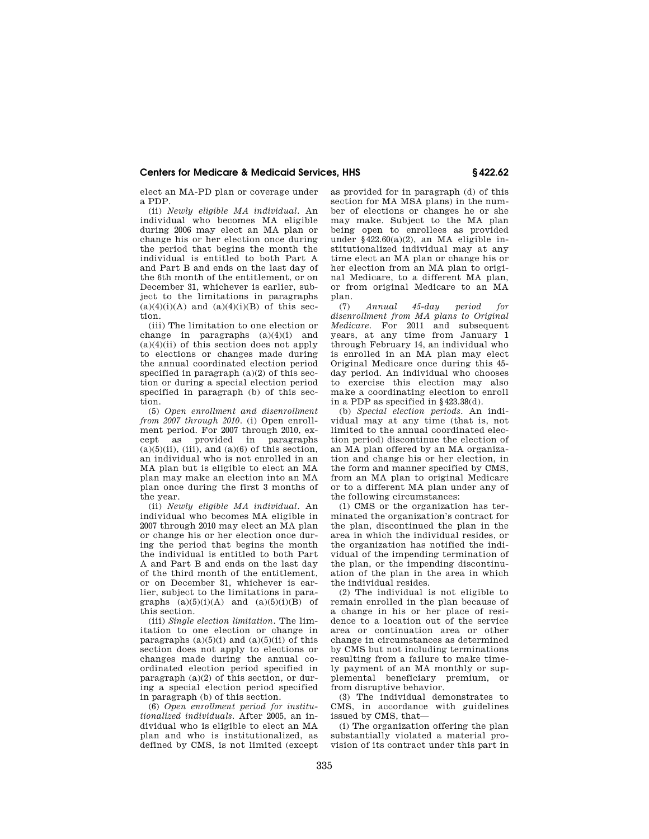elect an MA-PD plan or coverage under a PDP.

(ii) *Newly eligible MA individual.* An individual who becomes MA eligible during 2006 may elect an MA plan or change his or her election once during the period that begins the month the individual is entitled to both Part A and Part B and ends on the last day of the 6th month of the entitlement, or on December 31, whichever is earlier, subject to the limitations in paragraphs  $(a)(4)(i)(A)$  and  $(a)(4)(i)(B)$  of this section.

(iii) The limitation to one election or change in paragraphs  $(a)(4)(i)$  and  $(a)(4)(ii)$  of this section does not apply to elections or changes made during the annual coordinated election period specified in paragraph  $(a)(2)$  of this section or during a special election period specified in paragraph (b) of this section.

(5) *Open enrollment and disenrollment from 2007 through 2010*. (i) Open enrollment period. For 2007 through 2010, except as provided in paragraphs  $(a)(5)(ii)$ , (iii), and  $(a)(6)$  of this section, an individual who is not enrolled in an MA plan but is eligible to elect an MA plan may make an election into an MA plan once during the first 3 months of the year.

(ii) *Newly eligible MA individual*. An individual who becomes MA eligible in 2007 through 2010 may elect an MA plan or change his or her election once during the period that begins the month the individual is entitled to both Part A and Part B and ends on the last day of the third month of the entitlement, or on December 31, whichever is earlier, subject to the limitations in paragraphs  $(a)(5)(i)(A)$  and  $(a)(5)(i)(B)$  of this section.

(iii) *Single election limitation*. The limitation to one election or change in paragraphs  $(a)(5)(i)$  and  $(a)(5)(ii)$  of this section does not apply to elections or changes made during the annual coordinated election period specified in paragraph  $(a)(2)$  of this section, or during a special election period specified in paragraph (b) of this section.

(6) *Open enrollment period for institutionalized individuals.* After 2005, an individual who is eligible to elect an MA plan and who is institutionalized, as defined by CMS, is not limited (except as provided for in paragraph (d) of this section for MA MSA plans) in the number of elections or changes he or she may make. Subject to the MA plan being open to enrollees as provided under §422.60(a)(2), an MA eligible institutionalized individual may at any time elect an MA plan or change his or her election from an MA plan to original Medicare, to a different MA plan, or from original Medicare to an MA plan.

(7) *Annual 45-day period for disenrollment from MA plans to Original Medicare.* For 2011 and subsequent years, at any time from January 1 through February 14, an individual who is enrolled in an MA plan may elect Original Medicare once during this 45 day period. An individual who chooses to exercise this election may also make a coordinating election to enroll in a PDP as specified in §423.38(d).

(b) *Special election periods.* An individual may at any time (that is, not limited to the annual coordinated election period) discontinue the election of an MA plan offered by an MA organization and change his or her election, in the form and manner specified by CMS, from an MA plan to original Medicare or to a different MA plan under any of the following circumstances:

(1) CMS or the organization has terminated the organization's contract for the plan, discontinued the plan in the area in which the individual resides, or the organization has notified the individual of the impending termination of the plan, or the impending discontinuation of the plan in the area in which the individual resides.

(2) The individual is not eligible to remain enrolled in the plan because of a change in his or her place of residence to a location out of the service area or continuation area or other change in circumstances as determined by CMS but not including terminations resulting from a failure to make timely payment of an MA monthly or supplemental beneficiary premium, or from disruptive behavior.

(3) The individual demonstrates to CMS, in accordance with guidelines issued by CMS, that—

(i) The organization offering the plan substantially violated a material provision of its contract under this part in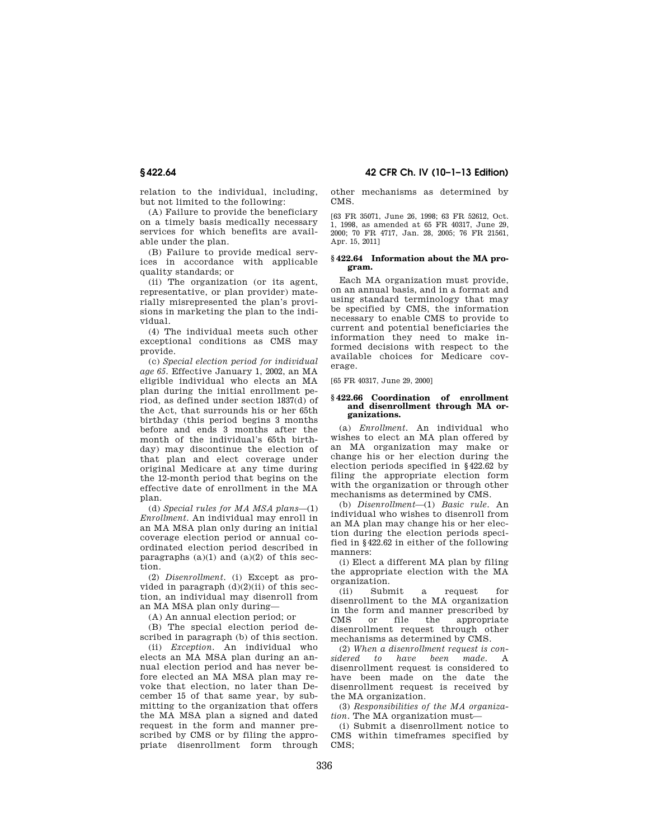relation to the individual, including, but not limited to the following:

(A) Failure to provide the beneficiary on a timely basis medically necessary services for which benefits are available under the plan.

(B) Failure to provide medical services in accordance with applicable quality standards; or

(ii) The organization (or its agent, representative, or plan provider) materially misrepresented the plan's provisions in marketing the plan to the individual.

(4) The individual meets such other exceptional conditions as CMS may provide.

(c) *Special election period for individual age 65.* Effective January 1, 2002, an MA eligible individual who elects an MA plan during the initial enrollment period, as defined under section 1837(d) of the Act, that surrounds his or her 65th birthday (this period begins 3 months before and ends 3 months after the month of the individual's 65th birthday) may discontinue the election of that plan and elect coverage under original Medicare at any time during the 12-month period that begins on the effective date of enrollment in the MA plan.

(d) *Special rules for MA MSA plans*—(1) *Enrollment.* An individual may enroll in an MA MSA plan only during an initial coverage election period or annual coordinated election period described in paragraphs  $(a)(1)$  and  $(a)(2)$  of this section.

(2) *Disenrollment.* (i) Except as provided in paragraph  $(d)(2)(ii)$  of this section, an individual may disenroll from an MA MSA plan only during—

(A) An annual election period; or

(B) The special election period described in paragraph (b) of this section.

(ii) *Exception.* An individual who elects an MA MSA plan during an annual election period and has never before elected an MA MSA plan may revoke that election, no later than December 15 of that same year, by submitting to the organization that offers the MA MSA plan a signed and dated request in the form and manner prescribed by CMS or by filing the appropriate disenrollment form through

**§ 422.64 42 CFR Ch. IV (10–1–13 Edition)** 

other mechanisms as determined by CMS.

[63 FR 35071, June 26, 1998; 63 FR 52612, Oct. 1, 1998, as amended at 65 FR 40317, June 29, 2000; 70 FR 4717, Jan. 28, 2005; 76 FR 21561, Apr. 15, 2011]

## **§ 422.64 Information about the MA program.**

Each MA organization must provide, on an annual basis, and in a format and using standard terminology that may be specified by CMS, the information necessary to enable CMS to provide to current and potential beneficiaries the information they need to make informed decisions with respect to the available choices for Medicare coverage.

[65 FR 40317, June 29, 2000]

#### **§ 422.66 Coordination of enrollment and disenrollment through MA organizations.**

(a) *Enrollment.* An individual who wishes to elect an MA plan offered by an MA organization may make or change his or her election during the election periods specified in §422.62 by filing the appropriate election form with the organization or through other mechanisms as determined by CMS.

(b) *Disenrollment*—(1) *Basic rule.* An individual who wishes to disenroll from an MA plan may change his or her election during the election periods specified in §422.62 in either of the following manners:

(i) Elect a different MA plan by filing the appropriate election with the MA organization.

(ii) Submit a request for disenrollment to the MA organization in the form and manner prescribed by CMS or file the appropriate disenrollment request through other mechanisms as determined by CMS.

(2) *When a disenrollment request is considered to have been made.* A disenrollment request is considered to have been made on the date the disenrollment request is received by the MA organization.

(3) *Responsibilities of the MA organization.* The MA organization must—

(i) Submit a disenrollment notice to CMS within timeframes specified by CMS;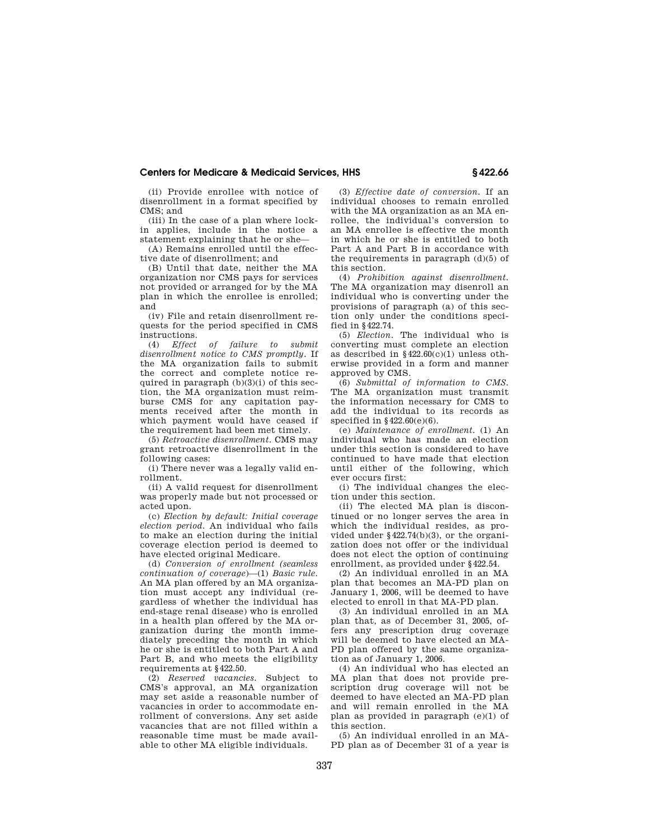(ii) Provide enrollee with notice of disenrollment in a format specified by CMS; and

(iii) In the case of a plan where lockin applies, include in the notice a statement explaining that he or she—

(A) Remains enrolled until the effective date of disenrollment; and

(B) Until that date, neither the MA organization nor CMS pays for services not provided or arranged for by the MA plan in which the enrollee is enrolled; and

(iv) File and retain disenrollment requests for the period specified in CMS instructions.<br>(4) *Effect* 

(4) *Effect of failure to submit disenrollment notice to CMS promptly.* If the MA organization fails to submit the correct and complete notice required in paragraph  $(b)(3)(i)$  of this section, the MA organization must reimburse CMS for any capitation payments received after the month in which payment would have ceased if the requirement had been met timely.

(5) *Retroactive disenrollment.* CMS may grant retroactive disenrollment in the following cases:

(i) There never was a legally valid enrollment.

(ii) A valid request for disenrollment was properly made but not processed or acted upon.

(c) *Election by default: Initial coverage election period.* An individual who fails to make an election during the initial coverage election period is deemed to have elected original Medicare.

(d) *Conversion of enrollment (seamless continuation of coverage*)—(1) *Basic rule.*  An MA plan offered by an MA organization must accept any individual (regardless of whether the individual has end-stage renal disease) who is enrolled in a health plan offered by the MA organization during the month immediately preceding the month in which he or she is entitled to both Part A and Part B, and who meets the eligibility requirements at §422.50.

(2) *Reserved vacancies.* Subject to CMS's approval, an MA organization may set aside a reasonable number of vacancies in order to accommodate enrollment of conversions. Any set aside vacancies that are not filled within a reasonable time must be made available to other MA eligible individuals.

(3) *Effective date of conversion.* If an individual chooses to remain enrolled with the MA organization as an MA enrollee, the individual's conversion to an MA enrollee is effective the month in which he or she is entitled to both Part A and Part B in accordance with the requirements in paragraph  $(d)(5)$  of this section.

(4) *Prohibition against disenrollment.*  The MA organization may disenroll an individual who is converting under the provisions of paragraph (a) of this section only under the conditions specified in §422.74.

(5) *Election.* The individual who is converting must complete an election as described in  $$422.60(c)(1)$  unless otherwise provided in a form and manner approved by CMS.

(6) *Submittal of information to CMS.*  The MA organization must transmit the information necessary for CMS to add the individual to its records as specified in  $§422.60(e)(6)$ .

(e) *Maintenance of enrollment.* (1) An individual who has made an election under this section is considered to have continued to have made that election until either of the following, which ever occurs first:

(i) The individual changes the election under this section.

(ii) The elected MA plan is discontinued or no longer serves the area in which the individual resides, as provided under §422.74(b)(3), or the organization does not offer or the individual does not elect the option of continuing enrollment, as provided under §422.54.

(2) An individual enrolled in an MA plan that becomes an MA-PD plan on January 1, 2006, will be deemed to have elected to enroll in that MA-PD plan.

(3) An individual enrolled in an MA plan that, as of December 31, 2005, offers any prescription drug coverage will be deemed to have elected an MA-PD plan offered by the same organization as of January 1, 2006.

(4) An individual who has elected an MA plan that does not provide prescription drug coverage will not be deemed to have elected an MA-PD plan and will remain enrolled in the MA plan as provided in paragraph (e)(1) of this section.

(5) An individual enrolled in an MA-PD plan as of December 31 of a year is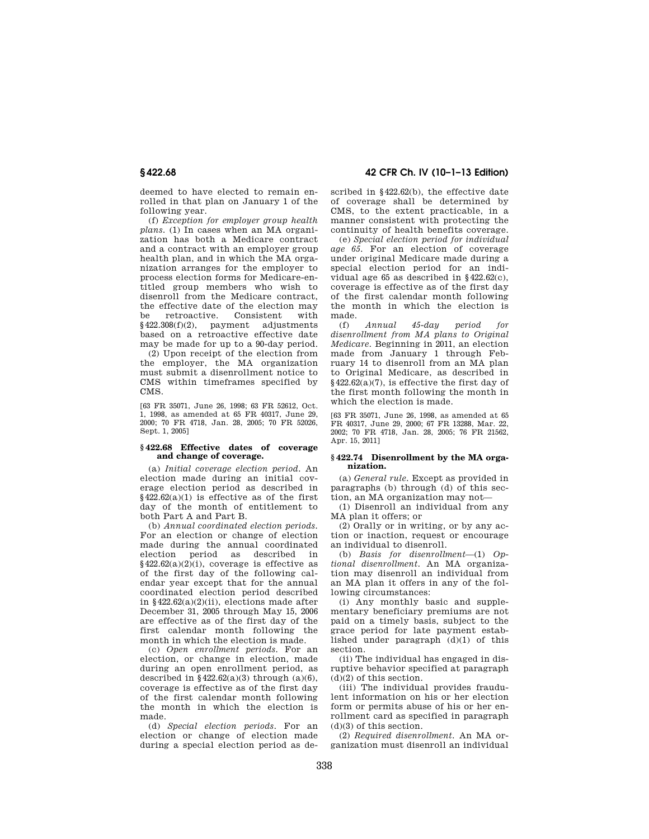deemed to have elected to remain enrolled in that plan on January 1 of the following year.

(f) *Exception for employer group health plans.* (1) In cases when an MA organization has both a Medicare contract and a contract with an employer group health plan, and in which the MA organization arranges for the employer to process election forms for Medicare-entitled group members who wish to disenroll from the Medicare contract, the effective date of the election may be retroactive. Consistent with §422.308(f)(2), payment adjustments based on a retroactive effective date may be made for up to a 90-day period.

(2) Upon receipt of the election from the employer, the MA organization must submit a disenrollment notice to CMS within timeframes specified by CMS.

[63 FR 35071, June 26, 1998; 63 FR 52612, Oct. 1, 1998, as amended at 65 FR 40317, June 29, 2000; 70 FR 4718, Jan. 28, 2005; 70 FR 52026, Sept. 1, 2005]

## **§ 422.68 Effective dates of coverage and change of coverage.**

(a) *Initial coverage election period.* An election made during an initial coverage election period as described in  $§422.62(a)(1)$  is effective as of the first day of the month of entitlement to both Part A and Part B.

(b) *Annual coordinated election periods.*  For an election or change of election made during the annual coordinated election period as described in  $§422.62(a)(2)(i)$ , coverage is effective as of the first day of the following calendar year except that for the annual coordinated election period described in  $§422.62(a)(2)(ii)$ , elections made after December 31, 2005 through May 15, 2006 are effective as of the first day of the first calendar month following the month in which the election is made.

(c) *Open enrollment periods.* For an election, or change in election, made during an open enrollment period, as described in §422.62(a)(3) through (a)(6). coverage is effective as of the first day of the first calendar month following the month in which the election is made.

(d) *Special election periods.* For an election or change of election made during a special election period as de-

**§ 422.68 42 CFR Ch. IV (10–1–13 Edition)** 

scribed in §422.62(b), the effective date of coverage shall be determined by CMS, to the extent practicable, in a manner consistent with protecting the continuity of health benefits coverage.

(e) *Special election period for individual age 65.* For an election of coverage under original Medicare made during a special election period for an individual age 65 as described in §422.62(c), coverage is effective as of the first day of the first calendar month following the month in which the election is made.

(f) *Annual 45-day period for disenrollment from MA plans to Original Medicare.* Beginning in 2011, an election made from January 1 through February 14 to disenroll from an MA plan to Original Medicare, as described in  $§422.62(a)(7)$ , is effective the first day of the first month following the month in which the election is made.

[63 FR 35071, June 26, 1998, as amended at 65 FR 40317, June 29, 2000; 67 FR 13288, Mar. 22, 2002; 70 FR 4718, Jan. 28, 2005; 76 FR 21562, Apr. 15, 2011]

### **§ 422.74 Disenrollment by the MA organization.**

(a) *General rule.* Except as provided in paragraphs (b) through (d) of this section, an MA organization may not—

(1) Disenroll an individual from any MA plan it offers; or

(2) Orally or in writing, or by any action or inaction, request or encourage an individual to disenroll.

(b) *Basis for disenrollment*—(1) *Optional disenrollment.* An MA organization may disenroll an individual from an MA plan it offers in any of the following circumstances:

(i) Any monthly basic and supplementary beneficiary premiums are not paid on a timely basis, subject to the grace period for late payment established under paragraph (d)(1) of this section.

(ii) The individual has engaged in disruptive behavior specified at paragraph  $(d)(2)$  of this section.

(iii) The individual provides fraudulent information on his or her election form or permits abuse of his or her enrollment card as specified in paragraph  $(d)(3)$  of this section.

(2) *Required disenrollment.* An MA organization must disenroll an individual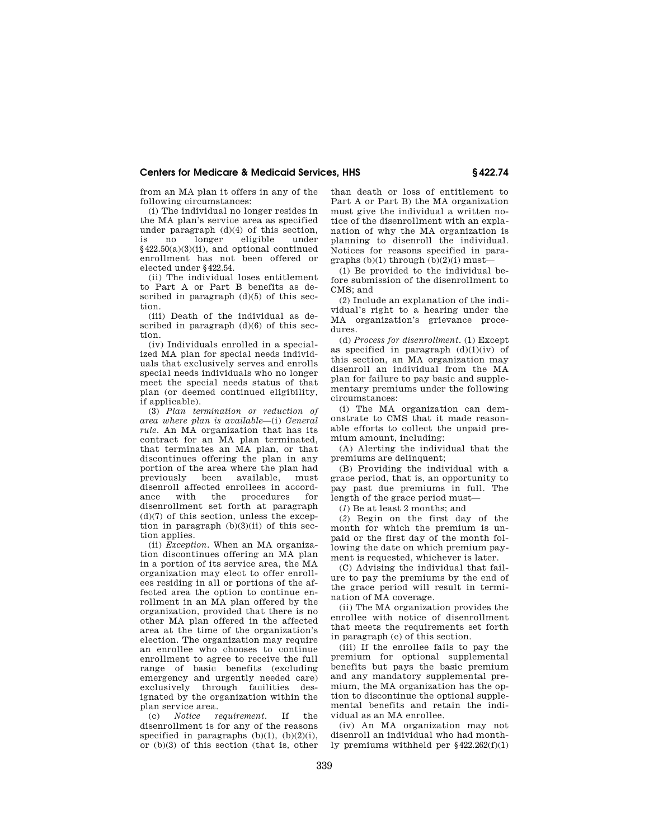from an MA plan it offers in any of the following circumstances:

(i) The individual no longer resides in the MA plan's service area as specified under paragraph (d)(4) of this section, is no longer eligible under §422.50(a)(3)(ii), and optional continued enrollment has not been offered or elected under §422.54.

(ii) The individual loses entitlement to Part A or Part B benefits as described in paragraph  $(d)(5)$  of this section.

(iii) Death of the individual as described in paragraph (d)(6) of this section.

(iv) Individuals enrolled in a specialized MA plan for special needs individuals that exclusively serves and enrolls special needs individuals who no longer meet the special needs status of that plan (or deemed continued eligibility, if applicable).

(3) *Plan termination or reduction of area where plan is available*—(i) *General rule.* An MA organization that has its contract for an MA plan terminated, that terminates an MA plan, or that discontinues offering the plan in any portion of the area where the plan had<br>previously been available, must available, must disenroll affected enrollees in accordance with the procedures for disenrollment set forth at paragraph  $(d)(7)$  of this section, unless the exception in paragraph  $(b)(3)(ii)$  of this section applies.

(ii) *Exception.* When an MA organization discontinues offering an MA plan in a portion of its service area, the MA organization may elect to offer enrollees residing in all or portions of the affected area the option to continue enrollment in an MA plan offered by the organization, provided that there is no other MA plan offered in the affected area at the time of the organization's election. The organization may require an enrollee who chooses to continue enrollment to agree to receive the full range of basic benefits (excluding emergency and urgently needed care) exclusively through facilities designated by the organization within the plan service area.<br> $(c)$  Notice  $r_c$ 

*requirement.* If the disenrollment is for any of the reasons specified in paragraphs  $(b)(1)$ ,  $(b)(2)(i)$ , or (b)(3) of this section (that is, other than death or loss of entitlement to Part A or Part B) the MA organization must give the individual a written notice of the disenrollment with an explanation of why the MA organization is planning to disenroll the individual. Notices for reasons specified in paragraphs  $(b)(1)$  through  $(b)(2)(i)$  must—

(1) Be provided to the individual before submission of the disenrollment to CMS; and

(2) Include an explanation of the individual's right to a hearing under the MA organization's grievance procedures.

(d) *Process for disenrollment.* (1) Except as specified in paragraph  $(d)(1)(iv)$  of this section, an MA organization may disenroll an individual from the MA plan for failure to pay basic and supplementary premiums under the following circumstances:

(i) The MA organization can demonstrate to CMS that it made reasonable efforts to collect the unpaid premium amount, including:

(A) Alerting the individual that the premiums are delinquent;

(B) Providing the individual with a grace period, that is, an opportunity to pay past due premiums in full. The length of the grace period must—

(*1*) Be at least 2 months; and

(*2*) Begin on the first day of the month for which the premium is unpaid or the first day of the month following the date on which premium payment is requested, whichever is later.

(C) Advising the individual that failure to pay the premiums by the end of the grace period will result in termination of MA coverage.

(ii) The MA organization provides the enrollee with notice of disenrollment that meets the requirements set forth in paragraph (c) of this section.

(iii) If the enrollee fails to pay the premium for optional supplemental benefits but pays the basic premium and any mandatory supplemental premium, the MA organization has the option to discontinue the optional supplemental benefits and retain the individual as an MA enrollee.

(iv) An MA organization may not disenroll an individual who had monthly premiums withheld per §422.262(f)(1)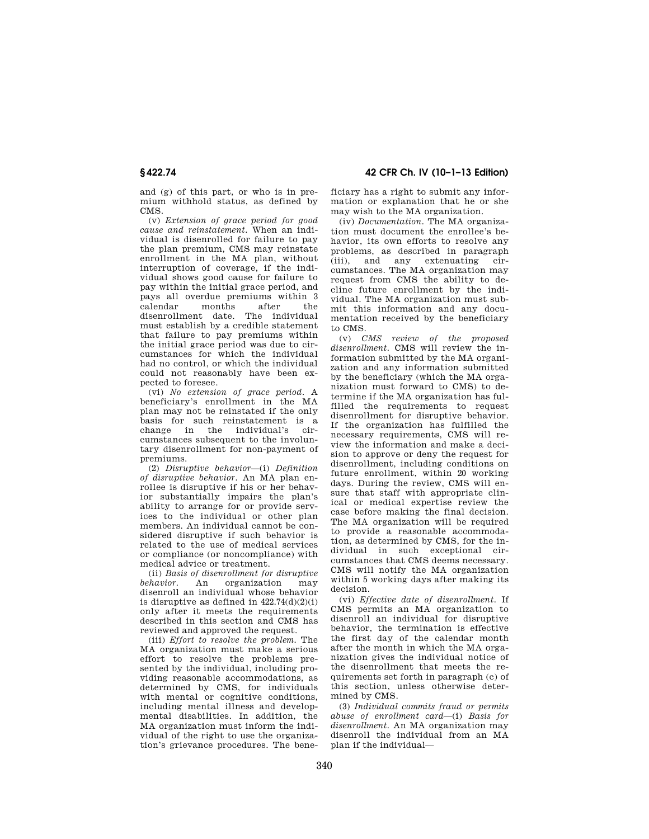and (g) of this part, or who is in premium withhold status, as defined by CMS.

(v) *Extension of grace period for good cause and reinstatement.* When an individual is disenrolled for failure to pay the plan premium, CMS may reinstate enrollment in the MA plan, without interruption of coverage, if the individual shows good cause for failure to pay within the initial grace period, and pays all overdue premiums within 3 calendar months after the disenrollment date. The individual must establish by a credible statement that failure to pay premiums within the initial grace period was due to circumstances for which the individual had no control, or which the individual could not reasonably have been expected to foresee.

(vi) *No extension of grace period.* A beneficiary's enrollment in the MA plan may not be reinstated if the only basis for such reinstatement is a change in the individual's cumstances subsequent to the involuntary disenrollment for non-payment of premiums.

(2) *Disruptive behavior*—(i) *Definition of disruptive behavior.* An MA plan enrollee is disruptive if his or her behavior substantially impairs the plan's ability to arrange for or provide services to the individual or other plan members. An individual cannot be considered disruptive if such behavior is related to the use of medical services or compliance (or noncompliance) with medical advice or treatment.

(ii) *Basis of disenrollment for disruptive behavior.* An organization may disenroll an individual whose behavior is disruptive as defined in  $422.74(d)(2)(i)$ only after it meets the requirements described in this section and CMS has reviewed and approved the request.

(iii) *Effort to resolve the problem.* The MA organization must make a serious effort to resolve the problems presented by the individual, including providing reasonable accommodations, as determined by CMS, for individuals with mental or cognitive conditions. including mental illness and developmental disabilities. In addition, the MA organization must inform the individual of the right to use the organization's grievance procedures. The bene-

**§ 422.74 42 CFR Ch. IV (10–1–13 Edition)** 

ficiary has a right to submit any information or explanation that he or she may wish to the MA organization.

(iv) *Documentation.* The MA organization must document the enrollee's behavior, its own efforts to resolve any problems, as described in paragraph (iii), and any extenuating circumstances. The MA organization may request from CMS the ability to decline future enrollment by the individual. The MA organization must submit this information and any documentation received by the beneficiary to CMS.

(v) *CMS review of the proposed disenrollment.* CMS will review the information submitted by the MA organization and any information submitted by the beneficiary (which the MA organization must forward to CMS) to determine if the MA organization has fulfilled the requirements to request disenrollment for disruptive behavior. If the organization has fulfilled the necessary requirements, CMS will review the information and make a decision to approve or deny the request for disenrollment, including conditions on future enrollment, within 20 working days. During the review, CMS will ensure that staff with appropriate clinical or medical expertise review the case before making the final decision. The MA organization will be required to provide a reasonable accommodation, as determined by CMS, for the individual in such exceptional circumstances that CMS deems necessary. CMS will notify the MA organization within 5 working days after making its decision.

(vi) *Effective date of disenrollment.* If CMS permits an MA organization to disenroll an individual for disruptive behavior, the termination is effective the first day of the calendar month after the month in which the MA organization gives the individual notice of the disenrollment that meets the requirements set forth in paragraph (c) of this section, unless otherwise determined by CMS.

(3) *Individual commits fraud or permits abuse of enrollment card*—(i) *Basis for disenrollment.* An MA organization may disenroll the individual from an MA plan if the individual—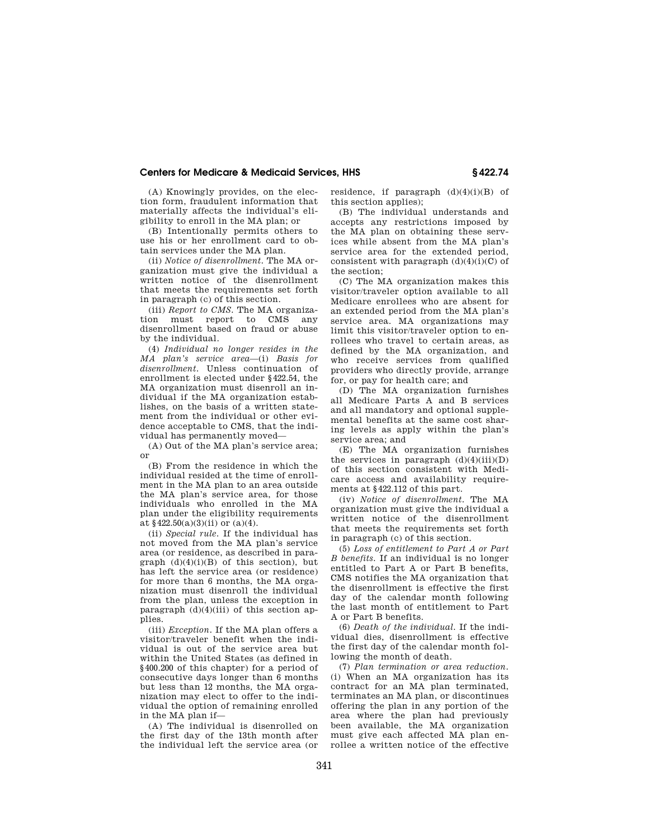(A) Knowingly provides, on the election form, fraudulent information that materially affects the individual's eligibility to enroll in the MA plan; or

(B) Intentionally permits others to use his or her enrollment card to obtain services under the MA plan.

(ii) *Notice of disenrollment.* The MA organization must give the individual a written notice of the disenrollment that meets the requirements set forth in paragraph (c) of this section.

(iii) *Report to CMS.* The MA organization must report to CMS any disenrollment based on fraud or abuse by the individual.

(4) *Individual no longer resides in the MA plan's service area*—(i) *Basis for disenrollment.* Unless continuation of enrollment is elected under §422.54, the MA organization must disenroll an individual if the MA organization establishes, on the basis of a written statement from the individual or other evidence acceptable to CMS, that the individual has permanently moved—

(A) Out of the MA plan's service area; or

(B) From the residence in which the individual resided at the time of enrollment in the MA plan to an area outside the MA plan's service area, for those individuals who enrolled in the MA plan under the eligibility requirements at  $$422.50(a)(3)(ii)$  or  $(a)(4)$ .

(ii) *Special rule.* If the individual has not moved from the MA plan's service area (or residence, as described in paragraph  $(d)(4)(i)(B)$  of this section), but has left the service area (or residence) for more than 6 months, the MA organization must disenroll the individual from the plan, unless the exception in paragraph  $(d)(4)(iii)$  of this section applies.

(iii) *Exception.* If the MA plan offers a visitor/traveler benefit when the individual is out of the service area but within the United States (as defined in §400.200 of this chapter) for a period of consecutive days longer than 6 months but less than 12 months, the MA organization may elect to offer to the individual the option of remaining enrolled in the MA plan if—

(A) The individual is disenrolled on the first day of the 13th month after the individual left the service area (or residence, if paragraph  $(d)(4)(i)(B)$  of this section applies);

(B) The individual understands and accepts any restrictions imposed by the MA plan on obtaining these services while absent from the MA plan's service area for the extended period, consistent with paragraph  $(d)(4)(i)(C)$  of the section;

(C) The MA organization makes this visitor/traveler option available to all Medicare enrollees who are absent for an extended period from the MA plan's service area. MA organizations may limit this visitor/traveler option to enrollees who travel to certain areas, as defined by the MA organization, and who receive services from qualified providers who directly provide, arrange for, or pay for health care; and

(D) The MA organization furnishes all Medicare Parts A and B services and all mandatory and optional supplemental benefits at the same cost sharing levels as apply within the plan's service area; and

(E) The MA organization furnishes the services in paragraph  $(d)(4)(iii)(D)$ of this section consistent with Medicare access and availability requirements at §422.112 of this part.

(iv) *Notice of disenrollment.* The MA organization must give the individual a written notice of the disenrollment that meets the requirements set forth in paragraph (c) of this section.

(5) *Loss of entitlement to Part A or Part B benefits.* If an individual is no longer entitled to Part A or Part B benefits, CMS notifies the MA organization that the disenrollment is effective the first day of the calendar month following the last month of entitlement to Part A or Part B benefits.

(6) *Death of the individual.* If the individual dies, disenrollment is effective the first day of the calendar month following the month of death.

(7) *Plan termination or area reduction.*  (i) When an MA organization has its contract for an MA plan terminated, terminates an MA plan, or discontinues offering the plan in any portion of the area where the plan had previously been available, the MA organization must give each affected MA plan enrollee a written notice of the effective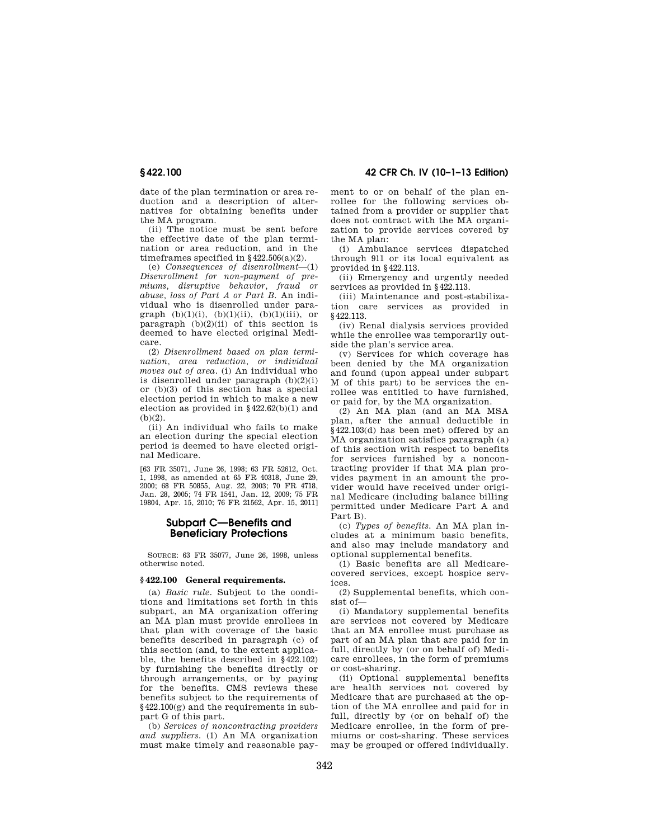**§ 422.100 42 CFR Ch. IV (10–1–13 Edition)** 

date of the plan termination or area reduction and a description of alternatives for obtaining benefits under the MA program.

(ii) The notice must be sent before the effective date of the plan termination or area reduction, and in the timeframes specified in  $§422.506(a)(2)$ .

(e) *Consequences of disenrollment*—(1) *Disenrollment for non-payment of premiums, disruptive behavior, fraud or abuse, loss of Part A or Part B.* An individual who is disenrolled under paragraph  $(b)(1)(i)$ ,  $(b)(1)(ii)$ ,  $(b)(1)(iii)$ , or paragraph  $(b)(2)(ii)$  of this section is deemed to have elected original Medicare.

(2) *Disenrollment based on plan termination, area reduction, or individual moves out of area.* (i) An individual who is disenrolled under paragraph (b)(2)(i) or (b)(3) of this section has a special election period in which to make a new election as provided in §422.62(b)(1) and (b)(2).

(ii) An individual who fails to make an election during the special election period is deemed to have elected original Medicare.

[63 FR 35071, June 26, 1998; 63 FR 52612, Oct. 1, 1998, as amended at 65 FR 40318, June 29, 2000; 68 FR 50855, Aug. 22, 2003; 70 FR 4718, Jan. 28, 2005; 74 FR 1541, Jan. 12, 2009; 75 FR 19804, Apr. 15, 2010; 76 FR 21562, Apr. 15, 2011]

# **Subpart C—Benefits and Beneficiary Protections**

SOURCE: 63 FR 35077, June 26, 1998, unless otherwise noted.

#### **§ 422.100 General requirements.**

(a) *Basic rule.* Subject to the conditions and limitations set forth in this subpart, an MA organization offering an MA plan must provide enrollees in that plan with coverage of the basic benefits described in paragraph (c) of this section (and, to the extent applicable, the benefits described in §422.102) by furnishing the benefits directly or through arrangements, or by paying for the benefits. CMS reviews these benefits subject to the requirements of §422.100(g) and the requirements in subpart G of this part.

(b) *Services of noncontracting providers and suppliers.* (1) An MA organization must make timely and reasonable payment to or on behalf of the plan enrollee for the following services obtained from a provider or supplier that does not contract with the MA organization to provide services covered by the MA plan:

(i) Ambulance services dispatched through 911 or its local equivalent as provided in §422.113.

(ii) Emergency and urgently needed services as provided in §422.113.

(iii) Maintenance and post-stabilization care services as provided in §422.113.

(iv) Renal dialysis services provided while the enrollee was temporarily outside the plan's service area.

(v) Services for which coverage has been denied by the MA organization and found (upon appeal under subpart M of this part) to be services the enrollee was entitled to have furnished, or paid for, by the MA organization.

(2) An MA plan (and an MA MSA plan, after the annual deductible in §422.103(d) has been met) offered by an MA organization satisfies paragraph (a) of this section with respect to benefits for services furnished by a noncontracting provider if that MA plan provides payment in an amount the provider would have received under original Medicare (including balance billing permitted under Medicare Part A and Part B).

(c) *Types of benefits.* An MA plan includes at a minimum basic benefits, and also may include mandatory and optional supplemental benefits.

(1) Basic benefits are all Medicarecovered services, except hospice services.

(2) Supplemental benefits, which consist of—

(i) Mandatory supplemental benefits are services not covered by Medicare that an MA enrollee must purchase as part of an MA plan that are paid for in full, directly by (or on behalf of) Medicare enrollees, in the form of premiums or cost-sharing.

(ii) Optional supplemental benefits are health services not covered by Medicare that are purchased at the option of the MA enrollee and paid for in full, directly by (or on behalf of) the Medicare enrollee, in the form of premiums or cost-sharing. These services may be grouped or offered individually.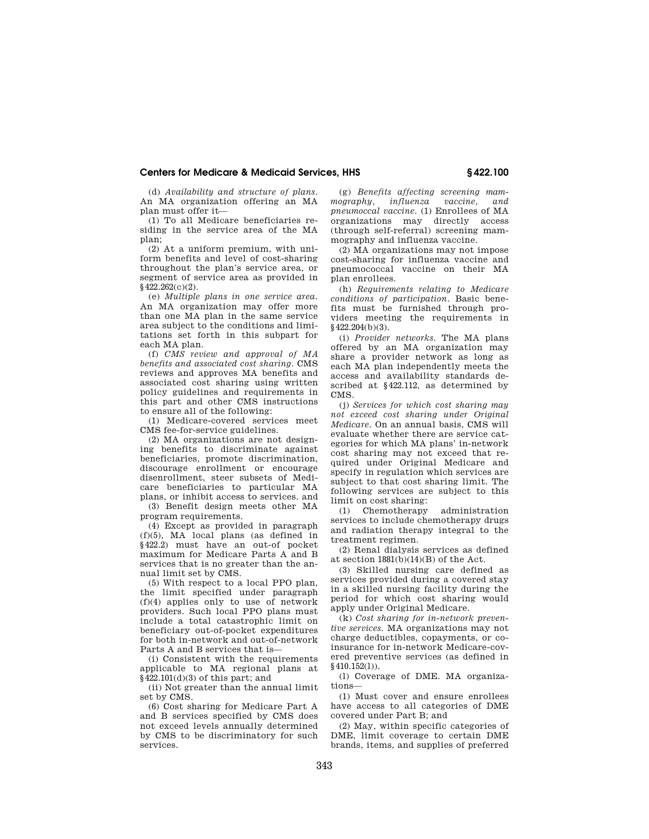(d) *Availability and structure of plans.*  An MA organization offering an MA plan must offer it—

(1) To all Medicare beneficiaries residing in the service area of the MA plan;

(2) At a uniform premium, with uniform benefits and level of cost-sharing throughout the plan's service area, or segment of service area as provided in §422.262(c)(2).

(e) *Multiple plans in one service area.*  An MA organization may offer more than one MA plan in the same service area subject to the conditions and limitations set forth in this subpart for each MA plan.

(f) *CMS review and approval of MA benefits and associated cost sharing.* CMS reviews and approves MA benefits and associated cost sharing using written policy guidelines and requirements in this part and other CMS instructions to ensure all of the following:

(1) Medicare-covered services meet CMS fee-for-service guidelines.

(2) MA organizations are not designing benefits to discriminate against beneficiaries, promote discrimination, discourage enrollment or encourage disenrollment, steer subsets of Medicare beneficiaries to particular MA plans, or inhibit access to services. and

(3) Benefit design meets other MA program requirements.

(4) Except as provided in paragraph  $(f)(5)$ ,  $MA$  local plans (as defined in §422.2) must have an out-of pocket maximum for Medicare Parts A and B services that is no greater than the annual limit set by CMS.

(5) With respect to a local PPO plan, the limit specified under paragraph (f)(4) applies only to use of network providers. Such local PPO plans must .<br>include a total catastrophic limit on beneficiary out-of-pocket expenditures for both in-network and out-of-network Parts A and B services that is—

(i) Consistent with the requirements applicable to MA regional plans at §422.101(d)(3) of this part; and

(ii) Not greater than the annual limit set by CMS.

(6) Cost sharing for Medicare Part A and B services specified by CMS does not exceed levels annually determined by CMS to be discriminatory for such services.

(g) *Benefits affecting screening mammography, influenza vaccine, and pneumoccal vaccine.* (1) Enrollees of MA organizations may directly access (through self-referral) screening mammography and influenza vaccine.

(2) MA organizations may not impose cost-sharing for influenza vaccine and pneumococcal vaccine on their MA plan enrollees.

(h) *Requirements relating to Medicare conditions of participation.* Basic benefits must be furnished through providers meeting the requirements in §422.204(b)(3).

(i) *Provider networks.* The MA plans offered by an MA organization may share a provider network as long as each MA plan independently meets the access and availability standards described at §422.112, as determined by CMS.

(j) *Services for which cost sharing may not exceed cost sharing under Original Medicare.* On an annual basis, CMS will evaluate whether there are service categories for which MA plans' in-network cost sharing may not exceed that required under Original Medicare and specify in regulation which services are subject to that cost sharing limit. The following services are subject to this limit on cost sharing:

(1) Chemotherapy administration services to include chemotherapy drugs and radiation therapy integral to the treatment regimen.

(2) Renal dialysis services as defined at section 1881(b)(14)(B) of the Act.

(3) Skilled nursing care defined as services provided during a covered stay in a skilled nursing facility during the period for which cost sharing would apply under Original Medicare.

(k) *Cost sharing for in-network preventive services.* MA organizations may not charge deductibles, copayments, or coinsurance for in-network Medicare-covered preventive services (as defined in §410.152(1)).

(l) Coverage of DME. MA organizations—

(1) Must cover and ensure enrollees have access to all categories of DME covered under Part B; and

(2) May, within specific categories of DME, limit coverage to certain DME brands, items, and supplies of preferred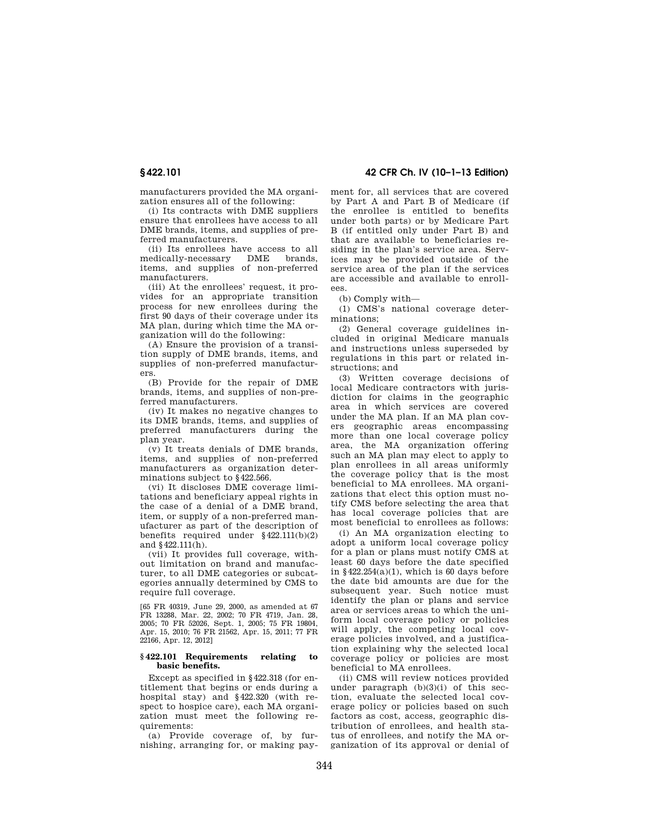manufacturers provided the MA organization ensures all of the following:

(i) Its contracts with DME suppliers ensure that enrollees have access to all DME brands, items, and supplies of preferred manufacturers.

(ii) Its enrollees have access to all<br>edically-necessary DME brands medically-necessary items, and supplies of non-preferred manufacturers.

(iii) At the enrollees' request, it provides for an appropriate transition process for new enrollees during the first 90 days of their coverage under its MA plan, during which time the MA organization will do the following:

(A) Ensure the provision of a transition supply of DME brands, items, and supplies of non-preferred manufacturers.

(B) Provide for the repair of DME brands, items, and supplies of non-preferred manufacturers.

(iv) It makes no negative changes to its DME brands, items, and supplies of preferred manufacturers during the plan year.

(v) It treats denials of DME brands, items, and supplies of non-preferred manufacturers as organization determinations subject to §422.566.

(vi) It discloses DME coverage limitations and beneficiary appeal rights in the case of a denial of a DME brand, item, or supply of a non-preferred manufacturer as part of the description of benefits required under  $§422.111(b)(2)$ and §422.111(h).

(vii) It provides full coverage, without limitation on brand and manufacturer, to all DME categories or subcategories annually determined by CMS to require full coverage.

[65 FR 40319, June 29, 2000, as amended at 67 FR 13288, Mar. 22, 2002; 70 FR 4719, Jan. 28, 2005; 70 FR 52026, Sept. 1, 2005; 75 FR 19804, Apr. 15, 2010; 76 FR 21562, Apr. 15, 2011; 77 FR 22166, Apr. 12, 2012]

#### **§ 422.101 Requirements relating to basic benefits.**

Except as specified in §422.318 (for entitlement that begins or ends during a hospital stay) and §422.320 (with respect to hospice care), each MA organization must meet the following requirements:

(a) Provide coverage of, by furnishing, arranging for, or making pay-

**§ 422.101 42 CFR Ch. IV (10–1–13 Edition)** 

ment for, all services that are covered by Part A and Part B of Medicare (if the enrollee is entitled to benefits under both parts) or by Medicare Part B (if entitled only under Part B) and that are available to beneficiaries residing in the plan's service area. Services may be provided outside of the service area of the plan if the services are accessible and available to enrollees.

(b) Comply with—

(1) CMS's national coverage determinations;

(2) General coverage guidelines included in original Medicare manuals and instructions unless superseded by regulations in this part or related instructions; and

(3) Written coverage decisions of local Medicare contractors with jurisdiction for claims in the geographic area in which services are covered under the MA plan. If an MA plan covers geographic areas encompassing more than one local coverage policy area, the MA organization offering such an MA plan may elect to apply to plan enrollees in all areas uniformly the coverage policy that is the most beneficial to MA enrollees. MA organizations that elect this option must notify CMS before selecting the area that has local coverage policies that are most beneficial to enrollees as follows:

(i) An MA organization electing to adopt a uniform local coverage policy for a plan or plans must notify CMS at least 60 days before the date specified in  $§422.254(a)(1)$ , which is 60 days before the date bid amounts are due for the subsequent year. Such notice must identify the plan or plans and service area or services areas to which the uniform local coverage policy or policies will apply, the competing local coverage policies involved, and a justification explaining why the selected local coverage policy or policies are most beneficial to MA enrollees.

(ii) CMS will review notices provided under paragraph  $(b)(3)(i)$  of this section, evaluate the selected local coverage policy or policies based on such factors as cost, access, geographic distribution of enrollees, and health status of enrollees, and notify the MA organization of its approval or denial of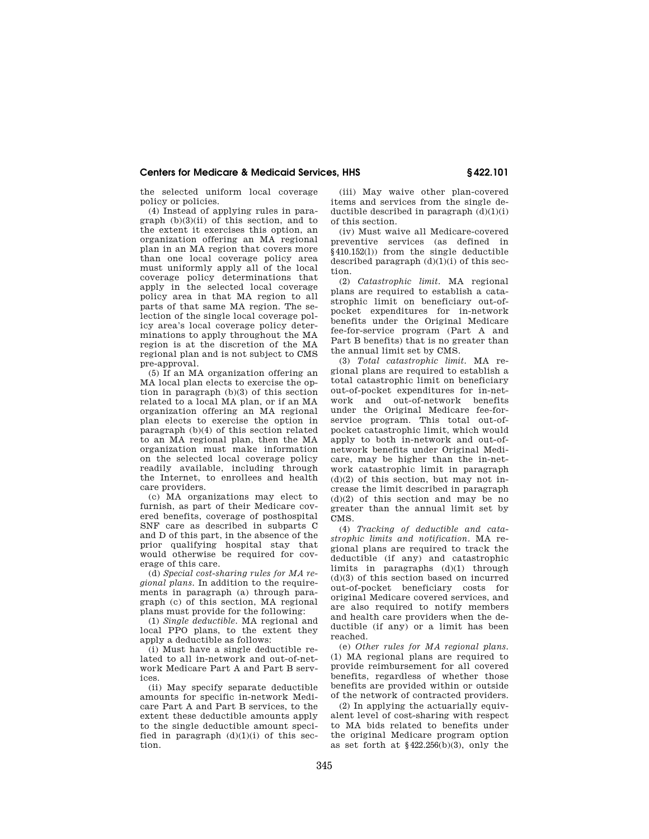the selected uniform local coverage policy or policies.

(4) Instead of applying rules in paragraph (b)(3)(ii) of this section, and to the extent it exercises this option, an organization offering an MA regional plan in an MA region that covers more than one local coverage policy area must uniformly apply all of the local coverage policy determinations that apply in the selected local coverage policy area in that MA region to all parts of that same MA region. The selection of the single local coverage policy area's local coverage policy determinations to apply throughout the MA region is at the discretion of the MA regional plan and is not subject to CMS pre-approval.

(5) If an MA organization offering an MA local plan elects to exercise the option in paragraph (b)(3) of this section related to a local MA plan, or if an MA organization offering an MA regional plan elects to exercise the option in paragraph (b)(4) of this section related to an MA regional plan, then the MA organization must make information on the selected local coverage policy readily available, including through the Internet, to enrollees and health care providers.

(c) MA organizations may elect to furnish, as part of their Medicare covered benefits, coverage of posthospital SNF care as described in subparts C and D of this part, in the absence of the prior qualifying hospital stay that would otherwise be required for coverage of this care.

(d) *Special cost-sharing rules for MA regional plans.* In addition to the requirements in paragraph (a) through paragraph (c) of this section, MA regional plans must provide for the following:

(1) *Single deductible.* MA regional and local PPO plans, to the extent they apply a deductible as follows:

(i) Must have a single deductible related to all in-network and out-of-network Medicare Part A and Part B services.

(ii) May specify separate deductible amounts for specific in-network Medicare Part A and Part B services, to the extent these deductible amounts apply to the single deductible amount specified in paragraph  $(d)(1)(i)$  of this section.

(iii) May waive other plan-covered items and services from the single deductible described in paragraph  $(d)(1)(i)$ of this section.

(iv) Must waive all Medicare-covered preventive services (as defined in §410.152(l)) from the single deductible described paragraph  $(d)(1)(i)$  of this section.

(2) *Catastrophic limit.* MA regional plans are required to establish a catastrophic limit on beneficiary out-ofpocket expenditures for in-network benefits under the Original Medicare fee-for-service program (Part A and Part B benefits) that is no greater than the annual limit set by CMS.

(3) *Total catastrophic limit.* MA regional plans are required to establish a total catastrophic limit on beneficiary out-of-pocket expenditures for in-network and out-of-network benefits under the Original Medicare fee-forservice program. This total out-ofpocket catastrophic limit, which would apply to both in-network and out-ofnetwork benefits under Original Medicare, may be higher than the in-network catastrophic limit in paragraph  $(d)(2)$  of this section, but may not increase the limit described in paragraph  $(d)(2)$  of this section and may be no greater than the annual limit set by CMS.

(4) *Tracking of deductible and catastrophic limits and notification.* MA regional plans are required to track the deductible (if any) and catastrophic limits in paragraphs (d)(1) through (d)(3) of this section based on incurred out-of-pocket beneficiary costs for original Medicare covered services, and are also required to notify members and health care providers when the deductible (if any) or a limit has been reached.

(e) *Other rules for MA regional plans.*  (1) MA regional plans are required to provide reimbursement for all covered benefits, regardless of whether those benefits are provided within or outside of the network of contracted providers.

(2) In applying the actuarially equivalent level of cost-sharing with respect to MA bids related to benefits under the original Medicare program option as set forth at  $$422.256(b)(3)$ , only the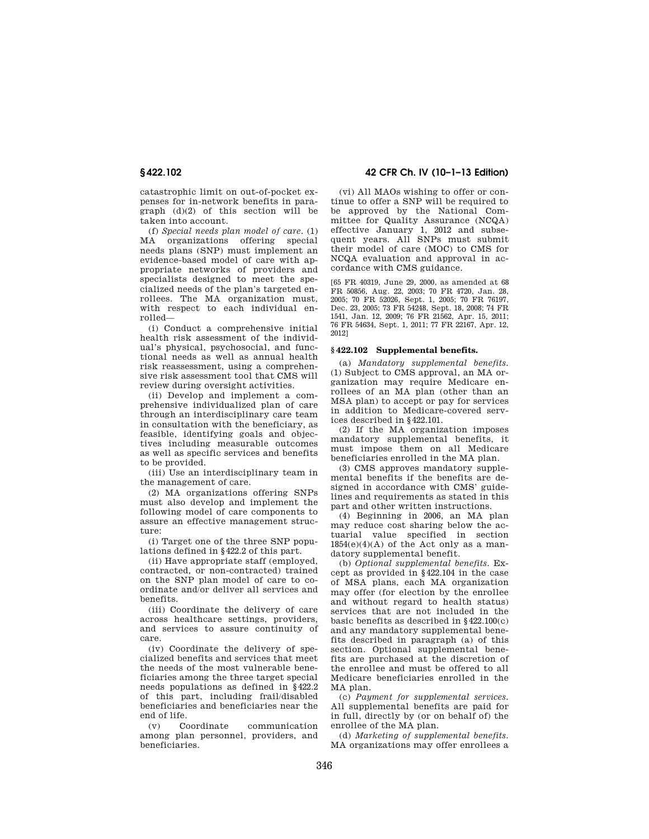catastrophic limit on out-of-pocket expenses for in-network benefits in paragraph (d)(2) of this section will be taken into account.

(f) *Special needs plan model of care*. (1) MA organizations offering special needs plans (SNP) must implement an evidence-based model of care with appropriate networks of providers and specialists designed to meet the specialized needs of the plan's targeted enrollees. The MA organization must, with respect to each individual enrolled—

(i) Conduct a comprehensive initial health risk assessment of the individual's physical, psychosocial, and functional needs as well as annual health risk reassessment, using a comprehensive risk assessment tool that CMS will review during oversight activities.

(ii) Develop and implement a comprehensive individualized plan of care through an interdisciplinary care team in consultation with the beneficiary, as feasible, identifying goals and objectives including measurable outcomes as well as specific services and benefits to be provided.

(iii) Use an interdisciplinary team in the management of care.

(2) MA organizations offering SNPs must also develop and implement the following model of care components to assure an effective management structure:

(i) Target one of the three SNP populations defined in §422.2 of this part.

(ii) Have appropriate staff (employed, contracted, or non-contracted) trained on the SNP plan model of care to coordinate and/or deliver all services and benefits.

(iii) Coordinate the delivery of care across healthcare settings, providers, and services to assure continuity of care.

(iv) Coordinate the delivery of specialized benefits and services that meet the needs of the most vulnerable beneficiaries among the three target special needs populations as defined in §422.2 of this part, including frail/disabled beneficiaries and beneficiaries near the end of life.

(v) Coordinate communication among plan personnel, providers, and beneficiaries.

# **§ 422.102 42 CFR Ch. IV (10–1–13 Edition)**

(vi) All MAOs wishing to offer or continue to offer a SNP will be required to be approved by the National Committee for Quality Assurance (NCQA) effective January 1, 2012 and subsequent years. All SNPs must submit their model of care (MOC) to CMS for NCQA evaluation and approval in accordance with CMS guidance.

[65 FR 40319, June 29, 2000, as amended at 68 FR 50856, Aug. 22, 2003; 70 FR 4720, Jan. 28, 2005; 70 FR 52026, Sept. 1, 2005; 70 FR 76197, Dec. 23, 2005; 73 FR 54248, Sept. 18, 2008; 74 FR 1541, Jan. 12, 2009; 76 FR 21562, Apr. 15, 2011; 76 FR 54634, Sept. 1, 2011; 77 FR 22167, Apr. 12, 2012]

#### **§ 422.102 Supplemental benefits.**

(a) *Mandatory supplemental benefits.*  (1) Subject to CMS approval, an MA organization may require Medicare enrollees of an MA plan (other than an MSA plan) to accept or pay for services in addition to Medicare-covered services described in §422.101.

(2) If the MA organization imposes mandatory supplemental benefits, it must impose them on all Medicare beneficiaries enrolled in the MA plan.

(3) CMS approves mandatory supplemental benefits if the benefits are designed in accordance with CMS' guidelines and requirements as stated in this part and other written instructions.

(4) Beginning in 2006, an MA plan may reduce cost sharing below the actuarial value specified in section  $1854(e)(4)(A)$  of the Act only as a mandatory supplemental benefit.

(b) *Optional supplemental benefits.* Except as provided in §422.104 in the case of MSA plans, each MA organization may offer (for election by the enrollee and without regard to health status) services that are not included in the basic benefits as described in  $§ 422.100(c)$ and any mandatory supplemental benefits described in paragraph (a) of this section. Optional supplemental benefits are purchased at the discretion of the enrollee and must be offered to all Medicare beneficiaries enrolled in the MA plan.

(c) *Payment for supplemental services.*  All supplemental benefits are paid for in full, directly by (or on behalf of) the enrollee of the MA plan.

(d) *Marketing of supplemental benefits.*  MA organizations may offer enrollees a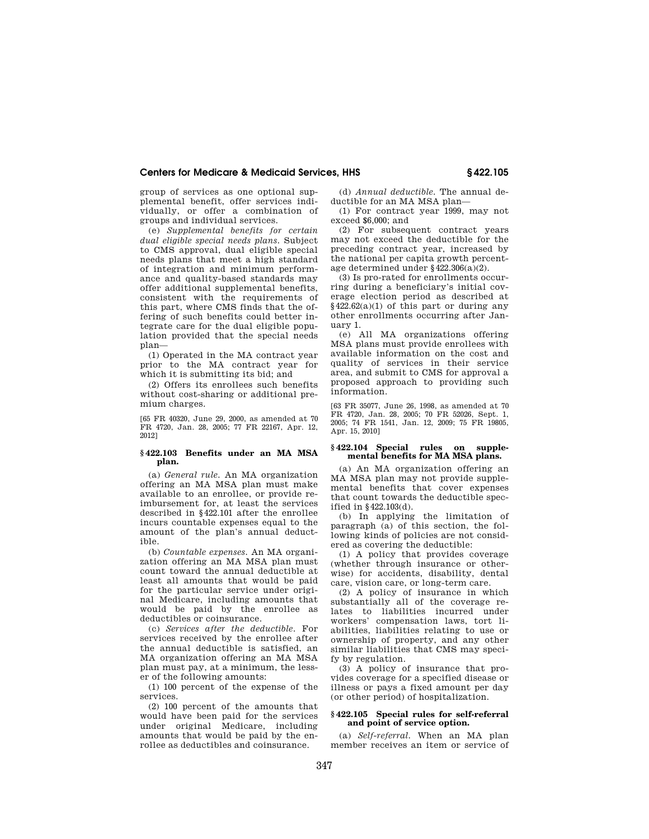group of services as one optional supplemental benefit, offer services individually, or offer a combination of groups and individual services.

(e) *Supplemental benefits for certain dual eligible special needs plans.* Subject to CMS approval, dual eligible special needs plans that meet a high standard of integration and minimum performance and quality-based standards may offer additional supplemental benefits, consistent with the requirements of this part, where CMS finds that the offering of such benefits could better integrate care for the dual eligible population provided that the special needs plan—

(1) Operated in the MA contract year prior to the MA contract year for which it is submitting its bid; and

(2) Offers its enrollees such benefits without cost-sharing or additional premium charges.

[65 FR 40320, June 29, 2000, as amended at 70 FR 4720, Jan. 28, 2005; 77 FR 22167, Apr. 12, 2012]

## **§ 422.103 Benefits under an MA MSA plan.**

(a) *General rule.* An MA organization offering an MA MSA plan must make available to an enrollee, or provide reimbursement for, at least the services described in §422.101 after the enrollee incurs countable expenses equal to the amount of the plan's annual deductible.

(b) *Countable expenses.* An MA organization offering an MA MSA plan must count toward the annual deductible at least all amounts that would be paid for the particular service under original Medicare, including amounts that would be paid by the enrollee as deductibles or coinsurance.

(c) *Services after the deductible.* For services received by the enrollee after the annual deductible is satisfied, an MA organization offering an MA MSA plan must pay, at a minimum, the lesser of the following amounts:

(1) 100 percent of the expense of the services.

(2) 100 percent of the amounts that would have been paid for the services under original Medicare, including amounts that would be paid by the enrollee as deductibles and coinsurance.

(d) *Annual deductible.* The annual deductible for an MA MSA plan—

(1) For contract year 1999, may not exceed \$6,000; and

(2) For subsequent contract years may not exceed the deductible for the preceding contract year, increased by the national per capita growth percentage determined under §422.306(a)(2).

(3) Is pro-rated for enrollments occurring during a beneficiary's initial coverage election period as described at  $$422.62(a)(1)$  of this part or during any other enrollments occurring after January 1.

(e) All MA organizations offering MSA plans must provide enrollees with available information on the cost and quality of services in their service area, and submit to CMS for approval a proposed approach to providing such information.

[63 FR 35077, June 26, 1998, as amended at 70 FR 4720, Jan. 28, 2005; 70 FR 52026, Sept. 1, 2005; 74 FR 1541, Jan. 12, 2009; 75 FR 19805, Apr. 15, 2010]

## **§ 422.104 Special rules on supplemental benefits for MA MSA plans.**

(a) An MA organization offering an MA MSA plan may not provide supplemental benefits that cover expenses that count towards the deductible specified in §422.103(d).

(b) In applying the limitation of paragraph (a) of this section, the following kinds of policies are not considered as covering the deductible:

(1) A policy that provides coverage (whether through insurance or otherwise) for accidents, disability, dental care, vision care, or long-term care.

(2) A policy of insurance in which substantially all of the coverage relates to liabilities incurred under workers' compensation laws, tort liabilities, liabilities relating to use or ownership of property, and any other similar liabilities that CMS may specify by regulation.

(3) A policy of insurance that provides coverage for a specified disease or illness or pays a fixed amount per day (or other period) of hospitalization.

#### **§ 422.105 Special rules for self-referral and point of service option.**

(a) *Self-referral.* When an MA plan member receives an item or service of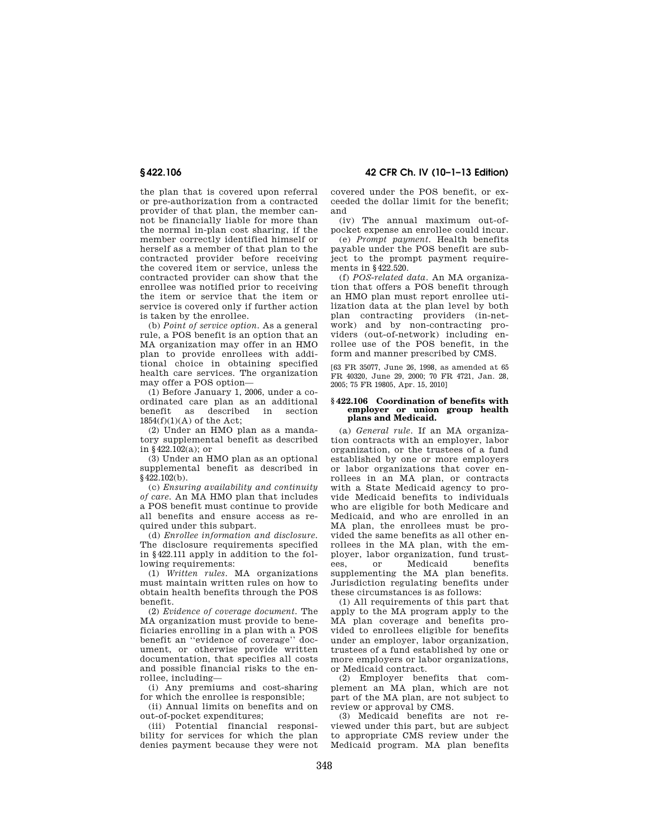the plan that is covered upon referral or pre-authorization from a contracted provider of that plan, the member cannot be financially liable for more than the normal in-plan cost sharing, if the member correctly identified himself or herself as a member of that plan to the contracted provider before receiving the covered item or service, unless the contracted provider can show that the enrollee was notified prior to receiving the item or service that the item or service is covered only if further action is taken by the enrollee.

(b) *Point of service option.* As a general rule, a POS benefit is an option that an MA organization may offer in an HMO plan to provide enrollees with additional choice in obtaining specified health care services. The organization may offer a POS option—

(1) Before January 1, 2006, under a coordinated care plan as an additional benefit as described in section  $1854(f)(1)(A)$  of the Act;

(2) Under an HMO plan as a mandatory supplemental benefit as described in §422.102(a); or

(3) Under an HMO plan as an optional supplemental benefit as described in  $§$ 422.102(b).

(c) *Ensuring availability and continuity of care.* An MA HMO plan that includes a POS benefit must continue to provide all benefits and ensure access as required under this subpart.

(d) *Enrollee information and disclosure.*  The disclosure requirements specified in §422.111 apply in addition to the following requirements:

(1) *Written rules.* MA organizations must maintain written rules on how to obtain health benefits through the POS benefit.

(2) *Evidence of coverage document.* The MA organization must provide to beneficiaries enrolling in a plan with a POS benefit an ''evidence of coverage'' document, or otherwise provide written documentation, that specifies all costs and possible financial risks to the enrollee, including—

(i) Any premiums and cost-sharing for which the enrollee is responsible;

(ii) Annual limits on benefits and on out-of-pocket expenditures;

(iii) Potential financial responsibility for services for which the plan denies payment because they were not

**§ 422.106 42 CFR Ch. IV (10–1–13 Edition)** 

covered under the POS benefit, or exceeded the dollar limit for the benefit; and

(iv) The annual maximum out-ofpocket expense an enrollee could incur.

(e) *Prompt payment.* Health benefits payable under the POS benefit are subject to the prompt payment requirements in §422.520.

(f) *POS-related data.* An MA organization that offers a POS benefit through an HMO plan must report enrollee utilization data at the plan level by both plan contracting providers (in-network) and by non-contracting providers (out-of-network) including enrollee use of the POS benefit, in the form and manner prescribed by CMS.

[63 FR 35077, June 26, 1998, as amended at 65 FR 40320, June 29, 2000; 70 FR 4721, Jan. 28, 2005; 75 FR 19805, Apr. 15, 2010]

### **§ 422.106 Coordination of benefits with employer or union group health plans and Medicaid.**

(a) *General rule.* If an MA organization contracts with an employer, labor organization, or the trustees of a fund established by one or more employers or labor organizations that cover enrollees in an MA plan, or contracts with a State Medicaid agency to provide Medicaid benefits to individuals who are eligible for both Medicare and Medicaid, and who are enrolled in an MA plan, the enrollees must be provided the same benefits as all other enrollees in the MA plan, with the employer, labor organization, fund trustees, or Medicaid benefits supplementing the MA plan benefits. Jurisdiction regulating benefits under these circumstances is as follows:

(1) All requirements of this part that apply to the MA program apply to the MA plan coverage and benefits provided to enrollees eligible for benefits under an employer, labor organization, trustees of a fund established by one or more employers or labor organizations, or Medicaid contract.

(2) Employer benefits that complement an MA plan, which are not part of the MA plan, are not subject to review or approval by CMS.

(3) Medicaid benefits are not reviewed under this part, but are subject to appropriate CMS review under the Medicaid program. MA plan benefits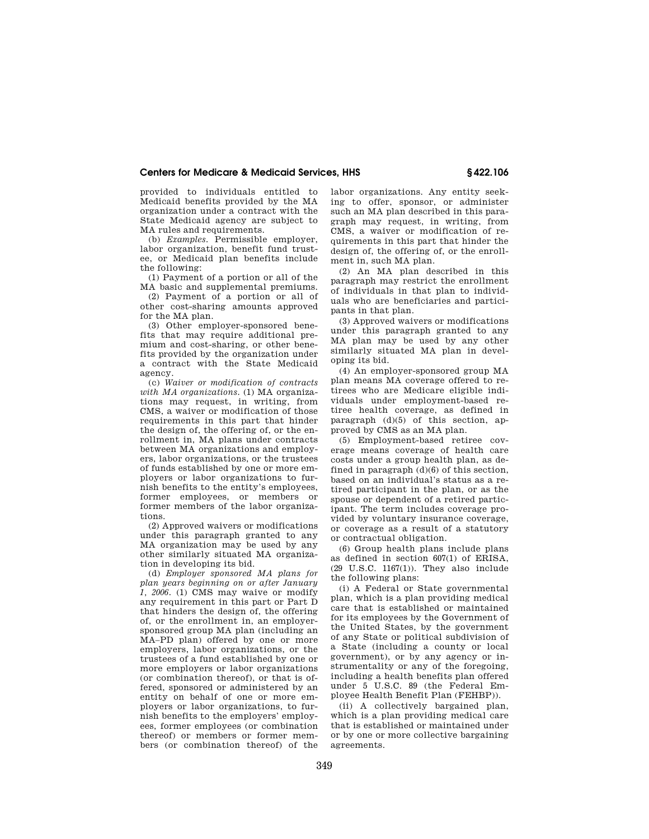provided to individuals entitled to Medicaid benefits provided by the MA organization under a contract with the State Medicaid agency are subject to MA rules and requirements.

(b) *Examples.* Permissible employer, labor organization, benefit fund trustee, or Medicaid plan benefits include the following:

(1) Payment of a portion or all of the MA basic and supplemental premiums.

(2) Payment of a portion or all of other cost-sharing amounts approved for the MA plan.

(3) Other employer-sponsored benefits that may require additional premium and cost-sharing, or other benefits provided by the organization under a contract with the State Medicaid agency.

(c) *Waiver or modification of contracts with MA organizations.* (1) MA organizations may request, in writing, from CMS, a waiver or modification of those requirements in this part that hinder the design of, the offering of, or the enrollment in, MA plans under contracts between MA organizations and employers, labor organizations, or the trustees of funds established by one or more employers or labor organizations to furnish benefits to the entity's employees, former employees, or members or former members of the labor organizations.

(2) Approved waivers or modifications under this paragraph granted to any MA organization may be used by any other similarly situated MA organization in developing its bid.

(d) *Employer sponsored MA plans for plan years beginning on or after January 1, 2006.* (1) CMS may waive or modify any requirement in this part or Part D that hinders the design of, the offering of, or the enrollment in, an employersponsored group MA plan (including an MA–PD plan) offered by one or more employers, labor organizations, or the trustees of a fund established by one or more employers or labor organizations (or combination thereof), or that is offered, sponsored or administered by an entity on behalf of one or more employers or labor organizations, to furnish benefits to the employers' employees, former employees (or combination thereof) or members or former members (or combination thereof) of the labor organizations. Any entity seeking to offer, sponsor, or administer such an MA plan described in this paragraph may request, in writing, from CMS, a waiver or modification of requirements in this part that hinder the design of, the offering of, or the enrollment in, such MA plan.

(2) An MA plan described in this paragraph may restrict the enrollment of individuals in that plan to individuals who are beneficiaries and participants in that plan.

(3) Approved waivers or modifications under this paragraph granted to any MA plan may be used by any other similarly situated MA plan in developing its bid.

(4) An employer-sponsored group MA plan means MA coverage offered to retirees who are Medicare eligible individuals under employment-based retiree health coverage, as defined in paragraph (d)(5) of this section, approved by CMS as an MA plan.

(5) Employment-based retiree coverage means coverage of health care costs under a group health plan, as defined in paragraph (d)(6) of this section, based on an individual's status as a retired participant in the plan, or as the spouse or dependent of a retired participant. The term includes coverage provided by voluntary insurance coverage, or coverage as a result of a statutory or contractual obligation.

(6) Group health plans include plans as defined in section 607(1) of ERISA, (29 U.S.C. 1167(1)). They also include the following plans:

(i) A Federal or State governmental plan, which is a plan providing medical care that is established or maintained for its employees by the Government of the United States, by the government of any State or political subdivision of a State (including a county or local government), or by any agency or instrumentality or any of the foregoing, including a health benefits plan offered under 5 U.S.C. 89 (the Federal Employee Health Benefit Plan (FEHBP)).

(ii) A collectively bargained plan, which is a plan providing medical care that is established or maintained under or by one or more collective bargaining agreements.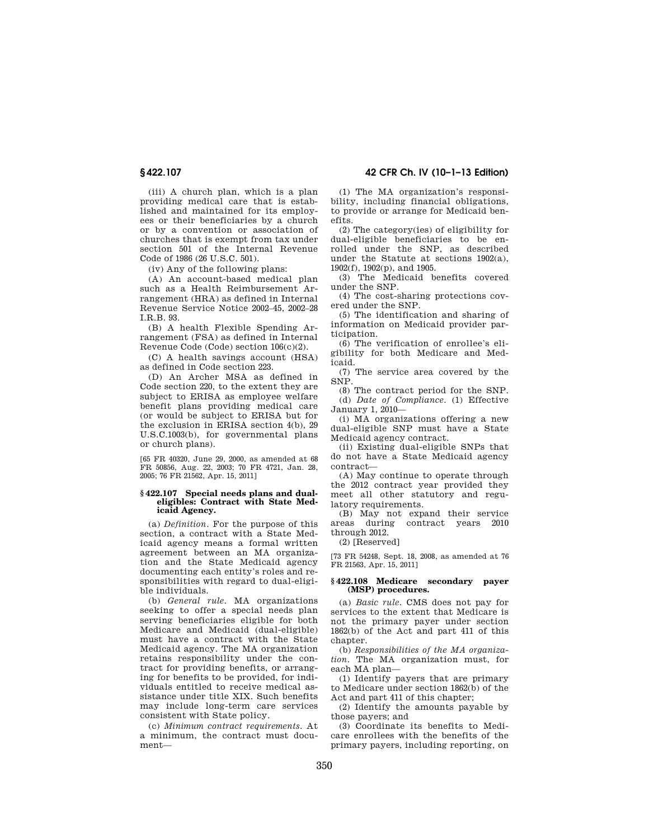(iii) A church plan, which is a plan providing medical care that is established and maintained for its employees or their beneficiaries by a church or by a convention or association of churches that is exempt from tax under section 501 of the Internal Revenue Code of 1986 (26 U.S.C. 501).

(iv) Any of the following plans:

(A) An account-based medical plan such as a Health Reimbursement Arrangement (HRA) as defined in Internal Revenue Service Notice 2002–45, 2002–28 I.R.B. 93.

(B) A health Flexible Spending Arrangement (FSA) as defined in Internal Revenue Code (Code) section 106(c)(2).

(C) A health savings account (HSA) as defined in Code section 223.

(D) An Archer MSA as defined in Code section 220, to the extent they are subject to ERISA as employee welfare benefit plans providing medical care (or would be subject to ERISA but for the exclusion in ERISA section 4(b), 29 U.S.C.1003(b), for governmental plans or church plans).

[65 FR 40320, June 29, 2000, as amended at 68 FR 50856, Aug. 22, 2003; 70 FR 4721, Jan. 28, 2005; 76 FR 21562, Apr. 15, 2011]

#### **§ 422.107 Special needs plans and dualeligibles: Contract with State Medicaid Agency.**

(a) *Definition*. For the purpose of this section, a contract with a State Medicaid agency means a formal written agreement between an MA organization and the State Medicaid agency documenting each entity's roles and responsibilities with regard to dual-eligible individuals.

(b) *General rule*. MA organizations seeking to offer a special needs plan serving beneficiaries eligible for both Medicare and Medicaid (dual-eligible) must have a contract with the State Medicaid agency. The MA organization retains responsibility under the contract for providing benefits, or arranging for benefits to be provided, for individuals entitled to receive medical assistance under title XIX. Such benefits may include long-term care services consistent with State policy.

(c) *Minimum contract requirements*. At a minimum, the contract must document—

**§ 422.107 42 CFR Ch. IV (10–1–13 Edition)** 

(1) The MA organization's responsibility, including financial obligations, to provide or arrange for Medicaid benefits.

(2) The category(ies) of eligibility for dual-eligible beneficiaries to be enrolled under the SNP, as described under the Statute at sections 1902(a), 1902(f), 1902(p), and 1905.

(3) The Medicaid benefits covered under the SNP.

(4) The cost-sharing protections covered under the SNP.

(5) The identification and sharing of information on Medicaid provider participation.

(6) The verification of enrollee's eligibility for both Medicare and Medicaid.

(7) The service area covered by the SNP.

(8) The contract period for the SNP. (d) *Date of Compliance*. (1) Effective January 1, 2010—

(i) MA organizations offering a new dual-eligible SNP must have a State Medicaid agency contract.

(ii) Existing dual-eligible SNPs that do not have a State Medicaid agency contract—

(A) May continue to operate through the 2012 contract year provided they meet all other statutory and regulatory requirements.

(B) May not expand their service areas during contract years 2010 through 2012.

(2) [Reserved]

[73 FR 54248, Sept. 18, 2008, as amended at 76 FR 21563, Apr. 15, 2011]

## **§ 422.108 Medicare secondary payer (MSP) procedures.**

(a) *Basic rule.* CMS does not pay for services to the extent that Medicare is not the primary payer under section 1862(b) of the Act and part 411 of this chapter.

(b) *Responsibilities of the MA organization.* The MA organization must, for each MA plan—

(1) Identify payers that are primary to Medicare under section 1862(b) of the Act and part 411 of this chapter;

(2) Identify the amounts payable by those payers; and

(3) Coordinate its benefits to Medicare enrollees with the benefits of the primary payers, including reporting, on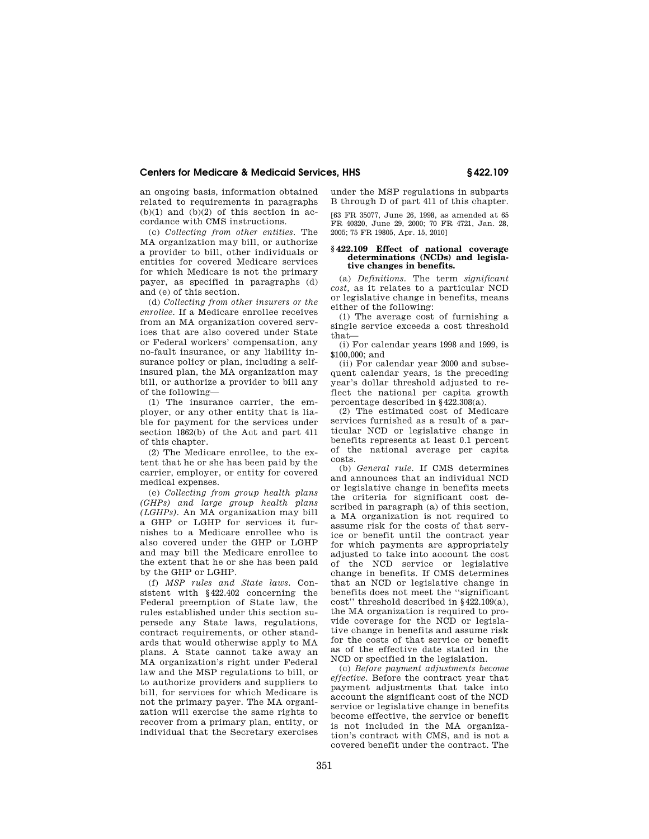an ongoing basis, information obtained related to requirements in paragraphs  $(b)(1)$  and  $(b)(2)$  of this section in accordance with CMS instructions.

(c) *Collecting from other entities.* The MA organization may bill, or authorize a provider to bill, other individuals or entities for covered Medicare services for which Medicare is not the primary payer, as specified in paragraphs (d) and (e) of this section.

(d) *Collecting from other insurers or the enrollee.* If a Medicare enrollee receives from an MA organization covered services that are also covered under State or Federal workers' compensation, any no-fault insurance, or any liability insurance policy or plan, including a selfinsured plan, the MA organization may bill, or authorize a provider to bill any of the following—

(1) The insurance carrier, the employer, or any other entity that is liable for payment for the services under section 1862(b) of the Act and part 411 of this chapter.

(2) The Medicare enrollee, to the extent that he or she has been paid by the carrier, employer, or entity for covered medical expenses.

(e) *Collecting from group health plans (GHPs) and large group health plans (LGHPs).* An MA organization may bill a GHP or LGHP for services it furnishes to a Medicare enrollee who is also covered under the GHP or LGHP and may bill the Medicare enrollee to the extent that he or she has been paid by the GHP or LGHP.

(f) *MSP rules and State laws.* Consistent with §422.402 concerning the Federal preemption of State law, the rules established under this section supersede any State laws, regulations, contract requirements, or other standards that would otherwise apply to MA plans. A State cannot take away an MA organization's right under Federal law and the MSP regulations to bill, or to authorize providers and suppliers to bill, for services for which Medicare is not the primary payer. The MA organization will exercise the same rights to recover from a primary plan, entity, or individual that the Secretary exercises under the MSP regulations in subparts B through D of part 411 of this chapter.

[63 FR 35077, June 26, 1998, as amended at 65 FR 40320, June 29, 2000; 70 FR 4721, Jan. 28, 2005; 75 FR 19805, Apr. 15, 2010]

#### **§ 422.109 Effect of national coverage determinations (NCDs) and legislative changes in benefits.**

(a) *Definitions.* The term *significant cost,* as it relates to a particular NCD or legislative change in benefits, means either of the following:

(1) The average cost of furnishing a single service exceeds a cost threshold that—

(i) For calendar years 1998 and 1999, is \$100,000; and

(ii) For calendar year 2000 and subsequent calendar years, is the preceding year's dollar threshold adjusted to reflect the national per capita growth percentage described in §422.308(a).

(2) The estimated cost of Medicare services furnished as a result of a particular NCD or legislative change in benefits represents at least 0.1 percent of the national average per capita costs.

(b) *General rule.* If CMS determines and announces that an individual NCD or legislative change in benefits meets the criteria for significant cost described in paragraph (a) of this section, a MA organization is not required to assume risk for the costs of that service or benefit until the contract year for which payments are appropriately adjusted to take into account the cost of the NCD service or legislative change in benefits. If CMS determines that an NCD or legislative change in benefits does not meet the ''significant cost'' threshold described in §422.109(a), the MA organization is required to provide coverage for the NCD or legislative change in benefits and assume risk for the costs of that service or benefit as of the effective date stated in the NCD or specified in the legislation.

(c) *Before payment adjustments become effective.* Before the contract year that payment adjustments that take into account the significant cost of the NCD service or legislative change in benefits become effective, the service or benefit is not included in the MA organization's contract with CMS, and is not a covered benefit under the contract. The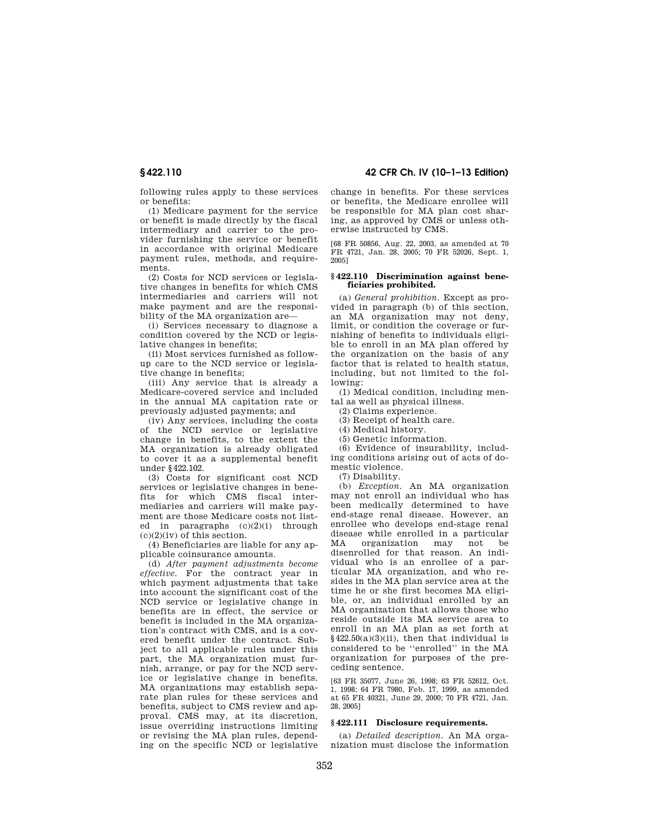following rules apply to these services or benefits:

(1) Medicare payment for the service or benefit is made directly by the fiscal intermediary and carrier to the provider furnishing the service or benefit in accordance with original Medicare payment rules, methods, and requirements.

(2) Costs for NCD services or legislative changes in benefits for which CMS intermediaries and carriers will not make payment and are the responsibility of the MA organization are—

(i) Services necessary to diagnose a condition covered by the NCD or legislative changes in benefits;

(ii) Most services furnished as followup care to the NCD service or legislative change in benefits;

(iii) Any service that is already a Medicare-covered service and included in the annual MA capitation rate or previously adjusted payments; and

(iv) Any services, including the costs of the NCD service or legislative change in benefits, to the extent the MA organization is already obligated to cover it as a supplemental benefit under §422.102.

(3) Costs for significant cost NCD services or legislative changes in benefits for which CMS fiscal intermediaries and carriers will make payment are those Medicare costs not listed in paragraphs (c)(2)(i) through  $(c)(2)(iv)$  of this section.

(4) Beneficiaries are liable for any applicable coinsurance amounts.

(d) *After payment adjustments become effective.* For the contract year in which payment adjustments that take into account the significant cost of the NCD service or legislative change in benefits are in effect, the service or benefit is included in the MA organization's contract with CMS, and is a covered benefit under the contract. Subject to all applicable rules under this part, the MA organization must furnish, arrange, or pay for the NCD service or legislative change in benefits. MA organizations may establish separate plan rules for these services and benefits, subject to CMS review and approval. CMS may, at its discretion, issue overriding instructions limiting or revising the MA plan rules, depending on the specific NCD or legislative

# **§ 422.110 42 CFR Ch. IV (10–1–13 Edition)**

change in benefits. For these services or benefits, the Medicare enrollee will be responsible for MA plan cost sharing, as approved by CMS or unless otherwise instructed by CMS.

[68 FR 50856, Aug. 22, 2003, as amended at 70 FR 4721, Jan. 28, 2005; 70 FR 52026, Sept. 1, 2005]

#### **§ 422.110 Discrimination against beneficiaries prohibited.**

(a) *General prohibition.* Except as provided in paragraph (b) of this section, an MA organization may not deny, limit, or condition the coverage or furnishing of benefits to individuals eligible to enroll in an MA plan offered by the organization on the basis of any factor that is related to health status, including, but not limited to the following:

(1) Medical condition, including mental as well as physical illness.

(2) Claims experience.

(3) Receipt of health care.

(4) Medical history.

(5) Genetic information.

(6) Evidence of insurability, including conditions arising out of acts of domestic violence.

(7) Disability.

(b) *Exception.* An MA organization may not enroll an individual who has been medically determined to have end-stage renal disease. However, an enrollee who develops end-stage renal disease while enrolled in a particular<br>MA organization may not be MA organization may not be disenrolled for that reason. An individual who is an enrollee of a particular MA organization, and who resides in the MA plan service area at the time he or she first becomes MA eligible, or, an individual enrolled by an MA organization that allows those who reside outside its MA service area to enroll in an MA plan as set forth at §422.50(a)(3)(ii), then that individual is considered to be ''enrolled'' in the MA organization for purposes of the preceding sentence.

[63 FR 35077, June 26, 1998; 63 FR 52612, Oct. 1, 1998; 64 FR 7980, Feb. 17, 1999, as amended at 65 FR 40321, June 29, 2000; 70 FR 4721, Jan. 28, 2005]

### **§ 422.111 Disclosure requirements.**

(a) *Detailed description.* An MA organization must disclose the information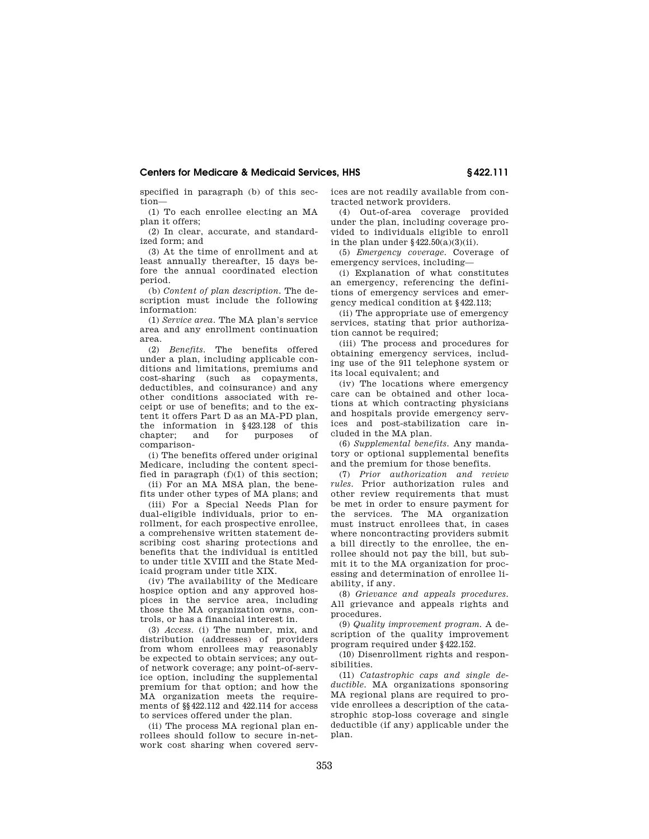specified in paragraph (b) of this section—

(1) To each enrollee electing an MA plan it offers;

(2) In clear, accurate, and standardized form; and

(3) At the time of enrollment and at least annually thereafter, 15 days before the annual coordinated election period.

(b) *Content of plan description.* The description must include the following information:

(1) *Service area.* The MA plan's service area and any enrollment continuation area.

(2) *Benefits.* The benefits offered under a plan, including applicable conditions and limitations, premiums and cost-sharing (such as copayments, deductibles, and coinsurance) and any other conditions associated with receipt or use of benefits; and to the extent it offers Part D as an MA-PD plan, the information in §423.128 of this chapter; and for purposes of comparison-

(i) The benefits offered under original Medicare, including the content specified in paragraph  $(f)(1)$  of this section;

(ii) For an MA MSA plan, the benefits under other types of MA plans; and

(iii) For a Special Needs Plan for dual-eligible individuals, prior to enrollment, for each prospective enrollee, a comprehensive written statement describing cost sharing protections and benefits that the individual is entitled to under title XVIII and the State Medicaid program under title XIX.

(iv) The availability of the Medicare hospice option and any approved hospices in the service area, including those the MA organization owns, controls, or has a financial interest in.

(3) *Access.* (i) The number, mix, and distribution (addresses) of providers from whom enrollees may reasonably be expected to obtain services; any outof network coverage; any point-of-service option, including the supplemental premium for that option; and how the MA organization meets the requirements of §§422.112 and 422.114 for access to services offered under the plan.

(ii) The process MA regional plan enrollees should follow to secure in-network cost sharing when covered services are not readily available from contracted network providers.

(4) Out-of-area coverage provided under the plan, including coverage provided to individuals eligible to enroll in the plan under  $\S 422.50(a)(3)(ii)$ .

(5) *Emergency coverage.* Coverage of emergency services, including—

(i) Explanation of what constitutes an emergency, referencing the definitions of emergency services and emergency medical condition at §422.113;

(ii) The appropriate use of emergency services, stating that prior authorization cannot be required;

(iii) The process and procedures for obtaining emergency services, including use of the 911 telephone system or its local equivalent; and

(iv) The locations where emergency care can be obtained and other locations at which contracting physicians and hospitals provide emergency services and post-stabilization care included in the MA plan.

(6) *Supplemental benefits.* Any mandatory or optional supplemental benefits and the premium for those benefits.

(7) *Prior authorization and review rules.* Prior authorization rules and other review requirements that must be met in order to ensure payment for the services. The MA organization must instruct enrollees that, in cases where noncontracting providers submit a bill directly to the enrollee, the enrollee should not pay the bill, but submit it to the MA organization for processing and determination of enrollee liability, if any.

(8) *Grievance and appeals procedures.*  All grievance and appeals rights and procedures.

(9) *Quality improvement program.* A description of the quality improvement program required under §422.152.

(10) Disenrollment rights and responsibilities.

(11) *Catastrophic caps and single deductible.* MA organizations sponsoring MA regional plans are required to provide enrollees a description of the catastrophic stop-loss coverage and single deductible (if any) applicable under the plan.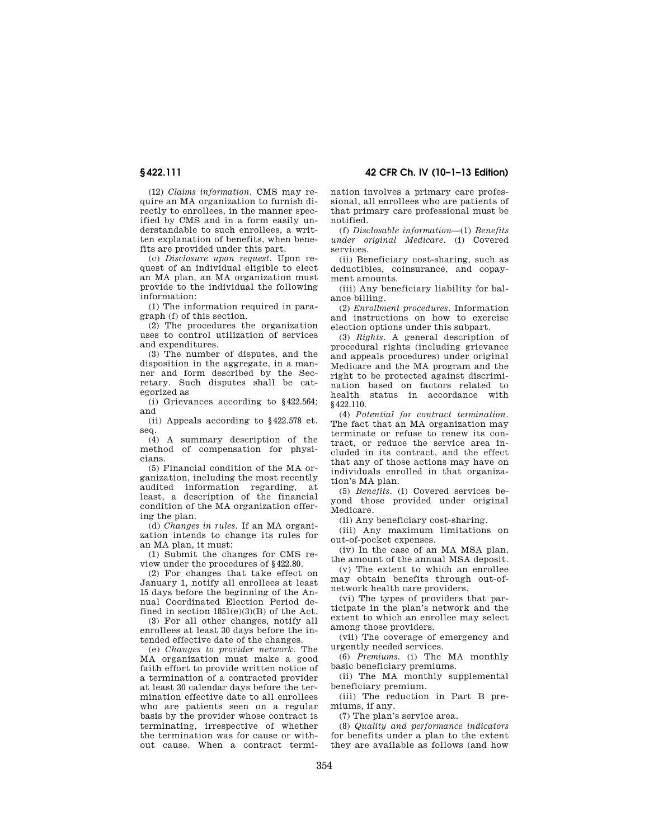**§ 422.111 42 CFR Ch. IV (10–1–13 Edition)** 

(12) *Claims information.* CMS may require an MA organization to furnish directly to enrollees, in the manner specified by CMS and in a form easily understandable to such enrollees, a written explanation of benefits, when benefits are provided under this part.

(c) *Disclosure upon request.* Upon request of an individual eligible to elect an MA plan, an MA organization must provide to the individual the following information:

(1) The information required in paragraph (f) of this section.

(2) The procedures the organization uses to control utilization of services and expenditures.

(3) The number of disputes, and the disposition in the aggregate, in a manner and form described by the Secretary. Such disputes shall be categorized as

(i) Grievances according to §422.564; and

(ii) Appeals according to §422.578 et. seq.

(4) A summary description of the method of compensation for physicians.

(5) Financial condition of the MA organization, including the most recently audited information regarding, at least, a description of the financial condition of the MA organization offering the plan.

(d) *Changes in rules.* If an MA organization intends to change its rules for an MA plan, it must:

(1) Submit the changes for CMS review under the procedures of §422.80.

(2) For changes that take effect on January 1, notify all enrollees at least 15 days before the beginning of the Annual Coordinated Election Period defined in section 1851(e)(3)(B) of the Act.

(3) For all other changes, notify all enrollees at least 30 days before the intended effective date of the changes.

(e) *Changes to provider network.* The MA organization must make a good faith effort to provide written notice of a termination of a contracted provider at least 30 calendar days before the termination effective date to all enrollees who are patients seen on a regular basis by the provider whose contract is terminating, irrespective of whether the termination was for cause or without cause. When a contract termination involves a primary care professional, all enrollees who are patients of that primary care professional must be notified.

(f) *Disclosable information*—(1) *Benefits under original Medicare.* (i) Covered services.

(ii) Beneficiary cost-sharing, such as deductibles, coinsurance, and copayment amounts.

(iii) Any beneficiary liability for balance billing.

(2) *Enrollment procedures.* Information and instructions on how to exercise election options under this subpart.

(3) *Rights.* A general description of procedural rights (including grievance and appeals procedures) under original Medicare and the MA program and the right to be protected against discrimination based on factors related to health status in accordance with §422.110.

(4) *Potential for contract termination.*  The fact that an MA organization may terminate or refuse to renew its contract, or reduce the service area included in its contract, and the effect that any of those actions may have on individuals enrolled in that organization's MA plan.

(5) *Benefits.* (i) Covered services beyond those provided under original Medicare.

(ii) Any beneficiary cost-sharing.

(iii) Any maximum limitations on out-of-pocket expenses.

(iv) In the case of an MA MSA plan, the amount of the annual MSA deposit.

(v) The extent to which an enrollee may obtain benefits through out-ofnetwork health care providers.

(vi) The types of providers that participate in the plan's network and the extent to which an enrollee may select among those providers.

(vii) The coverage of emergency and urgently needed services.

(6) *Premiums.* (i) The MA monthly basic beneficiary premiums.

(ii) The MA monthly supplemental beneficiary premium.

(iii) The reduction in Part B premiums, if any.

(7) The plan's service area.

(8) *Quality and performance indicators*  for benefits under a plan to the extent they are available as follows (and how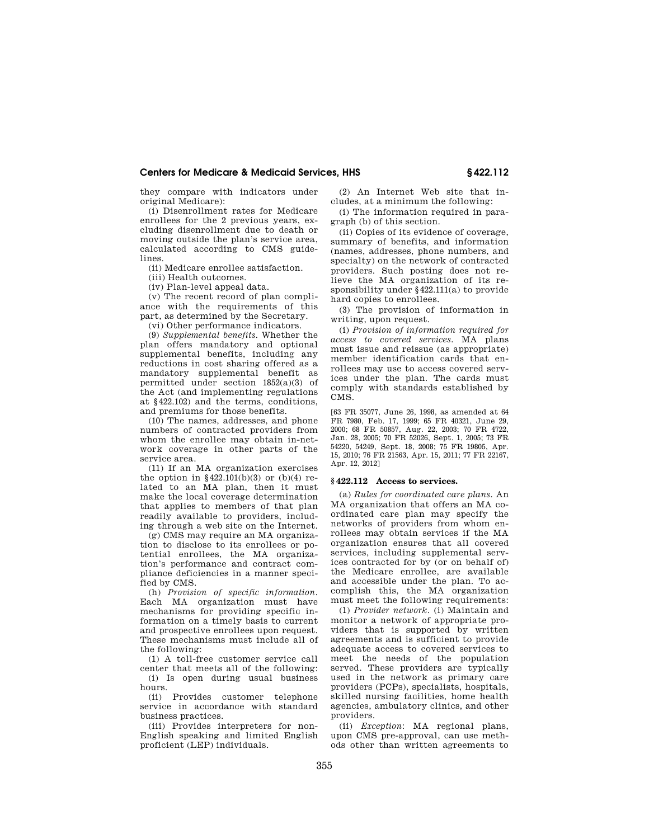they compare with indicators under original Medicare):

(i) Disenrollment rates for Medicare enrollees for the 2 previous years, excluding disenrollment due to death or moving outside the plan's service area, calculated according to CMS guidelines.

(ii) Medicare enrollee satisfaction.

(iii) Health outcomes.

(iv) Plan-level appeal data.

(v) The recent record of plan compliance with the requirements of this part, as determined by the Secretary.

(vi) Other performance indicators.

(9) *Supplemental benefits.* Whether the plan offers mandatory and optional supplemental benefits, including any reductions in cost sharing offered as a mandatory supplemental benefit as permitted under section 1852(a)(3) of the Act (and implementing regulations at §422.102) and the terms, conditions, and premiums for those benefits.

(10) The names, addresses, and phone numbers of contracted providers from whom the enrollee may obtain in-network coverage in other parts of the service area.

(11) If an MA organization exercises the option in  $§422.101(b)(3)$  or (b)(4) related to an MA plan, then it must make the local coverage determination that applies to members of that plan readily available to providers, including through a web site on the Internet.

(g) CMS may require an MA organization to disclose to its enrollees or potential enrollees, the MA organization's performance and contract compliance deficiencies in a manner speci-.<br>fied by CMS.

(h) *Provision of specific information.*  Each MA organization must have mechanisms for providing specific information on a timely basis to current and prospective enrollees upon request. These mechanisms must include all of the following:

(1) A toll-free customer service call center that meets all of the following:

(i) Is open during usual business hours.

(ii) Provides customer telephone service in accordance with standard business practices.

(iii) Provides interpreters for non-English speaking and limited English proficient (LEP) individuals.

(2) An Internet Web site that includes, at a minimum the following:

(i) The information required in paragraph (b) of this section.

(ii) Copies of its evidence of coverage, summary of benefits, and information (names, addresses, phone numbers, and specialty) on the network of contracted providers. Such posting does not relieve the MA organization of its responsibility under §422.111(a) to provide hard copies to enrollees.

(3) The provision of information in writing, upon request.

(i) *Provision of information required for access to covered services.* MA plans must issue and reissue (as appropriate) member identification cards that enrollees may use to access covered services under the plan. The cards must comply with standards established by CMS.

[63 FR 35077, June 26, 1998, as amended at 64 FR 7980, Feb. 17, 1999; 65 FR 40321, June 29, 2000; 68 FR 50857, Aug. 22, 2003; 70 FR 4722, Jan. 28, 2005; 70 FR 52026, Sept. 1, 2005; 73 FR 54220, 54249, Sept. 18, 2008; 75 FR 19805, Apr. 15, 2010; 76 FR 21563, Apr. 15, 2011; 77 FR 22167, Apr. 12, 2012]

## **§ 422.112 Access to services.**

(a) *Rules for coordinated care plans.* An MA organization that offers an MA coordinated care plan may specify the networks of providers from whom enrollees may obtain services if the MA organization ensures that all covered services, including supplemental services contracted for by (or on behalf of) the Medicare enrollee, are available and accessible under the plan. To accomplish this, the MA organization must meet the following requirements:

(1) *Provider network.* (i) Maintain and monitor a network of appropriate providers that is supported by written agreements and is sufficient to provide adequate access to covered services to meet the needs of the population served. These providers are typically used in the network as primary care providers (PCPs), specialists, hospitals, skilled nursing facilities, home health agencies, ambulatory clinics, and other providers.

(ii) *Exception*: MA regional plans, upon CMS pre-approval, can use methods other than written agreements to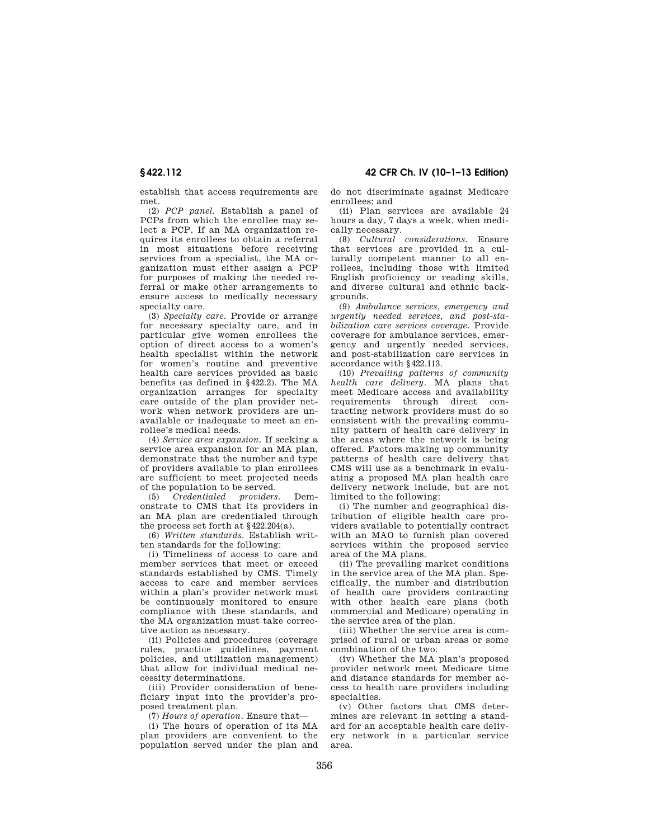establish that access requirements are met.

(2) *PCP panel.* Establish a panel of PCPs from which the enrollee may select a PCP. If an MA organization requires its enrollees to obtain a referral in most situations before receiving services from a specialist, the MA organization must either assign a PCP for purposes of making the needed referral or make other arrangements to ensure access to medically necessary specialty care.

(3) *Specialty care.* Provide or arrange for necessary specialty care, and in particular give women enrollees the option of direct access to a women's health specialist within the network for women's routine and preventive health care services provided as basic benefits (as defined in §422.2). The MA organization arranges for specialty care outside of the plan provider network when network providers are unavailable or inadequate to meet an enrollee's medical needs.

(4) *Service area expansion.* If seeking a service area expansion for an MA plan, demonstrate that the number and type of providers available to plan enrollees are sufficient to meet projected needs of the population to be served.

(5) *Credentialed providers.* Demonstrate to CMS that its providers in an MA plan are credentialed through the process set forth at  $§422.204(a)$ .

(6) *Written standards.* Establish written standards for the following:

(i) Timeliness of access to care and member services that meet or exceed standards established by CMS. Timely access to care and member services within a plan's provider network must be continuously monitored to ensure compliance with these standards, and the MA organization must take corrective action as necessary.

(ii) Policies and procedures (coverage rules, practice guidelines, payment policies, and utilization management) that allow for individual medical necessity determinations.

(iii) Provider consideration of beneficiary input into the provider's proposed treatment plan.

(7) *Hours of operation.* Ensure that—

(i) The hours of operation of its MA plan providers are convenient to the population served under the plan and do not discriminate against Medicare enrollees; and

(ii) Plan services are available 24 hours a day, 7 days a week, when medically necessary.

(8) *Cultural considerations.* Ensure that services are provided in a culturally competent manner to all enrollees, including those with limited English proficiency or reading skills, and diverse cultural and ethnic backgrounds.

(9) *Ambulance services, emergency and urgently needed services, and post-stabilization care services coverage.* Provide coverage for ambulance services, emergency and urgently needed services, and post-stabilization care services in accordance with §422.113.

(10) *Prevailing patterns of community health care delivery.* MA plans that meet Medicare access and availability requirements through direct contracting network providers must do so consistent with the prevailing community pattern of health care delivery in the areas where the network is being offered. Factors making up community patterns of health care delivery that CMS will use as a benchmark in evaluating a proposed MA plan health care delivery network include, but are not limited to the following:

(i) The number and geographical distribution of eligible health care providers available to potentially contract with an MAO to furnish plan covered services within the proposed service area of the MA plans.

(ii) The prevailing market conditions in the service area of the MA plan. Specifically, the number and distribution of health care providers contracting with other health care plans (both commercial and Medicare) operating in the service area of the plan.

(iii) Whether the service area is comprised of rural or urban areas or some combination of the two.

(iv) Whether the MA plan's proposed provider network meet Medicare time and distance standards for member access to health care providers including specialties.

(v) Other factors that CMS determines are relevant in setting a standard for an acceptable health care delivery network in a particular service area.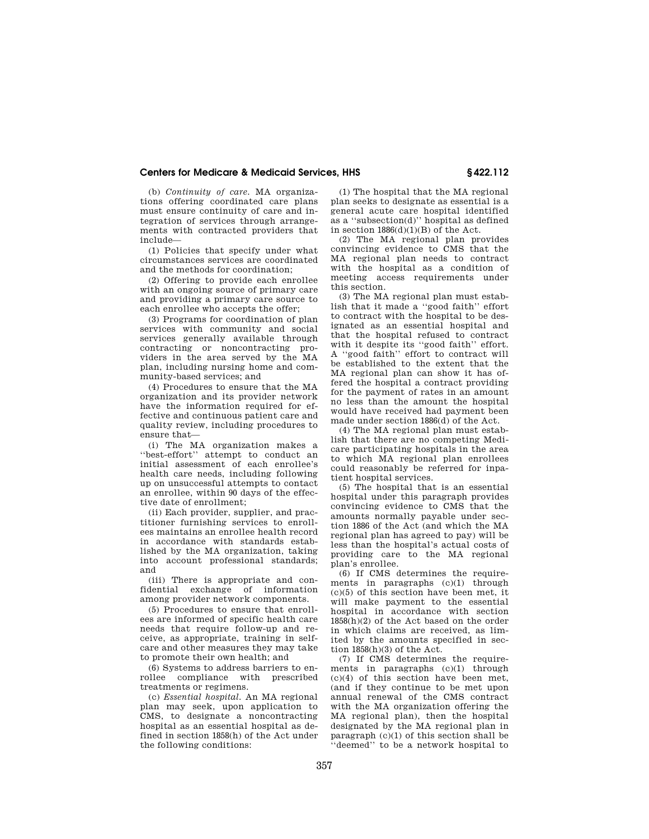(b) *Continuity of care.* MA organizations offering coordinated care plans must ensure continuity of care and integration of services through arrangements with contracted providers that include—

(1) Policies that specify under what circumstances services are coordinated and the methods for coordination;

(2) Offering to provide each enrollee with an ongoing source of primary care and providing a primary care source to each enrollee who accepts the offer;

(3) Programs for coordination of plan services with community and social services generally available through contracting or noncontracting providers in the area served by the MA plan, including nursing home and community-based services; and

(4) Procedures to ensure that the MA organization and its provider network have the information required for effective and continuous patient care and quality review, including procedures to ensure that—

(i) The MA organization makes a ''best-effort'' attempt to conduct an initial assessment of each enrollee's health care needs, including following up on unsuccessful attempts to contact an enrollee, within 90 days of the effective date of enrollment;

(ii) Each provider, supplier, and practitioner furnishing services to enrollees maintains an enrollee health record in accordance with standards established by the MA organization, taking into account professional standards; and

(iii) There is appropriate and confidential exchange of information among provider network components.

(5) Procedures to ensure that enrollees are informed of specific health care needs that require follow-up and receive, as appropriate, training in selfcare and other measures they may take to promote their own health; and

(6) Systems to address barriers to enrollee compliance with prescribed treatments or regimens.

(c) *Essential hospital.* An MA regional plan may seek, upon application to CMS, to designate a noncontracting hospital as an essential hospital as defined in section 1858(h) of the Act under the following conditions:

(1) The hospital that the MA regional plan seeks to designate as essential is a general acute care hospital identified as a ''subsection(d)'' hospital as defined in section 1886(d)(1)(B) of the Act.

(2) The MA regional plan provides convincing evidence to CMS that the MA regional plan needs to contract with the hospital as a condition of meeting access requirements under this section.

(3) The MA regional plan must establish that it made a ''good faith'' effort to contract with the hospital to be designated as an essential hospital and that the hospital refused to contract with it despite its ''good faith'' effort. A ''good faith'' effort to contract will be established to the extent that the MA regional plan can show it has offered the hospital a contract providing for the payment of rates in an amount no less than the amount the hospital would have received had payment been made under section 1886(d) of the Act.

(4) The MA regional plan must establish that there are no competing Medicare participating hospitals in the area to which MA regional plan enrollees could reasonably be referred for inpatient hospital services.

(5) The hospital that is an essential hospital under this paragraph provides convincing evidence to CMS that the amounts normally payable under section 1886 of the Act (and which the MA regional plan has agreed to pay) will be less than the hospital's actual costs of providing care to the MA regional plan's enrollee.

(6) If CMS determines the requirements in paragraphs (c)(1) through (c)(5) of this section have been met, it will make payment to the essential hospital in accordance with section 1858(h)(2) of the Act based on the order in which claims are received, as limited by the amounts specified in section  $1858(h)(3)$  of the Act.

(7) If CMS determines the requirements in paragraphs (c)(1) through (c)(4) of this section have been met, (and if they continue to be met upon annual renewal of the CMS contract with the MA organization offering the MA regional plan), then the hospital designated by the MA regional plan in paragraph (c)(1) of this section shall be 'deemed'' to be a network hospital to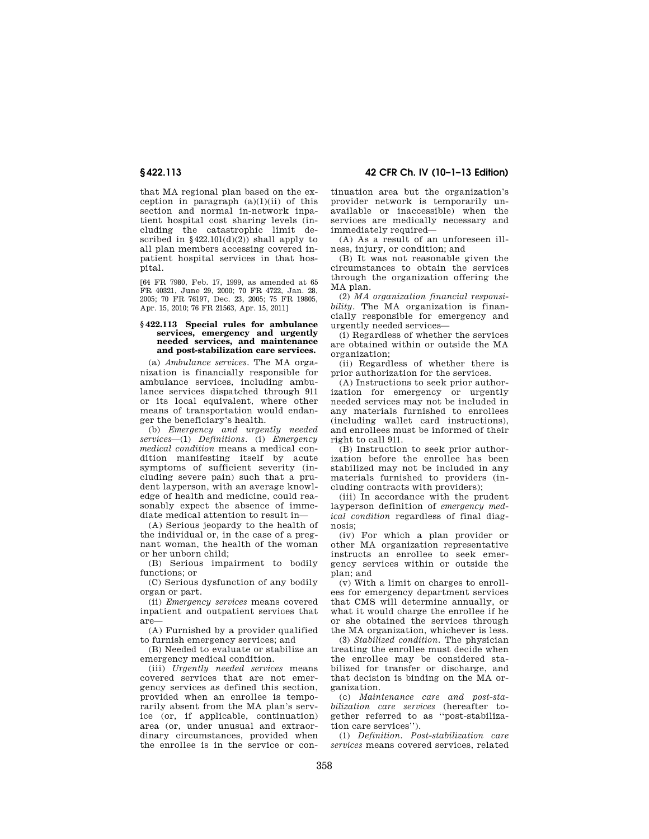# **§ 422.113 42 CFR Ch. IV (10–1–13 Edition)**

that MA regional plan based on the exception in paragraph  $(a)(1)(ii)$  of this section and normal in-network inpatient hospital cost sharing levels (including the catastrophic limit described in  $\frac{22.101(d)(2)}{2}$  shall apply to all plan members accessing covered inpatient hospital services in that hospital.

[64 FR 7980, Feb. 17, 1999, as amended at 65 FR 40321, June 29, 2000; 70 FR 4722, Jan. 28, 2005; 70 FR 76197, Dec. 23, 2005; 75 FR 19805, Apr. 15, 2010; 76 FR 21563, Apr. 15, 2011]

#### **§ 422.113 Special rules for ambulance services, emergency and urgently needed services, and maintenance and post-stabilization care services.**

(a) *Ambulance services.* The MA organization is financially responsible for ambulance services, including ambulance services dispatched through 911 or its local equivalent, where other means of transportation would endanger the beneficiary's health.

(b) *Emergency and urgently needed services*—(1) *Definitions.* (i) *Emergency medical condition* means a medical condition manifesting itself by acute symptoms of sufficient severity (including severe pain) such that a prudent layperson, with an average knowledge of health and medicine, could reasonably expect the absence of immediate medical attention to result in—

(A) Serious jeopardy to the health of the individual or, in the case of a pregnant woman, the health of the woman or her unborn child;

(B) Serious impairment to bodily functions; or

(C) Serious dysfunction of any bodily organ or part.

(ii) *Emergency services* means covered inpatient and outpatient services that are—

(A) Furnished by a provider qualified to furnish emergency services; and

(B) Needed to evaluate or stabilize an emergency medical condition.

(iii) *Urgently needed services* means covered services that are not emergency services as defined this section, provided when an enrollee is temporarily absent from the MA plan's service (or, if applicable, continuation) area (or, under unusual and extraordinary circumstances, provided when the enrollee is in the service or continuation area but the organization's provider network is temporarily unavailable or inaccessible) when the services are medically necessary and immediately required—

(A) As a result of an unforeseen illness, injury, or condition; and

(B) It was not reasonable given the circumstances to obtain the services through the organization offering the MA plan.

(2) *MA organization financial responsibility.* The MA organization is financially responsible for emergency and urgently needed services—

(i) Regardless of whether the services are obtained within or outside the MA organization;

(ii) Regardless of whether there is prior authorization for the services.

(A) Instructions to seek prior authorization for emergency or urgently needed services may not be included in any materials furnished to enrollees (including wallet card instructions), and enrollees must be informed of their right to call 911.

(B) Instruction to seek prior authorization before the enrollee has been stabilized may not be included in any materials furnished to providers (including contracts with providers);

(iii) In accordance with the prudent layperson definition of *emergency medical condition* regardless of final diagnosis;

(iv) For which a plan provider or other MA organization representative instructs an enrollee to seek emergency services within or outside the plan; and

(v) With a limit on charges to enrollees for emergency department services that CMS will determine annually, or what it would charge the enrollee if he or she obtained the services through the MA organization, whichever is less.

(3) *Stabilized condition.* The physician treating the enrollee must decide when the enrollee may be considered stabilized for transfer or discharge, and that decision is binding on the MA organization.

(c) *Maintenance care and post-stabilization care services* (hereafter together referred to as ''post-stabilization care services'').

(1) *Definition. Post-stabilization care services* means covered services, related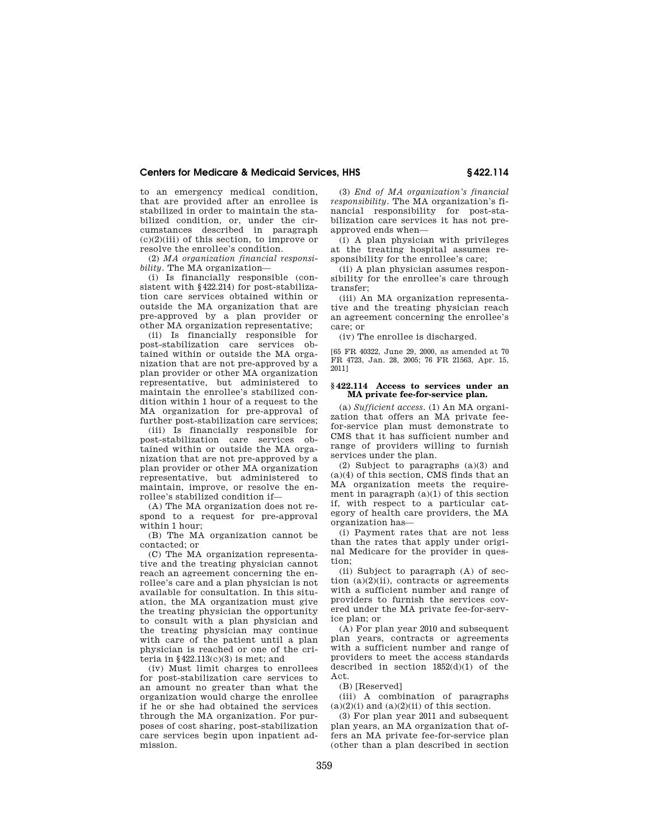to an emergency medical condition, that are provided after an enrollee is stabilized in order to maintain the stabilized condition, or, under the circumstances described in paragraph  $(c)(2)(iii)$  of this section, to improve or resolve the enrollee's condition.

(2) *MA organization financial responsibility.* The MA organization—

(i) Is financially responsible (consistent with §422.214) for post-stabilization care services obtained within or outside the MA organization that are pre-approved by a plan provider or other MA organization representative;

(ii) Is financially responsible for post-stabilization care services obtained within or outside the MA organization that are not pre-approved by a plan provider or other MA organization representative, but administered to maintain the enrollee's stabilized condition within 1 hour of a request to the MA organization for pre-approval of further post-stabilization care services;

(iii) Is financially responsible for post-stabilization care services obtained within or outside the MA organization that are not pre-approved by a plan provider or other MA organization representative, but administered to maintain, improve, or resolve the enrollee's stabilized condition if—

(A) The MA organization does not respond to a request for pre-approval within 1 hour;

(B) The MA organization cannot be contacted; or

(C) The MA organization representative and the treating physician cannot reach an agreement concerning the enrollee's care and a plan physician is not available for consultation. In this situation, the MA organization must give the treating physician the opportunity to consult with a plan physician and the treating physician may continue with care of the patient until a plan physician is reached or one of the criteria in  $§422.113(c)(3)$  is met; and

(iv) Must limit charges to enrollees for post-stabilization care services to an amount no greater than what the organization would charge the enrollee if he or she had obtained the services through the MA organization. For purposes of cost sharing, post-stabilization care services begin upon inpatient admission.

(3) *End of MA organization's financial responsibility.* The MA organization's financial responsibility for post-stabilization care services it has not preapproved ends when—

(i) A plan physician with privileges at the treating hospital assumes responsibility for the enrollee's care;

(ii) A plan physician assumes responsibility for the enrollee's care through transfer;

(iii) An MA organization representative and the treating physician reach an agreement concerning the enrollee's care; or

(iv) The enrollee is discharged.

[65 FR 40322, June 29, 2000, as amended at 70 FR 4723, Jan. 28, 2005; 76 FR 21563, Apr. 15, 2011]

### **§ 422.114 Access to services under an MA private fee-for-service plan.**

(a) *Sufficient access.* (1) An MA organization that offers an MA private feefor-service plan must demonstrate to CMS that it has sufficient number and range of providers willing to furnish services under the plan.

(2) Subject to paragraphs (a)(3) and (a)(4) of this section, CMS finds that an MA organization meets the requirement in paragraph (a)(1) of this section if, with respect to a particular category of health care providers, the MA organization has—

(i) Payment rates that are not less than the rates that apply under original Medicare for the provider in question;

(ii) Subject to paragraph (A) of section  $(a)(2)(ii)$ , contracts or agreements with a sufficient number and range of providers to furnish the services covered under the MA private fee-for-service plan; or

(A) For plan year 2010 and subsequent plan years, contracts or agreements with a sufficient number and range of providers to meet the access standards described in section 1852(d)(1) of the Act.

(B) [Reserved]

(iii) A combination of paragraphs  $(a)(2)(i)$  and  $(a)(2)(ii)$  of this section.

(3) For plan year 2011 and subsequent plan years, an MA organization that offers an MA private fee-for-service plan (other than a plan described in section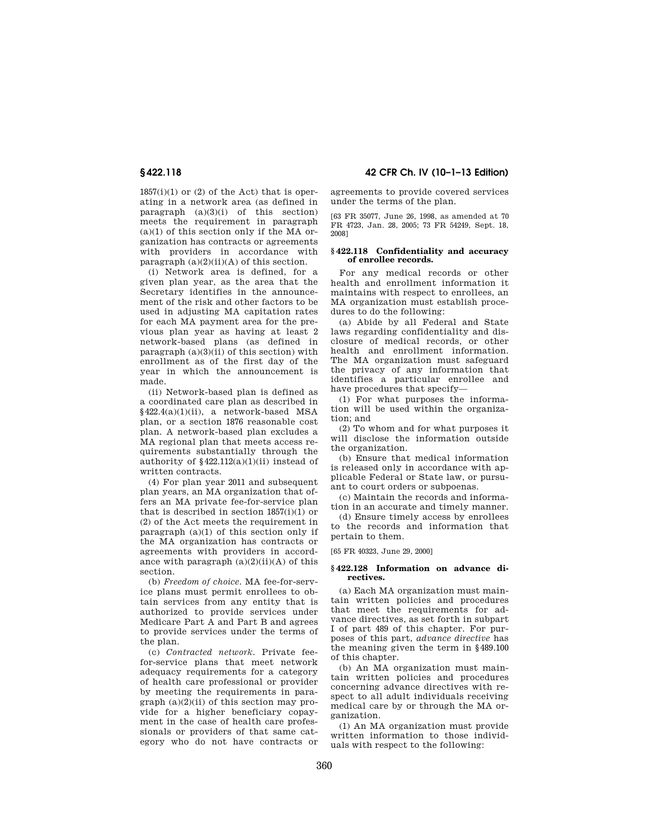$1857(i)(1)$  or (2) of the Act) that is operating in a network area (as defined in paragraph  $(a)(3)(i)$  of this section) meets the requirement in paragraph  $(a)(1)$  of this section only if the MA organization has contracts or agreements with providers in accordance with paragraph  $(a)(2)(ii)(A)$  of this section.

(i) Network area is defined, for a given plan year, as the area that the Secretary identifies in the announcement of the risk and other factors to be used in adjusting MA capitation rates for each MA payment area for the previous plan year as having at least 2 network-based plans (as defined in paragraph  $(a)(3)(ii)$  of this section) with enrollment as of the first day of the year in which the announcement is made.

(ii) Network-based plan is defined as a coordinated care plan as described in §422.4(a)(1)(ii), a network-based MSA plan, or a section 1876 reasonable cost plan. A network-based plan excludes a MA regional plan that meets access requirements substantially through the authority of  $§422.112(a)(1)(ii)$  instead of written contracts.

(4) For plan year 2011 and subsequent plan years, an MA organization that offers an MA private fee-for-service plan that is described in section  $1857(i)(1)$  or (2) of the Act meets the requirement in paragraph  $(a)(1)$  of this section only if the MA organization has contracts or agreements with providers in accordance with paragraph  $(a)(2)(ii)(A)$  of this section.

(b) *Freedom of choice.* MA fee-for-service plans must permit enrollees to obtain services from any entity that is authorized to provide services under Medicare Part A and Part B and agrees to provide services under the terms of the plan.

(c) *Contracted network.* Private feefor-service plans that meet network adequacy requirements for a category of health care professional or provider by meeting the requirements in para $graph (a)(2)(ii)$  of this section may provide for a higher beneficiary copayment in the case of health care professionals or providers of that same category who do not have contracts or

# **§ 422.118 42 CFR Ch. IV (10–1–13 Edition)**

agreements to provide covered services under the terms of the plan.

[63 FR 35077, June 26, 1998, as amended at 70 FR 4723, Jan. 28, 2005; 73 FR 54249, Sept. 18, 2008]

#### **§ 422.118 Confidentiality and accuracy of enrollee records.**

For any medical records or other health and enrollment information it maintains with respect to enrollees, an MA organization must establish procedures to do the following:

(a) Abide by all Federal and State laws regarding confidentiality and disclosure of medical records, or other health and enrollment information. The MA organization must safeguard the privacy of any information that identifies a particular enrollee and have procedures that specify—

(1) For what purposes the information will be used within the organization; and

(2) To whom and for what purposes it will disclose the information outside the organization.

(b) Ensure that medical information is released only in accordance with applicable Federal or State law, or pursuant to court orders or subpoenas.

(c) Maintain the records and information in an accurate and timely manner.

(d) Ensure timely access by enrollees to the records and information that pertain to them.

[65 FR 40323, June 29, 2000]

### **§ 422.128 Information on advance directives.**

(a) Each MA organization must maintain written policies and procedures that meet the requirements for advance directives, as set forth in subpart I of part 489 of this chapter. For purposes of this part, *advance directive* has the meaning given the term in §489.100 of this chapter.

(b) An MA organization must maintain written policies and procedures concerning advance directives with respect to all adult individuals receiving medical care by or through the MA organization.

(1) An MA organization must provide written information to those individuals with respect to the following: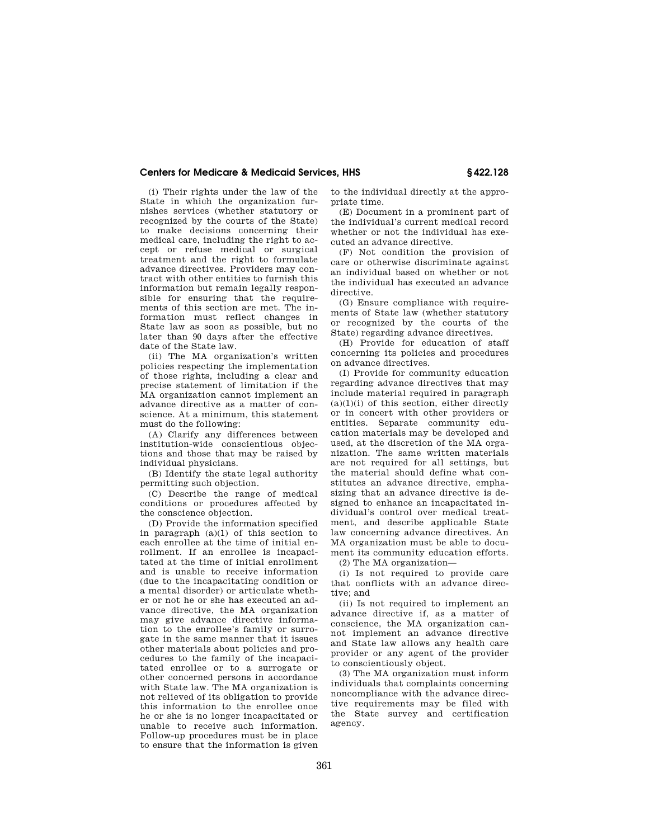(i) Their rights under the law of the State in which the organization furnishes services (whether statutory or recognized by the courts of the State) to make decisions concerning their medical care, including the right to accept or refuse medical or surgical treatment and the right to formulate advance directives. Providers may contract with other entities to furnish this information but remain legally responsible for ensuring that the requirements of this section are met. The information must reflect changes in State law as soon as possible, but no later than 90 days after the effective date of the State law.

(ii) The MA organization's written policies respecting the implementation of those rights, including a clear and precise statement of limitation if the MA organization cannot implement an advance directive as a matter of conscience. At a minimum, this statement must do the following:

(A) Clarify any differences between institution-wide conscientious objections and those that may be raised by individual physicians.

(B) Identify the state legal authority permitting such objection.

(C) Describe the range of medical conditions or procedures affected by the conscience objection.

(D) Provide the information specified in paragraph  $(a)(1)$  of this section to each enrollee at the time of initial enrollment. If an enrollee is incapacitated at the time of initial enrollment and is unable to receive information (due to the incapacitating condition or a mental disorder) or articulate whether or not he or she has executed an advance directive, the MA organization may give advance directive information to the enrollee's family or surrogate in the same manner that it issues other materials about policies and procedures to the family of the incapacitated enrollee or to a surrogate or other concerned persons in accordance with State law. The MA organization is not relieved of its obligation to provide this information to the enrollee once he or she is no longer incapacitated or unable to receive such information. Follow-up procedures must be in place to ensure that the information is given to the individual directly at the appropriate time.

(E) Document in a prominent part of the individual's current medical record whether or not the individual has executed an advance directive.

(F) Not condition the provision of care or otherwise discriminate against an individual based on whether or not the individual has executed an advance directive.

(G) Ensure compliance with requirements of State law (whether statutory or recognized by the courts of the State) regarding advance directives.

(H) Provide for education of staff concerning its policies and procedures on advance directives.

(I) Provide for community education regarding advance directives that may include material required in paragraph  $(a)(1)(i)$  of this section, either directly or in concert with other providers or entities. Separate community education materials may be developed and used, at the discretion of the MA organization. The same written materials are not required for all settings, but the material should define what constitutes an advance directive, emphasizing that an advance directive is designed to enhance an incapacitated individual's control over medical treatment, and describe applicable State law concerning advance directives. An MA organization must be able to document its community education efforts.

(2) The MA organization—

(i) Is not required to provide care that conflicts with an advance directive; and

(ii) Is not required to implement an advance directive if, as a matter of conscience, the MA organization cannot implement an advance directive and State law allows any health care provider or any agent of the provider to conscientiously object.

(3) The MA organization must inform individuals that complaints concerning noncompliance with the advance directive requirements may be filed with the State survey and certification agency.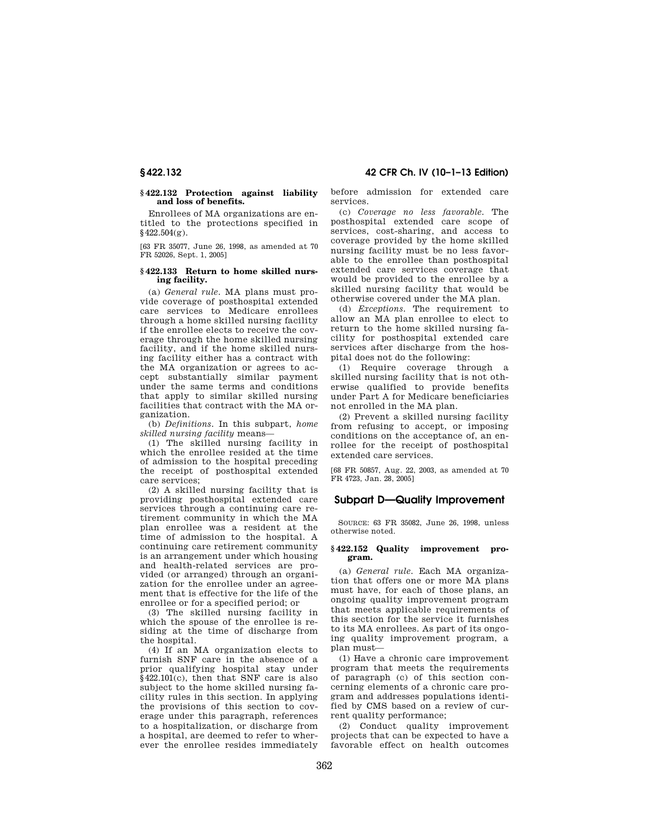## **§ 422.132 Protection against liability and loss of benefits.**

Enrollees of MA organizations are entitled to the protections specified in  $$422.504(*g*)$ .

[63 FR 35077, June 26, 1998, as amended at 70 FR 52026, Sept. 1, 2005]

### **§ 422.133 Return to home skilled nursing facility.**

(a) *General rule.* MA plans must provide coverage of posthospital extended care services to Medicare enrollees through a home skilled nursing facility if the enrollee elects to receive the coverage through the home skilled nursing facility, and if the home skilled nursing facility either has a contract with the MA organization or agrees to accept substantially similar payment under the same terms and conditions that apply to similar skilled nursing facilities that contract with the MA organization.

(b) *Definitions.* In this subpart, *home skilled nursing facility* means—

(1) The skilled nursing facility in which the enrollee resided at the time of admission to the hospital preceding the receipt of posthospital extended care services;

(2) A skilled nursing facility that is providing posthospital extended care services through a continuing care retirement community in which the MA plan enrollee was a resident at the time of admission to the hospital. A continuing care retirement community is an arrangement under which housing and health-related services are provided (or arranged) through an organization for the enrollee under an agreement that is effective for the life of the enrollee or for a specified period; or

(3) The skilled nursing facility in which the spouse of the enrollee is residing at the time of discharge from the hospital.

(4) If an MA organization elects to furnish SNF care in the absence of a prior qualifying hospital stay under §422.101(c), then that SNF care is also subject to the home skilled nursing facility rules in this section. In applying the provisions of this section to coverage under this paragraph, references to a hospitalization, or discharge from a hospital, are deemed to refer to wherever the enrollee resides immediately

before admission for extended care services.

(c) *Coverage no less favorable.* The posthospital extended care scope of services, cost-sharing, and access to coverage provided by the home skilled nursing facility must be no less favorable to the enrollee than posthospital extended care services coverage that would be provided to the enrollee by a skilled nursing facility that would be otherwise covered under the MA plan.

(d) *Exceptions.* The requirement to allow an MA plan enrollee to elect to return to the home skilled nursing facility for posthospital extended care services after discharge from the hospital does not do the following:

(1) Require coverage through a skilled nursing facility that is not otherwise qualified to provide benefits under Part A for Medicare beneficiaries not enrolled in the MA plan.

(2) Prevent a skilled nursing facility from refusing to accept, or imposing conditions on the acceptance of, an enrollee for the receipt of posthospital extended care services.

[68 FR 50857, Aug. 22, 2003, as amended at 70 FR 4723, Jan. 28, 2005]

# **Subpart D—Quality Improvement**

SOURCE: 63 FR 35082, June 26, 1998, unless otherwise noted.

### **§ 422.152 Quality improvement program.**

(a) *General rule.* Each MA organization that offers one or more MA plans must have, for each of those plans, an ongoing quality improvement program that meets applicable requirements of this section for the service it furnishes to its MA enrollees. As part of its ongoing quality improvement program, a plan must—

(1) Have a chronic care improvement program that meets the requirements of paragraph (c) of this section concerning elements of a chronic care program and addresses populations identified by CMS based on a review of current quality performance;

(2) Conduct quality improvement projects that can be expected to have a favorable effect on health outcomes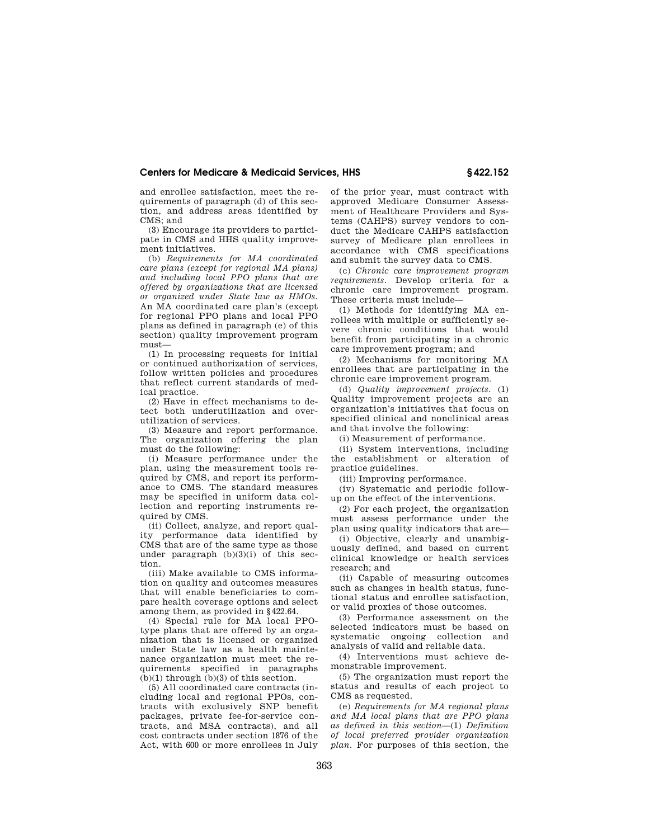and enrollee satisfaction, meet the requirements of paragraph (d) of this section, and address areas identified by CMS; and

(3) Encourage its providers to participate in CMS and HHS quality improvement initiatives.

(b) *Requirements for MA coordinated care plans (except for regional MA plans) and including local PPO plans that are offered by organizations that are licensed or organized under State law as HMOs.*  An MA coordinated care plan's (except for regional PPO plans and local PPO plans as defined in paragraph (e) of this section) quality improvement program must—

(1) In processing requests for initial or continued authorization of services, follow written policies and procedures that reflect current standards of medical practice.

(2) Have in effect mechanisms to detect both underutilization and overutilization of services.

(3) Measure and report performance. The organization offering the plan must do the following:

(i) Measure performance under the plan, using the measurement tools required by CMS, and report its performance to CMS. The standard measures may be specified in uniform data collection and reporting instruments required by CMS.

(ii) Collect, analyze, and report quality performance data identified by CMS that are of the same type as those under paragraph (b)(3)(i) of this section.

(iii) Make available to CMS information on quality and outcomes measures that will enable beneficiaries to compare health coverage options and select among them, as provided in §422.64.

(4) Special rule for MA local PPOtype plans that are offered by an organization that is licensed or organized under State law as a health maintenance organization must meet the requirements specified in paragraphs  $(b)(1)$  through  $(b)(3)$  of this section.

(5) All coordinated care contracts (including local and regional PPOs, contracts with exclusively SNP benefit packages, private fee-for-service contracts, and MSA contracts), and all cost contracts under section 1876 of the Act, with 600 or more enrollees in July

of the prior year, must contract with approved Medicare Consumer Assessment of Healthcare Providers and Systems (CAHPS) survey vendors to conduct the Medicare CAHPS satisfaction survey of Medicare plan enrollees in accordance with CMS specifications and submit the survey data to CMS.

(c) *Chronic care improvement program requirements.* Develop criteria for a chronic care improvement program. These criteria must include—

(1) Methods for identifying MA enrollees with multiple or sufficiently severe chronic conditions that would benefit from participating in a chronic care improvement program; and

(2) Mechanisms for monitoring MA enrollees that are participating in the chronic care improvement program.

(d) *Quality improvement projects.* (1) Quality improvement projects are an organization's initiatives that focus on specified clinical and nonclinical areas and that involve the following:

(i) Measurement of performance.

(ii) System interventions, including the establishment or alteration of practice guidelines.

(iii) Improving performance.

(iv) Systematic and periodic followup on the effect of the interventions.

(2) For each project, the organization must assess performance under the plan using quality indicators that are—

(i) Objective, clearly and unambiguously defined, and based on current clinical knowledge or health services research; and

(ii) Capable of measuring outcomes such as changes in health status, functional status and enrollee satisfaction, or valid proxies of those outcomes.

(3) Performance assessment on the selected indicators must be based on systematic ongoing collection and analysis of valid and reliable data.

(4) Interventions must achieve demonstrable improvement.

(5) The organization must report the status and results of each project to CMS as requested.

(e) *Requirements for MA regional plans and MA local plans that are PPO plans as defined in this section*—(1) *Definition of local preferred provider organization plan.* For purposes of this section, the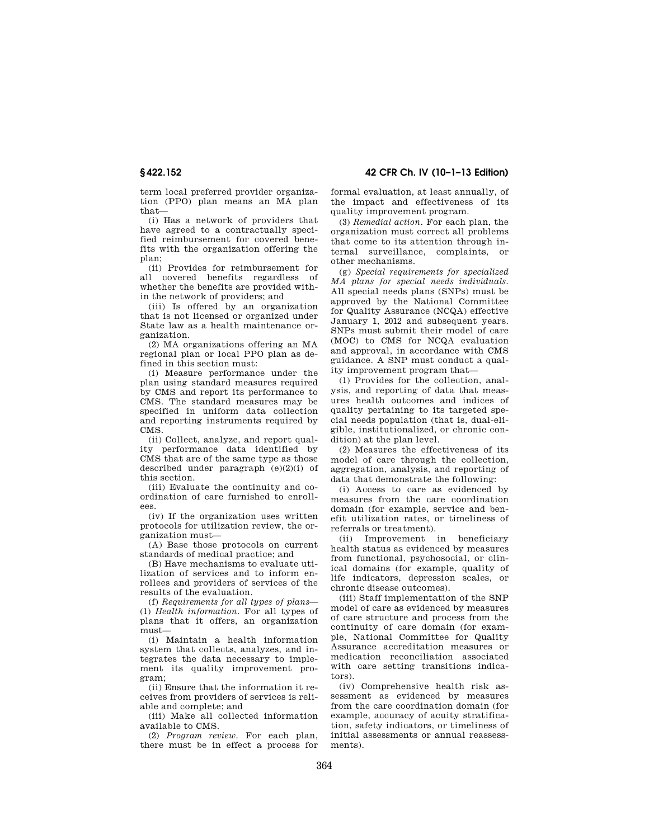term local preferred provider organization (PPO) plan means an MA plan that—

(i) Has a network of providers that have agreed to a contractually specified reimbursement for covered benefits with the organization offering the plan;

(ii) Provides for reimbursement for all covered benefits regardless of whether the benefits are provided within the network of providers; and

(iii) Is offered by an organization that is not licensed or organized under State law as a health maintenance organization.

(2) MA organizations offering an MA regional plan or local PPO plan as defined in this section must:

(i) Measure performance under the plan using standard measures required by CMS and report its performance to CMS. The standard measures may be specified in uniform data collection and reporting instruments required by CMS.

(ii) Collect, analyze, and report quality performance data identified by CMS that are of the same type as those described under paragraph  $(e)(2)(i)$  of this section.

(iii) Evaluate the continuity and coordination of care furnished to enrollees.

(iv) If the organization uses written protocols for utilization review, the organization must—

(A) Base those protocols on current standards of medical practice; and

(B) Have mechanisms to evaluate utilization of services and to inform enrollees and providers of services of the results of the evaluation.

(f) *Requirements for all types of plans*— (1) *Health information.* For all types of plans that it offers, an organization must—

(i) Maintain a health information system that collects, analyzes, and integrates the data necessary to implement its quality improvement program;

(ii) Ensure that the information it receives from providers of services is reliable and complete; and

(iii) Make all collected information available to CMS.

(2) *Program review.* For each plan, there must be in effect a process for

**§ 422.152 42 CFR Ch. IV (10–1–13 Edition)** 

formal evaluation, at least annually, of the impact and effectiveness of its quality improvement program.

(3) *Remedial action.* For each plan, the organization must correct all problems that come to its attention through internal surveillance, complaints, or other mechanisms.

(g) *Special requirements for specialized MA plans for special needs individuals.*  All special needs plans (SNPs) must be approved by the National Committee for Quality Assurance (NCQA) effective January 1, 2012 and subsequent years. SNPs must submit their model of care (MOC) to CMS for NCQA evaluation and approval, in accordance with CMS guidance. A SNP must conduct a quality improvement program that—

(1) Provides for the collection, analysis, and reporting of data that measures health outcomes and indices of quality pertaining to its targeted special needs population (that is, dual-eligible, institutionalized, or chronic condition) at the plan level.

(2) Measures the effectiveness of its model of care through the collection, aggregation, analysis, and reporting of data that demonstrate the following:

(i) Access to care as evidenced by measures from the care coordination domain (for example, service and benefit utilization rates, or timeliness of referrals or treatment).

(ii) Improvement in beneficiary health status as evidenced by measures from functional, psychosocial, or clinical domains (for example, quality of life indicators, depression scales, or chronic disease outcomes).

(iii) Staff implementation of the SNP model of care as evidenced by measures of care structure and process from the continuity of care domain (for example, National Committee for Quality Assurance accreditation measures or medication reconciliation associated with care setting transitions indicators).

(iv) Comprehensive health risk assessment as evidenced by measures from the care coordination domain (for example, accuracy of acuity stratification, safety indicators, or timeliness of initial assessments or annual reassessments).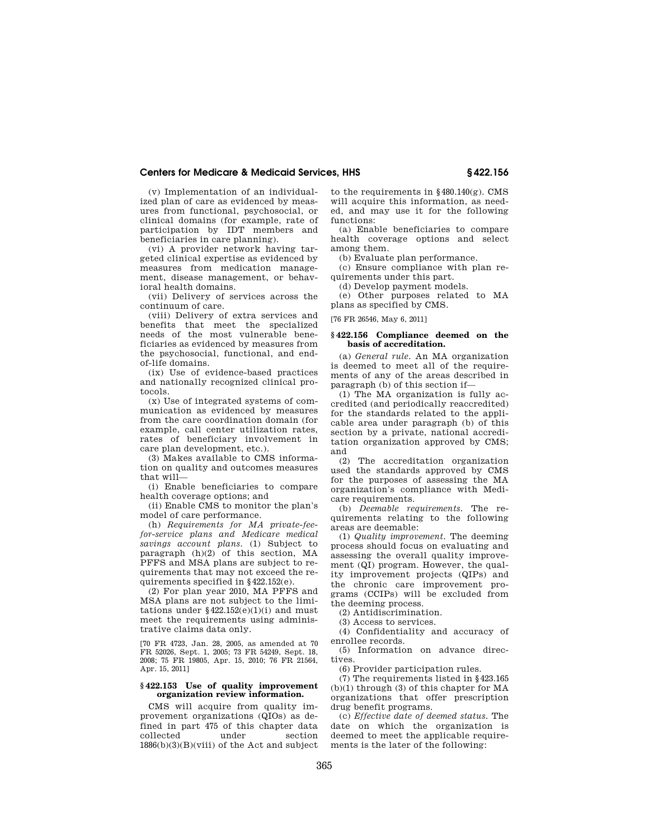(v) Implementation of an individualized plan of care as evidenced by measures from functional, psychosocial, or clinical domains (for example, rate of participation by IDT members and beneficiaries in care planning).

(vi) A provider network having targeted clinical expertise as evidenced by measures from medication management, disease management, or behavioral health domains.

(vii) Delivery of services across the continuum of care.

(viii) Delivery of extra services and benefits that meet the specialized needs of the most vulnerable beneficiaries as evidenced by measures from the psychosocial, functional, and endof-life domains.

(ix) Use of evidence-based practices and nationally recognized clinical protocols.

(x) Use of integrated systems of communication as evidenced by measures from the care coordination domain (for example, call center utilization rates, rates of beneficiary involvement in care plan development, etc.).

(3) Makes available to CMS information on quality and outcomes measures that will—

(i) Enable beneficiaries to compare health coverage options; and

(ii) Enable CMS to monitor the plan's model of care performance.

(h) *Requirements for MA private-feefor-service plans and Medicare medical savings account plans.* (1) Subject to paragraph (h)(2) of this section, MA PFFS and MSA plans are subject to requirements that may not exceed the requirements specified in §422.152(e).

(2) For plan year 2010, MA PFFS and MSA plans are not subject to the limitations under  $$422.152(e)(1)(i)$  and must meet the requirements using administrative claims data only.

[70 FR 4723, Jan. 28, 2005, as amended at 70 FR 52026, Sept. 1, 2005; 73 FR 54249, Sept. 18, 2008; 75 FR 19805, Apr. 15, 2010; 76 FR 21564, Apr. 15, 2011]

#### **§ 422.153 Use of quality improvement organization review information.**

CMS will acquire from quality improvement organizations (QIOs) as defined in part 475 of this chapter data<br>collected under section collected under section  $1886(b)(3)(B)(viii)$  of the Act and subject to the requirements in §480.140(g). CMS will acquire this information, as needed, and may use it for the following functions:

(a) Enable beneficiaries to compare health coverage options and select among them.

(b) Evaluate plan performance.

(c) Ensure compliance with plan requirements under this part.

(d) Develop payment models.

(e) Other purposes related to MA plans as specified by CMS.

[76 FR 26546, May 6, 2011]

#### **§ 422.156 Compliance deemed on the basis of accreditation.**

(a) *General rule.* An MA organization is deemed to meet all of the requirements of any of the areas described in paragraph (b) of this section if—

(1) The MA organization is fully accredited (and periodically reaccredited) for the standards related to the applicable area under paragraph (b) of this section by a private, national accreditation organization approved by CMS; and

(2) The accreditation organization used the standards approved by CMS for the purposes of assessing the MA organization's compliance with Medicare requirements.

(b) *Deemable requirements.* The requirements relating to the following areas are deemable:

(1) *Quality improvement.* The deeming process should focus on evaluating and assessing the overall quality improvement (QI) program. However, the quality improvement projects (QIPs) and the chronic care improvement programs (CCIPs) will be excluded from the deeming process.

(2) Antidiscrimination.

(3) Access to services.

(4) Confidentiality and accuracy of enrollee records.

(5) Information on advance directives.

(6) Provider participation rules.

(7) The requirements listed in §423.165 (b)(1) through (3) of this chapter for MA organizations that offer prescription drug benefit programs.

(c) *Effective date of deemed status.* The date on which the organization is deemed to meet the applicable requirements is the later of the following: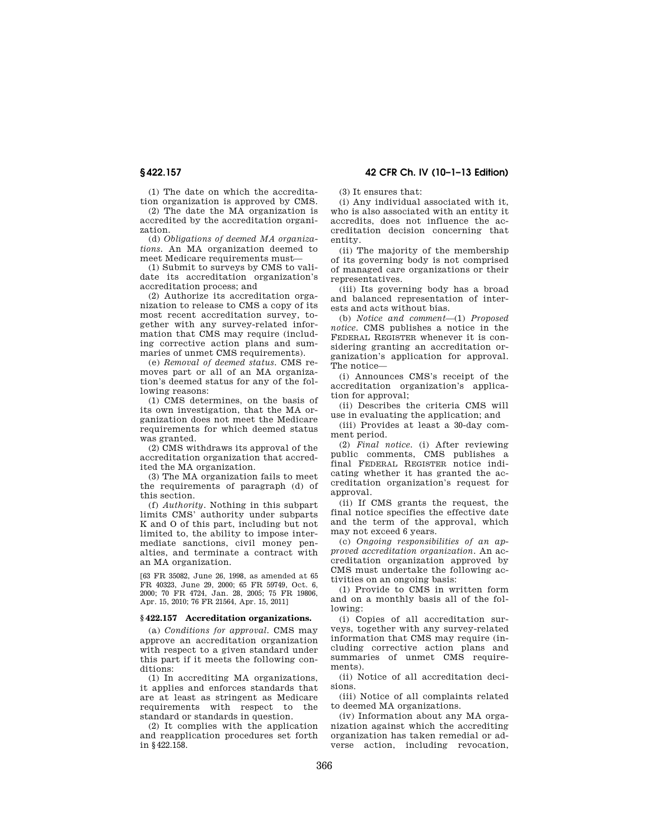(1) The date on which the accreditation organization is approved by CMS.

(2) The date the MA organization is accredited by the accreditation organization.

(d) *Obligations of deemed MA organizations.* An MA organization deemed to meet Medicare requirements must—

(1) Submit to surveys by CMS to validate its accreditation organization's accreditation process; and

(2) Authorize its accreditation organization to release to CMS a copy of its most recent accreditation survey, together with any survey-related information that CMS may require (including corrective action plans and summaries of unmet CMS requirements).

(e) *Removal of deemed status.* CMS removes part or all of an MA organization's deemed status for any of the following reasons:

(1) CMS determines, on the basis of its own investigation, that the MA organization does not meet the Medicare requirements for which deemed status was granted.

(2) CMS withdraws its approval of the accreditation organization that accredited the MA organization.

(3) The MA organization fails to meet the requirements of paragraph (d) of this section.

(f) *Authority.* Nothing in this subpart limits CMS' authority under subparts K and O of this part, including but not limited to, the ability to impose intermediate sanctions, civil money penalties, and terminate a contract with an MA organization.

[63 FR 35082, June 26, 1998, as amended at 65 FR 40323, June 29, 2000; 65 FR 59749, Oct. 6, 2000; 70 FR 4724, Jan. 28, 2005; 75 FR 19806, Apr. 15, 2010; 76 FR 21564, Apr. 15, 2011]

### **§ 422.157 Accreditation organizations.**

(a) *Conditions for approval.* CMS may approve an accreditation organization with respect to a given standard under this part if it meets the following conditions:

(1) In accrediting MA organizations, it applies and enforces standards that are at least as stringent as Medicare requirements with respect to the standard or standards in question.

(2) It complies with the application and reapplication procedures set forth in §422.158.

**§ 422.157 42 CFR Ch. IV (10–1–13 Edition)** 

(3) It ensures that:

(i) Any individual associated with it, who is also associated with an entity it accredits, does not influence the accreditation decision concerning that entity.

(ii) The majority of the membership of its governing body is not comprised of managed care organizations or their representatives.

(iii) Its governing body has a broad and balanced representation of interests and acts without bias.

(b) *Notice and comment*—(1) *Proposed notice.* CMS publishes a notice in the FEDERAL REGISTER whenever it is considering granting an accreditation organization's application for approval. The notice—

(i) Announces CMS's receipt of the accreditation organization's application for approval;

(ii) Describes the criteria CMS will use in evaluating the application; and

(iii) Provides at least a 30-day comment period.

(2) *Final notice.* (i) After reviewing public comments, CMS publishes a final FEDERAL REGISTER notice indicating whether it has granted the accreditation organization's request for approval.

(ii) If CMS grants the request, the final notice specifies the effective date and the term of the approval, which may not exceed 6 years.

(c) *Ongoing responsibilities of an approved accreditation organization.* An accreditation organization approved by CMS must undertake the following activities on an ongoing basis:

(1) Provide to CMS in written form and on a monthly basis all of the following:

(i) Copies of all accreditation surveys, together with any survey-related information that CMS may require (including corrective action plans and summaries of unmet CMS requirements).

(ii) Notice of all accreditation decisions.

(iii) Notice of all complaints related to deemed MA organizations.

(iv) Information about any MA organization against which the accrediting organization has taken remedial or adverse action, including revocation,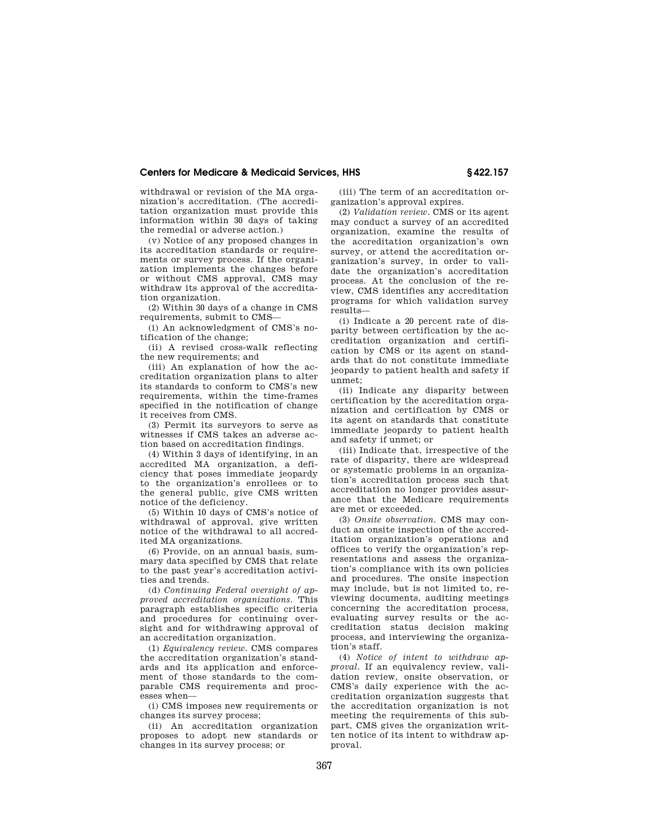withdrawal or revision of the MA organization's accreditation. (The accreditation organization must provide this information within 30 days of taking the remedial or adverse action.)

(v) Notice of any proposed changes in its accreditation standards or requirements or survey process. If the organization implements the changes before or without CMS approval, CMS may withdraw its approval of the accreditation organization.

(2) Within 30 days of a change in CMS requirements, submit to CMS—

(i) An acknowledgment of CMS's notification of the change;

(ii) A revised cross-walk reflecting the new requirements; and

(iii) An explanation of how the accreditation organization plans to alter its standards to conform to CMS's new requirements, within the time-frames specified in the notification of change it receives from CMS.

(3) Permit its surveyors to serve as witnesses if CMS takes an adverse action based on accreditation findings.

(4) Within 3 days of identifying, in an accredited MA organization, a deficiency that poses immediate jeopardy to the organization's enrollees or to the general public, give CMS written notice of the deficiency.

(5) Within 10 days of CMS's notice of withdrawal of approval, give written notice of the withdrawal to all accredited MA organizations.

(6) Provide, on an annual basis, summary data specified by CMS that relate to the past year's accreditation activities and trends.

(d) *Continuing Federal oversight of approved accreditation organizations.* This paragraph establishes specific criteria and procedures for continuing oversight and for withdrawing approval of an accreditation organization.

(1) *Equivalency review.* CMS compares the accreditation organization's standards and its application and enforcement of those standards to the comparable CMS requirements and processes when—

(i) CMS imposes new requirements or changes its survey process;

(ii) An accreditation organization proposes to adopt new standards or changes in its survey process; or

(iii) The term of an accreditation organization's approval expires.

(2) *Validation review.* CMS or its agent may conduct a survey of an accredited organization, examine the results of the accreditation organization's own survey, or attend the accreditation organization's survey, in order to validate the organization's accreditation process. At the conclusion of the review, CMS identifies any accreditation programs for which validation survey results—

(i) Indicate a 20 percent rate of disparity between certification by the accreditation organization and certification by CMS or its agent on standards that do not constitute immediate jeopardy to patient health and safety if unmet;

(ii) Indicate any disparity between certification by the accreditation organization and certification by CMS or its agent on standards that constitute immediate jeopardy to patient health and safety if unmet; or

(iii) Indicate that, irrespective of the rate of disparity, there are widespread or systematic problems in an organization's accreditation process such that accreditation no longer provides assurance that the Medicare requirements are met or exceeded.

(3) *Onsite observation.* CMS may conduct an onsite inspection of the accreditation organization's operations and offices to verify the organization's representations and assess the organization's compliance with its own policies and procedures. The onsite inspection may include, but is not limited to, reviewing documents, auditing meetings concerning the accreditation process, evaluating survey results or the accreditation status decision making process, and interviewing the organization's staff.

(4) *Notice of intent to withdraw approval.* If an equivalency review, validation review, onsite observation, or CMS's daily experience with the accreditation organization suggests that the accreditation organization is not meeting the requirements of this subpart, CMS gives the organization written notice of its intent to withdraw approval.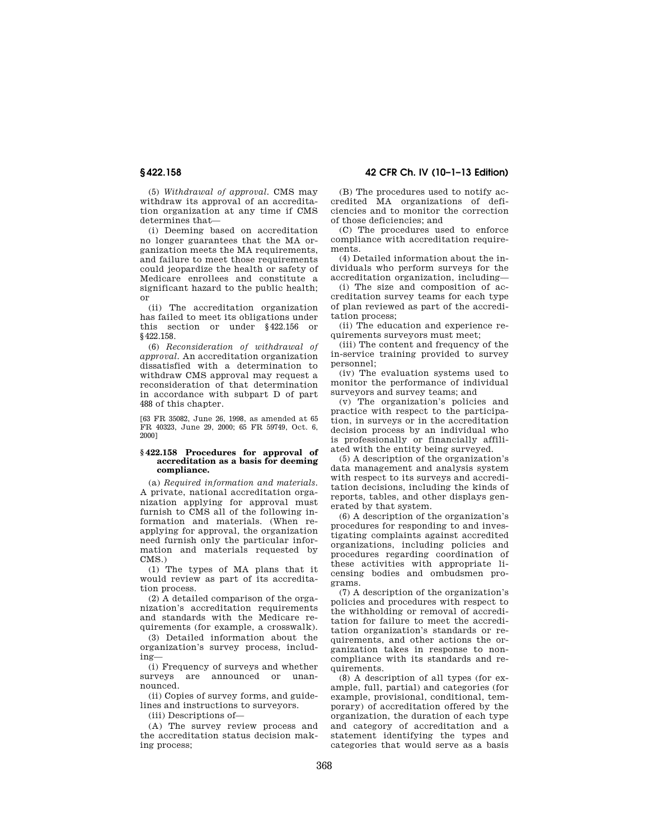(5) *Withdrawal of approval.* CMS may withdraw its approval of an accreditation organization at any time if CMS determines that—

(i) Deeming based on accreditation no longer guarantees that the MA organization meets the MA requirements, and failure to meet those requirements could jeopardize the health or safety of Medicare enrollees and constitute a significant hazard to the public health; or

(ii) The accreditation organization has failed to meet its obligations under this section or under §422.156 or §422.158.

(6) *Reconsideration of withdrawal of approval.* An accreditation organization dissatisfied with a determination to withdraw CMS approval may request a reconsideration of that determination in accordance with subpart D of part 488 of this chapter.

[63 FR 35082, June 26, 1998, as amended at 65 FR 40323, June 29, 2000; 65 FR 59749, Oct. 6, 2000]

#### **§ 422.158 Procedures for approval of accreditation as a basis for deeming compliance.**

(a) *Required information and materials.*  A private, national accreditation organization applying for approval must furnish to CMS all of the following information and materials. (When reapplying for approval, the organization need furnish only the particular information and materials requested by CMS.)

(1) The types of MA plans that it would review as part of its accreditation process.

(2) A detailed comparison of the organization's accreditation requirements and standards with the Medicare requirements (for example, a crosswalk).

(3) Detailed information about the organization's survey process, including—

(i) Frequency of surveys and whether surveys are announced or unannounced.

(ii) Copies of survey forms, and guidelines and instructions to surveyors.

(iii) Descriptions of—

(A) The survey review process and the accreditation status decision making process;

# **§ 422.158 42 CFR Ch. IV (10–1–13 Edition)**

(B) The procedures used to notify accredited MA organizations of deficiencies and to monitor the correction of those deficiencies; and

(C) The procedures used to enforce compliance with accreditation requirements.

(4) Detailed information about the individuals who perform surveys for the accreditation organization, including—

(i) The size and composition of accreditation survey teams for each type of plan reviewed as part of the accreditation process;

(ii) The education and experience requirements surveyors must meet;

(iii) The content and frequency of the in-service training provided to survey personnel;

(iv) The evaluation systems used to monitor the performance of individual surveyors and survey teams; and

(v) The organization's policies and practice with respect to the participation, in surveys or in the accreditation decision process by an individual who is professionally or financially affiliated with the entity being surveyed.

(5) A description of the organization's data management and analysis system with respect to its surveys and accreditation decisions, including the kinds of reports, tables, and other displays generated by that system.

(6) A description of the organization's procedures for responding to and investigating complaints against accredited organizations, including policies and procedures regarding coordination of these activities with appropriate licensing bodies and ombudsmen programs.

(7) A description of the organization's policies and procedures with respect to the withholding or removal of accreditation for failure to meet the accreditation organization's standards or requirements, and other actions the organization takes in response to noncompliance with its standards and requirements.

(8) A description of all types (for example, full, partial) and categories (for example, provisional, conditional, temporary) of accreditation offered by the organization, the duration of each type and category of accreditation and a statement identifying the types and categories that would serve as a basis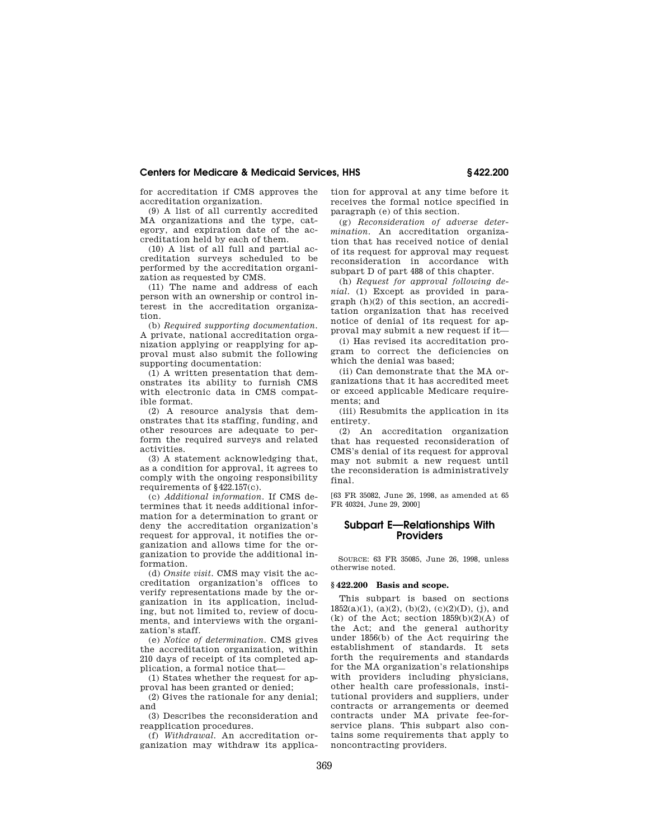for accreditation if CMS approves the accreditation organization.

(9) A list of all currently accredited MA organizations and the type, category, and expiration date of the accreditation held by each of them.

(10) A list of all full and partial accreditation surveys scheduled to be performed by the accreditation organization as requested by CMS.

(11) The name and address of each person with an ownership or control interest in the accreditation organization.

(b) *Required supporting documentation.*  A private, national accreditation organization applying or reapplying for approval must also submit the following supporting documentation:

(1) A written presentation that demonstrates its ability to furnish CMS with electronic data in CMS compatible format.

(2) A resource analysis that demonstrates that its staffing, funding, and other resources are adequate to perform the required surveys and related activities.

(3) A statement acknowledging that, as a condition for approval, it agrees to comply with the ongoing responsibility requirements of §422.157(c).

(c) *Additional information.* If CMS determines that it needs additional information for a determination to grant or deny the accreditation organization's request for approval, it notifies the organization and allows time for the organization to provide the additional information.

(d) *Onsite visit.* CMS may visit the accreditation organization's offices to verify representations made by the organization in its application, including, but not limited to, review of documents, and interviews with the organization's staff.

(e) *Notice of determination.* CMS gives the accreditation organization, within 210 days of receipt of its completed application, a formal notice that—

(1) States whether the request for approval has been granted or denied;

(2) Gives the rationale for any denial; and

(3) Describes the reconsideration and reapplication procedures.

(f) *Withdrawal.* An accreditation organization may withdraw its application for approval at any time before it receives the formal notice specified in paragraph (e) of this section.

(g) *Reconsideration of adverse determination.* An accreditation organization that has received notice of denial of its request for approval may request reconsideration in accordance with subpart D of part 488 of this chapter.

(h) *Request for approval following denial.* (1) Except as provided in paragraph (h)(2) of this section, an accreditation organization that has received notice of denial of its request for approval may submit a new request if it—

(i) Has revised its accreditation program to correct the deficiencies on which the denial was based;

(ii) Can demonstrate that the MA organizations that it has accredited meet or exceed applicable Medicare requirements; and

(iii) Resubmits the application in its entirety.

(2) An accreditation organization that has requested reconsideration of CMS's denial of its request for approval may not submit a new request until the reconsideration is administratively final.

[63 FR 35082, June 26, 1998, as amended at 65 FR 40324, June 29, 2000]

## **Subpart E—Relationships With Providers**

SOURCE: 63 FR 35085, June 26, 1998, unless otherwise noted.

## **§ 422.200 Basis and scope.**

This subpart is based on sections  $1852(a)(1)$ ,  $(a)(2)$ ,  $(b)(2)$ ,  $(c)(2)(D)$ ,  $(j)$ , and  $(k)$  of the Act; section  $1859(b)(2)(A)$  of the Act; and the general authority under 1856(b) of the Act requiring the establishment of standards. It sets forth the requirements and standards for the MA organization's relationships with providers including physicians, other health care professionals, institutional providers and suppliers, under contracts or arrangements or deemed contracts under MA private fee-forservice plans. This subpart also contains some requirements that apply to noncontracting providers.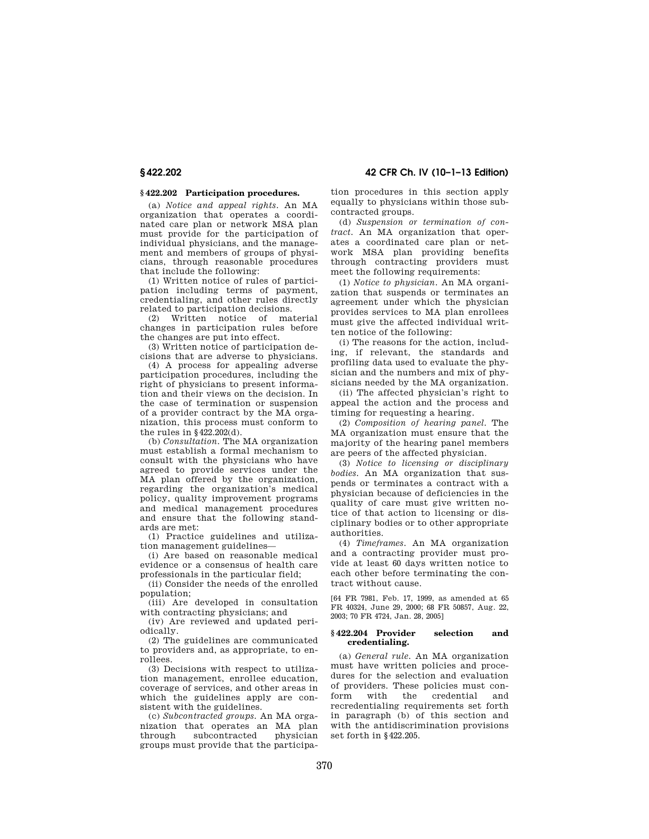## **§ 422.202 Participation procedures.**

(a) *Notice and appeal rights.* An MA organization that operates a coordinated care plan or network MSA plan must provide for the participation of individual physicians, and the management and members of groups of physicians, through reasonable procedures that include the following:

(1) Written notice of rules of participation including terms of payment, credentialing, and other rules directly related to participation decisions.

(2) Written notice of material changes in participation rules before the changes are put into effect.

(3) Written notice of participation decisions that are adverse to physicians.

(4) A process for appealing adverse participation procedures, including the right of physicians to present information and their views on the decision. In the case of termination or suspension of a provider contract by the MA organization, this process must conform to the rules in §422.202(d).

(b) *Consultation.* The MA organization must establish a formal mechanism to consult with the physicians who have agreed to provide services under the MA plan offered by the organization, regarding the organization's medical policy, quality improvement programs and medical management procedures and ensure that the following standards are met:

(1) Practice guidelines and utilization management guidelines—

(i) Are based on reasonable medical evidence or a consensus of health care professionals in the particular field;

(ii) Consider the needs of the enrolled population;

(iii) Are developed in consultation with contracting physicians; and

(iv) Are reviewed and updated periodically.

(2) The guidelines are communicated to providers and, as appropriate, to enrollees.

(3) Decisions with respect to utilization management, enrollee education, coverage of services, and other areas in which the guidelines apply are consistent with the guidelines.

(c) *Subcontracted groups.* An MA organization that operates an MA plan through subcontracted physician groups must provide that the participation procedures in this section apply equally to physicians within those subcontracted groups.

(d) *Suspension or termination of contract.* An MA organization that operates a coordinated care plan or network MSA plan providing benefits through contracting providers must meet the following requirements:

(1) *Notice to physician.* An MA organization that suspends or terminates an agreement under which the physician provides services to MA plan enrollees must give the affected individual written notice of the following:

(i) The reasons for the action, including, if relevant, the standards and profiling data used to evaluate the physician and the numbers and mix of physicians needed by the MA organization.

(ii) The affected physician's right to appeal the action and the process and timing for requesting a hearing.

(2) *Composition of hearing panel.* The MA organization must ensure that the majority of the hearing panel members are peers of the affected physician.

(3) *Notice to licensing or disciplinary bodies.* An MA organization that suspends or terminates a contract with a physician because of deficiencies in the quality of care must give written notice of that action to licensing or disciplinary bodies or to other appropriate authorities.

(4) *Timeframes.* An MA organization and a contracting provider must provide at least 60 days written notice to each other before terminating the contract without cause.

[64 FR 7981, Feb. 17, 1999, as amended at 65 FR 40324, June 29, 2000; 68 FR 50857, Aug. 22, 2003; 70 FR 4724, Jan. 28, 2005]

## **§ 422.204 Provider selection and credentialing.**

(a) *General rule.* An MA organization must have written policies and procedures for the selection and evaluation of providers. These policies must conform with the credential and recredentialing requirements set forth in paragraph (b) of this section and with the antidiscrimination provisions set forth in §422.205.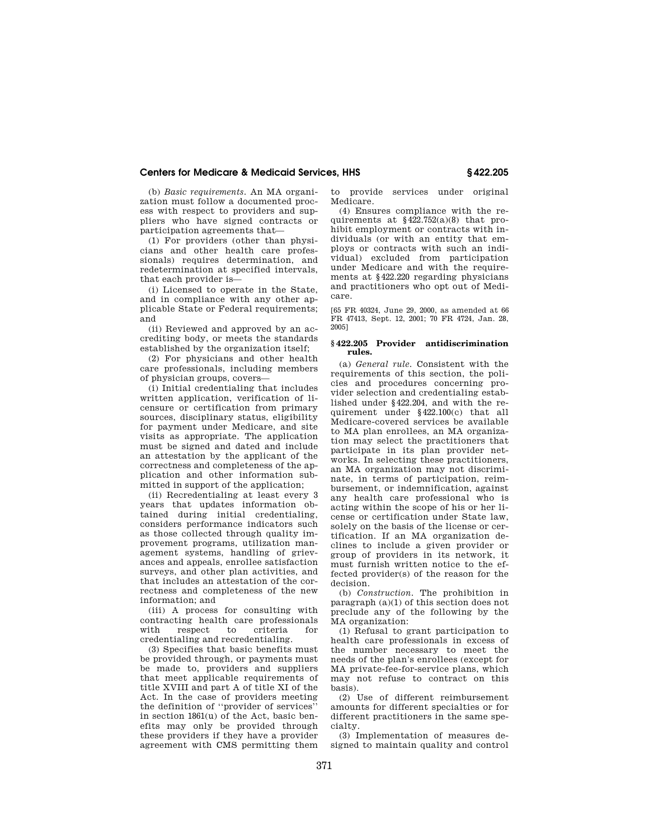(b) *Basic requirements.* An MA organization must follow a documented process with respect to providers and suppliers who have signed contracts or participation agreements that—

(1) For providers (other than physicians and other health care professionals) requires determination, and redetermination at specified intervals, that each provider is—

(i) Licensed to operate in the State, and in compliance with any other applicable State or Federal requirements; and

(ii) Reviewed and approved by an accrediting body, or meets the standards established by the organization itself;

(2) For physicians and other health care professionals, including members of physician groups, covers—

(i) Initial credentialing that includes written application, verification of licensure or certification from primary sources, disciplinary status, eligibility for payment under Medicare, and site visits as appropriate. The application must be signed and dated and include an attestation by the applicant of the correctness and completeness of the application and other information submitted in support of the application;

(ii) Recredentialing at least every 3 years that updates information obtained during initial credentialing, considers performance indicators such as those collected through quality improvement programs, utilization management systems, handling of grievances and appeals, enrollee satisfaction surveys, and other plan activities, and that includes an attestation of the correctness and completeness of the new information; and

(iii) A process for consulting with contracting health care professionals respect to criteria credentialing and recredentialing.

(3) Specifies that basic benefits must be provided through, or payments must be made to, providers and suppliers that meet applicable requirements of title XVIII and part A of title XI of the Act. In the case of providers meeting the definition of ''provider of services'' in section 1861(u) of the Act, basic benefits may only be provided through these providers if they have a provider agreement with CMS permitting them

to provide services under original Medicare.

(4) Ensures compliance with the requirements at  $§422.752(a)(8)$  that prohibit employment or contracts with individuals (or with an entity that employs or contracts with such an individual) excluded from participation under Medicare and with the requirements at §422.220 regarding physicians and practitioners who opt out of Medicare.

[65 FR 40324, June 29, 2000, as amended at 66 FR 47413, Sept. 12, 2001; 70 FR 4724, Jan. 28, 2005]

#### **§ 422.205 Provider antidiscrimination rules.**

(a) *General rule.* Consistent with the requirements of this section, the policies and procedures concerning provider selection and credentialing established under §422.204, and with the requirement under §422.100(c) that all Medicare-covered services be available to MA plan enrollees, an MA organization may select the practitioners that participate in its plan provider networks. In selecting these practitioners, an MA organization may not discriminate, in terms of participation, reimbursement, or indemnification, against any health care professional who is acting within the scope of his or her license or certification under State law, solely on the basis of the license or certification. If an MA organization declines to include a given provider or group of providers in its network, it must furnish written notice to the effected provider(s) of the reason for the decision.

(b) *Construction.* The prohibition in paragraph (a)(1) of this section does not preclude any of the following by the MA organization:

(1) Refusal to grant participation to health care professionals in excess of the number necessary to meet the needs of the plan's enrollees (except for MA private-fee-for-service plans, which may not refuse to contract on this basis).

(2) Use of different reimbursement amounts for different specialties or for different practitioners in the same specialty.

(3) Implementation of measures designed to maintain quality and control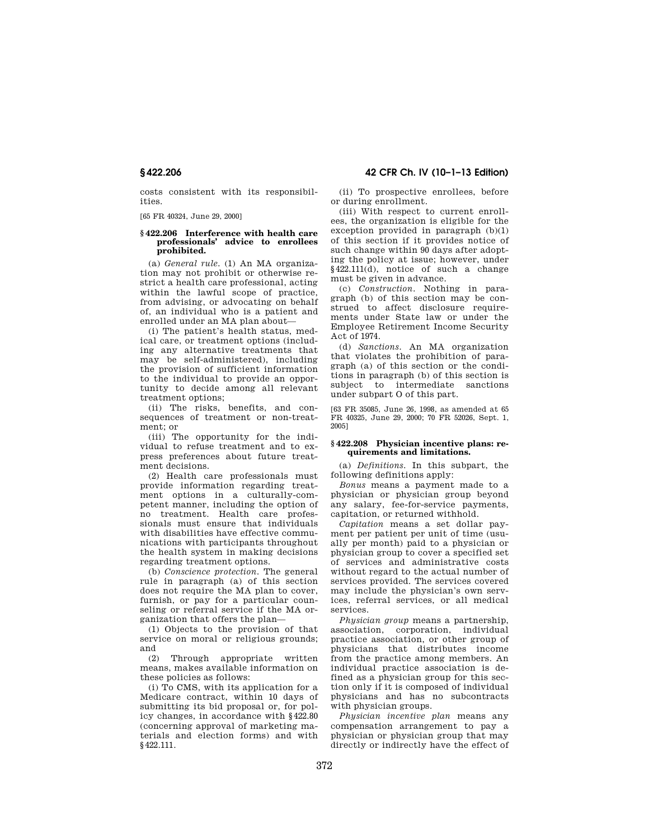costs consistent with its responsibilities.

[65 FR 40324, June 29, 2000]

#### **§ 422.206 Interference with health care professionals' advice to enrollees prohibited.**

(a) *General rule.* (1) An MA organization may not prohibit or otherwise restrict a health care professional, acting within the lawful scope of practice, from advising, or advocating on behalf of, an individual who is a patient and enrolled under an MA plan about—

(i) The patient's health status, medical care, or treatment options (including any alternative treatments that may be self-administered), including the provision of sufficient information to the individual to provide an opportunity to decide among all relevant treatment options;

(ii) The risks, benefits, and consequences of treatment or non-treatment; or

(iii) The opportunity for the individual to refuse treatment and to express preferences about future treatment decisions.

(2) Health care professionals must provide information regarding treatment options in a culturally-competent manner, including the option of no treatment. Health care professionals must ensure that individuals with disabilities have effective communications with participants throughout the health system in making decisions regarding treatment options.

(b) *Conscience protection.* The general rule in paragraph (a) of this section does not require the MA plan to cover, furnish, or pay for a particular counseling or referral service if the MA organization that offers the plan—

(1) Objects to the provision of that service on moral or religious grounds; and

(2) Through appropriate written means, makes available information on these policies as follows:

(i) To CMS, with its application for a Medicare contract, within 10 days of submitting its bid proposal or, for policy changes, in accordance with §422.80 (concerning approval of marketing materials and election forms) and with §422.111.

**§ 422.206 42 CFR Ch. IV (10–1–13 Edition)** 

(ii) To prospective enrollees, before or during enrollment.

(iii) With respect to current enrollees, the organization is eligible for the exception provided in paragraph  $(b)(1)$ of this section if it provides notice of such change within  $90$  days after adopting the policy at issue; however, under §422.111(d), notice of such a change must be given in advance.

(c) *Construction.* Nothing in paragraph (b) of this section may be construed to affect disclosure requirements under State law or under the Employee Retirement Income Security Act of 1974.

(d) *Sanctions.* An MA organization that violates the prohibition of paragraph (a) of this section or the conditions in paragraph (b) of this section is subject to intermediate sanctions under subpart O of this part.

[63 FR 35085, June 26, 1998, as amended at 65 FR 40325, June 29, 2000; 70 FR 52026, Sept. 1, 2005]

#### **§ 422.208 Physician incentive plans: requirements and limitations.**

(a) *Definitions.* In this subpart, the following definitions apply:

*Bonus* means a payment made to a physician or physician group beyond any salary, fee-for-service payments, capitation, or returned withhold.

*Capitation* means a set dollar payment per patient per unit of time (usually per month) paid to a physician or physician group to cover a specified set of services and administrative costs without regard to the actual number of services provided. The services covered may include the physician's own services, referral services, or all medical services.

*Physician group* means a partnership, association, corporation, individual practice association, or other group of physicians that distributes income from the practice among members. An individual practice association is defined as a physician group for this section only if it is composed of individual physicians and has no subcontracts with physician groups.

*Physician incentive plan* means any compensation arrangement to pay a physician or physician group that may directly or indirectly have the effect of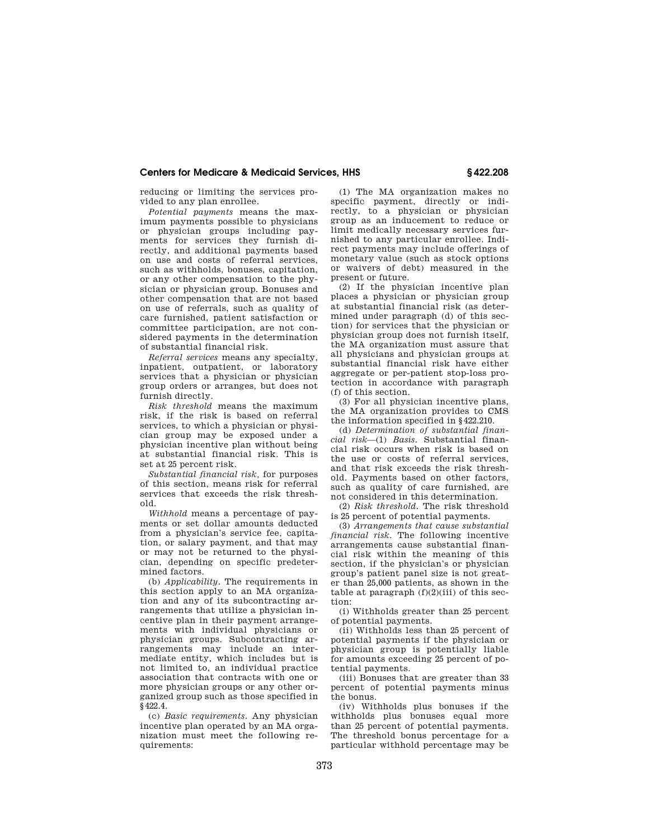reducing or limiting the services provided to any plan enrollee.

*Potential payments* means the maximum payments possible to physicians or physician groups including payments for services they furnish directly, and additional payments based on use and costs of referral services, such as withholds, bonuses, capitation, or any other compensation to the physician or physician group. Bonuses and other compensation that are not based on use of referrals, such as quality of care furnished, patient satisfaction or committee participation, are not considered payments in the determination of substantial financial risk.

*Referral services* means any specialty, inpatient, outpatient, or laboratory services that a physician or physician group orders or arranges, but does not furnish directly.

*Risk threshold* means the maximum risk, if the risk is based on referral services, to which a physician or physician group may be exposed under a physician incentive plan without being at substantial financial risk. This is set at 25 percent risk.

*Substantial financial risk,* for purposes of this section, means risk for referral services that exceeds the risk threshold.

*Withhold* means a percentage of payments or set dollar amounts deducted from a physician's service fee, capitation, or salary payment, and that may or may not be returned to the physician, depending on specific predetermined factors.

(b) *Applicability.* The requirements in this section apply to an MA organization and any of its subcontracting arrangements that utilize a physician incentive plan in their payment arrangements with individual physicians or physician groups. Subcontracting arrangements may include an intermediate entity, which includes but is not limited to, an individual practice association that contracts with one or more physician groups or any other organized group such as those specified in §422.4.

(c) *Basic requirements.* Any physician incentive plan operated by an MA organization must meet the following requirements:

(1) The MA organization makes no specific payment, directly or indirectly, to a physician or physician group as an inducement to reduce or limit medically necessary services furnished to any particular enrollee. Indirect payments may include offerings of monetary value (such as stock options or waivers of debt) measured in the present or future.

(2) If the physician incentive plan places a physician or physician group at substantial financial risk (as determined under paragraph (d) of this section) for services that the physician or physician group does not furnish itself, the MA organization must assure that all physicians and physician groups at substantial financial risk have either aggregate or per-patient stop-loss protection in accordance with paragraph (f) of this section.

(3) For all physician incentive plans, the MA organization provides to CMS the information specified in §422.210.

(d) *Determination of substantial financial risk*—(1) *Basis.* Substantial financial risk occurs when risk is based on the use or costs of referral services, and that risk exceeds the risk threshold. Payments based on other factors, such as quality of care furnished, are not considered in this determination.

(2) *Risk threshold.* The risk threshold is 25 percent of potential payments.

(3) *Arrangements that cause substantial financial risk.* The following incentive arrangements cause substantial financial risk within the meaning of this section, if the physician's or physician group's patient panel size is not greater than 25,000 patients, as shown in the table at paragraph  $(f)(2)(iii)$  of this section:

(i) Withholds greater than 25 percent of potential payments.

(ii) Withholds less than 25 percent of potential payments if the physician or physician group is potentially liable for amounts exceeding 25 percent of potential payments.

(iii) Bonuses that are greater than 33 percent of potential payments minus the bonus.

(iv) Withholds plus bonuses if the withholds plus bonuses equal more than 25 percent of potential payments. The threshold bonus percentage for a particular withhold percentage may be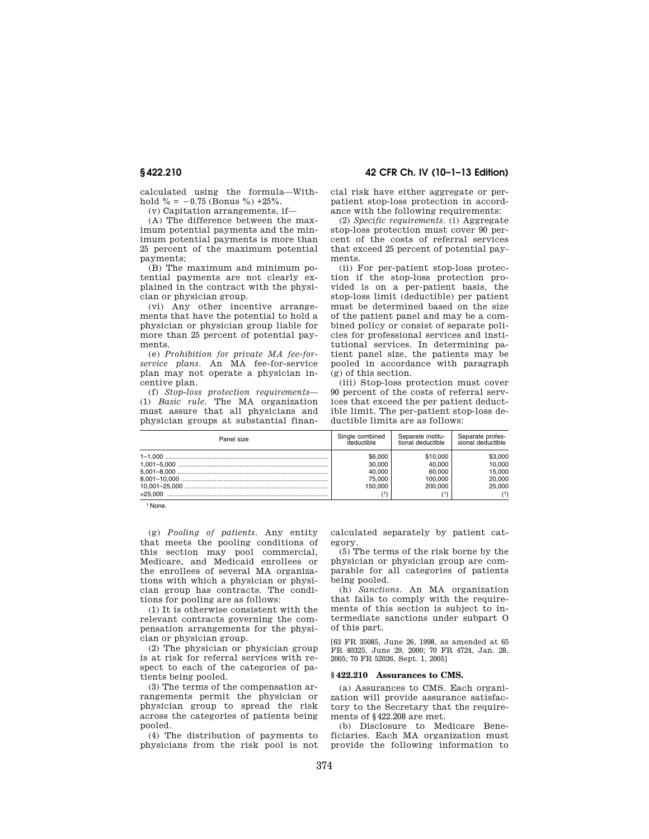calculated using the formula—Withhold  $\% = -0.75$  (Bonus  $\%$ ) +25%.

(v) Capitation arrangements, if—

(A) The difference between the maximum potential payments and the minimum potential payments is more than 25 percent of the maximum potential payments;

(B) The maximum and minimum potential payments are not clearly explained in the contract with the physician or physician group.

(vi) Any other incentive arrangements that have the potential to hold a physician or physician group liable for more than 25 percent of potential payments.

(e) *Prohibition for private MA fee-forservice plans.* An MA fee-for-service plan may not operate a physician incentive plan.

(f) *Stop-loss protection requirements*— (1) *Basic rule.* The MA organization must assure that all physicians and physician groups at substantial finan-

**§ 422.210 42 CFR Ch. IV (10–1–13 Edition)** 

cial risk have either aggregate or perpatient stop-loss protection in accordance with the following requirements:

(2) *Specific requirements.* (i) Aggregate stop-loss protection must cover 90 percent of the costs of referral services that exceed 25 percent of potential payments.

(ii) For per-patient stop-loss protection if the stop-loss protection provided is on a per-patient basis, the stop-loss limit (deductible) per patient must be determined based on the size of the patient panel and may be a combined policy or consist of separate policies for professional services and institutional services. In determining patient panel size, the patients may be pooled in accordance with paragraph (g) of this section.

(iii) Stop-loss protection must cover 90 percent of the costs of referral services that exceed the per patient deductible limit. The per-patient stop-loss deductible limits are as follows:

| Panel size | Single combined                                  | Separate institu-                                  | Separate profes-                                |
|------------|--------------------------------------------------|----------------------------------------------------|-------------------------------------------------|
|            | İeductible                                       | tional deductible                                  | sional deductible                               |
| >25.000    | \$6.000<br>30.000<br>40.000<br>75,000<br>150.000 | \$10,000<br>40.000<br>60,000<br>100.000<br>200,000 | \$3.000<br>10.000<br>15.000<br>20,000<br>25,000 |

1 None.

(g) *Pooling of patients.* Any entity that meets the pooling conditions of this section may pool commercial, Medicare, and Medicaid enrollees or the enrollees of several MA organizations with which a physician or physician group has contracts. The conditions for pooling are as follows:

(1) It is otherwise consistent with the relevant contracts governing the compensation arrangements for the physician or physician group.

(2) The physician or physician group is at risk for referral services with respect to each of the categories of patients being pooled.

(3) The terms of the compensation arrangements permit the physician or physician group to spread the risk across the categories of patients being pooled.

(4) The distribution of payments to physicians from the risk pool is not calculated separately by patient category.

(5) The terms of the risk borne by the physician or physician group are comparable for all categories of patients being pooled.

(h) *Sanctions.* An MA organization that fails to comply with the requirements of this section is subject to intermediate sanctions under subpart O of this part.

[63 FR 35085, June 26, 1998, as amended at 65 FR 40325, June 29, 2000; 70 FR 4724, Jan. 28, 2005; 70 FR 52026, Sept. 1, 2005]

#### **§ 422.210 Assurances to CMS.**

(a) Assurances to CMS. Each organization will provide assurance satisfactory to the Secretary that the requirements of §422.208 are met.

(b) Disclosure to Medicare Beneficiaries. Each MA organization must provide the following information to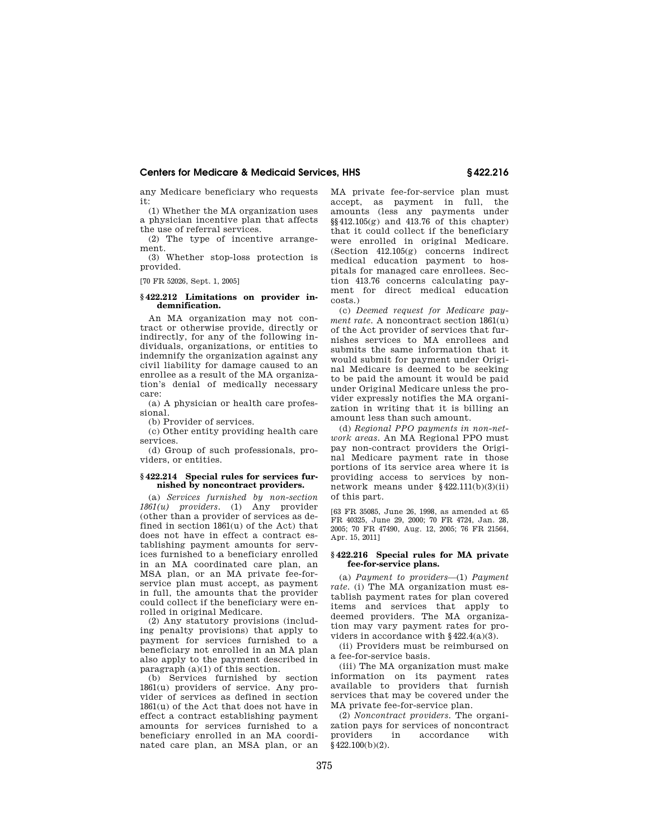any Medicare beneficiary who requests it:

(1) Whether the MA organization uses a physician incentive plan that affects the use of referral services.

(2) The type of incentive arrangement.

(3) Whether stop-loss protection is provided.

[70 FR 52026, Sept. 1, 2005]

## **§ 422.212 Limitations on provider indemnification.**

An MA organization may not contract or otherwise provide, directly or indirectly, for any of the following individuals, organizations, or entities to indemnify the organization against any civil liability for damage caused to an enrollee as a result of the MA organization's denial of medically necessary care:

(a) A physician or health care professional.

(b) Provider of services.

(c) Other entity providing health care services.

(d) Group of such professionals, providers, or entities.

#### **§ 422.214 Special rules for services furnished by noncontract providers.**

(a) *Services furnished by non-section 1861(u) providers.* (1) Any provider (other than a provider of services as defined in section 1861(u) of the Act) that does not have in effect a contract establishing payment amounts for services furnished to a beneficiary enrolled in an MA coordinated care plan, an MSA plan, or an MA private fee-forservice plan must accept, as payment in full, the amounts that the provider could collect if the beneficiary were enrolled in original Medicare.

(2) Any statutory provisions (including penalty provisions) that apply to payment for services furnished to a beneficiary not enrolled in an MA plan also apply to the payment described in paragraph (a)(1) of this section.

(b) Services furnished by section 1861(u) providers of service. Any provider of services as defined in section 1861(u) of the Act that does not have in effect a contract establishing payment amounts for services furnished to a beneficiary enrolled in an MA coordinated care plan, an MSA plan, or an

MA private fee-for-service plan must accept, as payment in full, the amounts (less any payments under §§412.105(g) and 413.76 of this chapter) that it could collect if the beneficiary were enrolled in original Medicare. (Section 412.105(g) concerns indirect medical education payment to hospitals for managed care enrollees. Section 413.76 concerns calculating payment for direct medical education costs.)

(c) *Deemed request for Medicare payment rate.* A noncontract section 1861(u) of the Act provider of services that furnishes services to MA enrollees and submits the same information that it would submit for payment under Original Medicare is deemed to be seeking to be paid the amount it would be paid under Original Medicare unless the provider expressly notifies the MA organization in writing that it is billing an amount less than such amount.

(d) *Regional PPO payments in non-network areas.* An MA Regional PPO must pay non-contract providers the Original Medicare payment rate in those portions of its service area where it is providing access to services by nonnetwork means under §422.111(b)(3)(ii) of this part.

[63 FR 35085, June 26, 1998, as amended at 65 FR 40325, June 29, 2000; 70 FR 4724, Jan. 28, 2005; 70 FR 47490, Aug. 12, 2005; 76 FR 21564, Apr. 15, 2011]

#### **§ 422.216 Special rules for MA private fee-for-service plans.**

(a) *Payment to providers*—(1) *Payment*  rate. (i) The MA organization must establish payment rates for plan covered items and services that apply to deemed providers. The MA organization may vary payment rates for providers in accordance with §422.4(a)(3).

(ii) Providers must be reimbursed on a fee-for-service basis.

(iii) The MA organization must make information on its payment rates available to providers that furnish services that may be covered under the MA private fee-for-service plan.

(2) *Noncontract providers.* The organization pays for services of noncontract providers in accordance with §422.100(b)(2).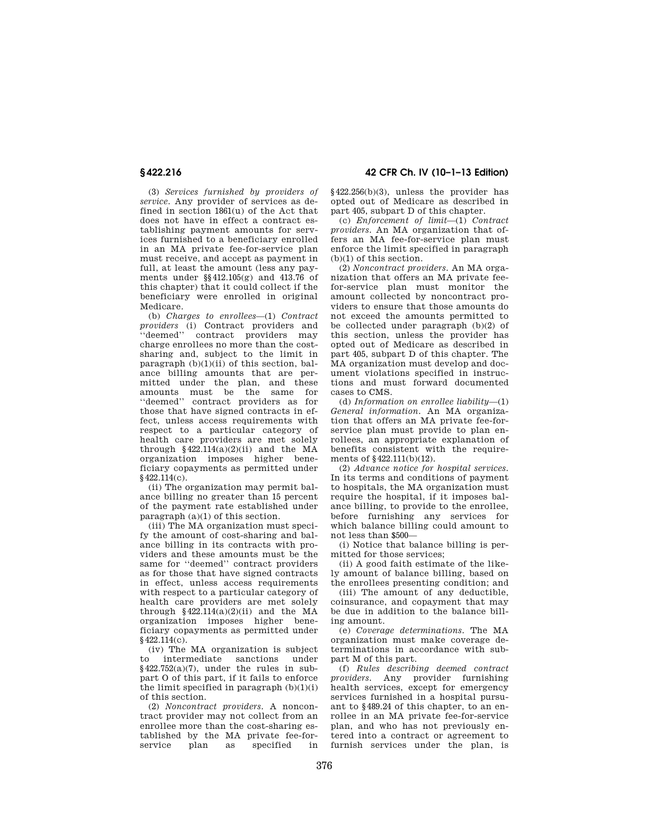(3) *Services furnished by providers of service.* Any provider of services as defined in section 1861(u) of the Act that does not have in effect a contract establishing payment amounts for services furnished to a beneficiary enrolled in an MA private fee-for-service plan must receive, and accept as payment in full, at least the amount (less any payments under §§412.105(g) and 413.76 of this chapter) that it could collect if the beneficiary were enrolled in original Medicare.

(b) *Charges to enrollees*—(1) *Contract providers* (i) Contract providers and ''deemed'' contract providers may charge enrollees no more than the costsharing and, subject to the limit in paragraph  $(b)(1)(ii)$  of this section, balance billing amounts that are permitted under the plan, and these amounts must be the same for ''deemed'' contract providers as for those that have signed contracts in effect, unless access requirements with respect to a particular category of health care providers are met solely through  $§422.114(a)(2)(ii)$  and the MA organization imposes higher beneficiary copayments as permitted under §422.114(c).

(ii) The organization may permit balance billing no greater than 15 percent of the payment rate established under paragraph (a)(1) of this section.

(iii) The MA organization must specify the amount of cost-sharing and balance billing in its contracts with providers and these amounts must be the same for ''deemed'' contract providers as for those that have signed contracts in effect, unless access requirements with respect to a particular category of health care providers are met solely through  $§422.114(a)(2)(ii)$  and the MA organization imposes higher beneficiary copayments as permitted under §422.114(c).

(iv) The MA organization is subject to intermediate sanctions under  $§422.752(a)(7)$ , under the rules in subpart O of this part, if it fails to enforce the limit specified in paragraph  $(b)(1)(i)$ of this section.

(2) *Noncontract providers.* A noncontract provider may not collect from an enrollee more than the cost-sharing established by the MA private fee-for-<br>service plan as specified in specified

# **§ 422.216 42 CFR Ch. IV (10–1–13 Edition)**

§422.256(b)(3), unless the provider has opted out of Medicare as described in part 405, subpart D of this chapter.

(c) *Enforcement of limit*—(1) *Contract providers.* An MA organization that offers an MA fee-for-service plan must enforce the limit specified in paragraph (b)(1) of this section.

(2) *Noncontract providers.* An MA organization that offers an MA private feefor-service plan must monitor the amount collected by noncontract providers to ensure that those amounts do not exceed the amounts permitted to be collected under paragraph  $(b)(2)$  of this section, unless the provider has opted out of Medicare as described in part 405, subpart D of this chapter. The MA organization must develop and document violations specified in instructions and must forward documented cases to CMS.

(d) *Information on enrollee liability*—(1) *General information.* An MA organization that offers an MA private fee-forservice plan must provide to plan enrollees, an appropriate explanation of benefits consistent with the requirements of §422.111(b)(12).

(2) *Advance notice for hospital services.*  In its terms and conditions of payment to hospitals, the MA organization must require the hospital, if it imposes balance billing, to provide to the enrollee, before furnishing any services for which balance billing could amount to not less than \$500—

(i) Notice that balance billing is permitted for those services;

(ii) A good faith estimate of the likely amount of balance billing, based on the enrollees presenting condition; and

(iii) The amount of any deductible, coinsurance, and copayment that may be due in addition to the balance billing amount.

(e) *Coverage determinations.* The MA organization must make coverage determinations in accordance with subpart M of this part.

(f) *Rules describing deemed contract providers.* Any provider furnishing health services, except for emergency services furnished in a hospital pursuant to §489.24 of this chapter, to an enrollee in an MA private fee-for-service plan, and who has not previously entered into a contract or agreement to furnish services under the plan, is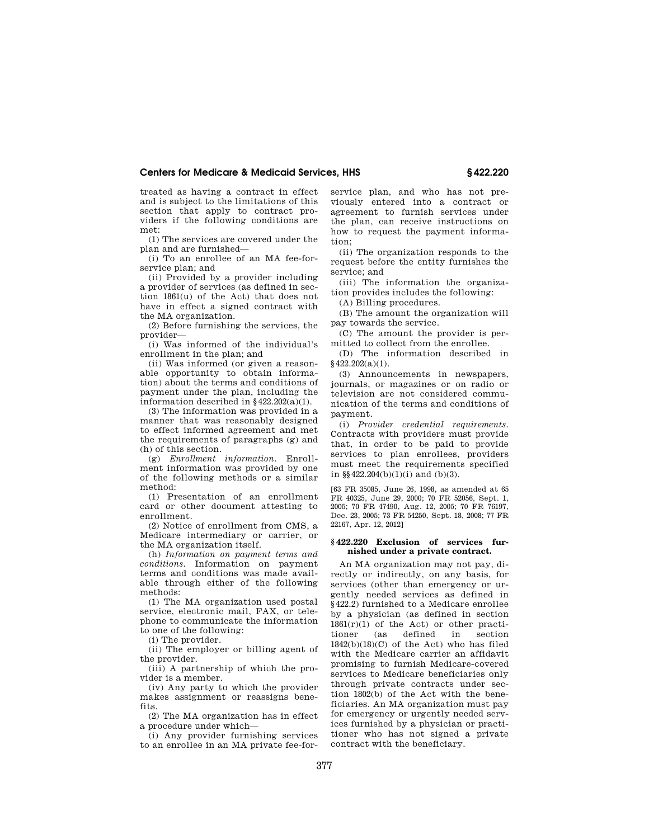treated as having a contract in effect and is subject to the limitations of this section that apply to contract providers if the following conditions are met:

(1) The services are covered under the plan and are furnished—

(i) To an enrollee of an MA fee-forservice plan; and

(ii) Provided by a provider including a provider of services (as defined in section 1861(u) of the Act) that does not have in effect a signed contract with the MA organization.

(2) Before furnishing the services, the provider—

(i) Was informed of the individual's enrollment in the plan; and

(ii) Was informed (or given a reasonable opportunity to obtain information) about the terms and conditions of payment under the plan, including the information described in §422.202(a)(1).

(3) The information was provided in a manner that was reasonably designed to effect informed agreement and met the requirements of paragraphs (g) and (h) of this section.

(g) *Enrollment information.* Enrollment information was provided by one of the following methods or a similar method:

(1) Presentation of an enrollment card or other document attesting to enrollment.

(2) Notice of enrollment from CMS, a Medicare intermediary or carrier, or the MA organization itself.

(h) *Information on payment terms and conditions.* Information on payment terms and conditions was made available through either of the following methods:

(1) The MA organization used postal service, electronic mail, FAX, or telephone to communicate the information to one of the following:

(i) The provider.

(ii) The employer or billing agent of the provider.

(iii) A partnership of which the provider is a member.

(iv) Any party to which the provider makes assignment or reassigns benefits.

(2) The MA organization has in effect a procedure under which—

(i) Any provider furnishing services to an enrollee in an MA private fee-forservice plan, and who has not previously entered into a contract or agreement to furnish services under the plan, can receive instructions on how to request the payment information;

(ii) The organization responds to the request before the entity furnishes the service; and

(iii) The information the organization provides includes the following:

(A) Billing procedures.

(B) The amount the organization will pay towards the service.

(C) The amount the provider is permitted to collect from the enrollee.

(D) The information described in  $§$ 422.202(a)(1).

(3) Announcements in newspapers, journals, or magazines or on radio or television are not considered communication of the terms and conditions of payment.

(i) *Provider credential requirements.*  Contracts with providers must provide that, in order to be paid to provide services to plan enrollees, providers must meet the requirements specified in  $\S$  422.204(b)(1)(i) and (b)(3).

[63 FR 35085, June 26, 1998, as amended at 65 FR 40325, June 29, 2000; 70 FR 52056, Sept. 1, 2005; 70 FR 47490, Aug. 12, 2005; 70 FR 76197, Dec. 23, 2005; 73 FR 54250, Sept. 18, 2008; 77 FR 22167, Apr. 12, 2012]

#### **§ 422.220 Exclusion of services furnished under a private contract.**

An MA organization may not pay, directly or indirectly, on any basis, for services (other than emergency or urgently needed services as defined in §422.2) furnished to a Medicare enrollee by a physician (as defined in section 1861(r)(1) of the Act) or other practitioner (as defined in section  $1842(b)(18)(C)$  of the Act) who has filed with the Medicare carrier an affidavit promising to furnish Medicare-covered services to Medicare beneficiaries only through private contracts under section 1802(b) of the Act with the beneficiaries. An MA organization must pay for emergency or urgently needed services furnished by a physician or practitioner who has not signed a private contract with the beneficiary.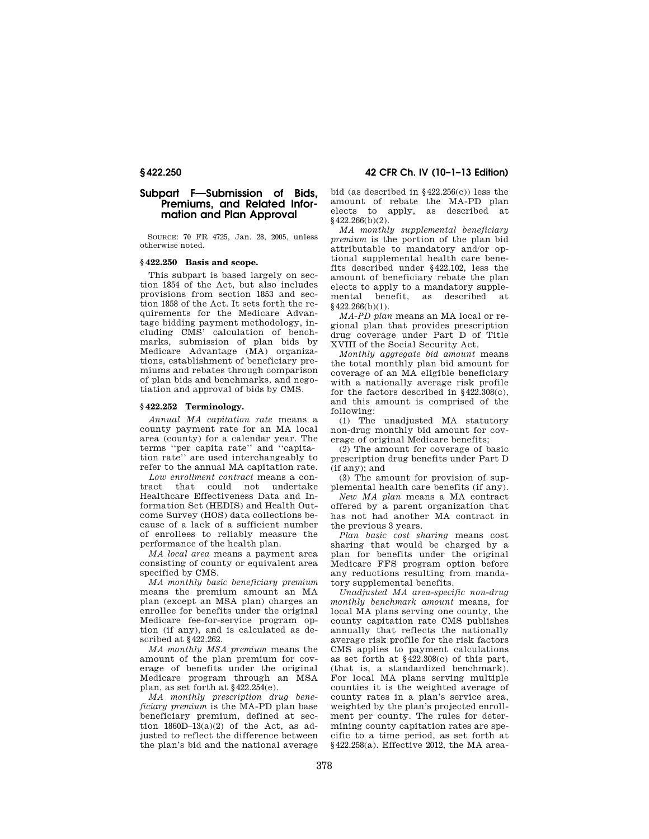# **Subpart F—Submission of Bids, Premiums, and Related Information and Plan Approval**

SOURCE: 70 FR 4725, Jan. 28, 2005, unless otherwise noted.

## **§ 422.250 Basis and scope.**

This subpart is based largely on section 1854 of the Act, but also includes provisions from section 1853 and section 1858 of the Act. It sets forth the requirements for the Medicare Advantage bidding payment methodology, including CMS' calculation of benchmarks, submission of plan bids by Medicare Advantage (MA) organizations, establishment of beneficiary premiums and rebates through comparison of plan bids and benchmarks, and negotiation and approval of bids by CMS.

## **§ 422.252 Terminology.**

*Annual MA capitation rate* means a county payment rate for an MA local area (county) for a calendar year. The terms ''per capita rate'' and ''capitation rate'' are used interchangeably to refer to the annual MA capitation rate.

*Low enrollment contract* means a contract that could not undertake Healthcare Effectiveness Data and Information Set (HEDIS) and Health Outcome Survey (HOS) data collections because of a lack of a sufficient number of enrollees to reliably measure the performance of the health plan.

*MA local area* means a payment area consisting of county or equivalent area specified by CMS.

*MA monthly basic beneficiary premium*  means the premium amount an MA plan (except an MSA plan) charges an enrollee for benefits under the original Medicare fee-for-service program option (if any), and is calculated as described at §422.262.

*MA monthly MSA premium* means the amount of the plan premium for coverage of benefits under the original Medicare program through an MSA plan, as set forth at §422.254(e).

*MA monthly prescription drug beneficiary premium* is the MA-PD plan base beneficiary premium, defined at section  $1860D-13(a)(2)$  of the Act, as adjusted to reflect the difference between the plan's bid and the national average

**§ 422.250 42 CFR Ch. IV (10–1–13 Edition)** 

bid (as described in §422.256(c)) less the amount of rebate the MA-PD plan elects to apply, as described at  $§$ 422.266(b)(2).

*MA monthly supplemental beneficiary premium* is the portion of the plan bid attributable to mandatory and/or optional supplemental health care benefits described under §422.102, less the amount of beneficiary rebate the plan elects to apply to a mandatory supple-<br>mental benefit as described at mental benefit, as described §422.266(b)(1).

*MA-PD plan* means an MA local or regional plan that provides prescription drug coverage under Part D of Title XVIII of the Social Security Act.

*Monthly aggregate bid amount* means the total monthly plan bid amount for coverage of an MA eligible beneficiary with a nationally average risk profile for the factors described in §422.308(c), and this amount is comprised of the following:

(1) The unadjusted MA statutory non-drug monthly bid amount for coverage of original Medicare benefits;

(2) The amount for coverage of basic prescription drug benefits under Part D (if any); and

(3) The amount for provision of supplemental health care benefits (if any).

*New MA plan* means a MA contract offered by a parent organization that has not had another MA contract in the previous 3 years.

*Plan basic cost sharing* means cost sharing that would be charged by a plan for benefits under the original Medicare FFS program option before any reductions resulting from mandatory supplemental benefits.

*Unadjusted MA area-specific non-drug monthly benchmark amount* means, for local MA plans serving one county, the county capitation rate CMS publishes annually that reflects the nationally average risk profile for the risk factors CMS applies to payment calculations as set forth at §422.308(c) of this part, (that is, a standardized benchmark). For local MA plans serving multiple counties it is the weighted average of county rates in a plan's service area, weighted by the plan's projected enrollment per county. The rules for determining county capitation rates are specific to a time period, as set forth at §422.258(a). Effective 2012, the MA area-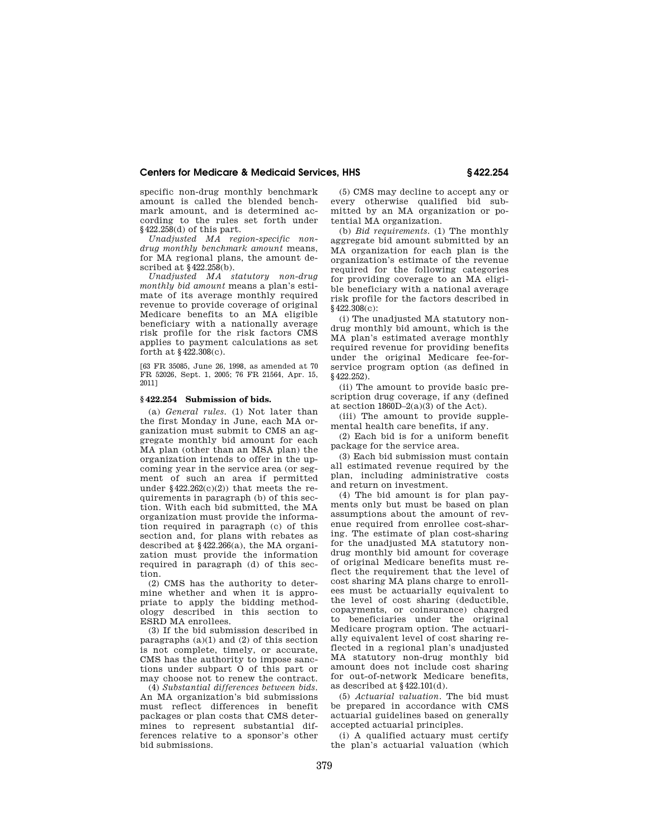specific non-drug monthly benchmark amount is called the blended benchmark amount, and is determined according to the rules set forth under §422.258(d) of this part.

*Unadjusted MA region-specific nondrug monthly benchmark amount* means, for MA regional plans, the amount described at §422.258(b).

*Unadjusted MA statutory non-drug monthly bid amount* means a plan's estimate of its average monthly required revenue to provide coverage of original Medicare benefits to an MA eligible beneficiary with a nationally average risk profile for the risk factors CMS applies to payment calculations as set forth at §422.308(c).

[63 FR 35085, June 26, 1998, as amended at 70 FR 52026, Sept. 1, 2005; 76 FR 21564, Apr. 15, 2011]

#### **§ 422.254 Submission of bids.**

(a) *General rules.* (1) Not later than the first Monday in June, each MA organization must submit to CMS an aggregate monthly bid amount for each MA plan (other than an MSA plan) the organization intends to offer in the upcoming year in the service area (or segment of such an area if permitted under  $$422.262(c)(2))$  that meets the requirements in paragraph (b) of this section. With each bid submitted, the MA organization must provide the information required in paragraph (c) of this section and, for plans with rebates as described at §422.266(a), the MA organization must provide the information required in paragraph (d) of this section.

(2) CMS has the authority to determine whether and when it is appropriate to apply the bidding methodology described in this section to ESRD MA enrollees.

(3) If the bid submission described in paragraphs  $(a)(1)$  and  $(2)$  of this section is not complete, timely, or accurate, CMS has the authority to impose sanctions under subpart O of this part or may choose not to renew the contract.

(4) *Substantial differences between bids.*  An MA organization's bid submissions must reflect differences in benefit packages or plan costs that CMS determines to represent substantial differences relative to a sponsor's other bid submissions.

(5) CMS may decline to accept any or every otherwise qualified bid submitted by an MA organization or potential MA organization.

(b) *Bid requirements.* (1) The monthly aggregate bid amount submitted by an MA organization for each plan is the organization's estimate of the revenue required for the following categories for providing coverage to an MA eligible beneficiary with a national average risk profile for the factors described in §422.308(c):

(i) The unadjusted MA statutory nondrug monthly bid amount, which is the MA plan's estimated average monthly required revenue for providing benefits under the original Medicare fee-forservice program option (as defined in §422.252).

(ii) The amount to provide basic prescription drug coverage, if any (defined at section  $1860D-2(a)(3)$  of the Act).

(iii) The amount to provide supplemental health care benefits, if any.

(2) Each bid is for a uniform benefit package for the service area.

(3) Each bid submission must contain all estimated revenue required by the plan, including administrative costs and return on investment.

(4) The bid amount is for plan payments only but must be based on plan assumptions about the amount of revenue required from enrollee cost-sharing. The estimate of plan cost-sharing for the unadjusted MA statutory nondrug monthly bid amount for coverage of original Medicare benefits must reflect the requirement that the level of cost sharing MA plans charge to enrollees must be actuarially equivalent to the level of cost sharing (deductible, copayments, or coinsurance) charged to beneficiaries under the original Medicare program option. The actuarially equivalent level of cost sharing reflected in a regional plan's unadjusted MA statutory non-drug monthly bid amount does not include cost sharing for out-of-network Medicare benefits, as described at §422.101(d).

(5) *Actuarial valuation.* The bid must be prepared in accordance with CMS actuarial guidelines based on generally accepted actuarial principles.

(i) A qualified actuary must certify the plan's actuarial valuation (which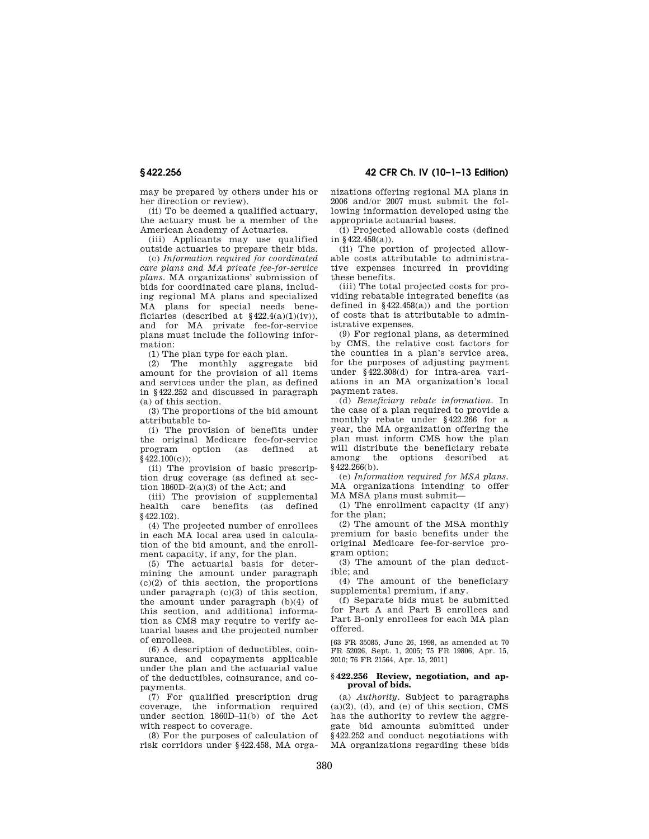**§ 422.256 42 CFR Ch. IV (10–1–13 Edition)** 

may be prepared by others under his or her direction or review).

(ii) To be deemed a qualified actuary, the actuary must be a member of the American Academy of Actuaries.

(iii) Applicants may use qualified outside actuaries to prepare their bids.

(c) *Information required for coordinated care plans and MA private fee-for-service plans.* MA organizations' submission of bids for coordinated care plans, including regional MA plans and specialized MA plans for special needs beneficiaries (described at  $\frac{6422.4(a)(1)(iv)}{i}$ , and for MA private fee-for-service plans must include the following information:

(1) The plan type for each plan.

(2) The monthly aggregate bid amount for the provision of all items and services under the plan, as defined in §422.252 and discussed in paragraph (a) of this section.

(3) The proportions of the bid amount attributable to-

(i) The provision of benefits under the original Medicare fee-for-service program option (as defined at  $§$  422.100(c));

(ii) The provision of basic prescription drug coverage (as defined at section  $1860D-2(a)(3)$  of the Act; and

(iii) The provision of supplemental health care benefits (as defined §422.102).

(4) The projected number of enrollees in each MA local area used in calculation of the bid amount, and the enrollment capacity, if any, for the plan.

(5) The actuarial basis for determining the amount under paragraph  $(c)(2)$  of this section, the proportions under paragraph (c)(3) of this section, the amount under paragraph (b)(4) of this section, and additional information as CMS may require to verify actuarial bases and the projected number of enrollees.

(6) A description of deductibles, coinsurance, and copayments applicable under the plan and the actuarial value of the deductibles, coinsurance, and copayments.

(7) For qualified prescription drug coverage, the information required under section 1860D–11(b) of the Act with respect to coverage.

(8) For the purposes of calculation of risk corridors under §422.458, MA organizations offering regional MA plans in 2006 and/or 2007 must submit the following information developed using the appropriate actuarial bases.

(i) Projected allowable costs (defined in §422.458(a)).

(ii) The portion of projected allowable costs attributable to administrative expenses incurred in providing these benefits.

(iii) The total projected costs for providing rebatable integrated benefits (as defined in §422.458(a)) and the portion of costs that is attributable to administrative expenses.

(9) For regional plans, as determined by CMS, the relative cost factors for the counties in a plan's service area, for the purposes of adjusting payment under §422.308(d) for intra-area variations in an MA organization's local payment rates.

(d) *Beneficiary rebate information.* In the case of a plan required to provide a monthly rebate under §422.266 for a year, the MA organization offering the plan must inform CMS how the plan will distribute the beneficiary rebate among the options described at §422.266(b).

(e) *Information required for MSA plans.*  MA organizations intending to offer MA MSA plans must submit—

(1) The enrollment capacity (if any) for the plan;

(2) The amount of the MSA monthly premium for basic benefits under the original Medicare fee-for-service program option;

(3) The amount of the plan deductible; and

(4) The amount of the beneficiary supplemental premium, if any.

(f) Separate bids must be submitted for Part A and Part B enrollees and Part B-only enrollees for each MA plan offered.

[63 FR 35085, June 26, 1998, as amended at 70 FR 52026, Sept. 1, 2005; 75 FR 19806, Apr. 15, 2010; 76 FR 21564, Apr. 15, 2011]

#### **§ 422.256 Review, negotiation, and approval of bids.**

(a) *Authority.* Subject to paragraphs  $(a)(2)$ ,  $(d)$ , and  $(e)$  of this section, CMS has the authority to review the aggregate bid amounts submitted under §422.252 and conduct negotiations with MA organizations regarding these bids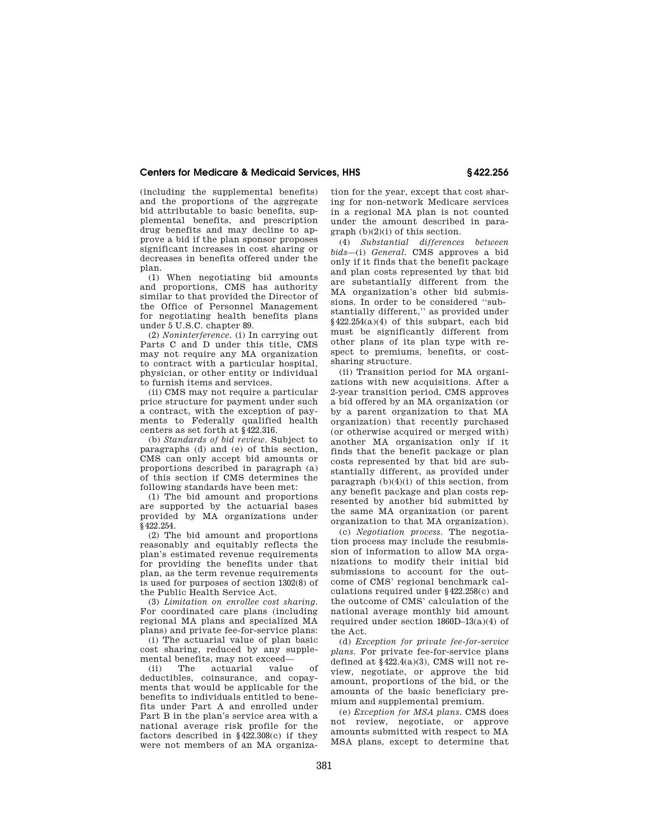(including the supplemental benefits) and the proportions of the aggregate bid attributable to basic benefits, supplemental benefits, and prescription drug benefits and may decline to approve a bid if the plan sponsor proposes significant increases in cost sharing or decreases in benefits offered under the plan.

(1) When negotiating bid amounts and proportions, CMS has authority similar to that provided the Director of the Office of Personnel Management for negotiating health benefits plans under 5 U.S.C. chapter 89.

(2) *Noninterference.* (i) In carrying out Parts C and D under this title, CMS may not require any MA organization to contract with a particular hospital, physician, or other entity or individual to furnish items and services.

(ii) CMS may not require a particular price structure for payment under such a contract, with the exception of payments to Federally qualified health centers as set forth at §422.316.

(b) *Standards of bid review.* Subject to paragraphs (d) and (e) of this section, CMS can only accept bid amounts or proportions described in paragraph (a) of this section if CMS determines the following standards have been met:

(1) The bid amount and proportions are supported by the actuarial bases provided by MA organizations under §422.254.

(2) The bid amount and proportions reasonably and equitably reflects the plan's estimated revenue requirements for providing the benefits under that plan, as the term revenue requirements is used for purposes of section 1302(8) of the Public Health Service Act.

(3) *Limitation on enrollee cost sharing.*  For coordinated care plans (including regional MA plans and specialized MA plans) and private fee-for-service plans:

(i) The actuarial value of plan basic cost sharing, reduced by any supplemental benefits, may not exceed—<br>(ii) The actuarial value

The actuarial deductibles, coinsurance, and copayments that would be applicable for the benefits to individuals entitled to benefits under Part A and enrolled under Part B in the plan's service area with a national average risk profile for the factors described in  $§422.308(c)$  if they were not members of an MA organization for the year, except that cost sharing for non-network Medicare services in a regional MA plan is not counted under the amount described in paragraph (b)(2)(i) of this section.

(4) *Substantial differences between bids*—(i) *General.* CMS approves a bid only if it finds that the benefit package and plan costs represented by that bid are substantially different from the MA organization's other bid submissions. In order to be considered ''substantially different,'' as provided under §422.254(a)(4) of this subpart, each bid must be significantly different from other plans of its plan type with respect to premiums, benefits, or costsharing structure.

(ii) Transition period for MA organizations with new acquisitions. After a 2-year transition period, CMS approves a bid offered by an MA organization (or by a parent organization to that MA organization) that recently purchased (or otherwise acquired or merged with) another MA organization only if it finds that the benefit package or plan costs represented by that bid are substantially different, as provided under paragraph  $(b)(4)(i)$  of this section, from any benefit package and plan costs represented by another bid submitted by the same MA organization (or parent organization to that MA organization).

(c) *Negotiation process.* The negotiation process may include the resubmission of information to allow MA organizations to modify their initial bid submissions to account for the outcome of CMS' regional benchmark calculations required under §422.258(c) and the outcome of CMS' calculation of the national average monthly bid amount required under section 1860D–13(a)(4) of the Act.

(d) *Exception for private fee-for-service plans.* For private fee-for-service plans defined at  $§422.4(a)(3)$ , CMS will not review, negotiate, or approve the bid amount, proportions of the bid, or the amounts of the basic beneficiary premium and supplemental premium.

(e) *Exception for MSA plans.* CMS does not review, negotiate, or approve amounts submitted with respect to MA MSA plans, except to determine that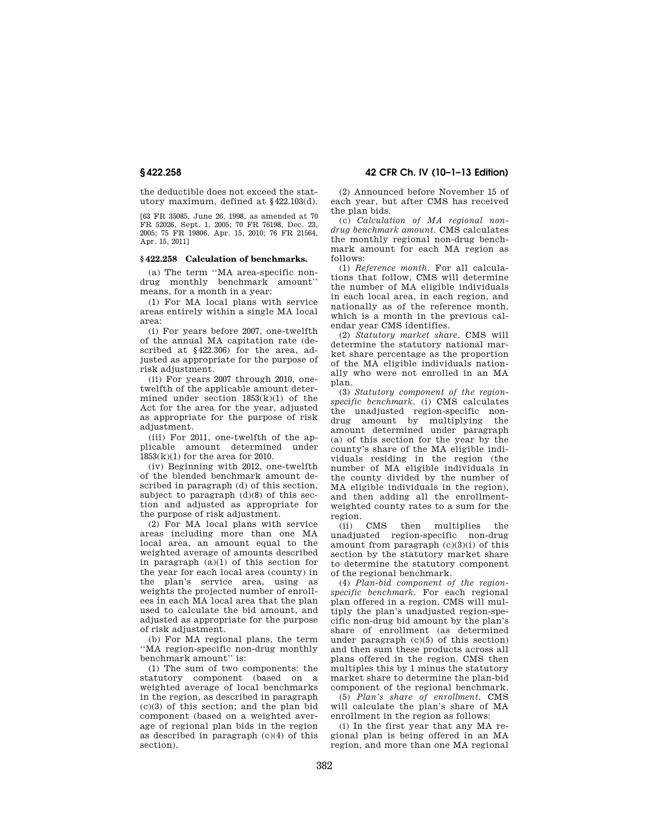the deductible does not exceed the statutory maximum, defined at §422.103(d).

[63 FR 35085, June 26, 1998, as amended at 70 FR 52026, Sept. 1, 2005; 70 FR 76198, Dec. 23. 2005; 75 FR 19806, Apr. 15, 2010; 76 FR 21564, Apr. 15, 2011]

#### **§ 422.258 Calculation of benchmarks.**

(a) The term ''MA area-specific nondrug monthly benchmark amount'' means, for a month in a year:

(1) For MA local plans with service areas entirely within a single MA local area:

(i) For years before 2007, one-twelfth of the annual MA capitation rate (described at §422.306) for the area, adjusted as appropriate for the purpose of risk adjustment.

(ii) For years 2007 through 2010, onetwelfth of the applicable amount determined under section  $1853(k)(1)$  of the Act for the area for the year, adjusted as appropriate for the purpose of risk adjustment.

(iii) For 2011, one-twelfth of the applicable amount determined under 1853(k)(1) for the area for 2010.

(iv) Beginning with 2012, one-twelfth of the blended benchmark amount described in paragraph (d) of this section, subject to paragraph (d)(8) of this section and adjusted as appropriate for the purpose of risk adjustment.

(2) For MA local plans with service areas including more than one MA local area, an amount equal to the weighted average of amounts described in paragraph (a)(1) of this section for the year for each local area (county) in the plan's service area, using as weights the projected number of enrollees in each MA local area that the plan used to calculate the bid amount, and adjusted as appropriate for the purpose of risk adjustment.

(b) For MA regional plans, the term ''MA region-specific non-drug monthly benchmark amount'' is:

(1) The sum of two components: the statutory component (based on a weighted average of local benchmarks in the region, as described in paragraph  $(c)(3)$  of this section; and the plan bid component (based on a weighted average of regional plan bids in the region as described in paragraph (c)(4) of this section).

(2) Announced before November 15 of each year, but after CMS has received the plan bids.

(c) *Calculation of MA regional nondrug benchmark amount.* CMS calculates the monthly regional non-drug benchmark amount for each MA region as follows:

(1) *Reference month.* For all calculations that follow, CMS will determine the number of MA eligible individuals in each local area, in each region, and nationally as of the reference month, which is a month in the previous calendar year CMS identifies.

(2) *Statutory market share.* CMS will determine the statutory national market share percentage as the proportion of the MA eligible individuals nationally who were not enrolled in an MA plan.

(3) *Statutory component of the regionspecific benchmark.* (i) CMS calculates the unadjusted region-specific nondrug amount by multiplying the amount determined under paragraph (a) of this section for the year by the county's share of the MA eligible individuals residing in the region (the number of MA eligible individuals in the county divided by the number of MA eligible individuals in the region), and then adding all the enrollmentweighted county rates to a sum for the region.

(ii) CMS then multiplies the unadjusted region-specific non-drug amount from paragraph  $(c)(3)(i)$  of this section by the statutory market share to determine the statutory component of the regional benchmark.

(4) *Plan-bid component of the regionspecific benchmark.* For each regional plan offered in a region, CMS will multiply the plan's unadjusted region-specific non-drug bid amount by the plan's share of enrollment (as determined under paragraph (c)(5) of this section) and then sum these products across all plans offered in the region. CMS then multiples this by 1 minus the statutory market share to determine the plan-bid component of the regional benchmark.

(5) *Plan's share of enrollment.* CMS will calculate the plan's share of MA enrollment in the region as follows:

(i) In the first year that any MA regional plan is being offered in an MA region, and more than one MA regional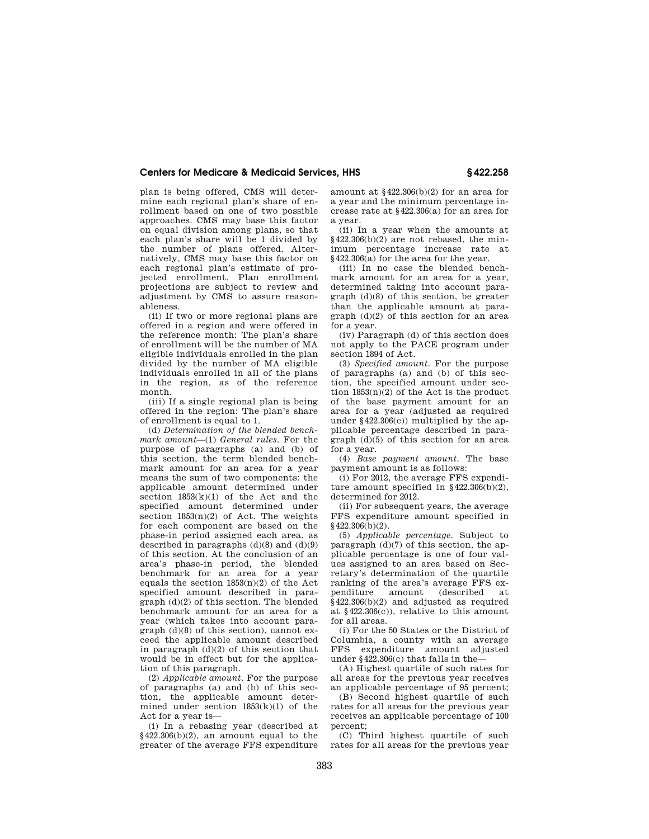plan is being offered, CMS will determine each regional plan's share of enrollment based on one of two possible approaches. CMS may base this factor on equal division among plans, so that each plan's share will be 1 divided by the number of plans offered. Alternatively, CMS may base this factor on each regional plan's estimate of projected enrollment. Plan enrollment projections are subject to review and adjustment by CMS to assure reasonableness.

(ii) If two or more regional plans are offered in a region and were offered in the reference month: The plan's share of enrollment will be the number of MA eligible individuals enrolled in the plan divided by the number of MA eligible individuals enrolled in all of the plans in the region, as of the reference month.

(iii) If a single regional plan is being offered in the region: The plan's share of enrollment is equal to 1.

(d) *Determination of the blended benchmark amount*—(1) *General rules.* For the purpose of paragraphs (a) and (b) of this section, the term blended benchmark amount for an area for a year means the sum of two components: the applicable amount determined under section 1853(k)(1) of the Act and the specified amount determined under section 1853(n)(2) of Act. The weights for each component are based on the phase-in period assigned each area, as described in paragraphs  $(d)(8)$  and  $(d)(9)$ of this section. At the conclusion of an area's phase-in period, the blended benchmark for an area for a year equals the section  $1853(n)(2)$  of the Act specified amount described in paragraph (d)(2) of this section. The blended benchmark amount for an area for a year (which takes into account paragraph (d)(8) of this section), cannot exceed the applicable amount described in paragraph (d)(2) of this section that would be in effect but for the application of this paragraph.

(2) *Applicable amount.* For the purpose of paragraphs (a) and (b) of this section, the applicable amount determined under section  $1853(k)(1)$  of the Act for a year is—

(i) In a rebasing year (described at  $§422.306(b)(2)$ , an amount equal to the greater of the average FFS expenditure amount at §422.306(b)(2) for an area for a year and the minimum percentage increase rate at §422.306(a) for an area for a year.

(ii) In a year when the amounts at  $§422.306(b)(2)$  are not rebased, the minimum percentage increase rate at §422.306(a) for the area for the year.

(iii) In no case the blended benchmark amount for an area for a year, determined taking into account paragraph (d)(8) of this section, be greater than the applicable amount at paragraph (d)(2) of this section for an area for a year.

(iv) Paragraph (d) of this section does not apply to the PACE program under section 1894 of Act.

(3) *Specified amount.* For the purpose of paragraphs (a) and (b) of this section, the specified amount under section  $1853(n)(2)$  of the Act is the product of the base payment amount for an area for a year (adjusted as required under  $§422.306(c)$  multiplied by the applicable percentage described in paragraph (d)(5) of this section for an area for a year.

(4) *Base payment amount.* The base payment amount is as follows:

(i) For 2012, the average FFS expenditure amount specified in  $§422.306(b)(2)$ , determined for 2012.

(ii) For subsequent years, the average FFS expenditure amount specified in  $§$ 422.306(b)(2).

(5) *Applicable percentage.* Subject to paragraph (d)(7) of this section, the applicable percentage is one of four values assigned to an area based on Secretary's determination of the quartile ranking of the area's average FFS ex-<br>penditure amount (described at amount (described at  $\frac{1}{8}$ 422.306(b)(2) and adjusted as required at §422.306(c)), relative to this amount for all areas.

(i) For the 50 States or the District of Columbia, a county with an average FFS expenditure amount adjusted under §422.306(c) that falls in the—

(A) Highest quartile of such rates for all areas for the previous year receives an applicable percentage of 95 percent;

(B) Second highest quartile of such rates for all areas for the previous year receives an applicable percentage of 100 percent;

(C) Third highest quartile of such rates for all areas for the previous year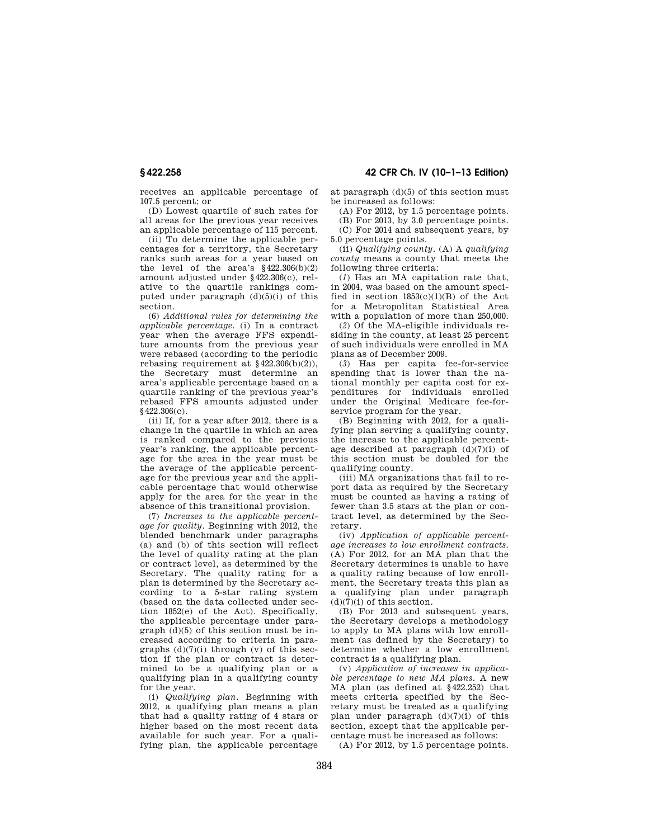receives an applicable percentage of 107.5 percent; or

(D) Lowest quartile of such rates for all areas for the previous year receives an applicable percentage of 115 percent.

(ii) To determine the applicable percentages for a territory, the Secretary ranks such areas for a year based on the level of the area's  $§422.306(b)(2)$ amount adjusted under §422.306(c), relative to the quartile rankings computed under paragraph  $(d)(5)(i)$  of this section.

(6) *Additional rules for determining the applicable percentage.* (i) In a contract year when the average FFS expenditure amounts from the previous year were rebased (according to the periodic rebasing requirement at  $$422.306(b)(2)$ , the Secretary must determine an area's applicable percentage based on a quartile ranking of the previous year's rebased FFS amounts adjusted under §422.306(c).

(ii) If, for a year after 2012, there is a change in the quartile in which an area is ranked compared to the previous year's ranking, the applicable percentage for the area in the year must be the average of the applicable percentage for the previous year and the applicable percentage that would otherwise apply for the area for the year in the absence of this transitional provision.

(7) *Increases to the applicable percentage for quality.* Beginning with 2012, the blended benchmark under paragraphs (a) and (b) of this section will reflect the level of quality rating at the plan or contract level, as determined by the Secretary. The quality rating for a plan is determined by the Secretary according to a 5-star rating system (based on the data collected under section 1852(e) of the Act). Specifically, the applicable percentage under paragraph (d)(5) of this section must be increased according to criteria in paragraphs  $(d)(7)(i)$  through  $(v)$  of this section if the plan or contract is determined to be a qualifying plan or a qualifying plan in a qualifying county for the year.

(i) *Qualifying plan.* Beginning with 2012, a qualifying plan means a plan that had a quality rating of 4 stars or higher based on the most recent data available for such year. For a qualifying plan, the applicable percentage

**§ 422.258 42 CFR Ch. IV (10–1–13 Edition)** 

at paragraph (d)(5) of this section must be increased as follows:

(A) For 2012, by 1.5 percentage points.

(B) For 2013, by 3.0 percentage points.

(C) For 2014 and subsequent years, by 5.0 percentage points.

(ii) *Qualifying county.* (A) A *qualifying county* means a county that meets the following three criteria:

(*1*) Has an MA capitation rate that, in 2004, was based on the amount specified in section  $1853(c)(1)(B)$  of the Act for a Metropolitan Statistical Area with a population of more than 250,000.

(*2*) Of the MA-eligible individuals residing in the county, at least 25 percent of such individuals were enrolled in MA plans as of December 2009.

(*3*) Has per capita fee-for-service spending that is lower than the national monthly per capita cost for expenditures for individuals enrolled under the Original Medicare fee-forservice program for the year.

(B) Beginning with 2012, for a qualifying plan serving a qualifying county, the increase to the applicable percentage described at paragraph  $(d)(7)(i)$  of this section must be doubled for the qualifying county.

(iii) MA organizations that fail to report data as required by the Secretary must be counted as having a rating of fewer than 3.5 stars at the plan or contract level, as determined by the Secretary.

(iv) *Application of applicable percentage increases to low enrollment contracts.*  (A) For 2012, for an MA plan that the Secretary determines is unable to have a quality rating because of low enrollment, the Secretary treats this plan as a qualifying plan under paragraph  $(d)(7)(i)$  of this section.

(B) For 2013 and subsequent years, the Secretary develops a methodology to apply to MA plans with low enrollment (as defined by the Secretary) to determine whether a low enrollment contract is a qualifying plan.

(v) *Application of increases in applicable percentage to new MA plans.* A new MA plan (as defined at §422.252) that meets criteria specified by the Secretary must be treated as a qualifying plan under paragraph  $(d)(7)(i)$  of this section, except that the applicable percentage must be increased as follows:

(A) For 2012, by 1.5 percentage points.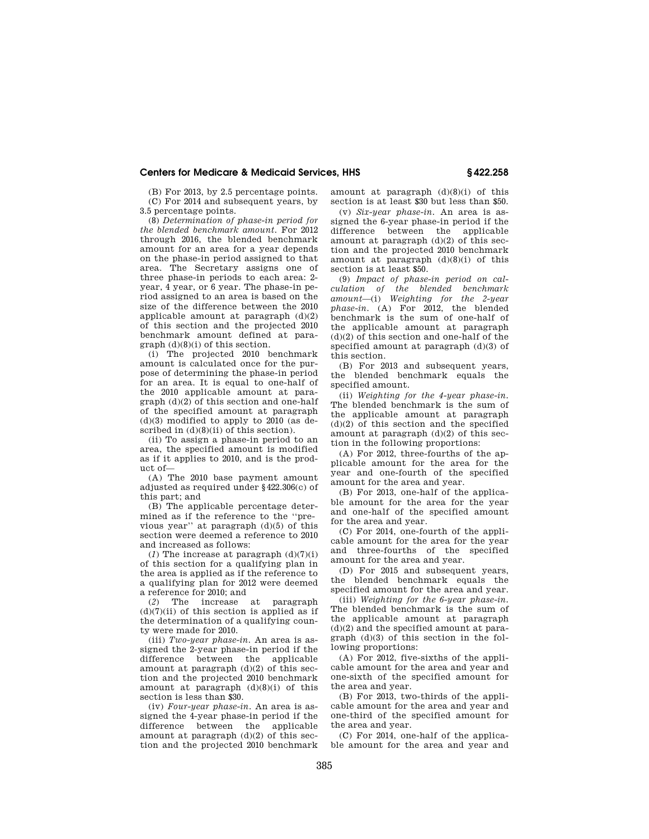(B) For 2013, by 2.5 percentage points. (C) For 2014 and subsequent years, by 3.5 percentage points.

(8) *Determination of phase-in period for the blended benchmark amount.* For 2012 through 2016, the blended benchmark amount for an area for a year depends on the phase-in period assigned to that area. The Secretary assigns one of three phase-in periods to each area: 2 year, 4 year, or 6 year. The phase-in period assigned to an area is based on the size of the difference between the 2010 applicable amount at paragraph  $(d)(2)$ of this section and the projected 2010 benchmark amount defined at paragraph (d)(8)(i) of this section.

(i) The projected 2010 benchmark amount is calculated once for the purpose of determining the phase-in period for an area. It is equal to one-half of the 2010 applicable amount at paragraph (d)(2) of this section and one-half of the specified amount at paragraph  $(d)(3)$  modified to apply to 2010 (as described in  $(d)(8)(ii)$  of this section).

(ii) To assign a phase-in period to an area, the specified amount is modified as if it applies to 2010, and is the product of—

(A) The 2010 base payment amount adjusted as required under §422.306(c) of this part; and

(B) The applicable percentage determined as if the reference to the ''previous year'' at paragraph (d)(5) of this section were deemed a reference to 2010 and increased as follows:

(*1*) The increase at paragraph  $(d)(7)(i)$ of this section for a qualifying plan in the area is applied as if the reference to a qualifying plan for 2012 were deemed a reference for 2010; and

(*2*) The increase at paragraph  $(d)(7)(ii)$  of this section is applied as if the determination of a qualifying county were made for 2010.

(iii) *Two-year phase-in.* An area is assigned the 2-year phase-in period if the difference between the applicable amount at paragraph  $(d)(2)$  of this section and the projected 2010 benchmark amount at paragraph  $(d)(8)(i)$  of this section is less than \$30.

(iv) *Four-year phase-in.* An area is assigned the 4-year phase-in period if the difference between the applicable amount at paragraph  $(d)(2)$  of this section and the projected 2010 benchmark amount at paragraph (d)(8)(i) of this section is at least \$30 but less than \$50.

(v) *Six-year phase-in.* An area is assigned the 6-year phase-in period if the difference between the applicable amount at paragraph  $(d)(2)$  of this section and the projected 2010 benchmark amount at paragraph  $(d)(8)(i)$  of this section is at least \$50.

(9) *Impact of phase-in period on calculation of the blended benchmark amount*—(i) *Weighting for the 2-year phase-in.* (A) For 2012, the blended benchmark is the sum of one-half of the applicable amount at paragraph (d)(2) of this section and one-half of the specified amount at paragraph (d)(3) of this section.

(B) For 2013 and subsequent years, the blended benchmark equals the specified amount.

(ii) *Weighting for the 4-year phase-in.*  The blended benchmark is the sum of the applicable amount at paragraph  $(d)(2)$  of this section and the specified amount at paragraph  $(d)(2)$  of this section in the following proportions:

(A) For 2012, three-fourths of the applicable amount for the area for the year and one-fourth of the specified amount for the area and year.

(B) For 2013, one-half of the applicable amount for the area for the year and one-half of the specified amount for the area and year.

(C) For 2014, one-fourth of the applicable amount for the area for the year and three-fourths of the specified amount for the area and year.

(D) For 2015 and subsequent years, the blended benchmark equals the specified amount for the area and year.

(iii) *Weighting for the 6-year phase-in.*  The blended benchmark is the sum of the applicable amount at paragraph (d)(2) and the specified amount at paragraph (d)(3) of this section in the following proportions:

(A) For 2012, five-sixths of the applicable amount for the area and year and one-sixth of the specified amount for the area and year.

(B) For 2013, two-thirds of the applicable amount for the area and year and one-third of the specified amount for the area and year.

(C) For 2014, one-half of the applicable amount for the area and year and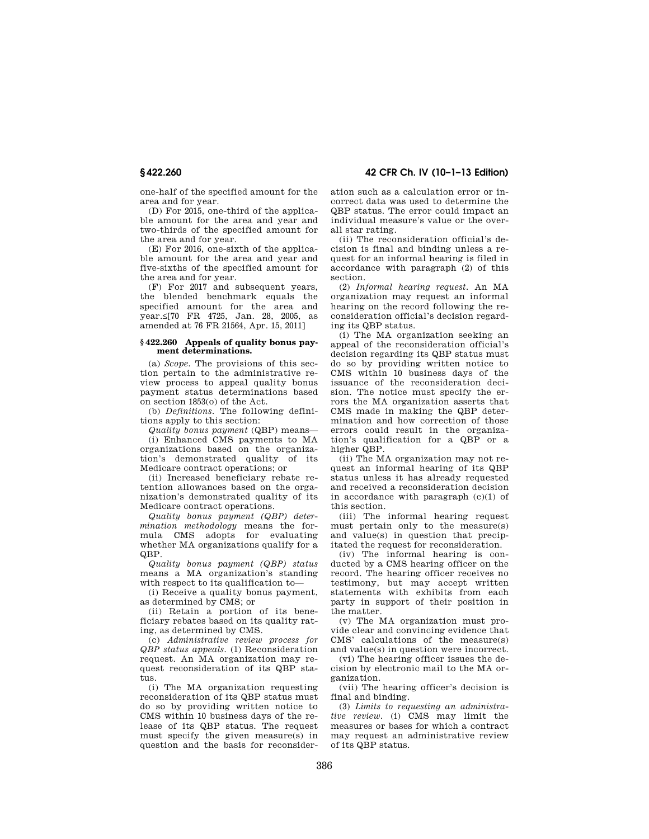one-half of the specified amount for the area and for year.

(D) For 2015, one-third of the applicable amount for the area and year and two-thirds of the specified amount for the area and for year.

(E) For 2016, one-sixth of the applicable amount for the area and year and five-sixths of the specified amount for the area and for year.

(F) For 2017 and subsequent years, the blended benchmark equals the specified amount for the area and year.≤[70 FR 4725, Jan. 28, 2005, as amended at 76 FR 21564, Apr. 15, 2011]

#### **§ 422.260 Appeals of quality bonus payment determinations.**

(a) *Scope.* The provisions of this section pertain to the administrative review process to appeal quality bonus payment status determinations based on section 1853(o) of the Act.

(b) *Definitions.* The following definitions apply to this section:

*Quality bonus payment* (QBP) means— (i) Enhanced CMS payments to MA organizations based on the organization's demonstrated quality of its Medicare contract operations; or

(ii) Increased beneficiary rebate retention allowances based on the organization's demonstrated quality of its Medicare contract operations.

*Quality bonus payment (QBP) determination methodology* means the formula CMS adopts for evaluating whether MA organizations qualify for a QBP.

*Quality bonus payment (QBP) status*  means a MA organization's standing with respect to its qualification to—

(i) Receive a quality bonus payment, as determined by CMS; or

(ii) Retain a portion of its beneficiary rebates based on its quality rating, as determined by CMS.

(c) *Administrative review process for QBP status appeals.* (1) Reconsideration request. An MA organization may request reconsideration of its QBP status.

(i) The MA organization requesting reconsideration of its QBP status must do so by providing written notice to CMS within 10 business days of the release of its QBP status. The request must specify the given measure(s) in question and the basis for reconsideration such as a calculation error or incorrect data was used to determine the QBP status. The error could impact an individual measure's value or the overall star rating.

(ii) The reconsideration official's decision is final and binding unless a request for an informal hearing is filed in accordance with paragraph (2) of this section.

(2) *Informal hearing request.* An MA organization may request an informal hearing on the record following the reconsideration official's decision regarding its QBP status.

(i) The MA organization seeking an appeal of the reconsideration official's decision regarding its QBP status must do so by providing written notice to CMS within 10 business days of the issuance of the reconsideration decision. The notice must specify the errors the MA organization asserts that CMS made in making the QBP determination and how correction of those errors could result in the organization's qualification for a QBP or a higher QBP.

(ii) The MA organization may not request an informal hearing of its QBP status unless it has already requested and received a reconsideration decision in accordance with paragraph (c)(1) of this section.

(iii) The informal hearing request must pertain only to the measure(s) and value(s) in question that precipitated the request for reconsideration.

(iv) The informal hearing is conducted by a CMS hearing officer on the record. The hearing officer receives no testimony, but may accept written statements with exhibits from each party in support of their position in the matter.

(v) The MA organization must provide clear and convincing evidence that CMS' calculations of the measure(s) and value(s) in question were incorrect.

(vi) The hearing officer issues the decision by electronic mail to the MA organization.

(vii) The hearing officer's decision is final and binding.

(3) *Limits to requesting an administrative review.* (i) CMS may limit the measures or bases for which a contract may request an administrative review of its QBP status.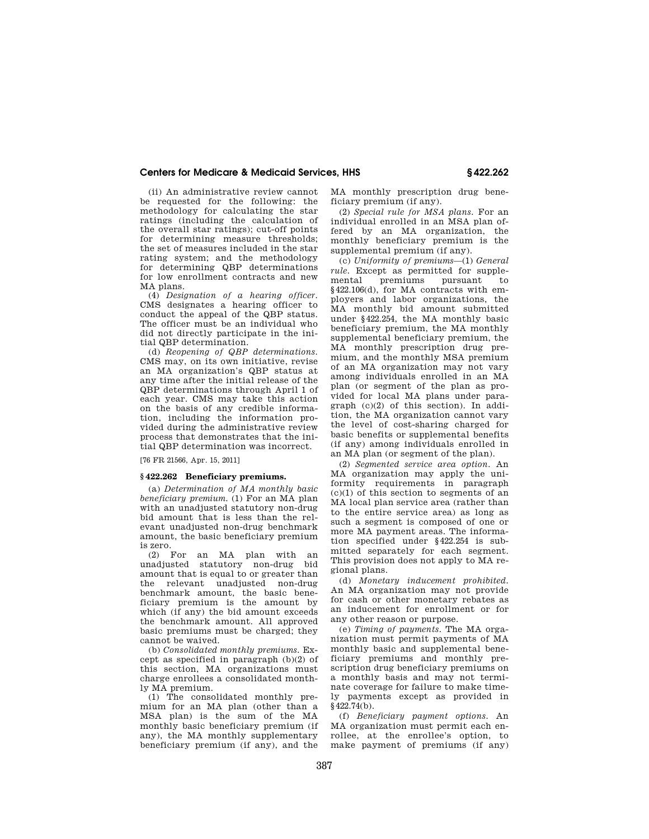(ii) An administrative review cannot be requested for the following: the methodology for calculating the star ratings (including the calculation of the overall star ratings); cut-off points for determining measure thresholds; the set of measures included in the star rating system; and the methodology for determining QBP determinations for low enrollment contracts and new MA plans.

(4) *Designation of a hearing officer.*  CMS designates a hearing officer to conduct the appeal of the QBP status. The officer must be an individual who did not directly participate in the initial QBP determination.

(d) *Reopening of QBP determinations.*  CMS may, on its own initiative, revise an MA organization's QBP status at any time after the initial release of the QBP determinations through April 1 of each year. CMS may take this action on the basis of any credible information, including the information provided during the administrative review process that demonstrates that the initial QBP determination was incorrect.

[76 FR 21566, Apr. 15, 2011]

#### **§ 422.262 Beneficiary premiums.**

(a) *Determination of MA monthly basic beneficiary premium.* (1) For an MA plan with an unadjusted statutory non-drug bid amount that is less than the relevant unadjusted non-drug benchmark amount, the basic beneficiary premium is zero.

(2) For an MA plan with an unadjusted statutory non-drug bid amount that is equal to or greater than the relevant unadjusted non-drug benchmark amount, the basic beneficiary premium is the amount by which (if any) the bid amount exceeds the benchmark amount. All approved basic premiums must be charged; they cannot be waived.

(b) *Consolidated monthly premiums.* Except as specified in paragraph (b)(2) of this section, MA organizations must charge enrollees a consolidated monthly MA premium.

(1) The consolidated monthly premium for an MA plan (other than a MSA plan) is the sum of the MA monthly basic beneficiary premium (if any), the MA monthly supplementary beneficiary premium (if any), and the

MA monthly prescription drug beneficiary premium (if any).

(2) *Special rule for MSA plans.* For an individual enrolled in an MSA plan offered by an MA organization, the monthly beneficiary premium is the supplemental premium (if any).

(c) *Uniformity of premiums*—(1) *General rule.* Except as permitted for supple-<br>mental premiums pursuant to mental premiums pursuant to §422.106(d), for MA contracts with employers and labor organizations, the MA monthly bid amount submitted under §422.254, the MA monthly basic beneficiary premium, the MA monthly supplemental beneficiary premium, the MA monthly prescription drug premium, and the monthly MSA premium of an MA organization may not vary among individuals enrolled in an MA plan (or segment of the plan as provided for local MA plans under paragraph (c)(2) of this section). In addition, the MA organization cannot vary the level of cost-sharing charged for basic benefits or supplemental benefits (if any) among individuals enrolled in an MA plan (or segment of the plan).

(2) *Segmented service area option.* An MA organization may apply the uniformity requirements in paragraph (c)(1) of this section to segments of an MA local plan service area (rather than to the entire service area) as long as such a segment is composed of one or more MA payment areas. The information specified under §422.254 is submitted separately for each segment. This provision does not apply to MA regional plans.

(d) *Monetary inducement prohibited.*  An MA organization may not provide for cash or other monetary rebates as an inducement for enrollment or for any other reason or purpose.

(e) *Timing of payments.* The MA organization must permit payments of MA monthly basic and supplemental beneficiary premiums and monthly prescription drug beneficiary premiums on a monthly basis and may not terminate coverage for failure to make timely payments except as provided in  $§422.74(b).$ 

(f) *Beneficiary payment options.* An MA organization must permit each enrollee, at the enrollee's option, to make payment of premiums (if any)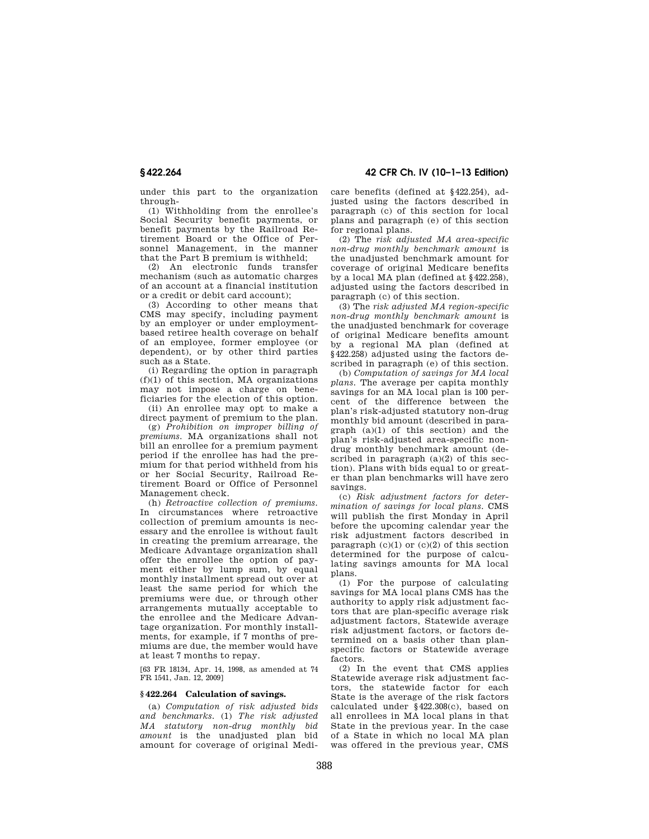**§ 422.264 42 CFR Ch. IV (10–1–13 Edition)** 

under this part to the organization through-

(1) Withholding from the enrollee's Social Security benefit payments, or benefit payments by the Railroad Retirement Board or the Office of Personnel Management, in the manner that the Part B premium is withheld;

(2) An electronic funds transfer mechanism (such as automatic charges of an account at a financial institution or a credit or debit card account);

(3) According to other means that CMS may specify, including payment by an employer or under employmentbased retiree health coverage on behalf of an employee, former employee (or dependent), or by other third parties such as a State.

(i) Regarding the option in paragraph (f)(1) of this section, MA organizations may not impose a charge on beneficiaries for the election of this option.

(ii) An enrollee may opt to make a direct payment of premium to the plan.

(g) *Prohibition on improper billing of premiums.* MA organizations shall not bill an enrollee for a premium payment period if the enrollee has had the premium for that period withheld from his or her Social Security, Railroad Retirement Board or Office of Personnel Management check.

(h) *Retroactive collection of premiums.*  In circumstances where retroactive collection of premium amounts is necessary and the enrollee is without fault in creating the premium arrearage, the Medicare Advantage organization shall offer the enrollee the option of payment either by lump sum, by equal monthly installment spread out over at least the same period for which the premiums were due, or through other arrangements mutually acceptable to the enrollee and the Medicare Advantage organization. For monthly installments, for example, if 7 months of premiums are due, the member would have at least 7 months to repay.

[63 FR 18134, Apr. 14, 1998, as amended at 74 FR 1541, Jan. 12, 2009]

## **§ 422.264 Calculation of savings.**

(a) *Computation of risk adjusted bids and benchmarks.* (1) *The risk adjusted MA statutory non-drug monthly bid amount* is the unadjusted plan bid amount for coverage of original Medicare benefits (defined at §422.254), adjusted using the factors described in paragraph (c) of this section for local plans and paragraph (e) of this section for regional plans.

(2) The *risk adjusted MA area-specific non-drug monthly benchmark amount* is the unadjusted benchmark amount for coverage of original Medicare benefits by a local MA plan (defined at §422.258), adjusted using the factors described in paragraph (c) of this section.

(3) The *risk adjusted MA region-specific non-drug monthly benchmark amount* is the unadjusted benchmark for coverage of original Medicare benefits amount by a regional MA plan (defined at §422.258) adjusted using the factors described in paragraph (e) of this section.

(b) *Computation of savings for MA local plans.* The average per capita monthly savings for an MA local plan is 100 percent of the difference between the plan's risk-adjusted statutory non-drug monthly bid amount (described in paragraph (a)(1) of this section) and the plan's risk-adjusted area-specific nondrug monthly benchmark amount (described in paragraph  $(a)(2)$  of this section). Plans with bids equal to or greater than plan benchmarks will have zero savings.

(c) *Risk adjustment factors for determination of savings for local plans.* CMS will publish the first Monday in April before the upcoming calendar year the risk adjustment factors described in paragraph  $(c)(1)$  or  $(c)(2)$  of this section determined for the purpose of calculating savings amounts for MA local plans.

(1) For the purpose of calculating savings for MA local plans CMS has the authority to apply risk adjustment factors that are plan-specific average risk adjustment factors, Statewide average risk adjustment factors, or factors determined on a basis other than planspecific factors or Statewide average factors.

(2) In the event that CMS applies Statewide average risk adjustment factors, the statewide factor for each State is the average of the risk factors calculated under §422.308(c), based on all enrollees in MA local plans in that State in the previous year. In the case of a State in which no local MA plan was offered in the previous year, CMS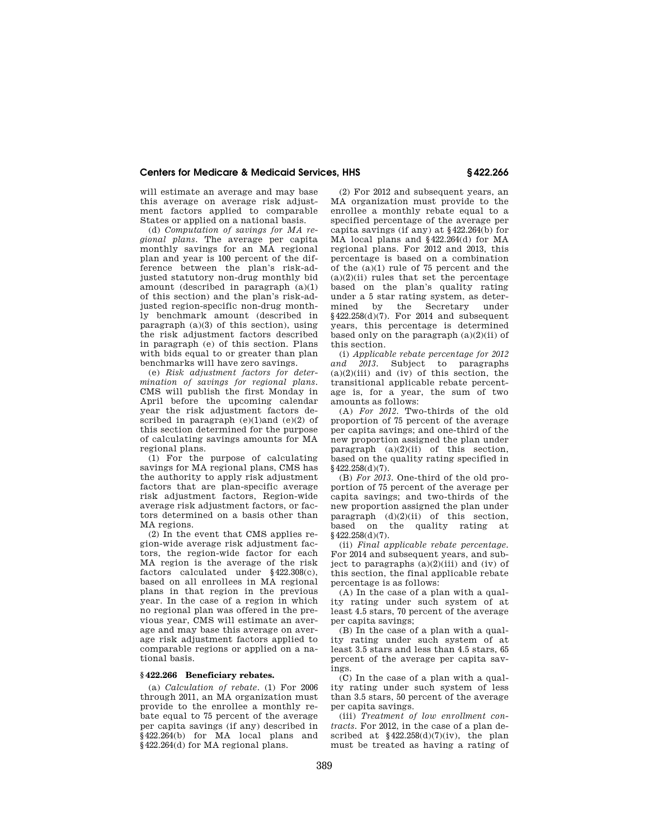will estimate an average and may base this average on average risk adjustment factors applied to comparable States or applied on a national basis.

(d) *Computation of savings for MA regional plans.* The average per capita monthly savings for an MA regional plan and year is 100 percent of the difference between the plan's risk-adjusted statutory non-drug monthly bid amount (described in paragraph (a)(1) of this section) and the plan's risk-adjusted region-specific non-drug monthly benchmark amount (described in paragraph (a)(3) of this section), using the risk adjustment factors described in paragraph (e) of this section. Plans with bids equal to or greater than plan benchmarks will have zero savings.

(e) *Risk adjustment factors for determination of savings for regional plans.*  CMS will publish the first Monday in April before the upcoming calendar year the risk adjustment factors described in paragraph  $(e)(1)$ and  $(e)(2)$  of this section determined for the purpose of calculating savings amounts for MA regional plans.

(1) For the purpose of calculating savings for MA regional plans, CMS has the authority to apply risk adjustment factors that are plan-specific average risk adjustment factors, Region-wide average risk adjustment factors, or factors determined on a basis other than MA regions.

(2) In the event that CMS applies region-wide average risk adjustment factors, the region-wide factor for each MA region is the average of the risk factors calculated under §422.308(c), based on all enrollees in MA regional plans in that region in the previous year. In the case of a region in which no regional plan was offered in the previous year, CMS will estimate an average and may base this average on average risk adjustment factors applied to comparable regions or applied on a national basis.

## **§ 422.266 Beneficiary rebates.**

(a) *Calculation of rebate.* (1) For 2006 through 2011, an MA organization must provide to the enrollee a monthly rebate equal to 75 percent of the average per capita savings (if any) described in §422.264(b) for MA local plans and  $\overline{\S}$  422.264(d) for MA regional plans.

(2) For 2012 and subsequent years, an MA organization must provide to the enrollee a monthly rebate equal to a specified percentage of the average per capita savings (if any) at §422.264(b) for MA local plans and §422.264(d) for MA regional plans. For 2012 and 2013, this percentage is based on a combination of the (a)(1) rule of 75 percent and the  $(a)(2)(ii)$  rules that set the percentage based on the plan's quality rating under a 5 star rating system, as determined by the Secretary under §422.258(d)(7). For 2014 and subsequent years, this percentage is determined based only on the paragraph  $(a)(2)(ii)$  of this section.

(i) *Applicable rebate percentage for 2012 and 2013.* Subject to paragraphs  $(a)(2)(iii)$  and  $(iv)$  of this section, the transitional applicable rebate percentage is, for a year, the sum of two amounts as follows:

(A) *For 2012.* Two-thirds of the old proportion of 75 percent of the average per capita savings; and one-third of the new proportion assigned the plan under paragraph  $(a)(2)(ii)$  of this section, based on the quality rating specified in §422.258(d)(7).

(B) *For 2013.* One-third of the old proportion of 75 percent of the average per capita savings; and two-thirds of the new proportion assigned the plan under  $\begin{bmatrix} \text{param} \\ \text{param} \\ \text{param} \end{bmatrix}$  (d)(2)(ii) of this section, based on the quality rating at based on the quality rating at  $§422.258(d)(7)$ .

(ii) *Final applicable rebate percentage.*  For 2014 and subsequent years, and subject to paragraphs  $(a)(2)(iii)$  and  $(iv)$  of this section, the final applicable rebate percentage is as follows:

(A) In the case of a plan with a quality rating under such system of at least 4.5 stars, 70 percent of the average per capita savings;

(B) In the case of a plan with a quality rating under such system of at least 3.5 stars and less than 4.5 stars, 65 percent of the average per capita savings.

(C) In the case of a plan with a quality rating under such system of less than 3.5 stars, 50 percent of the average per capita savings.

(iii) *Treatment of low enrollment contracts.* For 2012, in the case of a plan described at  $\frac{22.258(d)}{7(iv)}$ , the plan must be treated as having a rating of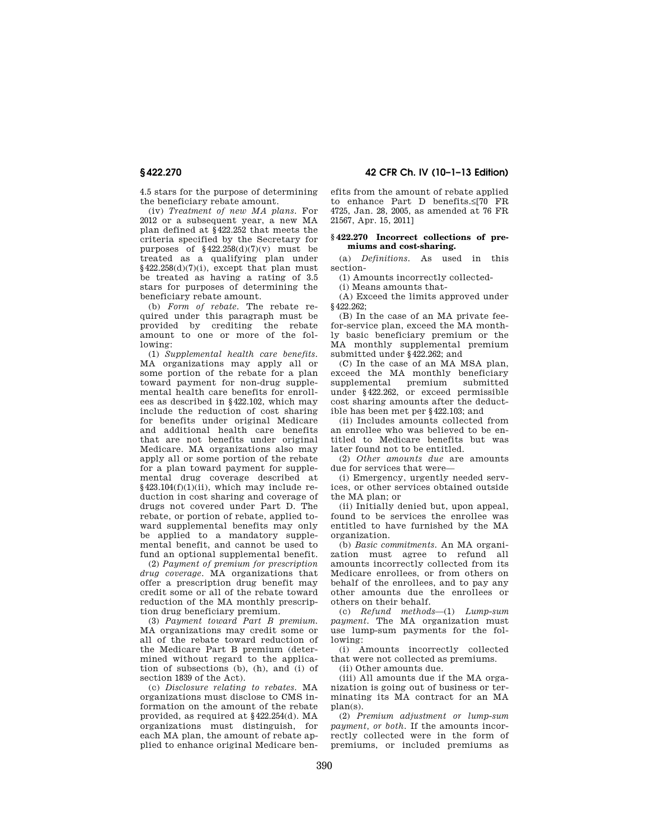4.5 stars for the purpose of determining the beneficiary rebate amount.

(iv) *Treatment of new MA plans.* For 2012 or a subsequent year, a new MA plan defined at §422.252 that meets the criteria specified by the Secretary for purposes of  $\frac{1}{2}$  422.258(d)(7)(v) must be treated as a qualifying plan under §422.258(d)(7)(i), except that plan must be treated as having a rating of 3.5 stars for purposes of determining the beneficiary rebate amount.

(b) *Form of rebate.* The rebate required under this paragraph must be provided by crediting the rebate amount to one or more of the following:

(1) *Supplemental health care benefits.*  MA organizations may apply all or some portion of the rebate for a plan toward payment for non-drug supplemental health care benefits for enrollees as described in §422.102, which may include the reduction of cost sharing for benefits under original Medicare and additional health care benefits that are not benefits under original Medicare. MA organizations also may apply all or some portion of the rebate for a plan toward payment for supplemental drug coverage described at §423.104(f)(1)(ii), which may include reduction in cost sharing and coverage of drugs not covered under Part D. The rebate, or portion of rebate, applied toward supplemental benefits may only be applied to a mandatory supplemental benefit, and cannot be used to fund an optional supplemental benefit.

(2) *Payment of premium for prescription drug coverage.* MA organizations that offer a prescription drug benefit may credit some or all of the rebate toward reduction of the MA monthly prescription drug beneficiary premium.

(3) *Payment toward Part B premium.*  MA organizations may credit some or all of the rebate toward reduction of the Medicare Part B premium (determined without regard to the application of subsections (b), (h), and (i) of section 1839 of the Act).

(c) *Disclosure relating to rebates.* MA organizations must disclose to CMS information on the amount of the rebate provided, as required at §422.254(d). MA organizations must distinguish, for each MA plan, the amount of rebate applied to enhance original Medicare ben-

**§ 422.270 42 CFR Ch. IV (10–1–13 Edition)** 

efits from the amount of rebate applied to enhance Part D benefits.≤[70 FR 4725, Jan. 28, 2005, as amended at 76 FR 21567, Apr. 15, 2011]

#### **§ 422.270 Incorrect collections of premiums and cost-sharing.**

(a) *Definitions.* As used in this section-

(1) Amounts incorrectly collected-

(i) Means amounts that-

(A) Exceed the limits approved under §422.262;

(B) In the case of an MA private feefor-service plan, exceed the MA monthly basic beneficiary premium or the MA monthly supplemental premium submitted under §422.262; and

(C) In the case of an MA MSA plan, exceed the MA monthly beneficiary<br>supplemental premium submitted supplemental premium under §422.262, or exceed permissible cost sharing amounts after the deductible has been met per §422.103; and

(ii) Includes amounts collected from an enrollee who was believed to be entitled to Medicare benefits but was later found not to be entitled.

(2) *Other amounts due* are amounts due for services that were—

(i) Emergency, urgently needed services, or other services obtained outside the MA plan; or

(ii) Initially denied but, upon appeal, found to be services the enrollee was entitled to have furnished by the MA organization.

(b) *Basic commitments.* An MA organization must agree to refund all amounts incorrectly collected from its Medicare enrollees, or from others on behalf of the enrollees, and to pay any other amounts due the enrollees or others on their behalf.

(c) *Refund methods*—(1) *Lump-sum payment.* The MA organization must use lump-sum payments for the following:

(i) Amounts incorrectly collected that were not collected as premiums.

(ii) Other amounts due.

(iii) All amounts due if the MA organization is going out of business or terminating its MA contract for an MA plan(s).

(2) *Premium adjustment or lump-sum payment, or both.* If the amounts incorrectly collected were in the form of premiums, or included premiums as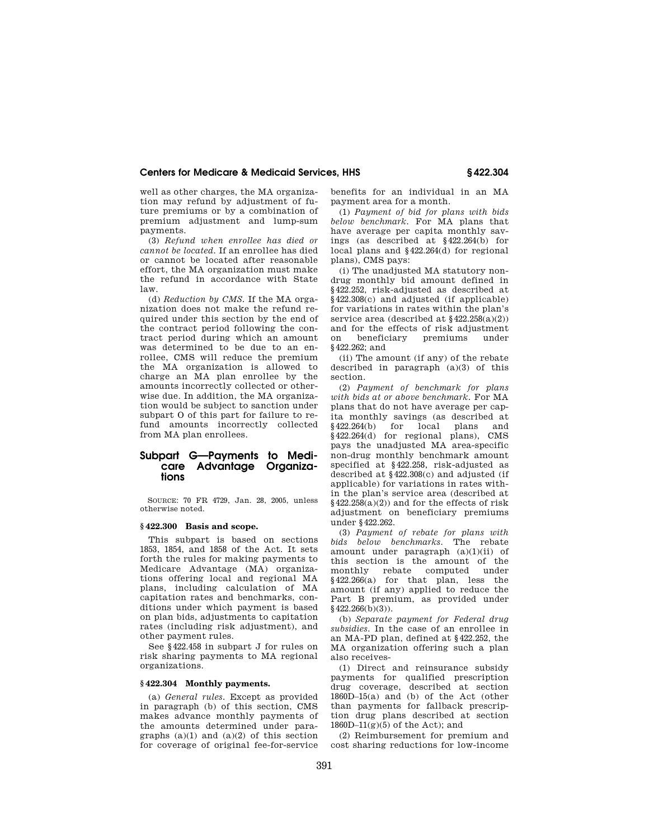well as other charges, the MA organization may refund by adjustment of future premiums or by a combination of premium adjustment and lump-sum payments.

(3) *Refund when enrollee has died or cannot be located.* If an enrollee has died or cannot be located after reasonable effort, the MA organization must make the refund in accordance with State law.

(d) *Reduction by CMS.* If the MA organization does not make the refund required under this section by the end of the contract period following the contract period during which an amount was determined to be due to an enrollee, CMS will reduce the premium the MA organization is allowed to charge an MA plan enrollee by the amounts incorrectly collected or otherwise due. In addition, the MA organization would be subject to sanction under subpart O of this part for failure to refund amounts incorrectly collected from MA plan enrollees.

# **Subpart G—Payments to Medicare Advantage Organizations**

SOURCE: 70 FR 4729, Jan. 28, 2005, unless otherwise noted.

#### **§ 422.300 Basis and scope.**

This subpart is based on sections 1853, 1854, and 1858 of the Act. It sets forth the rules for making payments to Medicare Advantage (MA) organizations offering local and regional MA plans, including calculation of MA capitation rates and benchmarks, conditions under which payment is based on plan bids, adjustments to capitation rates (including risk adjustment), and other payment rules.

See §422.458 in subpart J for rules on risk sharing payments to MA regional organizations.

# **§ 422.304 Monthly payments.**

(a) *General rules.* Except as provided in paragraph (b) of this section, CMS makes advance monthly payments of the amounts determined under paragraphs  $(a)(1)$  and  $(a)(2)$  of this section for coverage of original fee-for-service benefits for an individual in an MA payment area for a month.

(1) *Payment of bid for plans with bids below benchmark.* For MA plans that have average per capita monthly savings (as described at §422.264(b) for local plans and §422.264(d) for regional plans), CMS pays:

(i) The unadjusted MA statutory nondrug monthly bid amount defined in §422.252, risk-adjusted as described at §422.308(c) and adjusted (if applicable) for variations in rates within the plan's service area (described at  $\frac{22.258(a)(2)}{2}$ and for the effects of risk adjustment on beneficiary premiums under §422.262; and

(ii) The amount (if any) of the rebate described in paragraph (a)(3) of this section.

(2) *Payment of benchmark for plans with bids at or above benchmark.* For MA plans that do not have average per capita monthly savings (as described at  $§422.264(b)$  for local plans and §422.264(b) for local plans and §422.264(d) for regional plans), CMS pays the unadjusted MA area-specific non-drug monthly benchmark amount specified at §422.258, risk-adjusted as described at §422.308(c) and adjusted (if applicable) for variations in rates within the plan's service area (described at  $§422.258(a)(2))$  and for the effects of risk adjustment on beneficiary premiums under §422.262.

(3) *Payment of rebate for plans with bids below benchmarks.* The rebate amount under paragraph (a)(1)(ii) of this section is the amount of the monthly rebate computed under §422.266(a) for that plan, less the amount (if any) applied to reduce the Part B premium, as provided under  $§$ 422.266(b)(3)).

(b) *Separate payment for Federal drug subsidies.* In the case of an enrollee in an MA-PD plan, defined at §422.252, the MA organization offering such a plan also receives-

(1) Direct and reinsurance subsidy payments for qualified prescription drug coverage, described at section 1860D–15(a) and (b) of the Act (other than payments for fallback prescription drug plans described at section  $1860D-11(g)(5)$  of the Act); and

(2) Reimbursement for premium and cost sharing reductions for low-income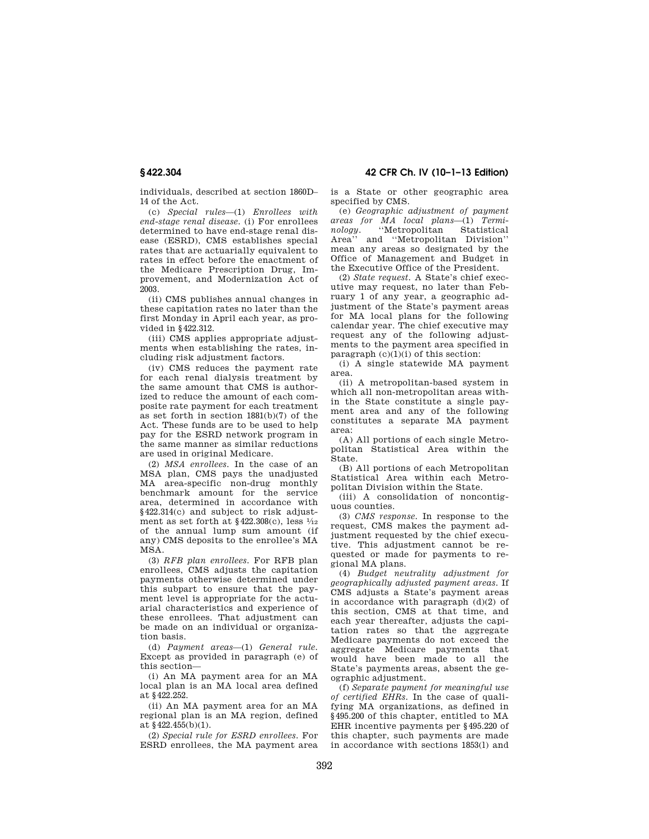individuals, described at section 1860D– 14 of the Act.

(c) *Special rules*—(1) *Enrollees with end-stage renal disease.* (i) For enrollees determined to have end-stage renal disease (ESRD), CMS establishes special rates that are actuarially equivalent to rates in effect before the enactment of the Medicare Prescription Drug, Improvement, and Modernization Act of 2003.

(ii) CMS publishes annual changes in these capitation rates no later than the first Monday in April each year, as provided in §422.312.

(iii) CMS applies appropriate adjustments when establishing the rates, including risk adjustment factors.

(iv) CMS reduces the payment rate for each renal dialysis treatment by the same amount that CMS is authorized to reduce the amount of each composite rate payment for each treatment as set forth in section 1881(b)(7) of the Act. These funds are to be used to help pay for the ESRD network program in the same manner as similar reductions are used in original Medicare.

(2) *MSA enrollees.* In the case of an MSA plan, CMS pays the unadjusted MA area-specific non-drug monthly benchmark amount for the service area, determined in accordance with §422.314(c) and subject to risk adjustment as set forth at  $$422.308(c)$ , less  $\frac{1}{12}$ of the annual lump sum amount (if any) CMS deposits to the enrollee's MA MSA.

(3) *RFB plan enrollees.* For RFB plan enrollees, CMS adjusts the capitation payments otherwise determined under this subpart to ensure that the payment level is appropriate for the actuarial characteristics and experience of these enrollees. That adjustment can be made on an individual or organization basis.

(d) *Payment areas*—(1) *General rule.*  Except as provided in paragraph (e) of this section—

(i) An MA payment area for an MA local plan is an MA local area defined at §422.252.

(ii) An MA payment area for an MA regional plan is an MA region, defined at §422.455(b)(1).

(2) *Special rule for ESRD enrollees.* For ESRD enrollees, the MA payment area

# **§ 422.304 42 CFR Ch. IV (10–1–13 Edition)**

is a State or other geographic area specified by CMS.

(e) *Geographic adjustment of payment areas for MA local plans*—(1) *Terminology.* ''Metropolitan Statistical Area'' and ''Metropolitan Division'' mean any areas so designated by the Office of Management and Budget in the Executive Office of the President.

(2) *State request.* A State's chief executive may request, no later than February 1 of any year, a geographic adjustment of the State's payment areas for MA local plans for the following calendar year. The chief executive may request any of the following adjustments to the payment area specified in paragraph  $(c)(1)(i)$  of this section:

(i) A single statewide MA payment area.

(ii) A metropolitan-based system in which all non-metropolitan areas within the State constitute a single payment area and any of the following constitutes a separate MA payment area:

(A) All portions of each single Metropolitan Statistical Area within the State.

(B) All portions of each Metropolitan Statistical Area within each Metropolitan Division within the State.

(iii) A consolidation of noncontiguous counties.

(3) *CMS response.* In response to the request, CMS makes the payment adjustment requested by the chief executive. This adjustment cannot be requested or made for payments to regional MA plans.

(4) *Budget neutrality adjustment for geographically adjusted payment areas.* If CMS adjusts a State's payment areas in accordance with paragraph  $(d)(2)$  of this section, CMS at that time, and each year thereafter, adjusts the capitation rates so that the aggregate Medicare payments do not exceed the aggregate Medicare payments that would have been made to all the State's payments areas, absent the geographic adjustment.

(f) *Separate payment for meaningful use of certified EHRs.* In the case of qualifying MA organizations, as defined in §495.200 of this chapter, entitled to MA EHR incentive payments per §495.220 of this chapter, such payments are made in accordance with sections 1853(l) and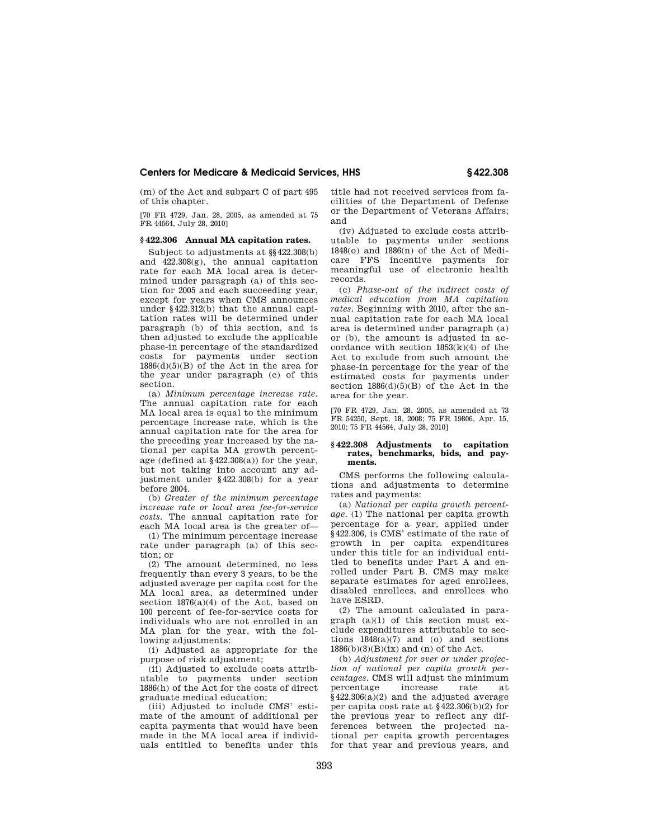(m) of the Act and subpart C of part 495 of this chapter.

[70 FR 4729, Jan. 28, 2005, as amended at 75 FR 44564, July 28, 2010]

## **§ 422.306 Annual MA capitation rates.**

Subject to adjustments at §§422.308(b) and 422.308(g), the annual capitation rate for each MA local area is determined under paragraph (a) of this section for 2005 and each succeeding year, except for years when CMS announces under §422.312(b) that the annual capitation rates will be determined under paragraph (b) of this section, and is then adjusted to exclude the applicable phase-in percentage of the standardized costs for payments under section  $1886(d)(5)(B)$  of the Act in the area for the year under paragraph (c) of this section.

(a) *Minimum percentage increase rate.*  The annual capitation rate for each MA local area is equal to the minimum percentage increase rate, which is the annual capitation rate for the area for the preceding year increased by the national per capita MA growth percentage (defined at §422.308(a)) for the year, but not taking into account any adjustment under §422.308(b) for a year before 2004.

(b) *Greater of the minimum percentage increase rate or local area fee-for-service costs.* The annual capitation rate for each MA local area is the greater of—

(1) The minimum percentage increase rate under paragraph (a) of this section; or

(2) The amount determined, no less frequently than every 3 years, to be the adjusted average per capita cost for the MA local area, as determined under section 1876(a)(4) of the Act, based on 100 percent of fee-for-service costs for individuals who are not enrolled in an MA plan for the year, with the following adjustments:

(i) Adjusted as appropriate for the purpose of risk adjustment;

(ii) Adjusted to exclude costs attributable to payments under section 1886(h) of the Act for the costs of direct graduate medical education;

(iii) Adjusted to include CMS' estimate of the amount of additional per capita payments that would have been made in the MA local area if individuals entitled to benefits under this title had not received services from facilities of the Department of Defense or the Department of Veterans Affairs; and

(iv) Adjusted to exclude costs attributable to payments under sections 1848(o) and 1886(n) of the Act of Medicare FFS incentive payments for meaningful use of electronic health records.

(c) *Phase-out of the indirect costs of medical education from MA capitation rates.* Beginning with 2010, after the annual capitation rate for each MA local area is determined under paragraph (a) or (b), the amount is adjusted in accordance with section 1853(k)(4) of the Act to exclude from such amount the phase-in percentage for the year of the estimated costs for payments under section  $1886(d)(5)(B)$  of the Act in the area for the year.

[70 FR 4729, Jan. 28, 2005, as amended at 73 FR 54250, Sept. 18, 2008; 75 FR 19806, Apr. 15, 2010; 75 FR 44564, July 28, 2010]

#### **§ 422.308 Adjustments to capitation rates, benchmarks, bids, and payments.**

CMS performs the following calculations and adjustments to determine rates and payments:

(a) *National per capita growth percentage.* (1) The national per capita growth percentage for a year, applied under §422.306, is CMS' estimate of the rate of growth in per capita expenditures under this title for an individual entitled to benefits under Part A and enrolled under Part B. CMS may make separate estimates for aged enrollees, disabled enrollees, and enrollees who have ESRD.

(2) The amount calculated in paragraph  $(a)(1)$  of this section must exclude expenditures attributable to sections  $1848(a)(7)$  and (o) and sections  $1886(b)(3)(B)(ix)$  and (n) of the Act.

(b) *Adjustment for over or under projection of national per capita growth percentages.* CMS will adjust the minimum percentage increase rate at §422.306(a)(2) and the adjusted average per capita cost rate at §422.306(b)(2) for the previous year to reflect any differences between the projected national per capita growth percentages for that year and previous years, and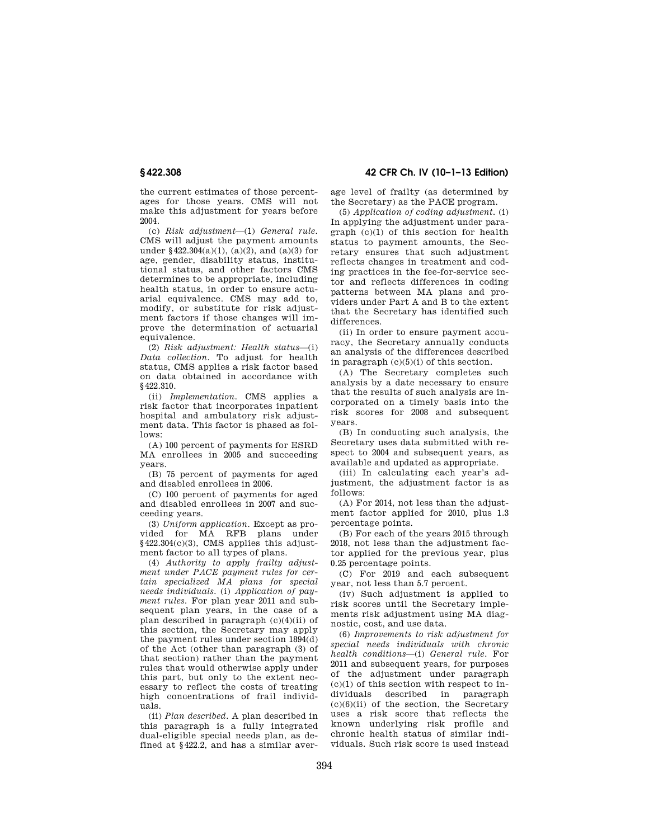the current estimates of those percentages for those years. CMS will not make this adjustment for years before 2004.

(c) *Risk adjustment*—(1) *General rule.*  CMS will adjust the payment amounts under  $§422.304(a)(1)$ ,  $(a)(2)$ , and  $(a)(3)$  for age, gender, disability status, institutional status, and other factors CMS determines to be appropriate, including health status, in order to ensure actuarial equivalence. CMS may add to, modify, or substitute for risk adjustment factors if those changes will improve the determination of actuarial equivalence.

(2) *Risk adjustment: Health status*—(i) *Data collection.* To adjust for health status, CMS applies a risk factor based on data obtained in accordance with §422.310.

(ii) *Implementation.* CMS applies a risk factor that incorporates inpatient hospital and ambulatory risk adjustment data. This factor is phased as follows:

(A) 100 percent of payments for ESRD MA enrollees in 2005 and succeeding years.

(B) 75 percent of payments for aged and disabled enrollees in 2006.

(C) 100 percent of payments for aged and disabled enrollees in 2007 and succeeding years.

(3) *Uniform application.* Except as provided for MA RFB plans under §422.304(c)(3), CMS applies this adjustment factor to all types of plans.

(4) *Authority to apply frailty adjustment under PACE payment rules for certain specialized MA plans for special needs individuals.* (i) *Application of payment rules.* For plan year 2011 and subsequent plan years, in the case of a plan described in paragraph (c)(4)(ii) of this section, the Secretary may apply the payment rules under section 1894(d) of the Act (other than paragraph (3) of that section) rather than the payment rules that would otherwise apply under this part, but only to the extent necessary to reflect the costs of treating high concentrations of frail individuals.

(ii) *Plan described.* A plan described in this paragraph is a fully integrated dual-eligible special needs plan, as defined at §422.2, and has a similar aver-

**§ 422.308 42 CFR Ch. IV (10–1–13 Edition)** 

age level of frailty (as determined by the Secretary) as the PACE program.

(5) *Application of coding adjustment.* (i) In applying the adjustment under paragraph (c)(1) of this section for health status to payment amounts, the Secretary ensures that such adjustment reflects changes in treatment and coding practices in the fee-for-service sector and reflects differences in coding patterns between MA plans and providers under Part A and B to the extent that the Secretary has identified such differences.

(ii) In order to ensure payment accuracy, the Secretary annually conducts an analysis of the differences described in paragraph (c)(5)(i) of this section.

(A) The Secretary completes such analysis by a date necessary to ensure that the results of such analysis are incorporated on a timely basis into the risk scores for 2008 and subsequent years.

(B) In conducting such analysis, the Secretary uses data submitted with respect to 2004 and subsequent years, as available and updated as appropriate.

(iii) In calculating each year's adjustment, the adjustment factor is as follows:

(A) For 2014, not less than the adjustment factor applied for 2010, plus 1.3 percentage points.

(B) For each of the years 2015 through 2018, not less than the adjustment factor applied for the previous year, plus 0.25 percentage points.

(C) For 2019 and each subsequent year, not less than 5.7 percent.

(iv) Such adjustment is applied to risk scores until the Secretary implements risk adjustment using MA diagnostic, cost, and use data.

(6) *Improvements to risk adjustment for special needs individuals with chronic health conditions*—(i) *General rule.* For 2011 and subsequent years, for purposes of the adjustment under paragraph  $(c)(1)$  of this section with respect to individuals described in paragraph  $(c)(6)(ii)$  of the section, the Secretary uses a risk score that reflects the known underlying risk profile and chronic health status of similar individuals. Such risk score is used instead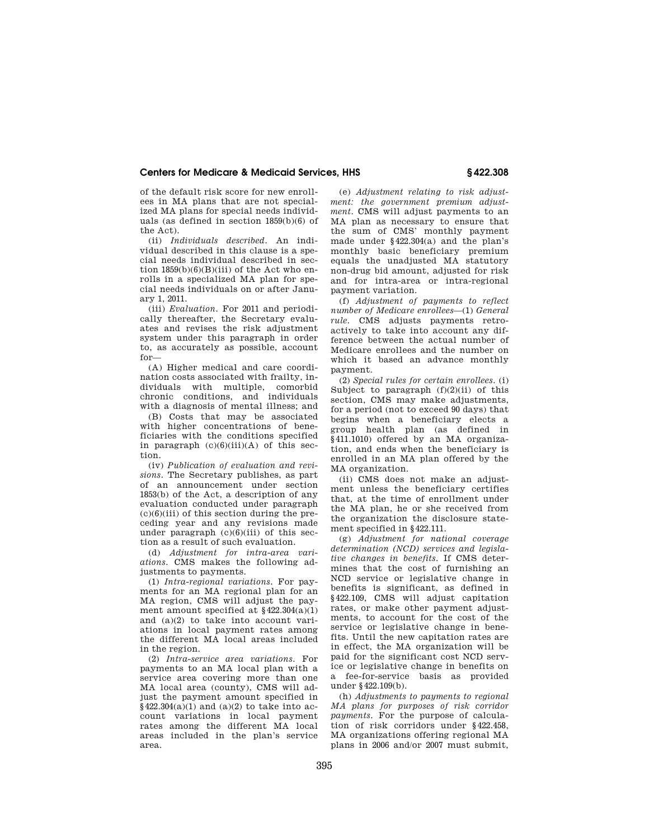of the default risk score for new enrollees in MA plans that are not specialized MA plans for special needs individuals (as defined in section 1859(b)(6) of the Act).

(ii) *Individuals described.* An individual described in this clause is a special needs individual described in section  $1859(b)(6)(B)(iii)$  of the Act who enrolls in a specialized MA plan for special needs individuals on or after January 1, 2011.

(iii) *Evaluation.* For 2011 and periodically thereafter, the Secretary evaluates and revises the risk adjustment system under this paragraph in order to, as accurately as possible, account for—

(A) Higher medical and care coordination costs associated with frailty, individuals with multiple, comorbid chronic conditions, and individuals with a diagnosis of mental illness; and

(B) Costs that may be associated with higher concentrations of beneficiaries with the conditions specified in paragraph (c)(6)(iii)(A) of this section.

(iv) *Publication of evaluation and revisions.* The Secretary publishes, as part of an announcement under section 1853(b) of the Act, a description of any evaluation conducted under paragraph  $(c)(6)(iii)$  of this section during the preceding year and any revisions made under paragraph  $(c)(6)(iii)$  of this section as a result of such evaluation.

(d) *Adjustment for intra-area variations.* CMS makes the following adjustments to payments.

(1) *Intra-regional variations.* For payments for an MA regional plan for an MA region, CMS will adjust the payment amount specified at \$422,304(a)(1) and (a)(2) to take into account variations in local payment rates among the different MA local areas included in the region.

(2) *Intra-service area variations.* For payments to an MA local plan with a service area covering more than one MA local area (county), CMS will adjust the payment amount specified in  $§422.304(a)(1)$  and  $(a)(2)$  to take into account variations in local payment rates among the different MA local areas included in the plan's service area.

(e) *Adjustment relating to risk adjustment: the government premium adjustment.* CMS will adjust payments to an MA plan as necessary to ensure that the sum of CMS' monthly payment made under §422.304(a) and the plan's monthly basic beneficiary premium equals the unadjusted MA statutory non-drug bid amount, adjusted for risk and for intra-area or intra-regional payment variation.

(f) *Adjustment of payments to reflect number of Medicare enrollees*—(1) *General rule.* CMS adjusts payments retroactively to take into account any difference between the actual number of Medicare enrollees and the number on which it based an advance monthly payment.

(2) *Special rules for certain enrollees.* (i) Subject to paragraph (f)(2)(ii) of this section, CMS may make adjustments, for a period (not to exceed 90 days) that begins when a beneficiary elects a group health plan (as defined in §411.1010) offered by an MA organization, and ends when the beneficiary is enrolled in an MA plan offered by the MA organization.

(ii) CMS does not make an adjustment unless the beneficiary certifies that, at the time of enrollment under the MA plan, he or she received from the organization the disclosure statement specified in §422.111.

(g) *Adjustment for national coverage determination (NCD) services and legislative changes in benefits.* If CMS determines that the cost of furnishing an NCD service or legislative change in benefits is significant, as defined in §422.109, CMS will adjust capitation rates, or make other payment adjustments, to account for the cost of the service or legislative change in benefits. Until the new capitation rates are in effect, the MA organization will be paid for the significant cost NCD service or legislative change in benefits on a fee-for-service basis as provided under §422.109(b).

(h) *Adjustments to payments to regional MA plans for purposes of risk corridor payments.* For the purpose of calculation of risk corridors under §422.458, MA organizations offering regional MA plans in 2006 and/or 2007 must submit,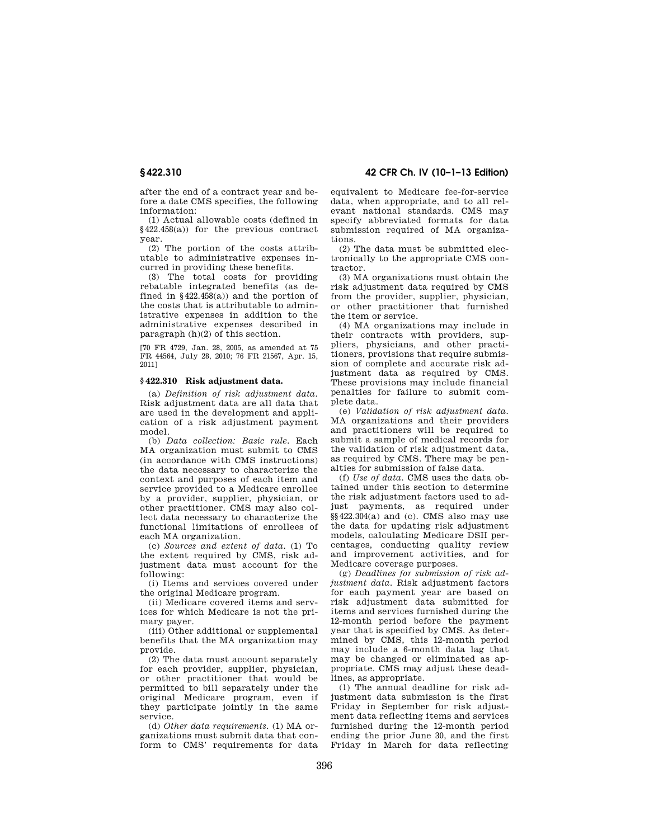after the end of a contract year and before a date CMS specifies, the following information:

(1) Actual allowable costs (defined in §422.458(a)) for the previous contract year.

(2) The portion of the costs attributable to administrative expenses incurred in providing these benefits.

(3) The total costs for providing rebatable integrated benefits (as defined in  $§422.458(a)$  and the portion of the costs that is attributable to administrative expenses in addition to the administrative expenses described in paragraph (h)(2) of this section.

[70 FR 4729, Jan. 28, 2005, as amended at 75 FR 44564, July 28, 2010; 76 FR 21567, Apr. 15, 2011]

### **§ 422.310 Risk adjustment data.**

(a) *Definition of risk adjustment data.*  Risk adjustment data are all data that are used in the development and application of a risk adjustment payment model.

(b) *Data collection: Basic rule.* Each MA organization must submit to CMS (in accordance with CMS instructions) the data necessary to characterize the context and purposes of each item and service provided to a Medicare enrollee by a provider, supplier, physician, or other practitioner. CMS may also collect data necessary to characterize the functional limitations of enrollees of each MA organization.

(c) *Sources and extent of data.* (1) To the extent required by CMS, risk adjustment data must account for the following:

(i) Items and services covered under the original Medicare program.

(ii) Medicare covered items and services for which Medicare is not the primary payer.

(iii) Other additional or supplemental benefits that the MA organization may provide.

(2) The data must account separately for each provider, supplier, physician, or other practitioner that would be permitted to bill separately under the original Medicare program, even if they participate jointly in the same service.

(d) *Other data requirements.* (1) MA organizations must submit data that conform to CMS' requirements for data

**§ 422.310 42 CFR Ch. IV (10–1–13 Edition)** 

equivalent to Medicare fee-for-service data, when appropriate, and to all relevant national standards. CMS may specify abbreviated formats for data submission required of MA organizations.

(2) The data must be submitted electronically to the appropriate CMS contractor.

(3) MA organizations must obtain the risk adjustment data required by CMS from the provider, supplier, physician, or other practitioner that furnished the item or service.

(4) MA organizations may include in their contracts with providers, suppliers, physicians, and other practitioners, provisions that require submission of complete and accurate risk adjustment data as required by CMS. These provisions may include financial penalties for failure to submit complete data.

(e) *Validation of risk adjustment data.*  MA organizations and their providers and practitioners will be required to submit a sample of medical records for the validation of risk adjustment data, as required by CMS. There may be penalties for submission of false data.

(f) *Use of data.* CMS uses the data obtained under this section to determine the risk adjustment factors used to adjust payments, as required under  $\S$ §422.304(a) and (c). CMS also may use the data for updating risk adjustment models, calculating Medicare DSH percentages, conducting quality review and improvement activities, and for Medicare coverage purposes.

(g) *Deadlines for submission of risk adjustment data.* Risk adjustment factors for each payment year are based on risk adjustment data submitted for items and services furnished during the 12-month period before the payment year that is specified by CMS. As determined by CMS, this 12-month period may include a 6-month data lag that may be changed or eliminated as appropriate. CMS may adjust these deadlines, as appropriate.

(1) The annual deadline for risk adjustment data submission is the first Friday in September for risk adjustment data reflecting items and services furnished during the 12-month period ending the prior June 30, and the first Friday in March for data reflecting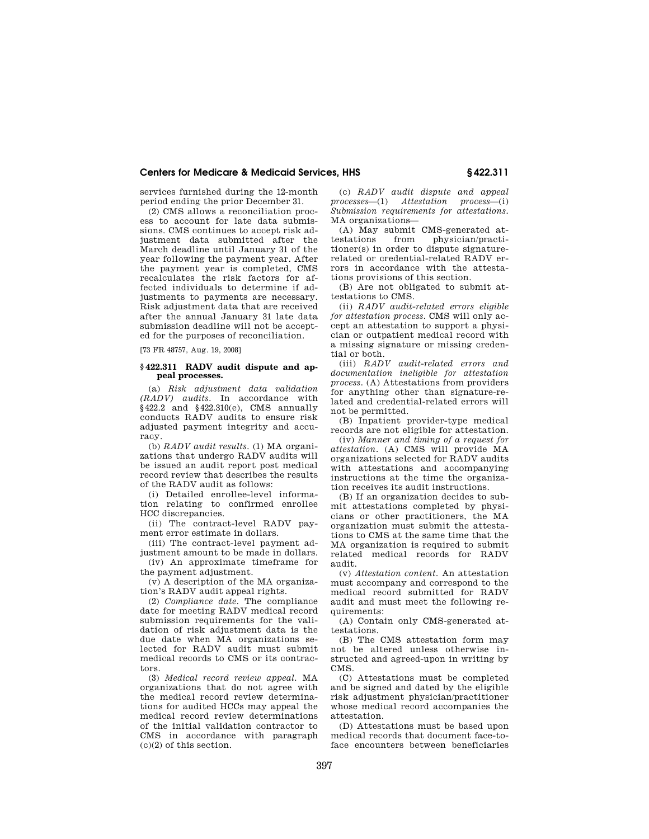services furnished during the 12-month period ending the prior December 31.

(2) CMS allows a reconciliation process to account for late data submissions. CMS continues to accept risk adjustment data submitted after the March deadline until January 31 of the year following the payment year. After the payment year is completed, CMS recalculates the risk factors for affected individuals to determine if adjustments to payments are necessary. Risk adjustment data that are received after the annual January 31 late data submission deadline will not be accepted for the purposes of reconciliation.

[73 FR 48757, Aug. 19, 2008]

## **§ 422.311 RADV audit dispute and appeal processes.**

(a) *Risk adjustment data validation (RADV) audits.* In accordance with  $§422.2$  and  $§422.310(e)$ , CMS annually conducts RADV audits to ensure risk adjusted payment integrity and accuracy.

(b) *RADV audit results.* (1) MA organizations that undergo RADV audits will be issued an audit report post medical record review that describes the results of the RADV audit as follows:

(i) Detailed enrollee-level information relating to confirmed enrollee HCC discrepancies.

(ii) The contract-level RADV payment error estimate in dollars.

(iii) The contract-level payment adjustment amount to be made in dollars. (iv) An approximate timeframe for

the payment adjustment. (v) A description of the MA organiza-

tion's RADV audit appeal rights.

(2) *Compliance date.* The compliance date for meeting RADV medical record submission requirements for the validation of risk adjustment data is the due date when MA organizations selected for RADV audit must submit medical records to CMS or its contractors.

(3) *Medical record review appeal.* MA organizations that do not agree with the medical record review determinations for audited HCCs may appeal the medical record review determinations of the initial validation contractor to CMS in accordance with paragraph (c)(2) of this section.

(c) *RADV audit dispute and appeal processes*—(1) *Attestation process*—(i) *Submission requirements for attestations.*  MA organizations—

(A) May submit CMS-generated attestations from physician/practitioner(s) in order to dispute signaturerelated or credential-related RADV errors in accordance with the attestations provisions of this section.

(B) Are not obligated to submit attestations to CMS.

(ii) *RADV audit-related errors eligible for attestation process.* CMS will only accept an attestation to support a physician or outpatient medical record with a missing signature or missing credential or both.

(iii) *RADV audit-related errors and documentation ineligible for attestation process.* (A) Attestations from providers for anything other than signature-related and credential-related errors will not be permitted.

(B) Inpatient provider-type medical records are not eligible for attestation.

(iv) *Manner and timing of a request for attestation.* (A) CMS will provide MA organizations selected for RADV audits with attestations and accompanying instructions at the time the organization receives its audit instructions.

(B) If an organization decides to submit attestations completed by physicians or other practitioners, the MA organization must submit the attestations to CMS at the same time that the MA organization is required to submit related medical records for RADV audit.

(v) *Attestation content.* An attestation must accompany and correspond to the medical record submitted for RADV audit and must meet the following requirements:

(A) Contain only CMS-generated attestations.

(B) The CMS attestation form may not be altered unless otherwise instructed and agreed-upon in writing by CMS.

(C) Attestations must be completed and be signed and dated by the eligible risk adjustment physician/practitioner whose medical record accompanies the attestation.

(D) Attestations must be based upon medical records that document face-toface encounters between beneficiaries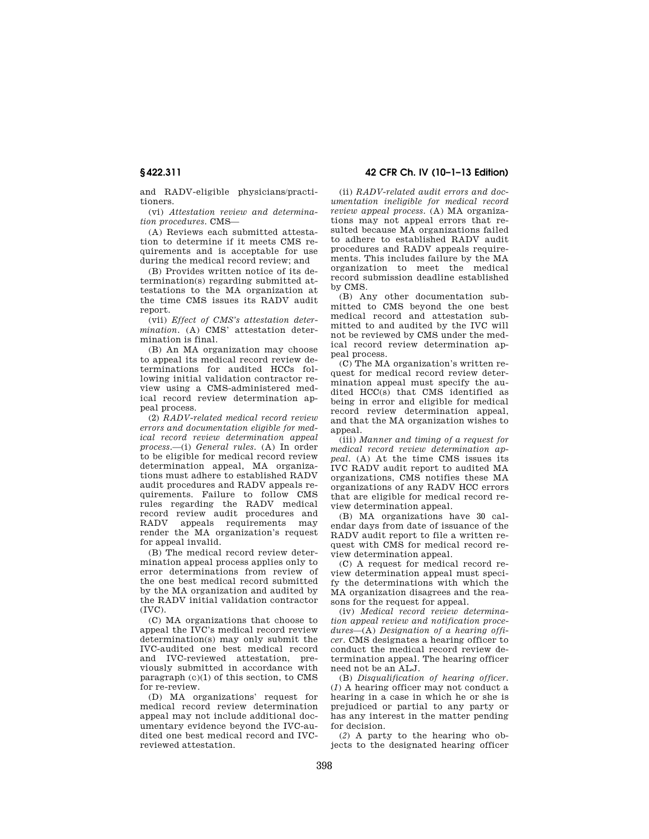and RADV-eligible physicians/practitioners.

(vi) *Attestation review and determination procedures.* CMS—

(A) Reviews each submitted attestation to determine if it meets CMS requirements and is acceptable for use during the medical record review; and

(B) Provides written notice of its determination(s) regarding submitted attestations to the MA organization at the time CMS issues its RADV audit report.

(vii) *Effect of CMS's attestation determination.* (A) CMS' attestation determination is final.

(B) An MA organization may choose to appeal its medical record review determinations for audited HCCs following initial validation contractor review using a CMS-administered medical record review determination appeal process.

(2) *RADV-related medical record review errors and documentation eligible for medical record review determination appeal process.*—(i) *General rules.* (A) In order to be eligible for medical record review determination appeal, MA organizations must adhere to established RADV audit procedures and RADV appeals requirements. Failure to follow CMS rules regarding the RADV medical record review audit procedures and<br>RADV appeals requirements may appeals requirements may render the MA organization's request for appeal invalid.

(B) The medical record review determination appeal process applies only to error determinations from review of the one best medical record submitted by the MA organization and audited by the RADV initial validation contractor  $(TVC)$ .

(C) MA organizations that choose to appeal the IVC's medical record review determination(s) may only submit the IVC-audited one best medical record and IVC-reviewed attestation, previously submitted in accordance with paragraph (c)(1) of this section, to CMS for re-review.

(D) MA organizations' request for medical record review determination appeal may not include additional documentary evidence beyond the IVC-audited one best medical record and IVCreviewed attestation.

**§ 422.311 42 CFR Ch. IV (10–1–13 Edition)** 

(ii) *RADV-related audit errors and documentation ineligible for medical record review appeal process.* (A) MA organizations may not appeal errors that resulted because MA organizations failed to adhere to established RADV audit procedures and RADV appeals requirements. This includes failure by the MA organization to meet the medical record submission deadline established by CMS.

(B) Any other documentation submitted to CMS beyond the one best medical record and attestation submitted to and audited by the IVC will not be reviewed by CMS under the medical record review determination appeal process.

(C) The MA organization's written request for medical record review determination appeal must specify the audited HCC(s) that CMS identified as being in error and eligible for medical record review determination appeal, and that the MA organization wishes to appeal.

(iii) *Manner and timing of a request for medical record review determination appeal.* (A) At the time CMS issues its IVC RADV audit report to audited MA organizations, CMS notifies these MA organizations of any RADV HCC errors that are eligible for medical record review determination appeal.

(B) MA organizations have 30 calendar days from date of issuance of the RADV audit report to file a written request with CMS for medical record review determination appeal.

(C) A request for medical record review determination appeal must specify the determinations with which the MA organization disagrees and the reasons for the request for appeal.

(iv) *Medical record review determination appeal review and notification procedures*—(A) *Designation of a hearing officer.* CMS designates a hearing officer to conduct the medical record review determination appeal. The hearing officer need not be an ALJ.

(B) *Disqualification of hearing officer.*  (*1*) A hearing officer may not conduct a hearing in a case in which he or she is prejudiced or partial to any party or has any interest in the matter pending for decision.

(*2*) A party to the hearing who objects to the designated hearing officer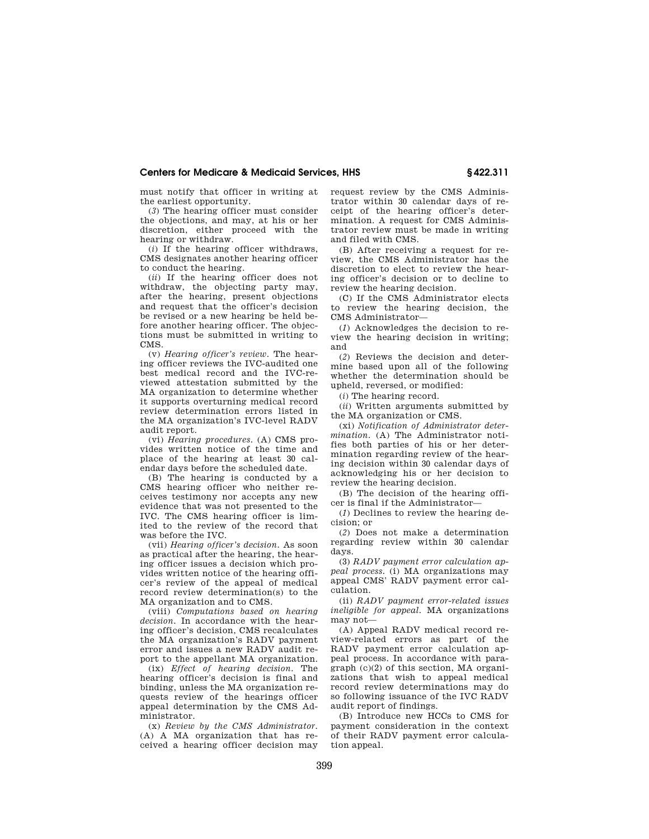must notify that officer in writing at the earliest opportunity.

(*3*) The hearing officer must consider the objections, and may, at his or her discretion, either proceed with the hearing or withdraw.

(*i*) If the hearing officer withdraws, CMS designates another hearing officer to conduct the hearing.

(*ii*) If the hearing officer does not withdraw, the objecting party may, after the hearing, present objections and request that the officer's decision be revised or a new hearing be held before another hearing officer. The objections must be submitted in writing to CMS.

(v) *Hearing officer's review.* The hearing officer reviews the IVC-audited one best medical record and the IVC-reviewed attestation submitted by the MA organization to determine whether it supports overturning medical record review determination errors listed in the MA organization's IVC-level RADV audit report.

(vi) *Hearing procedures.* (A) CMS provides written notice of the time and place of the hearing at least 30 calendar days before the scheduled date.

(B) The hearing is conducted by a CMS hearing officer who neither receives testimony nor accepts any new evidence that was not presented to the IVC. The CMS hearing officer is limited to the review of the record that was before the IVC.

(vii) *Hearing officer's decision.* As soon as practical after the hearing, the hearing officer issues a decision which provides written notice of the hearing officer's review of the appeal of medical record review determination(s) to the MA organization and to CMS.

(viii) *Computations based on hearing decision.* In accordance with the hearing officer's decision, CMS recalculates the MA organization's RADV payment error and issues a new RADV audit report to the appellant MA organization.

(ix) *Effect of hearing decision.* The hearing officer's decision is final and binding, unless the MA organization requests review of the hearings officer appeal determination by the CMS Administrator.

(x) *Review by the CMS Administrator.*  (A) A MA organization that has received a hearing officer decision may request review by the CMS Administrator within 30 calendar days of receipt of the hearing officer's determination. A request for CMS Administrator review must be made in writing and filed with CMS.

(B) After receiving a request for review, the CMS Administrator has the discretion to elect to review the hearing officer's decision or to decline to review the hearing decision.

(C) If the CMS Administrator elects to review the hearing decision, the CMS Administrator—

(*1*) Acknowledges the decision to review the hearing decision in writing; and

(*2*) Reviews the decision and determine based upon all of the following whether the determination should be upheld, reversed, or modified:

(*i*) The hearing record.

(*ii*) Written arguments submitted by the MA organization or CMS.

(xi) *Notification of Administrator determination.* (A) The Administrator notifies both parties of his or her determination regarding review of the hearing decision within 30 calendar days of acknowledging his or her decision to review the hearing decision.

(B) The decision of the hearing officer is final if the Administrator—

(*1*) Declines to review the hearing decision; or

(*2*) Does not make a determination regarding review within 30 calendar days.

(3) *RADV payment error calculation appeal process.* (i) MA organizations may appeal CMS' RADV payment error calculation.

(ii) *RADV payment error-related issues ineligible for appeal.* MA organizations may not—

(A) Appeal RADV medical record review-related errors as part of the RADV payment error calculation appeal process. In accordance with paragraph (c)(2) of this section, MA organizations that wish to appeal medical record review determinations may do so following issuance of the IVC RADV audit report of findings.

(B) Introduce new HCCs to CMS for payment consideration in the context of their RADV payment error calculation appeal.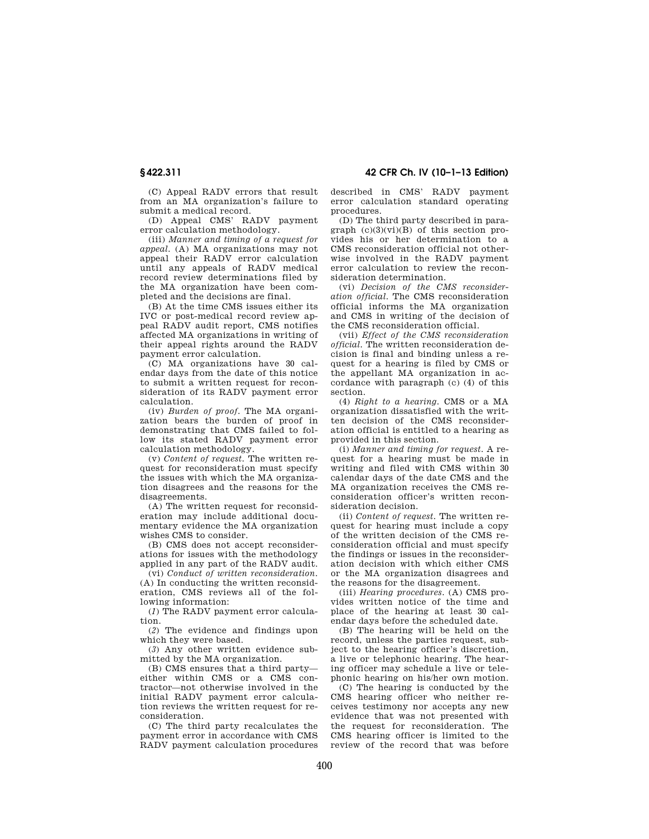**§ 422.311 42 CFR Ch. IV (10–1–13 Edition)** 

(C) Appeal RADV errors that result from an MA organization's failure to submit a medical record.

(D) Appeal CMS' RADV payment error calculation methodology.

(iii) *Manner and timing of a request for appeal.* (A) MA organizations may not appeal their RADV error calculation until any appeals of RADV medical record review determinations filed by the MA organization have been completed and the decisions are final.

(B) At the time CMS issues either its IVC or post-medical record review appeal RADV audit report, CMS notifies affected MA organizations in writing of their appeal rights around the RADV payment error calculation.

(C) MA organizations have 30 calendar days from the date of this notice to submit a written request for reconsideration of its RADV payment error calculation.

(iv) *Burden of proof.* The MA organization bears the burden of proof in demonstrating that CMS failed to follow its stated RADV payment error calculation methodology.

(v) *Content of request.* The written request for reconsideration must specify the issues with which the MA organization disagrees and the reasons for the disagreements.

(A) The written request for reconsideration may include additional documentary evidence the MA organization wishes CMS to consider.

(B) CMS does not accept reconsiderations for issues with the methodology applied in any part of the RADV audit.

(vi) *Conduct of written reconsideration.*  (A) In conducting the written reconsideration, CMS reviews all of the following information:

(*1*) The RADV payment error calculation.

(*2*) The evidence and findings upon which they were based.

(*3*) Any other written evidence submitted by the MA organization.

(B) CMS ensures that a third party either within CMS or a CMS contractor—not otherwise involved in the initial RADV payment error calculation reviews the written request for reconsideration.

(C) The third party recalculates the payment error in accordance with CMS RADV payment calculation procedures described in CMS' RADV payment error calculation standard operating procedures.

(D) The third party described in paragraph  $(c)(3)(vi)(B)$  of this section provides his or her determination to a CMS reconsideration official not otherwise involved in the RADV payment error calculation to review the reconsideration determination.

(vi) *Decision of the CMS reconsideration official.* The CMS reconsideration official informs the MA organization and CMS in writing of the decision of the CMS reconsideration official.

(vii) *Effect of the CMS reconsideration official.* The written reconsideration decision is final and binding unless a request for a hearing is filed by CMS or the appellant MA organization in accordance with paragraph (c) (4) of this section.

(4) *Right to a hearing.* CMS or a MA organization dissatisfied with the written decision of the CMS reconsideration official is entitled to a hearing as provided in this section.

(i) *Manner and timing for request.* A request for a hearing must be made in writing and filed with CMS within 30 calendar days of the date CMS and the MA organization receives the CMS reconsideration officer's written reconsideration decision.

(ii) *Content of request.* The written request for hearing must include a copy of the written decision of the CMS reconsideration official and must specify the findings or issues in the reconsideration decision with which either CMS or the MA organization disagrees and the reasons for the disagreement.

(iii) *Hearing procedures.* (A) CMS provides written notice of the time and place of the hearing at least 30 calendar days before the scheduled date.

(B) The hearing will be held on the record, unless the parties request, subject to the hearing officer's discretion, a live or telephonic hearing. The hearing officer may schedule a live or telephonic hearing on his/her own motion.

(C) The hearing is conducted by the CMS hearing officer who neither receives testimony nor accepts any new evidence that was not presented with the request for reconsideration. The CMS hearing officer is limited to the review of the record that was before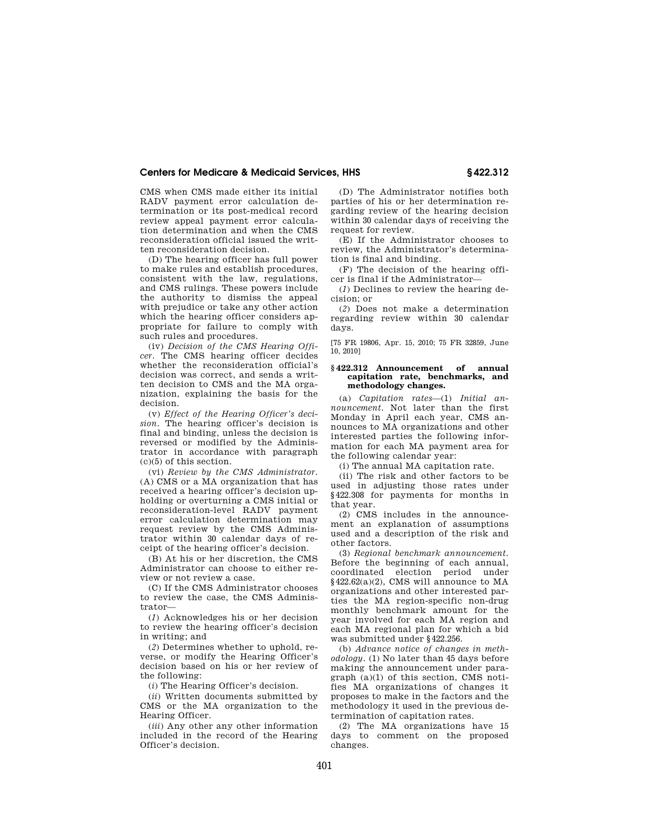CMS when CMS made either its initial RADV payment error calculation determination or its post-medical record review appeal payment error calculation determination and when the CMS reconsideration official issued the written reconsideration decision.

(D) The hearing officer has full power to make rules and establish procedures, consistent with the law, regulations, and CMS rulings. These powers include the authority to dismiss the appeal with prejudice or take any other action which the hearing officer considers appropriate for failure to comply with such rules and procedures.

(iv) *Decision of the CMS Hearing Officer.* The CMS hearing officer decides whether the reconsideration official's decision was correct, and sends a written decision to CMS and the MA organization, explaining the basis for the decision.

(v) *Effect of the Hearing Officer's decision.* The hearing officer's decision is final and binding, unless the decision is reversed or modified by the Administrator in accordance with paragraph (c)(5) of this section.

(vi) *Review by the CMS Administrator.*  (A) CMS or a MA organization that has received a hearing officer's decision upholding or overturning a CMS initial or reconsideration-level RADV payment error calculation determination may request review by the CMS Administrator within 30 calendar days of receipt of the hearing officer's decision.

(B) At his or her discretion, the CMS Administrator can choose to either review or not review a case.

(C) If the CMS Administrator chooses to review the case, the CMS Administrator—

(*1*) Acknowledges his or her decision to review the hearing officer's decision in writing; and

(*2*) Determines whether to uphold, reverse, or modify the Hearing Officer's decision based on his or her review of the following:

(*i*) The Hearing Officer's decision.

(*ii*) Written documents submitted by CMS or the MA organization to the Hearing Officer.

(*iii*) Any other any other information included in the record of the Hearing Officer's decision.

(D) The Administrator notifies both parties of his or her determination regarding review of the hearing decision within 30 calendar days of receiving the request for review.

(E) If the Administrator chooses to review, the Administrator's determination is final and binding.

(F) The decision of the hearing officer is final if the Administrator—

(*1*) Declines to review the hearing decision; or

(*2*) Does not make a determination regarding review within 30 calendar days.

[75 FR 19806, Apr. 15, 2010; 75 FR 32859, June 10, 2010]

#### **§ 422.312 Announcement of annual capitation rate, benchmarks, and methodology changes.**

(a) *Capitation rates*—(1) *Initial announcement.* Not later than the first Monday in April each year, CMS announces to MA organizations and other interested parties the following information for each MA payment area for the following calendar year:

(i) The annual MA capitation rate.

(ii) The risk and other factors to be used in adjusting those rates under §422.308 for payments for months in that year.

(2) CMS includes in the announcement an explanation of assumptions used and a description of the risk and other factors.

(3) *Regional benchmark announcement.*  Before the beginning of each annual, coordinated election period under §422.62(a)(2), CMS will announce to MA organizations and other interested parties the MA region-specific non-drug monthly benchmark amount for the year involved for each MA region and each MA regional plan for which a bid was submitted under §422.256.

(b) *Advance notice of changes in methodology.* (1) No later than 45 days before making the announcement under paragraph (a)(1) of this section, CMS notifies MA organizations of changes it proposes to make in the factors and the methodology it used in the previous determination of capitation rates.

(2) The MA organizations have 15 days to comment on the proposed changes.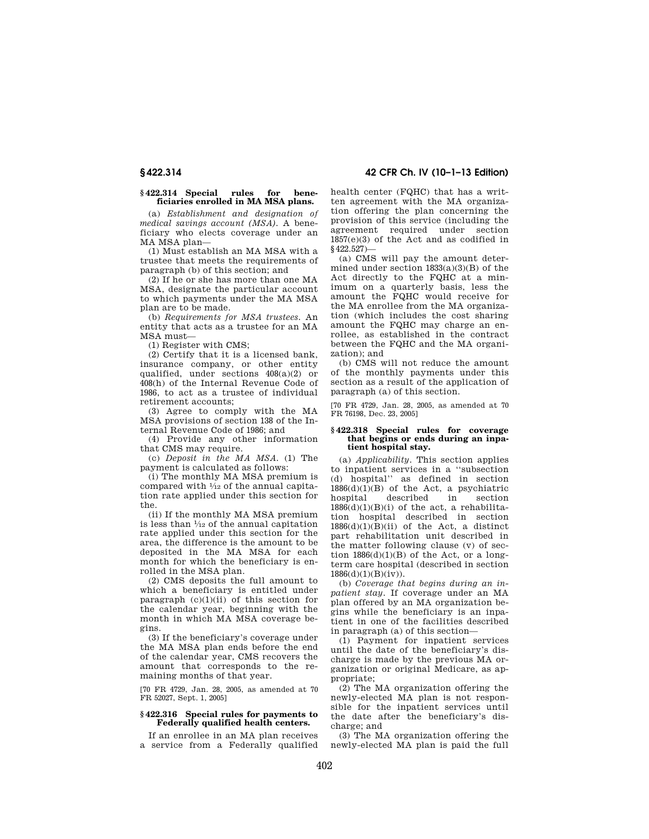# **§ 422.314 42 CFR Ch. IV (10–1–13 Edition)**

#### **§ 422.314 Special rules for beneficiaries enrolled in MA MSA plans.**

(a) *Establishment and designation of medical savings account (MSA).* A beneficiary who elects coverage under an MA MSA plan—

(1) Must establish an MA MSA with a trustee that meets the requirements of paragraph (b) of this section; and

(2) If he or she has more than one MA MSA, designate the particular account to which payments under the MA MSA plan are to be made.

(b) *Requirements for MSA trustees.* An entity that acts as a trustee for an MA MSA must—

(1) Register with CMS;

(2) Certify that it is a licensed bank, insurance company, or other entity qualified, under sections 408(a)(2) or 408(h) of the Internal Revenue Code of 1986, to act as a trustee of individual retirement accounts;

(3) Agree to comply with the MA MSA provisions of section 138 of the Internal Revenue Code of 1986; and

(4) Provide any other information that CMS may require.

(c) *Deposit in the MA MSA.* (1) The payment is calculated as follows:

(i) The monthly MA MSA premium is compared with 1⁄12 of the annual capitation rate applied under this section for the.

(ii) If the monthly MA MSA premium is less than  $\frac{1}{12}$  of the annual capitation rate applied under this section for the area, the difference is the amount to be deposited in the MA MSA for each month for which the beneficiary is enrolled in the MSA plan.

(2) CMS deposits the full amount to which a beneficiary is entitled under paragraph  $(c)(1)(ii)$  of this section for the calendar year, beginning with the month in which MA MSA coverage begins.

(3) If the beneficiary's coverage under the MA MSA plan ends before the end of the calendar year, CMS recovers the amount that corresponds to the remaining months of that year.

[70 FR 4729, Jan. 28, 2005, as amended at 70 FR 52027, Sept. 1, 2005]

# **§ 422.316 Special rules for payments to Federally qualified health centers.**

If an enrollee in an MA plan receives a service from a Federally qualified health center (FQHC) that has a written agreement with the MA organization offering the plan concerning the provision of this service (including the agreement required under section 1857(e)(3) of the Act and as codified in §422.527)—

(a) CMS will pay the amount determined under section  $1833(a)(3)(B)$  of the Act directly to the FQHC at a minimum on a quarterly basis, less the amount the FQHC would receive for the MA enrollee from the MA organization (which includes the cost sharing amount the FQHC may charge an enrollee, as established in the contract between the FQHC and the MA organization); and

(b) CMS will not reduce the amount of the monthly payments under this section as a result of the application of paragraph (a) of this section.

[70 FR 4729, Jan. 28, 2005, as amended at 70 FR 76198, Dec. 23, 2005]

#### **§ 422.318 Special rules for coverage that begins or ends during an inpatient hospital stay.**

(a) *Applicability.* This section applies to inpatient services in a ''subsection (d) hospital'' as defined in section  $1886(d)(1)(B)$  of the Act, a psychiatric hospital described in section  $1886(d)(1)(B)(i)$  of the act, a rehabilitation hospital described in section  $1886(d)(1)(B)(ii)$  of the Act, a distinct part rehabilitation unit described in the matter following clause (v) of section  $1886(d)(1)(B)$  of the Act, or a longterm care hospital (described in section  $1886(d)(1)(B)(iv)$ .

(b) *Coverage that begins during an inpatient stay.* If coverage under an MA plan offered by an MA organization begins while the beneficiary is an inpatient in one of the facilities described in paragraph (a) of this section—

(1) Payment for inpatient services until the date of the beneficiary's discharge is made by the previous MA organization or original Medicare, as appropriate;

(2) The MA organization offering the newly-elected MA plan is not responsible for the inpatient services until the date after the beneficiary's discharge; and

(3) The MA organization offering the newly-elected MA plan is paid the full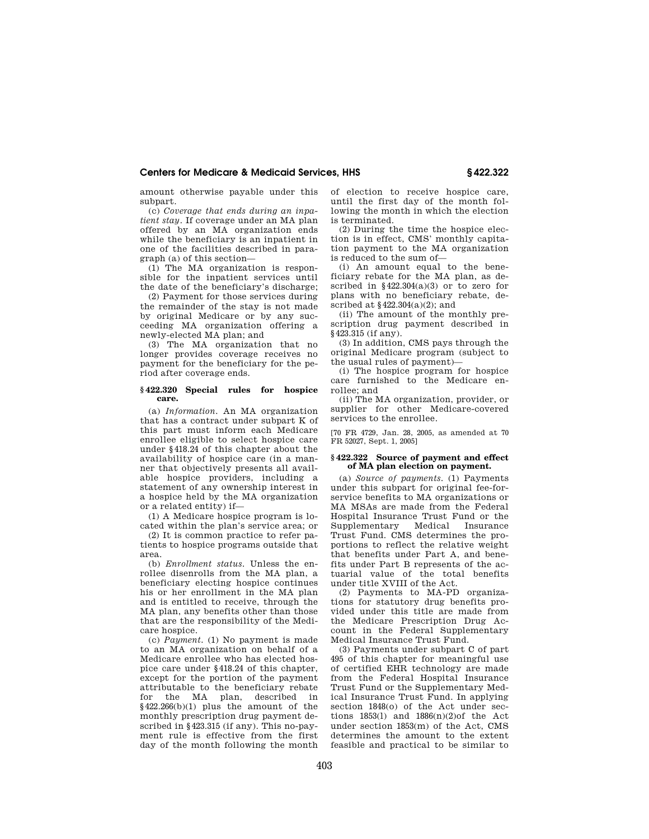amount otherwise payable under this subpart.

(c) *Coverage that ends during an inpatient stay.* If coverage under an MA plan offered by an MA organization ends while the beneficiary is an inpatient in one of the facilities described in paragraph (a) of this section—

(1) The MA organization is responsible for the inpatient services until the date of the beneficiary's discharge;

(2) Payment for those services during the remainder of the stay is not made by original Medicare or by any succeeding MA organization offering a newly-elected MA plan; and

(3) The MA organization that no longer provides coverage receives no payment for the beneficiary for the period after coverage ends.

## **§ 422.320 Special rules for hospice care.**

(a) *Information.* An MA organization that has a contract under subpart K of this part must inform each Medicare enrollee eligible to select hospice care under §418.24 of this chapter about the availability of hospice care (in a manner that objectively presents all available hospice providers, including a statement of any ownership interest in a hospice held by the MA organization or a related entity) if—

(1) A Medicare hospice program is located within the plan's service area; or

(2) It is common practice to refer patients to hospice programs outside that area.

(b) *Enrollment status.* Unless the enrollee disenrolls from the MA plan, a beneficiary electing hospice continues his or her enrollment in the MA plan and is entitled to receive, through the MA plan, any benefits other than those that are the responsibility of the Medicare hospice.

(c) *Payment.* (1) No payment is made to an MA organization on behalf of a Medicare enrollee who has elected hospice care under §418.24 of this chapter, except for the portion of the payment attributable to the beneficiary rebate for the MA plan, described §422.266(b)(1) plus the amount of the monthly prescription drug payment described in §423.315 (if any). This no-payment rule is effective from the first day of the month following the month

of election to receive hospice care, until the first day of the month following the month in which the election is terminated.

(2) During the time the hospice election is in effect, CMS' monthly capitation payment to the MA organization is reduced to the sum of—

(i) An amount equal to the beneficiary rebate for the MA plan, as described in §422.304(a)(3) or to zero for plans with no beneficiary rebate, described at §422.304(a)(2); and

(ii) The amount of the monthly prescription drug payment described in §423.315 (if any).

(3) In addition, CMS pays through the original Medicare program (subject to the usual rules of payment)—

(i) The hospice program for hospice care furnished to the Medicare enrollee; and

(ii) The MA organization, provider, or supplier for other Medicare-covered services to the enrollee.

[70 FR 4729, Jan. 28, 2005, as amended at 70 FR 52027, Sept. 1, 2005]

## **§ 422.322 Source of payment and effect of MA plan election on payment.**

(a) *Source of payments.* (1) Payments under this subpart for original fee-forservice benefits to MA organizations or MA MSAs are made from the Federal Hospital Insurance Trust Fund or the Supplementary Medical Insurance Trust Fund. CMS determines the proportions to reflect the relative weight that benefits under Part A, and benefits under Part B represents of the actuarial value of the total benefits under title XVIII of the Act.

(2) Payments to MA-PD organizations for statutory drug benefits provided under this title are made from the Medicare Prescription Drug Account in the Federal Supplementary Medical Insurance Trust Fund.

(3) Payments under subpart C of part 495 of this chapter for meaningful use of certified EHR technology are made from the Federal Hospital Insurance Trust Fund or the Supplementary Medical Insurance Trust Fund. In applying section 1848(o) of the Act under sections  $1853(1)$  and  $1886(n)(2)$ of the Act under section 1853(m) of the Act, CMS determines the amount to the extent feasible and practical to be similar to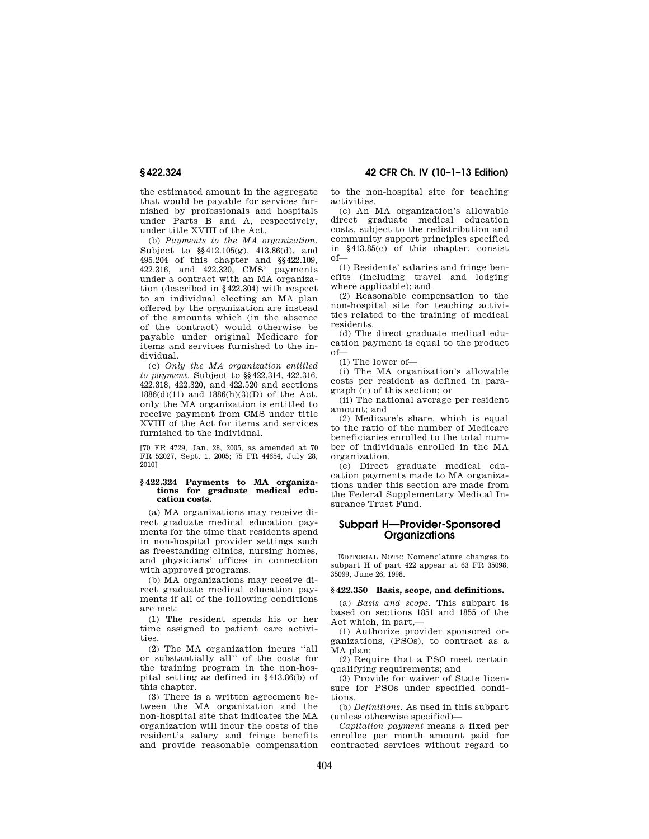the estimated amount in the aggregate that would be payable for services furnished by professionals and hospitals under Parts B and A, respectively, under title XVIII of the Act.

(b) *Payments to the MA organization.*  Subject to §§412.105(g), 413.86(d), and 495.204 of this chapter and §§422.109, 422.316, and 422.320, CMS' payments under a contract with an MA organization (described in §422.304) with respect to an individual electing an MA plan offered by the organization are instead of the amounts which (in the absence of the contract) would otherwise be payable under original Medicare for items and services furnished to the individual.

(c) *Only the MA organization entitled to payment.* Subject to §§422.314, 422.316, 422.318, 422.320, and 422.520 and sections 1886(d)(11) and 1886(h)(3)(D) of the Act, only the MA organization is entitled to receive payment from CMS under title XVIII of the Act for items and services furnished to the individual.

[70 FR 4729, Jan. 28, 2005, as amended at 70 FR 52027, Sept. 1, 2005; 75 FR 44654, July 28, 2010]

#### **§ 422.324 Payments to MA organizations for graduate medical education costs.**

(a) MA organizations may receive direct graduate medical education payments for the time that residents spend in non-hospital provider settings such as freestanding clinics, nursing homes, and physicians' offices in connection with approved programs.

(b) MA organizations may receive direct graduate medical education payments if all of the following conditions are met:

(1) The resident spends his or her time assigned to patient care activities.

(2) The MA organization incurs ''all or substantially all'' of the costs for the training program in the non-hospital setting as defined in §413.86(b) of this chapter.

(3) There is a written agreement between the MA organization and the non-hospital site that indicates the MA organization will incur the costs of the resident's salary and fringe benefits and provide reasonable compensation

**§ 422.324 42 CFR Ch. IV (10–1–13 Edition)** 

to the non-hospital site for teaching activities.

(c) An MA organization's allowable direct graduate medical education costs, subject to the redistribution and community support principles specified in §413.85(c) of this chapter, consist of—

(1) Residents' salaries and fringe benefits (including travel and lodging where applicable); and

(2) Reasonable compensation to the non-hospital site for teaching activities related to the training of medical residents.

(d) The direct graduate medical education payment is equal to the product of—

(1) The lower of—

(i) The MA organization's allowable costs per resident as defined in paragraph (c) of this section; or

(ii) The national average per resident amount; and

(2) Medicare's share, which is equal to the ratio of the number of Medicare beneficiaries enrolled to the total number of individuals enrolled in the MA organization.

(e) Direct graduate medical education payments made to MA organizations under this section are made from the Federal Supplementary Medical Insurance Trust Fund.

# **Subpart H—Provider-Sponsored Organizations**

EDITORIAL NOTE: Nomenclature changes to subpart H of part 422 appear at 63 FR 35098, 35099, June 26, 1998.

#### **§ 422.350 Basis, scope, and definitions.**

(a) *Basis and scope.* This subpart is based on sections 1851 and 1855 of the Act which, in part,—

(1) Authorize provider sponsored organizations, (PSOs), to contract as a MA plan;

(2) Require that a PSO meet certain qualifying requirements; and

(3) Provide for waiver of State licensure for PSOs under specified conditions.

(b) *Definitions.* As used in this subpart (unless otherwise specified)—

*Capitation payment* means a fixed per enrollee per month amount paid for contracted services without regard to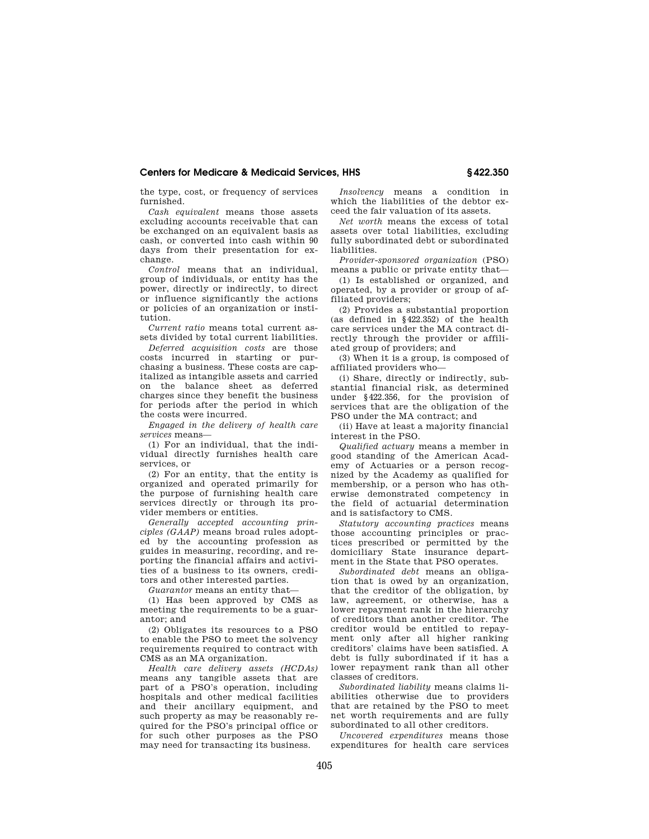the type, cost, or frequency of services furnished.

*Cash equivalent* means those assets excluding accounts receivable that can be exchanged on an equivalent basis as cash, or converted into cash within 90 days from their presentation for exchange.

*Control* means that an individual, group of individuals, or entity has the power, directly or indirectly, to direct or influence significantly the actions or policies of an organization or institution.

*Current ratio* means total current assets divided by total current liabilities.

*Deferred acquisition costs* are those costs incurred in starting or purchasing a business. These costs are capitalized as intangible assets and carried on the balance sheet as deferred charges since they benefit the business for periods after the period in which the costs were incurred.

*Engaged in the delivery of health care services* means—

(1) For an individual, that the individual directly furnishes health care services, or

(2) For an entity, that the entity is organized and operated primarily for the purpose of furnishing health care services directly or through its provider members or entities.

*Generally accepted accounting principles (GAAP)* means broad rules adopted by the accounting profession as guides in measuring, recording, and reporting the financial affairs and activities of a business to its owners, creditors and other interested parties.

*Guarantor* means an entity that—

(1) Has been approved by CMS as meeting the requirements to be a guarantor; and

(2) Obligates its resources to a PSO to enable the PSO to meet the solvency requirements required to contract with CMS as an MA organization.

*Health care delivery assets (HCDAs)*  means any tangible assets that are part of a PSO's operation, including hospitals and other medical facilities and their ancillary equipment, and such property as may be reasonably required for the PSO's principal office or for such other purposes as the PSO may need for transacting its business.

*Insolvency* means a condition in which the liabilities of the debtor exceed the fair valuation of its assets.

*Net worth* means the excess of total assets over total liabilities, excluding fully subordinated debt or subordinated liabilities.

*Provider-sponsored organization* (PSO) means a public or private entity that—

(1) Is established or organized, and operated, by a provider or group of affiliated providers;

(2) Provides a substantial proportion (as defined in §422.352) of the health care services under the MA contract directly through the provider or affiliated group of providers; and

(3) When it is a group, is composed of affiliated providers who—

(i) Share, directly or indirectly, substantial financial risk, as determined under §422.356, for the provision of services that are the obligation of the PSO under the MA contract; and

(ii) Have at least a majority financial interest in the PSO.

*Qualified actuary* means a member in good standing of the American Academy of Actuaries or a person recognized by the Academy as qualified for membership, or a person who has otherwise demonstrated competency in the field of actuarial determination and is satisfactory to CMS.

*Statutory accounting practices* means those accounting principles or practices prescribed or permitted by the domiciliary State insurance department in the State that PSO operates.

*Subordinated debt* means an obligation that is owed by an organization, that the creditor of the obligation, by law, agreement, or otherwise, has a lower repayment rank in the hierarchy of creditors than another creditor. The creditor would be entitled to repayment only after all higher ranking creditors' claims have been satisfied. A debt is fully subordinated if it has a lower repayment rank than all other classes of creditors.

*Subordinated liability* means claims liabilities otherwise due to providers that are retained by the PSO to meet net worth requirements and are fully subordinated to all other creditors.

*Uncovered expenditures* means those expenditures for health care services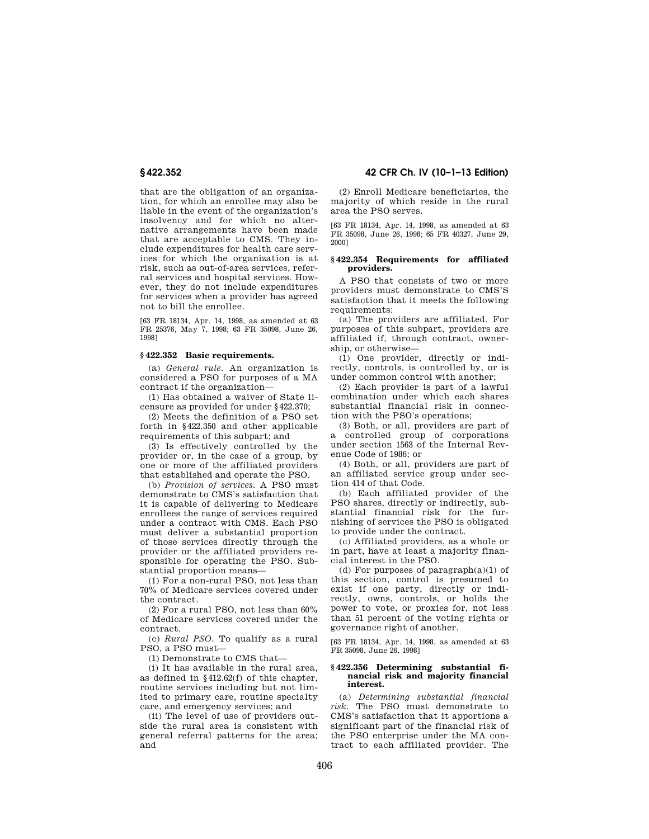that are the obligation of an organization, for which an enrollee may also be liable in the event of the organization's insolvency and for which no alternative arrangements have been made that are acceptable to CMS. They include expenditures for health care services for which the organization is at risk, such as out-of-area services, referral services and hospital services. However, they do not include expenditures for services when a provider has agreed not to bill the enrollee.

[63 FR 18134, Apr. 14, 1998, as amended at 63 FR 25376, May 7, 1998; 63 FR 35098, June 26, 1998]

#### **§ 422.352 Basic requirements.**

(a) *General rule.* An organization is considered a PSO for purposes of a MA contract if the organization—

(1) Has obtained a waiver of State licensure as provided for under §422.370;

(2) Meets the definition of a PSO set forth in §422.350 and other applicable requirements of this subpart; and

(3) Is effectively controlled by the provider or, in the case of a group, by one or more of the affiliated providers that established and operate the PSO.

(b) *Provision of services.* A PSO must demonstrate to CMS's satisfaction that it is capable of delivering to Medicare enrollees the range of services required under a contract with CMS. Each PSO must deliver a substantial proportion of those services directly through the provider or the affiliated providers responsible for operating the PSO. Substantial proportion means—

(1) For a non-rural PSO, not less than 70% of Medicare services covered under the contract.

(2) For a rural PSO, not less than 60% of Medicare services covered under the contract.

(c) *Rural PSO.* To qualify as a rural PSO, a PSO must—

(1) Demonstrate to CMS that—

(i) It has available in the rural area, as defined in §412.62(f) of this chapter, routine services including but not limited to primary care, routine specialty care, and emergency services; and

(ii) The level of use of providers outside the rural area is consistent with general referral patterns for the area; and

**§ 422.352 42 CFR Ch. IV (10–1–13 Edition)** 

(2) Enroll Medicare beneficiaries, the majority of which reside in the rural area the PSO serves.

[63 FR 18134, Apr. 14, 1998, as amended at 63 FR 35098, June 26, 1998; 65 FR 40327, June 29, 2000]

#### **§ 422.354 Requirements for affiliated providers.**

A PSO that consists of two or more providers must demonstrate to CMS'S satisfaction that it meets the following requirements:

(a) The providers are affiliated. For purposes of this subpart, providers are affiliated if, through contract, ownership, or otherwise—

(1) One provider, directly or indirectly, controls, is controlled by, or is under common control with another;

(2) Each provider is part of a lawful combination under which each shares substantial financial risk in connection with the PSO's operations;

(3) Both, or all, providers are part of a controlled group of corporations under section 1563 of the Internal Revenue Code of 1986; or

(4) Both, or all, providers are part of an affiliated service group under section 414 of that Code.

(b) Each affiliated provider of the PSO shares, directly or indirectly, substantial financial risk for the furnishing of services the PSO is obligated to provide under the contract.

(c) Affiliated providers, as a whole or in part, have at least a majority financial interest in the PSO.

(d) For purposes of paragraph(a)(1) of this section, control is presumed to exist if one party, directly or indirectly, owns, controls, or holds the power to vote, or proxies for, not less than 51 percent of the voting rights or governance right of another.

[63 FR 18134, Apr. 14, 1998, as amended at 63 FR 35098, June 26, 1998]

#### **§ 422.356 Determining substantial financial risk and majority financial interest.**

(a) *Determining substantial financial risk.* The PSO must demonstrate to CMS's satisfaction that it apportions a significant part of the financial risk of the PSO enterprise under the MA contract to each affiliated provider. The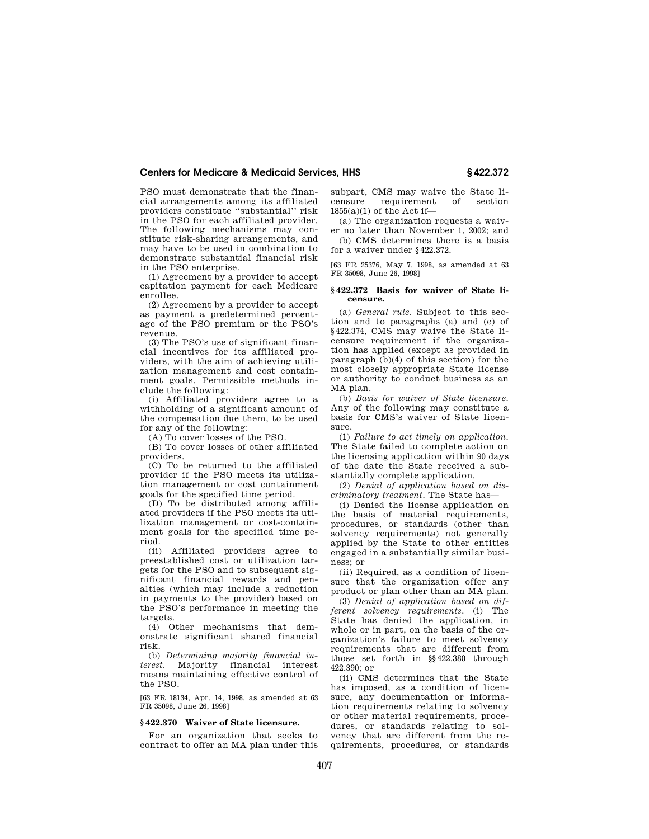PSO must demonstrate that the financial arrangements among its affiliated providers constitute ''substantial'' risk in the PSO for each affiliated provider. The following mechanisms may constitute risk-sharing arrangements, and may have to be used in combination to demonstrate substantial financial risk in the PSO enterprise.

(1) Agreement by a provider to accept capitation payment for each Medicare enrollee.

(2) Agreement by a provider to accept as payment a predetermined percentage of the PSO premium or the PSO's revenue.

(3) The PSO's use of significant financial incentives for its affiliated providers, with the aim of achieving utilization management and cost containment goals. Permissible methods include the following:

(i) Affiliated providers agree to a withholding of a significant amount of the compensation due them, to be used for any of the following:

(A) To cover losses of the PSO.

(B) To cover losses of other affiliated providers.

(C) To be returned to the affiliated provider if the PSO meets its utilization management or cost containment goals for the specified time period.

(D) To be distributed among affiliated providers if the PSO meets its utilization management or cost-containment goals for the specified time period.

(ii) Affiliated providers agree to preestablished cost or utilization targets for the PSO and to subsequent significant financial rewards and penalties (which may include a reduction in payments to the provider) based on the PSO's performance in meeting the targets.

(4) Other mechanisms that demonstrate significant shared financial risk.

(b) *Determining majority financial interest.* Majority financial interest means maintaining effective control of the PSO.

[63 FR 18134, Apr. 14, 1998, as amended at 63 FR 35098, June 26, 1998]

#### **§ 422.370 Waiver of State licensure.**

For an organization that seeks to contract to offer an MA plan under this subpart, CMS may waive the State licensure requirement of section 1855(a)(1) of the Act if—

(a) The organization requests a waiver no later than November 1, 2002; and

(b) CMS determines there is a basis for a waiver under §422.372.

[63 FR 25376, May 7, 1998, as amended at 63 FR 35098, June 26, 1998]

#### **§ 422.372 Basis for waiver of State licensure.**

(a) *General rule.* Subject to this section and to paragraphs (a) and (e) of §422.374, CMS may waive the State licensure requirement if the organization has applied (except as provided in paragraph (b)(4) of this section) for the most closely appropriate State license or authority to conduct business as an MA plan.

(b) *Basis for waiver of State licensure.*  Any of the following may constitute a basis for CMS's waiver of State licensure.

(1) *Failure to act timely on application.*  The State failed to complete action on the licensing application within 90 days of the date the State received a substantially complete application.

(2) *Denial of application based on discriminatory treatment.* The State has—

(i) Denied the license application on the basis of material requirements, procedures, or standards (other than solvency requirements) not generally applied by the State to other entities engaged in a substantially similar business; or

(ii) Required, as a condition of licensure that the organization offer any product or plan other than an MA plan.

(3) *Denial of application based on different solvency requirements.* (i) The State has denied the application, in whole or in part, on the basis of the organization's failure to meet solvency requirements that are different from those set forth in §§422.380 through 422.390; or

(ii) CMS determines that the State has imposed, as a condition of licensure, any documentation or information requirements relating to solvency or other material requirements, procedures, or standards relating to solvency that are different from the requirements, procedures, or standards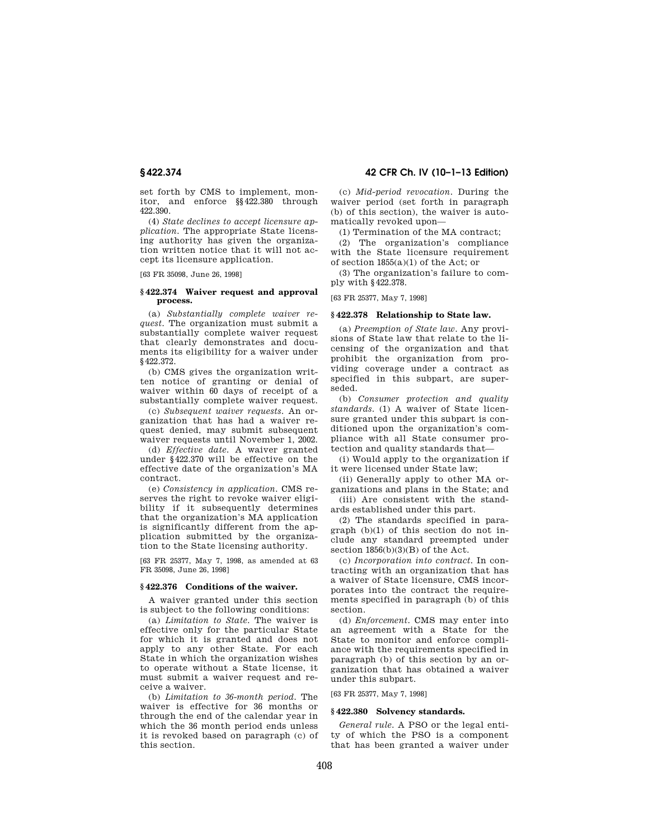set forth by CMS to implement, monitor, and enforce §§422.380 through 422.390.

(4) *State declines to accept licensure application.* The appropriate State licensing authority has given the organization written notice that it will not accept its licensure application.

[63 FR 35098, June 26, 1998]

#### **§ 422.374 Waiver request and approval process.**

(a) *Substantially complete waiver request.* The organization must submit a substantially complete waiver request that clearly demonstrates and documents its eligibility for a waiver under §422.372.

(b) CMS gives the organization written notice of granting or denial of waiver within 60 days of receipt of a substantially complete waiver request.

(c) *Subsequent waiver requests.* An organization that has had a waiver request denied, may submit subsequent waiver requests until November 1, 2002.

(d) *Effective date.* A waiver granted under §422.370 will be effective on the effective date of the organization's MA contract.

(e) *Consistency in application.* CMS reserves the right to revoke waiver eligibility if it subsequently determines that the organization's MA application is significantly different from the application submitted by the organization to the State licensing authority.

[63 FR 25377, May 7, 1998, as amended at 63 FR 35098, June 26, 1998]

## **§ 422.376 Conditions of the waiver.**

A waiver granted under this section is subject to the following conditions:

(a) *Limitation to State.* The waiver is effective only for the particular State for which it is granted and does not apply to any other State. For each State in which the organization wishes to operate without a State license, it must submit a waiver request and receive a waiver.

(b) *Limitation to 36-month period.* The waiver is effective for 36 months or through the end of the calendar year in which the 36 month period ends unless it is revoked based on paragraph (c) of this section.

**§ 422.374 42 CFR Ch. IV (10–1–13 Edition)** 

(c) *Mid-period revocation.* During the waiver period (set forth in paragraph (b) of this section), the waiver is automatically revoked upon—

(1) Termination of the MA contract;

(2) The organization's compliance with the State licensure requirement of section 1855(a)(1) of the Act; or

(3) The organization's failure to comply with §422.378.

[63 FR 25377, May 7, 1998]

## **§ 422.378 Relationship to State law.**

(a) *Preemption of State law.* Any provisions of State law that relate to the licensing of the organization and that prohibit the organization from providing coverage under a contract as specified in this subpart, are superseded.

(b) *Consumer protection and quality standards.* (1) A waiver of State licensure granted under this subpart is conditioned upon the organization's compliance with all State consumer protection and quality standards that—

(i) Would apply to the organization if it were licensed under State law;

(ii) Generally apply to other MA organizations and plans in the State; and

(iii) Are consistent with the standards established under this part.

(2) The standards specified in paragraph (b)(1) of this section do not include any standard preempted under section  $1856(b)(3)(B)$  of the Act.

(c) *Incorporation into contract.* In contracting with an organization that has a waiver of State licensure, CMS incorporates into the contract the requirements specified in paragraph (b) of this section.

(d) *Enforcement.* CMS may enter into an agreement with a State for the State to monitor and enforce compliance with the requirements specified in paragraph (b) of this section by an organization that has obtained a waiver under this subpart.

[63 FR 25377, May 7, 1998]

# **§ 422.380 Solvency standards.**

*General rule.* A PSO or the legal entity of which the PSO is a component that has been granted a waiver under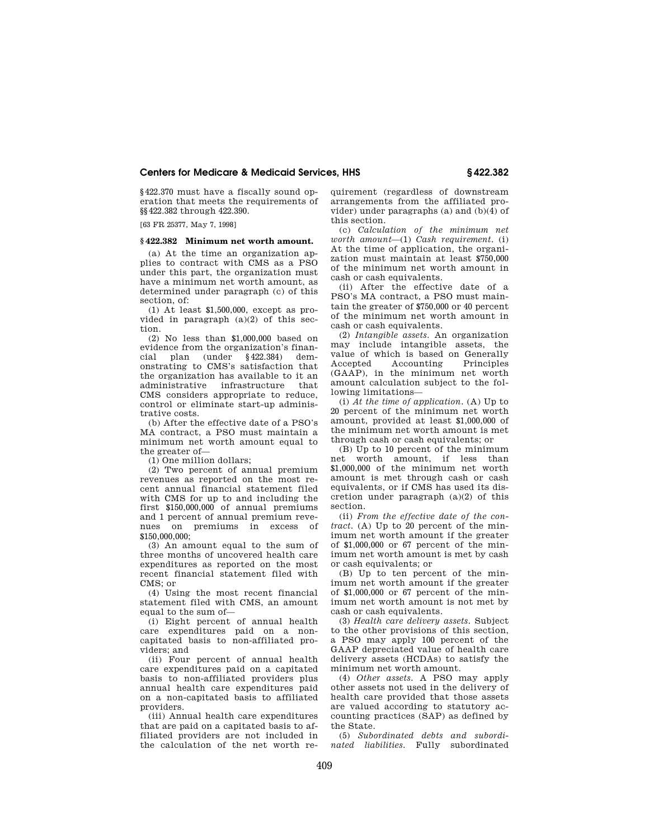§422.370 must have a fiscally sound operation that meets the requirements of §§422.382 through 422.390.

[63 FR 25377, May 7, 1998]

## **§ 422.382 Minimum net worth amount.**

(a) At the time an organization applies to contract with CMS as a PSO under this part, the organization must have a minimum net worth amount, as determined under paragraph (c) of this section, of:

(1) At least \$1,500,000, except as provided in paragraph  $(a)(2)$  of this section.

(2) No less than \$1,000,000 based on evidence from the organization's financial plan (under §422.384) demonstrating to CMS's satisfaction that the organization has available to it an administrative infrastructure that CMS considers appropriate to reduce, control or eliminate start-up administrative costs.

(b) After the effective date of a PSO's MA contract, a PSO must maintain a minimum net worth amount equal to the greater of—

(1) One million dollars;

(2) Two percent of annual premium revenues as reported on the most recent annual financial statement filed with CMS for up to and including the first \$150,000,000 of annual premiums and 1 percent of annual premium revenues on premiums in excess of \$150,000,000;

(3) An amount equal to the sum of three months of uncovered health care expenditures as reported on the most recent financial statement filed with CMS; or

(4) Using the most recent financial statement filed with CMS, an amount equal to the sum of—

(i) Eight percent of annual health care expenditures paid on a noncapitated basis to non-affiliated providers; and

(ii) Four percent of annual health care expenditures paid on a capitated basis to non-affiliated providers plus annual health care expenditures paid on a non-capitated basis to affiliated providers.

(iii) Annual health care expenditures that are paid on a capitated basis to affiliated providers are not included in the calculation of the net worth re-

quirement (regardless of downstream arrangements from the affiliated provider) under paragraphs (a) and (b)(4) of this section.

(c) *Calculation of the minimum net worth amount*—(1) *Cash requirement.* (i) At the time of application, the organization must maintain at least \$750,000 of the minimum net worth amount in cash or cash equivalents.

(ii) After the effective date of a PSO's MA contract, a PSO must maintain the greater of \$750,000 or 40 percent of the minimum net worth amount in cash or cash equivalents.

(2) *Intangible assets.* An organization may include intangible assets, the value of which is based on Generally Accepted Accounting Principles (GAAP), in the minimum net worth amount calculation subject to the following limitations—

(i) *At the time of application.* (A) Up to 20 percent of the minimum net worth amount, provided at least \$1,000,000 of the minimum net worth amount is met through cash or cash equivalents; or

(B) Up to 10 percent of the minimum net worth amount, if less than \$1,000,000 of the minimum net worth amount is met through cash or cash equivalents, or if CMS has used its discretion under paragraph (a)(2) of this section.

(ii) *From the effective date of the contract.* (A) Up to 20 percent of the minimum net worth amount if the greater of \$1,000,000 or 67 percent of the minimum net worth amount is met by cash or cash equivalents; or

(B) Up to ten percent of the minimum net worth amount if the greater of \$1,000,000 or 67 percent of the minimum net worth amount is not met by cash or cash equivalents.

(3) *Health care delivery assets.* Subject to the other provisions of this section, a PSO may apply 100 percent of the GAAP depreciated value of health care delivery assets (HCDAs) to satisfy the minimum net worth amount.

(4) *Other assets.* A PSO may apply other assets not used in the delivery of health care provided that those assets are valued according to statutory accounting practices (SAP) as defined by the State.

(5) *Subordinated debts and subordinated liabilities.* Fully subordinated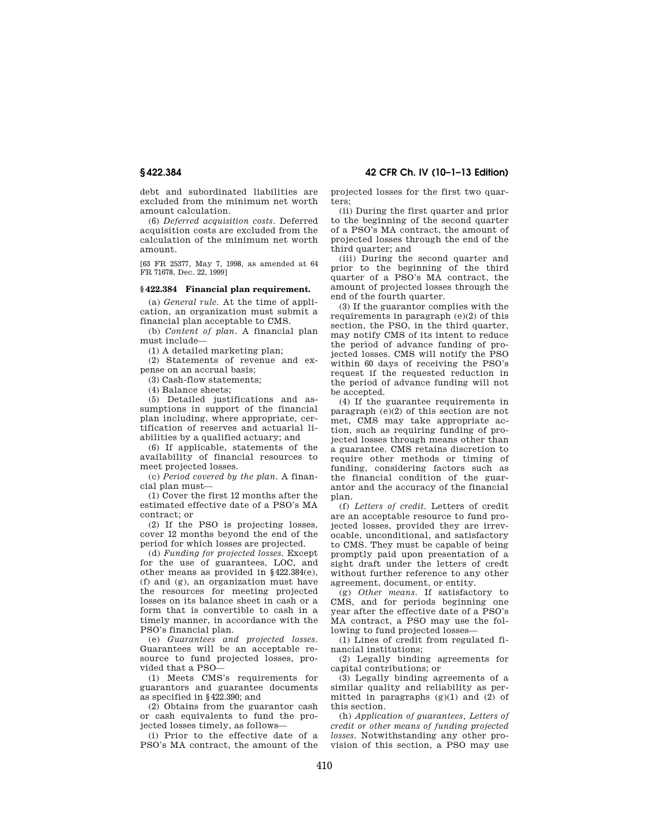debt and subordinated liabilities are excluded from the minimum net worth amount calculation.

(6) *Deferred acquisition costs.* Deferred acquisition costs are excluded from the calculation of the minimum net worth amount.

[63 FR 25377, May 7, 1998, as amended at 64 FR 71678, Dec. 22, 1999]

## **§ 422.384 Financial plan requirement.**

(a) *General rule.* At the time of application, an organization must submit a financial plan acceptable to CMS.

(b) *Content of plan.* A financial plan must include—

(1) A detailed marketing plan;

(2) Statements of revenue and expense on an accrual basis;

(3) Cash-flow statements;

(4) Balance sheets;

(5) Detailed justifications and assumptions in support of the financial plan including, where appropriate, certification of reserves and actuarial liabilities by a qualified actuary; and

(6) If applicable, statements of the availability of financial resources to meet projected losses.

(c) *Period covered by the plan.* A financial plan must—

(1) Cover the first 12 months after the estimated effective date of a PSO's MA contract; or

(2) If the PSO is projecting losses, cover 12 months beyond the end of the period for which losses are projected.

(d) *Funding for projected losses.* Except for the use of guarantees, LOC, and other means as provided in §422.384(e), (f) and (g), an organization must have the resources for meeting projected losses on its balance sheet in cash or a form that is convertible to cash in a timely manner, in accordance with the PSO's financial plan.

(e) *Guarantees and projected losses.*  Guarantees will be an acceptable resource to fund projected losses, provided that a PSO—

(1) Meets CMS's requirements for guarantors and guarantee documents as specified in §422.390; and

(2) Obtains from the guarantor cash or cash equivalents to fund the projected losses timely, as follows—

(i) Prior to the effective date of a PSO's MA contract, the amount of the

**§ 422.384 42 CFR Ch. IV (10–1–13 Edition)** 

projected losses for the first two quarters;

(ii) During the first quarter and prior to the beginning of the second quarter of a PSO's MA contract, the amount of projected losses through the end of the third quarter; and

(iii) During the second quarter and prior to the beginning of the third quarter of a PSO's MA contract, the amount of projected losses through the end of the fourth quarter.

(3) If the guarantor complies with the requirements in paragraph (e)(2) of this section, the PSO, in the third quarter, may notify CMS of its intent to reduce the period of advance funding of projected losses. CMS will notify the PSO within 60 days of receiving the PSO's request if the requested reduction in the period of advance funding will not be accepted.

(4) If the guarantee requirements in paragraph (e)(2) of this section are not met, CMS may take appropriate action, such as requiring funding of projected losses through means other than a guarantee. CMS retains discretion to require other methods or timing of funding, considering factors such as the financial condition of the guarantor and the accuracy of the financial plan.

(f) *Letters of credit.* Letters of credit are an acceptable resource to fund projected losses, provided they are irrevocable, unconditional, and satisfactory to CMS. They must be capable of being promptly paid upon presentation of a sight draft under the letters of credt without further reference to any other agreement, document, or entity.

(g) *Other means.* If satisfactory to CMS, and for periods beginning one year after the effective date of a PSO's MA contract, a PSO may use the following to fund projected losses—

(1) Lines of credit from regulated financial institutions;

(2) Legally binding agreements for capital contributions; or

(3) Legally binding agreements of a similar quality and reliability as permitted in paragraphs  $(g)(1)$  and  $(2)$  of this section.

(h) *Application of guarantees, Letters of credit or other means of funding projected losses.* Notwithstanding any other provision of this section, a PSO may use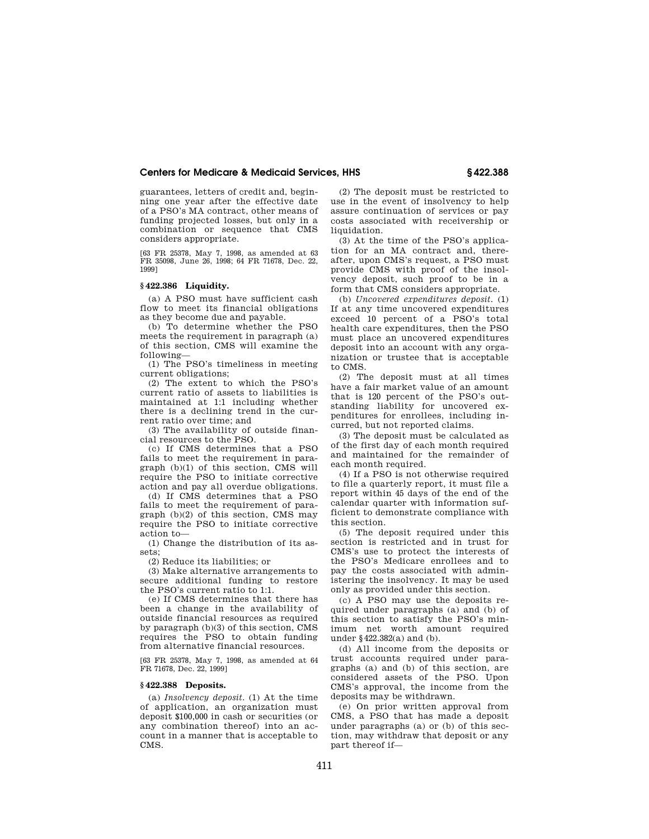guarantees, letters of credit and, beginning one year after the effective date of a PSO's MA contract, other means of funding projected losses, but only in a combination or sequence that CMS considers appropriate.

[63 FR 25378, May 7, 1998, as amended at 63 FR 35098, June 26, 1998; 64 FR 71678, Dec. 22, 1999]

#### **§ 422.386 Liquidity.**

(a) A PSO must have sufficient cash flow to meet its financial obligations as they become due and payable.

(b) To determine whether the PSO meets the requirement in paragraph (a) of this section, CMS will examine the following—

(1) The PSO's timeliness in meeting current obligations;

(2) The extent to which the PSO's current ratio of assets to liabilities is maintained at 1:1 including whether there is a declining trend in the current ratio over time; and

(3) The availability of outside financial resources to the PSO.

(c) If CMS determines that a PSO fails to meet the requirement in paragraph (b)(1) of this section, CMS will require the PSO to initiate corrective action and pay all overdue obligations.

(d) If CMS determines that a PSO fails to meet the requirement of paragraph (b)(2) of this section, CMS may require the PSO to initiate corrective action to—

(1) Change the distribution of its assets;

(2) Reduce its liabilities; or

(3) Make alternative arrangements to secure additional funding to restore the PSO's current ratio to 1:1.

(e) If CMS determines that there has been a change in the availability of outside financial resources as required by paragraph (b)(3) of this section, CMS requires the PSO to obtain funding from alternative financial resources.

[63 FR 25378, May 7, 1998, as amended at 64 FR 71678, Dec. 22, 1999]

#### **§ 422.388 Deposits.**

(a) *Insolvency deposit.* (1) At the time of application, an organization must deposit \$100,000 in cash or securities (or any combination thereof) into an account in a manner that is acceptable to CMS.

(2) The deposit must be restricted to use in the event of insolvency to help assure continuation of services or pay costs associated with receivership or liquidation.

(3) At the time of the PSO's application for an MA contract and, thereafter, upon CMS's request, a PSO must provide CMS with proof of the insolvency deposit, such proof to be in a form that CMS considers appropriate.

(b) *Uncovered expenditures deposit.* (1) If at any time uncovered expenditures exceed 10 percent of a PSO's total health care expenditures, then the PSO must place an uncovered expenditures deposit into an account with any organization or trustee that is acceptable to CMS.

(2) The deposit must at all times have a fair market value of an amount that is 120 percent of the PSO's outstanding liability for uncovered expenditures for enrollees, including incurred, but not reported claims.

(3) The deposit must be calculated as of the first day of each month required and maintained for the remainder of each month required.

(4) If a PSO is not otherwise required to file a quarterly report, it must file a report within 45 days of the end of the calendar quarter with information sufficient to demonstrate compliance with this section.

(5) The deposit required under this section is restricted and in trust for CMS's use to protect the interests of the PSO's Medicare enrollees and to pay the costs associated with administering the insolvency. It may be used only as provided under this section.

(c) A PSO may use the deposits required under paragraphs (a) and (b) of this section to satisfy the PSO's minimum net worth amount required under §422.382(a) and (b).

(d) All income from the deposits or trust accounts required under paragraphs (a) and (b) of this section, are considered assets of the PSO. Upon CMS's approval, the income from the deposits may be withdrawn.

(e) On prior written approval from CMS, a PSO that has made a deposit under paragraphs (a) or (b) of this section, may withdraw that deposit or any part thereof if—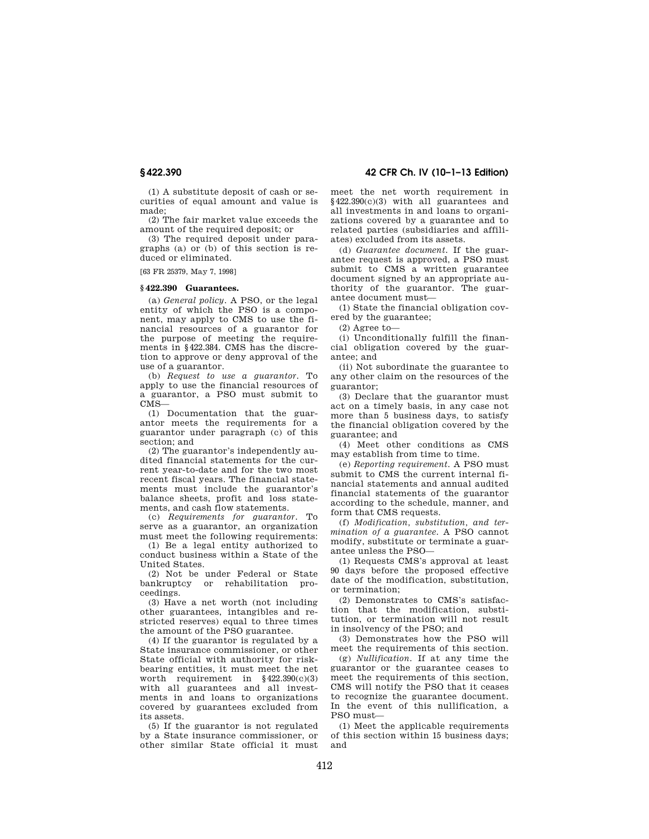(1) A substitute deposit of cash or securities of equal amount and value is made;

(2) The fair market value exceeds the amount of the required deposit; or

(3) The required deposit under paragraphs (a) or (b) of this section is reduced or eliminated.

[63 FR 25379, May 7, 1998]

#### **§ 422.390 Guarantees.**

(a) *General policy.* A PSO, or the legal entity of which the PSO is a component, may apply to CMS to use the financial resources of a guarantor for the purpose of meeting the requirements in §422.384. CMS has the discretion to approve or deny approval of the use of a guarantor.

(b) *Request to use a guarantor.* To apply to use the financial resources of a guarantor, a PSO must submit to CMS—

(1) Documentation that the guarantor meets the requirements for a guarantor under paragraph (c) of this section; and

(2) The guarantor's independently audited financial statements for the current year-to-date and for the two most recent fiscal years. The financial statements must include the guarantor's balance sheets, profit and loss statements, and cash flow statements.

(c) *Requirements for guarantor.* To serve as a guarantor, an organization must meet the following requirements:

(1) Be a legal entity authorized to conduct business within a State of the United States.

(2) Not be under Federal or State bankruptcy or rehabilitation proceedings.

(3) Have a net worth (not including other guarantees, intangibles and restricted reserves) equal to three times the amount of the PSO guarantee.

(4) If the guarantor is regulated by a State insurance commissioner, or other State official with authority for riskbearing entities, it must meet the net worth requirement in  $§422.390(c)(3)$ with all guarantees and all investments in and loans to organizations covered by guarantees excluded from its assets.

(5) If the guarantor is not regulated by a State insurance commissioner, or other similar State official it must

**§ 422.390 42 CFR Ch. IV (10–1–13 Edition)** 

meet the net worth requirement in §422.390(c)(3) with all guarantees and all investments in and loans to organizations covered by a guarantee and to related parties (subsidiaries and affiliates) excluded from its assets.

(d) *Guarantee document.* If the guarantee request is approved, a PSO must submit to CMS a written guarantee document signed by an appropriate authority of the guarantor. The guarantee document must—

(1) State the financial obligation covered by the guarantee;

(2) Agree to—

(i) Unconditionally fulfill the financial obligation covered by the guarantee; and

(ii) Not subordinate the guarantee to any other claim on the resources of the guarantor;

(3) Declare that the guarantor must act on a timely basis, in any case not more than 5 business days, to satisfy the financial obligation covered by the guarantee; and

(4) Meet other conditions as CMS may establish from time to time.

(e) *Reporting requirement.* A PSO must submit to CMS the current internal financial statements and annual audited financial statements of the guarantor according to the schedule, manner, and form that CMS requests.

(f) *Modification, substitution, and termination of a guarantee.* A PSO cannot modify, substitute or terminate a guarantee unless the PSO—

(1) Requests CMS's approval at least 90 days before the proposed effective date of the modification, substitution, or termination;

(2) Demonstrates to CMS's satisfaction that the modification, substitution, or termination will not result in insolvency of the PSO; and

(3) Demonstrates how the PSO will meet the requirements of this section.

(g) *Nullification.* If at any time the guarantor or the guarantee ceases to meet the requirements of this section, CMS will notify the PSO that it ceases to recognize the guarantee document. In the event of this nullification, a PSO must—

(1) Meet the applicable requirements of this section within 15 business days; and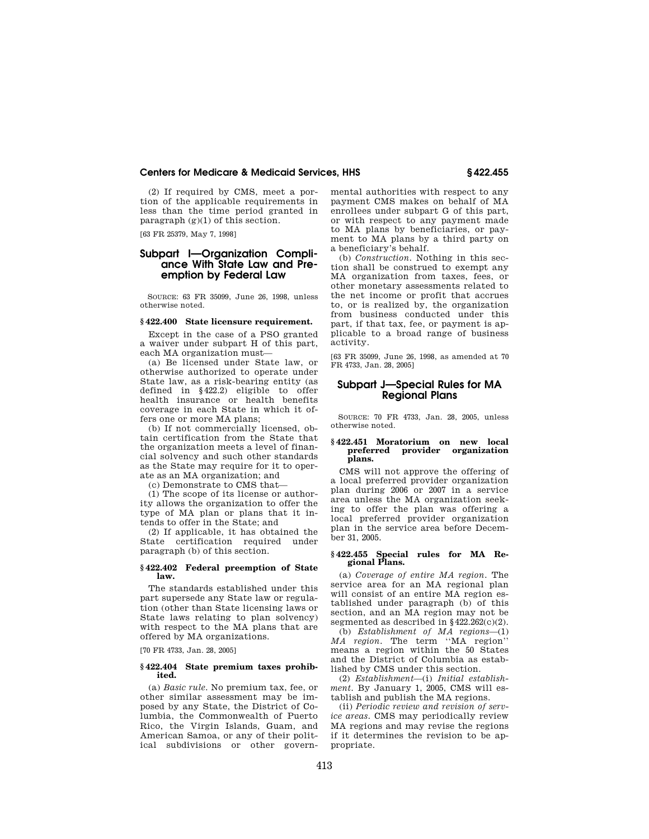(2) If required by CMS, meet a portion of the applicable requirements in less than the time period granted in paragraph (g)(1) of this section.

[63 FR 25379, May 7, 1998]

# **Subpart I—Organization Compliance With State Law and Preemption by Federal Law**

SOURCE: 63 FR 35099, June 26, 1998, unless otherwise noted.

#### **§ 422.400 State licensure requirement.**

Except in the case of a PSO granted a waiver under subpart H of this part, each MA organization must—

(a) Be licensed under State law, or otherwise authorized to operate under State law, as a risk-bearing entity (as defined in §422.2) eligible to offer health insurance or health benefits coverage in each State in which it offers one or more MA plans;

(b) If not commercially licensed, obtain certification from the State that the organization meets a level of financial solvency and such other standards as the State may require for it to operate as an MA organization; and

(c) Demonstrate to CMS that—

(1) The scope of its license or authority allows the organization to offer the type of MA plan or plans that it intends to offer in the State; and

(2) If applicable, it has obtained the State certification required under paragraph (b) of this section.

#### **§ 422.402 Federal preemption of State law.**

The standards established under this part supersede any State law or regulation (other than State licensing laws or State laws relating to plan solvency) with respect to the MA plans that are offered by MA organizations.

[70 FR 4733, Jan. 28, 2005]

#### **§ 422.404 State premium taxes prohibited.**

(a) *Basic rule.* No premium tax, fee, or other similar assessment may be imposed by any State, the District of Columbia, the Commonwealth of Puerto Rico, the Virgin Islands, Guam, and American Samoa, or any of their political subdivisions or other governmental authorities with respect to any payment CMS makes on behalf of MA enrollees under subpart G of this part, or with respect to any payment made to MA plans by beneficiaries, or payment to MA plans by a third party on a beneficiary's behalf.

(b) *Construction.* Nothing in this section shall be construed to exempt any MA organization from taxes, fees, or other monetary assessments related to the net income or profit that accrues to, or is realized by, the organization from business conducted under this part, if that tax, fee, or payment is applicable to a broad range of business activity.

[63 FR 35099, June 26, 1998, as amended at 70 FR 4733, Jan. 28, 2005]

# **Subpart J—Special Rules for MA Regional Plans**

SOURCE: 70 FR 4733, Jan. 28, 2005, unless otherwise noted.

#### **§ 422.451 Moratorium on new local preferred provider organization plans.**

CMS will not approve the offering of a local preferred provider organization plan during 2006 or 2007 in a service area unless the MA organization seeking to offer the plan was offering a local preferred provider organization plan in the service area before December 31, 2005.

## **§ 422.455 Special rules for MA Regional Plans.**

(a) *Coverage of entire MA region.* The service area for an MA regional plan will consist of an entire MA region established under paragraph (b) of this section, and an MA region may not be segmented as described in  $§ 422.262(c)(2)$ .

(b) *Establishment of MA regions*—(1) *MA region.* The term ''MA region'' means a region within the 50 States and the District of Columbia as established by CMS under this section.

(2) *Establishment*—(i) *Initial establishment.* By January 1, 2005, CMS will establish and publish the MA regions.

(ii) *Periodic review and revision of service areas.* CMS may periodically review MA regions and may revise the regions if it determines the revision to be appropriate.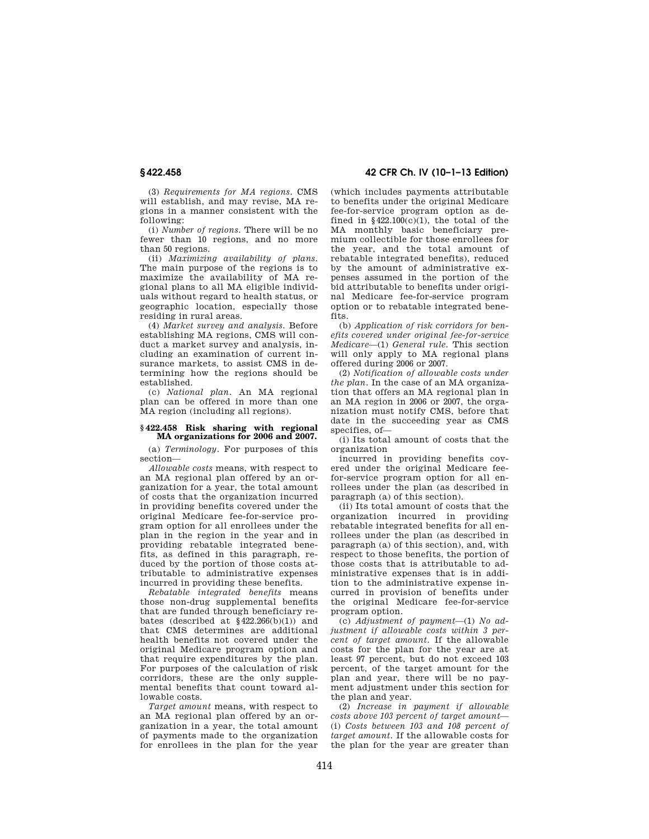**§ 422.458 42 CFR Ch. IV (10–1–13 Edition)** 

(3) *Requirements for MA regions.* CMS will establish, and may revise, MA regions in a manner consistent with the following:

(i) *Number of regions.* There will be no fewer than 10 regions, and no more than 50 regions.

(ii) *Maximizing availability of plans.*  The main purpose of the regions is to maximize the availability of MA regional plans to all MA eligible individuals without regard to health status, or geographic location, especially those residing in rural areas.

(4) *Market survey and analysis.* Before establishing MA regions, CMS will conduct a market survey and analysis, including an examination of current insurance markets, to assist CMS in determining how the regions should be established.

(c) *National plan.* An MA regional plan can be offered in more than one MA region (including all regions).

#### **§ 422.458 Risk sharing with regional MA organizations for 2006 and 2007.**

(a) *Terminology.* For purposes of this section—

*Allowable costs* means, with respect to an MA regional plan offered by an organization for a year, the total amount of costs that the organization incurred in providing benefits covered under the original Medicare fee-for-service program option for all enrollees under the plan in the region in the year and in providing rebatable integrated benefits, as defined in this paragraph, reduced by the portion of those costs attributable to administrative expenses incurred in providing these benefits.

*Rebatable integrated benefits* means those non-drug supplemental benefits that are funded through beneficiary rebates (described at  $§422.266(b)(1)$ ) and that CMS determines are additional health benefits not covered under the original Medicare program option and that require expenditures by the plan. For purposes of the calculation of risk corridors, these are the only supplemental benefits that count toward allowable costs.

*Target amount* means, with respect to an MA regional plan offered by an organization in a year, the total amount of payments made to the organization for enrollees in the plan for the year

(which includes payments attributable to benefits under the original Medicare fee-for-service program option as defined in  $$422.100(c)(1)$ , the total of the MA monthly basic beneficiary premium collectible for those enrollees for the year, and the total amount of rebatable integrated benefits), reduced by the amount of administrative expenses assumed in the portion of the bid attributable to benefits under original Medicare fee-for-service program option or to rebatable integrated benefits.

(b) *Application of risk corridors for benefits covered under original fee-for-service Medicare*—(1) *General rule.* This section will only apply to MA regional plans offered during 2006 or 2007.

(2) *Notification of allowable costs under the plan.* In the case of an MA organization that offers an MA regional plan in an MA region in 2006 or 2007, the organization must notify CMS, before that date in the succeeding year as CMS specifies, of—

(i) Its total amount of costs that the organization

incurred in providing benefits covered under the original Medicare feefor-service program option for all enrollees under the plan (as described in paragraph (a) of this section).

(ii) Its total amount of costs that the organization incurred in providing rebatable integrated benefits for all enrollees under the plan (as described in paragraph (a) of this section), and, with respect to those benefits, the portion of those costs that is attributable to administrative expenses that is in addition to the administrative expense incurred in provision of benefits under the original Medicare fee-for-service program option.

(c) *Adjustment of payment*—(1) *No adjustment if allowable costs within 3 percent of target amount.* If the allowable costs for the plan for the year are at least 97 percent, but do not exceed 103 percent, of the target amount for the plan and year, there will be no payment adjustment under this section for the plan and year.

(2) *Increase in payment if allowable costs above 103 percent of target amount*— (i) *Costs between 103 and 108 percent of target amount.* If the allowable costs for the plan for the year are greater than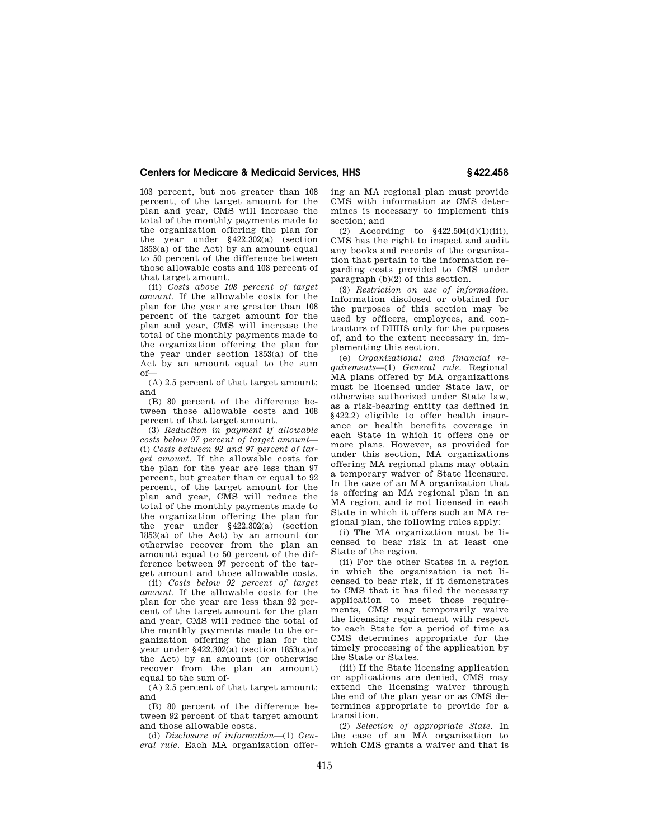103 percent, but not greater than 108 percent, of the target amount for the plan and year, CMS will increase the total of the monthly payments made to the organization offering the plan for the year under §422.302(a) (section  $1853(a)$  of the Act) by an amount equal to 50 percent of the difference between those allowable costs and 103 percent of that target amount.

(ii) *Costs above 108 percent of target amount.* If the allowable costs for the plan for the year are greater than 108 percent of the target amount for the plan and year, CMS will increase the total of the monthly payments made to the organization offering the plan for the year under section 1853(a) of the Act by an amount equal to the sum of—

(A) 2.5 percent of that target amount; and

(B) 80 percent of the difference between those allowable costs and 108 percent of that target amount.

(3) *Reduction in payment if allowable costs below 97 percent of target amount*— (i) *Costs between 92 and 97 percent of target amount.* If the allowable costs for the plan for the year are less than 97 percent, but greater than or equal to 92 percent, of the target amount for the plan and year, CMS will reduce the total of the monthly payments made to the organization offering the plan for the year under §422.302(a) (section  $1853(a)$  of the Act) by an amount (or otherwise recover from the plan an amount) equal to 50 percent of the difference between 97 percent of the target amount and those allowable costs.

(ii) *Costs below 92 percent of target amount.* If the allowable costs for the plan for the year are less than 92 percent of the target amount for the plan and year, CMS will reduce the total of the monthly payments made to the organization offering the plan for the year under §422.302(a) (section 1853(a)of the Act) by an amount (or otherwise recover from the plan an amount) equal to the sum of-

(A) 2.5 percent of that target amount; and

(B) 80 percent of the difference between 92 percent of that target amount and those allowable costs.

(d) *Disclosure of information*—(1) *General rule.* Each MA organization offering an MA regional plan must provide CMS with information as CMS determines is necessary to implement this section; and

(2) According to  $$422.504(d)(1)(iii)$ , CMS has the right to inspect and audit any books and records of the organization that pertain to the information regarding costs provided to CMS under paragraph (b)(2) of this section.

(3) *Restriction on use of information.*  Information disclosed or obtained for the purposes of this section may be used by officers, employees, and contractors of DHHS only for the purposes of, and to the extent necessary in, implementing this section.

(e) *Organizational and financial requirements*—(1) *General rule.* Regional MA plans offered by MA organizations must be licensed under State law, or otherwise authorized under State law, as a risk-bearing entity (as defined in §422.2) eligible to offer health insurance or health benefits coverage in each State in which it offers one or more plans. However, as provided for under this section, MA organizations offering MA regional plans may obtain a temporary waiver of State licensure. In the case of an MA organization that is offering an MA regional plan in an MA region, and is not licensed in each State in which it offers such an MA regional plan, the following rules apply:

(i) The MA organization must be licensed to bear risk in at least one State of the region.

(ii) For the other States in a region in which the organization is not licensed to bear risk, if it demonstrates to CMS that it has filed the necessary application to meet those requirements, CMS may temporarily waive the licensing requirement with respect to each State for a period of time as CMS determines appropriate for the timely processing of the application by the State or States.

(iii) If the State licensing application or applications are denied, CMS may extend the licensing waiver through the end of the plan year or as CMS determines appropriate to provide for a transition.

(2) *Selection of appropriate State.* In the case of an MA organization to which CMS grants a waiver and that is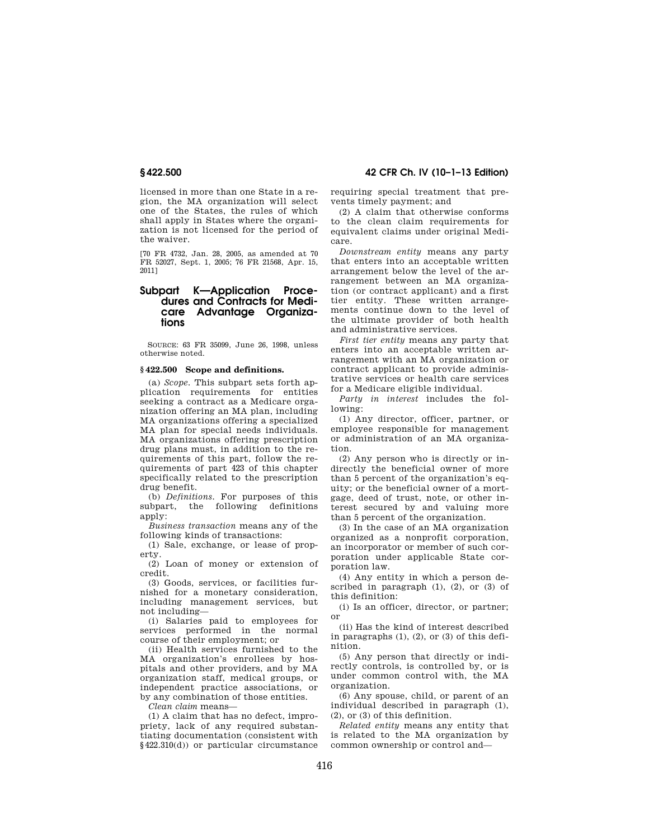licensed in more than one State in a region, the MA organization will select one of the States, the rules of which shall apply in States where the organization is not licensed for the period of the waiver.

[70 FR 4732, Jan. 28, 2005, as amended at 70 FR 52027, Sept. 1, 2005; 76 FR 21568, Apr. 15, 2011]

# **Subpart K—Application Procedures and Contracts for Medicare Advantage Organizations**

SOURCE: 63 FR 35099, June 26, 1998, unless otherwise noted.

## **§ 422.500 Scope and definitions.**

(a) *Scope.* This subpart sets forth application requirements for entities seeking a contract as a Medicare organization offering an MA plan, including MA organizations offering a specialized MA plan for special needs individuals. MA organizations offering prescription drug plans must, in addition to the requirements of this part, follow the requirements of part 423 of this chapter specifically related to the prescription drug benefit.

(b) *Definitions.* For purposes of this subpart, the following definitions apply:

*Business transaction* means any of the following kinds of transactions:

(1) Sale, exchange, or lease of property.

(2) Loan of money or extension of credit.

(3) Goods, services, or facilities furnished for a monetary consideration, including management services, but not including—

(i) Salaries paid to employees for services performed in the normal course of their employment; or

(ii) Health services furnished to the MA organization's enrollees by hospitals and other providers, and by MA organization staff, medical groups, or independent practice associations, or by any combination of those entities.

*Clean claim* means—

(1) A claim that has no defect, impropriety, lack of any required substantiating documentation (consistent with §422.310(d)) or particular circumstance

**§ 422.500 42 CFR Ch. IV (10–1–13 Edition)** 

requiring special treatment that prevents timely payment; and

(2) A claim that otherwise conforms to the clean claim requirements for equivalent claims under original Medicare.

*Downstream entity* means any party that enters into an acceptable written arrangement below the level of the arrangement between an MA organization (or contract applicant) and a first tier entity. These written arrangements continue down to the level of the ultimate provider of both health and administrative services.

*First tier entity* means any party that enters into an acceptable written arrangement with an MA organization or contract applicant to provide administrative services or health care services for a Medicare eligible individual.

*Party in interest* includes the following:

(1) Any director, officer, partner, or employee responsible for management or administration of an MA organization.

(2) Any person who is directly or indirectly the beneficial owner of more than 5 percent of the organization's equity; or the beneficial owner of a mortgage, deed of trust, note, or other interest secured by and valuing more than 5 percent of the organization.

(3) In the case of an MA organization organized as a nonprofit corporation, an incorporator or member of such corporation under applicable State corporation law.

(4) Any entity in which a person described in paragraph  $(1)$ ,  $(2)$ , or  $(3)$  of this definition:

(i) Is an officer, director, or partner; or

(ii) Has the kind of interest described in paragraphs (1), (2), or (3) of this definition.

(5) Any person that directly or indirectly controls, is controlled by, or is under common control with, the MA organization.

(6) Any spouse, child, or parent of an individual described in paragraph (1), (2), or (3) of this definition.

*Related entity* means any entity that is related to the MA organization by common ownership or control and—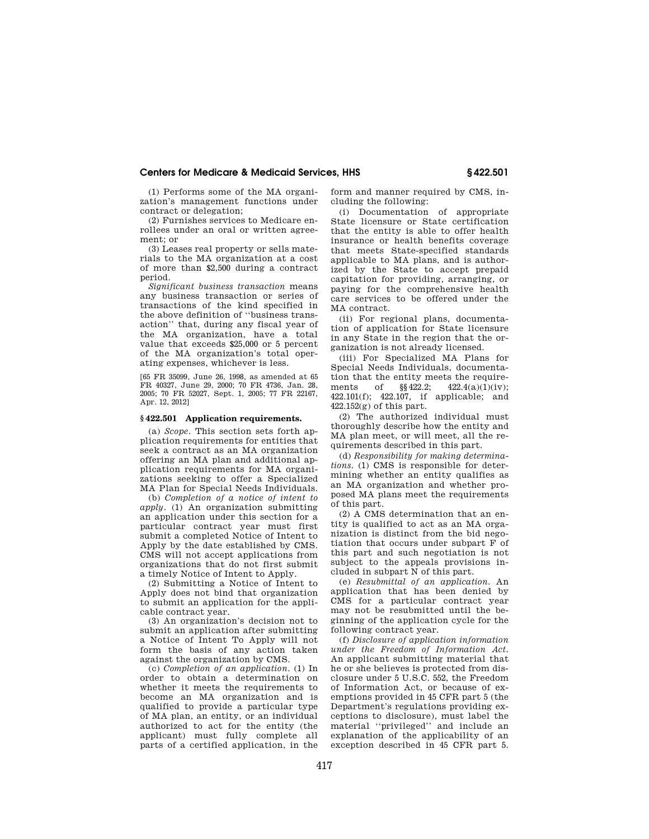(1) Performs some of the MA organization's management functions under contract or delegation;

(2) Furnishes services to Medicare enrollees under an oral or written agreement; or

(3) Leases real property or sells materials to the MA organization at a cost of more than \$2,500 during a contract period.

*Significant business transaction* means any business transaction or series of transactions of the kind specified in the above definition of ''business transaction'' that, during any fiscal year of the MA organization, have a total value that exceeds \$25,000 or 5 percent of the MA organization's total operating expenses, whichever is less.

[65 FR 35099, June 26, 1998, as amended at 65 FR 40327, June 29, 2000; 70 FR 4736, Jan. 28, 2005; 70 FR 52027, Sept. 1, 2005; 77 FR 22167, Apr. 12, 2012]

## **§ 422.501 Application requirements.**

(a) *Scope.* This section sets forth application requirements for entities that seek a contract as an MA organization offering an MA plan and additional application requirements for MA organizations seeking to offer a Specialized MA Plan for Special Needs Individuals.

(b) *Completion of a notice of intent to apply.* (1) An organization submitting an application under this section for a particular contract year must first submit a completed Notice of Intent to Apply by the date established by CMS. CMS will not accept applications from organizations that do not first submit a timely Notice of Intent to Apply.

(2) Submitting a Notice of Intent to Apply does not bind that organization to submit an application for the applicable contract year.

(3) An organization's decision not to submit an application after submitting a Notice of Intent To Apply will not form the basis of any action taken against the organization by CMS.

(c) *Completion of an application.* (1) In order to obtain a determination on whether it meets the requirements to become an MA organization and is qualified to provide a particular type of MA plan, an entity, or an individual authorized to act for the entity (the applicant) must fully complete all parts of a certified application, in the form and manner required by CMS, including the following:

(i) Documentation of appropriate State licensure or State certification that the entity is able to offer health insurance or health benefits coverage that meets State-specified standards applicable to MA plans, and is authorized by the State to accept prepaid capitation for providing, arranging, or paying for the comprehensive health care services to be offered under the MA contract.

(ii) For regional plans, documentation of application for State licensure in any State in the region that the organization is not already licensed.

(iii) For Specialized MA Plans for Special Needs Individuals, documentation that the entity meets the requirements of  $\S$  422.2; 422.4(a)(1)(iv); 422.101(f); 422.107, if applicable; and  $422.152(g)$  of this part.

(2) The authorized individual must thoroughly describe how the entity and MA plan meet, or will meet, all the requirements described in this part.

(d) *Responsibility for making determinations.* (1) CMS is responsible for determining whether an entity qualifies as an MA organization and whether proposed MA plans meet the requirements of this part.

(2) A CMS determination that an entity is qualified to act as an MA organization is distinct from the bid negotiation that occurs under subpart F of this part and such negotiation is not subject to the appeals provisions included in subpart N of this part.

(e) *Resubmittal of an application.* An application that has been denied by CMS for a particular contract year may not be resubmitted until the beginning of the application cycle for the following contract year.

(f) *Disclosure of application information under the Freedom of Information Act.*  An applicant submitting material that he or she believes is protected from disclosure under 5 U.S.C. 552, the Freedom of Information Act, or because of exemptions provided in 45 CFR part 5 (the Department's regulations providing exceptions to disclosure), must label the material ''privileged'' and include an explanation of the applicability of an exception described in 45 CFR part 5.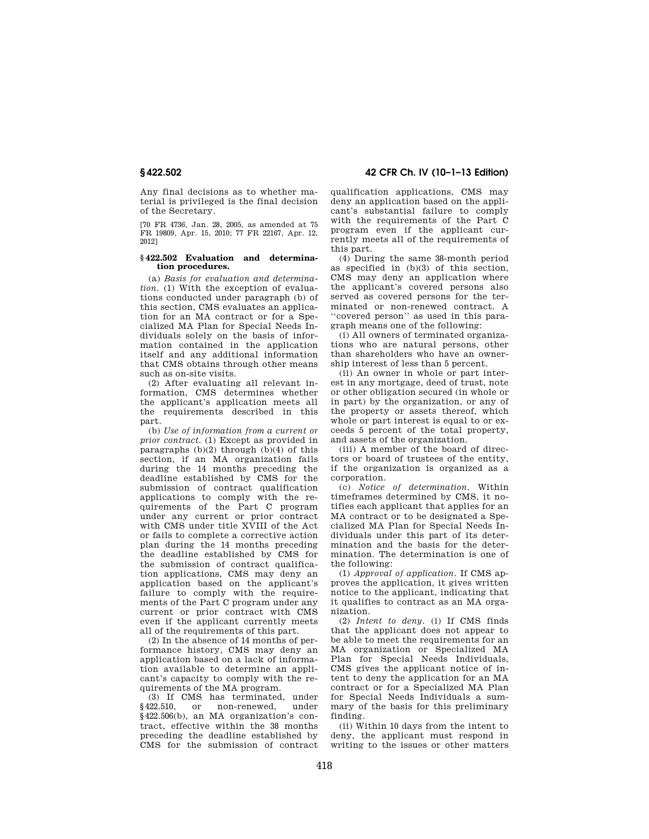Any final decisions as to whether material is privileged is the final decision of the Secretary.

[70 FR 4736, Jan. 28, 2005, as amended at 75 FR 19809, Apr. 15, 2010; 77 FR 22167, Apr. 12, 2012]

#### **§ 422.502 Evaluation and determination procedures.**

(a) *Basis for evaluation and determination.* (1) With the exception of evaluations conducted under paragraph (b) of this section, CMS evaluates an application for an MA contract or for a Specialized MA Plan for Special Needs Individuals solely on the basis of information contained in the application itself and any additional information that CMS obtains through other means such as on-site visits.

(2) After evaluating all relevant information, CMS determines whether the applicant's application meets all the requirements described in this part.

(b) *Use of information from a current or prior contract.* (1) Except as provided in paragraphs (b)(2) through (b)(4) of this section, if an MA organization fails during the 14 months preceding the deadline established by CMS for the submission of contract qualification applications to comply with the requirements of the Part C program under any current or prior contract with CMS under title XVIII of the Act or fails to complete a corrective action plan during the 14 months preceding the deadline established by CMS for the submission of contract qualification applications, CMS may deny an application based on the applicant's failure to comply with the requirements of the Part C program under any current or prior contract with CMS even if the applicant currently meets all of the requirements of this part.

(2) In the absence of 14 months of performance history, CMS may deny an application based on a lack of information available to determine an applicant's capacity to comply with the requirements of the MA program.

(3) If CMS has terminated, under §422.510, or non-renewed, under §422.506(b), an MA organization's contract, effective within the 38 months preceding the deadline established by CMS for the submission of contract

**§ 422.502 42 CFR Ch. IV (10–1–13 Edition)** 

qualification applications, CMS may deny an application based on the applicant's substantial failure to comply with the requirements of the Part C program even if the applicant currently meets all of the requirements of this part.

(4) During the same 38-month period as specified in (b)(3) of this section, CMS may deny an application where the applicant's covered persons also served as covered persons for the terminated or non-renewed contract. A ''covered person'' as used in this paragraph means one of the following:

(i) All owners of terminated organizations who are natural persons, other than shareholders who have an ownership interest of less than 5 percent.

(ii) An owner in whole or part interest in any mortgage, deed of trust, note or other obligation secured (in whole or in part) by the organization, or any of the property or assets thereof, which whole or part interest is equal to or exceeds 5 percent of the total property, and assets of the organization.

(iii) A member of the board of directors or board of trustees of the entity, if the organization is organized as a corporation.

(c) *Notice of determination.* Within timeframes determined by CMS, it notifies each applicant that applies for an MA contract or to be designated a Specialized MA Plan for Special Needs Individuals under this part of its determination and the basis for the determination. The determination is one of the following:

(1) *Approval of application.* If CMS approves the application, it gives written notice to the applicant, indicating that it qualifies to contract as an MA organization.

(2) *Intent to deny.* (i) If CMS finds that the applicant does not appear to be able to meet the requirements for an MA organization or Specialized MA Plan for Special Needs Individuals, CMS gives the applicant notice of intent to deny the application for an MA contract or for a Specialized MA Plan for Special Needs Individuals a summary of the basis for this preliminary finding.

(ii) Within 10 days from the intent to deny, the applicant must respond in writing to the issues or other matters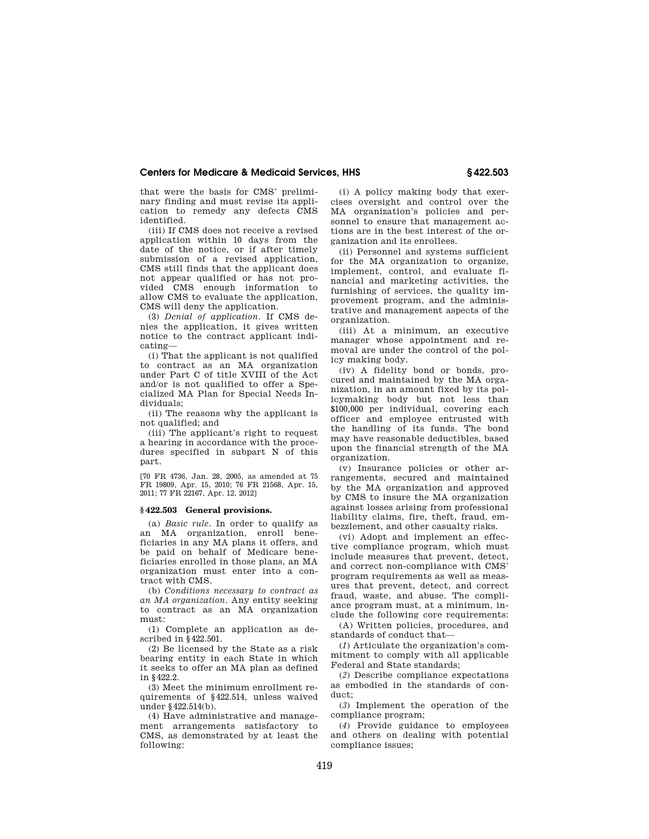that were the basis for CMS' preliminary finding and must revise its application to remedy any defects CMS identified.

(iii) If CMS does not receive a revised application within 10 days from the date of the notice, or if after timely submission of a revised application, CMS still finds that the applicant does not appear qualified or has not provided CMS enough information to allow CMS to evaluate the application, CMS will deny the application.

(3) *Denial of application.* If CMS denies the application, it gives written notice to the contract applicant indicating—

(i) That the applicant is not qualified to contract as an MA organization under Part C of title XVIII of the Act and/or is not qualified to offer a Specialized MA Plan for Special Needs Individuals;

(ii) The reasons why the applicant is not qualified; and

(iii) The applicant's right to request a hearing in accordance with the procedures specified in subpart N of this part.

[70 FR 4736, Jan. 28, 2005, as amended at 75 FR 19809, Apr. 15, 2010; 76 FR 21568, Apr. 15, 2011; 77 FR 22167, Apr. 12, 2012]

# **§ 422.503 General provisions.**

(a) *Basic rule.* In order to qualify as an MA organization, enroll beneficiaries in any MA plans it offers, and be paid on behalf of Medicare beneficiaries enrolled in those plans, an MA organization must enter into a contract with CMS.

(b) *Conditions necessary to contract as an MA organization.* Any entity seeking to contract as an MA organization must:

(1) Complete an application as described in §422.501.

(2) Be licensed by the State as a risk bearing entity in each State in which it seeks to offer an MA plan as defined in §422.2.

(3) Meet the minimum enrollment requirements of §422.514, unless waived under §422.514(b).

(4) Have administrative and management arrangements satisfactory to CMS, as demonstrated by at least the following:

(i) A policy making body that exercises oversight and control over the MA organization's policies and personnel to ensure that management actions are in the best interest of the organization and its enrollees.

(ii) Personnel and systems sufficient for the MA organization to organize, implement, control, and evaluate financial and marketing activities, the furnishing of services, the quality improvement program, and the administrative and management aspects of the organization.

(iii) At a minimum, an executive manager whose appointment and removal are under the control of the policy making body.

(iv) A fidelity bond or bonds, procured and maintained by the MA organization, in an amount fixed by its policymaking body but not less than \$100,000 per individual, covering each officer and employee entrusted with the handling of its funds. The bond may have reasonable deductibles, based upon the financial strength of the MA organization.

(v) Insurance policies or other arrangements, secured and maintained by the MA organization and approved by CMS to insure the MA organization against losses arising from professional liability claims, fire, theft, fraud, embezzlement, and other casualty risks.

(vi) Adopt and implement an effective compliance program, which must include measures that prevent, detect, and correct non-compliance with CMS' program requirements as well as measures that prevent, detect, and correct fraud, waste, and abuse. The compliance program must, at a minimum, include the following core requirements:

(A) Written policies, procedures, and standards of conduct that—

(*1*) Articulate the organization's commitment to comply with all applicable Federal and State standards;

(*2*) Describe compliance expectations as embodied in the standards of conduct;

(*3*) Implement the operation of the compliance program;

(*4*) Provide guidance to employees and others on dealing with potential compliance issues;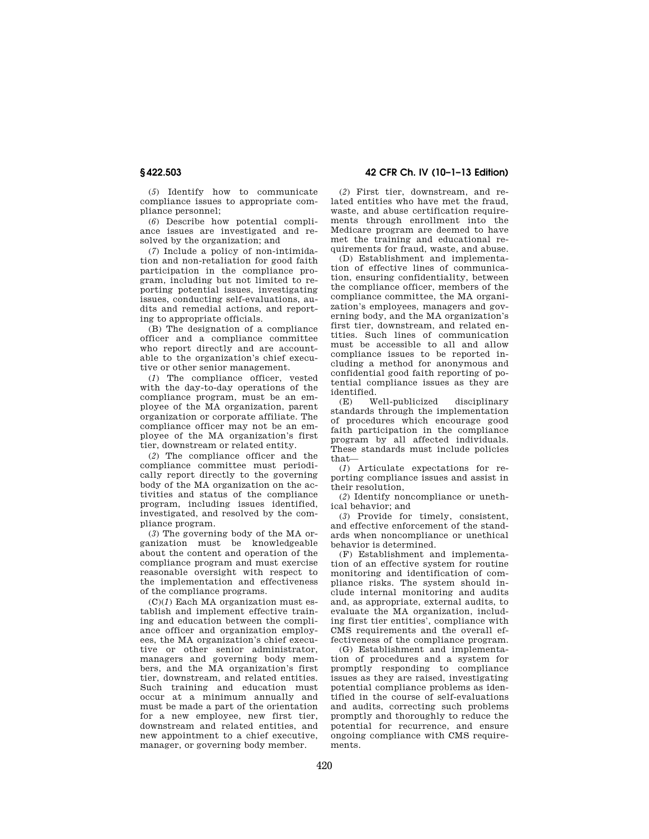(*5*) Identify how to communicate compliance issues to appropriate compliance personnel;

(*6*) Describe how potential compliance issues are investigated and resolved by the organization; and

(*7*) Include a policy of non-intimidation and non-retaliation for good faith participation in the compliance program, including but not limited to reporting potential issues, investigating issues, conducting self-evaluations, audits and remedial actions, and reporting to appropriate officials.

(B) The designation of a compliance officer and a compliance committee who report directly and are accountable to the organization's chief executive or other senior management.

(*1*) The compliance officer, vested with the day-to-day operations of the compliance program, must be an employee of the MA organization, parent organization or corporate affiliate. The compliance officer may not be an employee of the MA organization's first tier, downstream or related entity.

(*2*) The compliance officer and the compliance committee must periodically report directly to the governing body of the MA organization on the activities and status of the compliance program, including issues identified, investigated, and resolved by the compliance program.

(*3*) The governing body of the MA organization must be knowledgeable about the content and operation of the compliance program and must exercise reasonable oversight with respect to the implementation and effectiveness of the compliance programs.

(C)(*1*) Each MA organization must establish and implement effective training and education between the compliance officer and organization employees, the MA organization's chief executive or other senior administrator, managers and governing body members, and the MA organization's first tier, downstream, and related entities. Such training and education must occur at a minimum annually and must be made a part of the orientation for a new employee, new first tier, downstream and related entities, and new appointment to a chief executive, manager, or governing body member.

# **§ 422.503 42 CFR Ch. IV (10–1–13 Edition)**

(*2*) First tier, downstream, and related entities who have met the fraud, waste, and abuse certification requirements through enrollment into the Medicare program are deemed to have met the training and educational requirements for fraud, waste, and abuse.

(D) Establishment and implementation of effective lines of communication, ensuring confidentiality, between the compliance officer, members of the compliance committee, the MA organization's employees, managers and governing body, and the MA organization's first tier, downstream, and related entities. Such lines of communication must be accessible to all and allow compliance issues to be reported including a method for anonymous and confidential good faith reporting of potential compliance issues as they are identified.

(E) Well-publicized disciplinary standards through the implementation of procedures which encourage good faith participation in the compliance program by all affected individuals. These standards must include policies that—

(*1*) Articulate expectations for reporting compliance issues and assist in their resolution,

(*2*) Identify noncompliance or unethical behavior; and

(*3*) Provide for timely, consistent, and effective enforcement of the standards when noncompliance or unethical behavior is determined.

(F) Establishment and implementation of an effective system for routine monitoring and identification of compliance risks. The system should include internal monitoring and audits and, as appropriate, external audits, to evaluate the MA organization, including first tier entities', compliance with CMS requirements and the overall effectiveness of the compliance program.

(G) Establishment and implementation of procedures and a system for promptly responding to compliance issues as they are raised, investigating potential compliance problems as identified in the course of self-evaluations and audits, correcting such problems promptly and thoroughly to reduce the potential for recurrence, and ensure ongoing compliance with CMS requirements.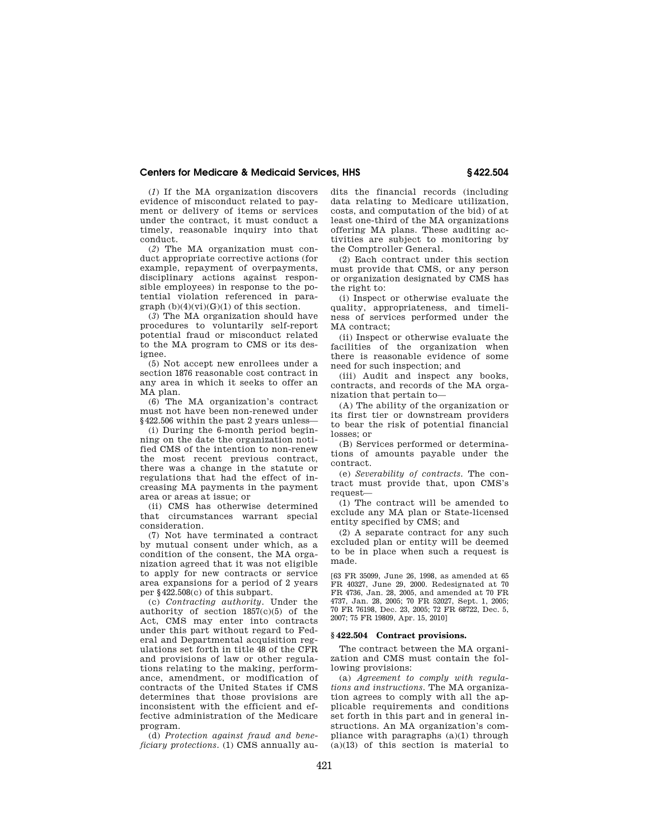(*1*) If the MA organization discovers evidence of misconduct related to payment or delivery of items or services under the contract, it must conduct a timely, reasonable inquiry into that conduct.

(*2*) The MA organization must conduct appropriate corrective actions (for example, repayment of overpayments, disciplinary actions against responsible employees) in response to the potential violation referenced in paragraph  $(b)(4)(vi)(G)(1)$  of this section.

(*3*) The MA organization should have procedures to voluntarily self-report potential fraud or misconduct related to the MA program to CMS or its designee.

(5) Not accept new enrollees under a section 1876 reasonable cost contract in any area in which it seeks to offer an MA plan.

(6) The MA organization's contract must not have been non-renewed under §422.506 within the past 2 years unless—

(i) During the 6-month period beginning on the date the organization notified CMS of the intention to non-renew the most recent previous contract, there was a change in the statute or regulations that had the effect of increasing MA payments in the payment area or areas at issue; or

(ii) CMS has otherwise determined that circumstances warrant special consideration.

(7) Not have terminated a contract by mutual consent under which, as a condition of the consent, the MA organization agreed that it was not eligible to apply for new contracts or service area expansions for a period of 2 years per §422.508(c) of this subpart.

(c) *Contracting authority.* Under the authority of section 1857(c)(5) of the Act, CMS may enter into contracts under this part without regard to Federal and Departmental acquisition regulations set forth in title 48 of the CFR and provisions of law or other regulations relating to the making, performance, amendment, or modification of contracts of the United States if CMS determines that those provisions are inconsistent with the efficient and effective administration of the Medicare program.

(d) *Protection against fraud and beneficiary protections.* (1) CMS annually audits the financial records (including data relating to Medicare utilization, costs, and computation of the bid) of at least one-third of the MA organizations offering MA plans. These auditing activities are subject to monitoring by the Comptroller General.

(2) Each contract under this section must provide that CMS, or any person or organization designated by CMS has the right to:

(i) Inspect or otherwise evaluate the quality, appropriateness, and timeliness of services performed under the MA contract:

(ii) Inspect or otherwise evaluate the facilities of the organization when there is reasonable evidence of some need for such inspection; and

(iii) Audit and inspect any books, contracts, and records of the MA organization that pertain to—

(A) The ability of the organization or its first tier or downstream providers to bear the risk of potential financial losses; or

(B) Services performed or determinations of amounts payable under the contract.

(e) *Severability of contracts.* The contract must provide that, upon CMS's request—

(1) The contract will be amended to exclude any MA plan or State-licensed entity specified by CMS; and

(2) A separate contract for any such excluded plan or entity will be deemed to be in place when such a request is made.

[63 FR 35099, June 26, 1998, as amended at 65 FR 40327, June 29, 2000. Redesignated at 70 FR 4736, Jan. 28, 2005, and amended at 70 FR 4737, Jan. 28, 2005; 70 FR 52027, Sept. 1, 2005; 70 FR 76198, Dec. 23, 2005; 72 FR 68722, Dec. 5, 2007; 75 FR 19809, Apr. 15, 2010]

# **§ 422.504 Contract provisions.**

The contract between the MA organization and CMS must contain the following provisions:

(a) *Agreement to comply with regulations and instructions.* The MA organization agrees to comply with all the applicable requirements and conditions set forth in this part and in general instructions. An MA organization's compliance with paragraphs (a)(1) through  $(a)(13)$  of this section is material to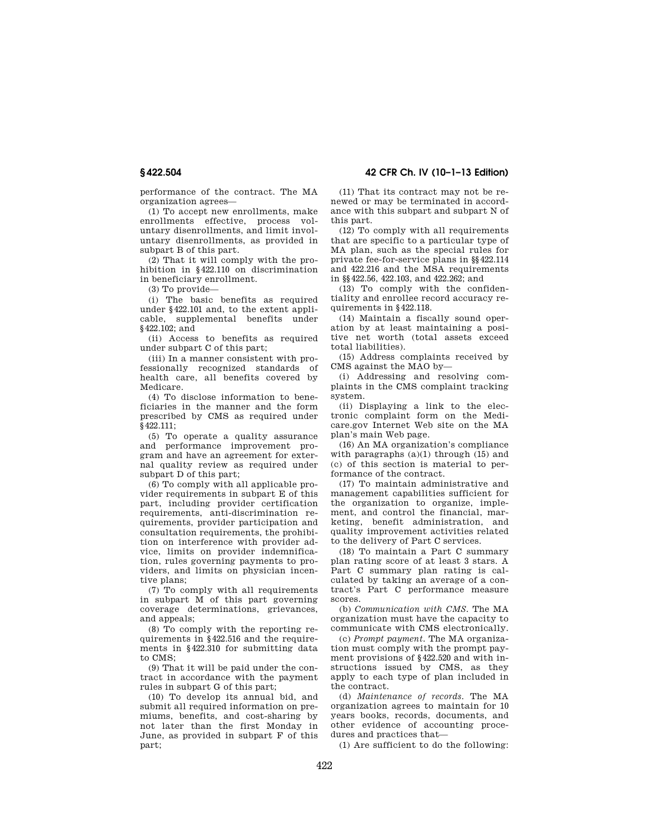**§ 422.504 42 CFR Ch. IV (10–1–13 Edition)** 

performance of the contract. The MA organization agrees—

(1) To accept new enrollments, make enrollments effective, process voluntary disenrollments, and limit involuntary disenrollments, as provided in subpart B of this part.

(2) That it will comply with the prohibition in §422.110 on discrimination in beneficiary enrollment.

(3) To provide—

(i) The basic benefits as required under §422.101 and, to the extent applicable, supplemental benefits under §422.102; and

(ii) Access to benefits as required under subpart C of this part;

(iii) In a manner consistent with professionally recognized standards of health care, all benefits covered by Medicare.

(4) To disclose information to beneficiaries in the manner and the form prescribed by CMS as required under §422.111;

(5) To operate a quality assurance and performance improvement program and have an agreement for external quality review as required under subpart D of this part;

(6) To comply with all applicable provider requirements in subpart E of this part, including provider certification requirements, anti-discrimination requirements, provider participation and consultation requirements, the prohibition on interference with provider advice, limits on provider indemnification, rules governing payments to providers, and limits on physician incentive plans;

(7) To comply with all requirements in subpart M of this part governing coverage determinations, grievances, and appeals;

(8) To comply with the reporting requirements in §422.516 and the requirements in §422.310 for submitting data to CMS;

(9) That it will be paid under the contract in accordance with the payment rules in subpart G of this part;

(10) To develop its annual bid, and submit all required information on premiums, benefits, and cost-sharing by not later than the first Monday in June, as provided in subpart F of this part;

(11) That its contract may not be renewed or may be terminated in accordance with this subpart and subpart N of this part.

(12) To comply with all requirements that are specific to a particular type of MA plan, such as the special rules for private fee-for-service plans in §§422.114 and 422.216 and the MSA requirements in §§422.56, 422.103, and 422.262; and

(13) To comply with the confidentiality and enrollee record accuracy requirements in §422.118.

(14) Maintain a fiscally sound operation by at least maintaining a positive net worth (total assets exceed total liabilities).

(15) Address complaints received by CMS against the MAO by—

(i) Addressing and resolving complaints in the CMS complaint tracking system.

(ii) Displaying a link to the electronic complaint form on the Medicare.gov Internet Web site on the MA plan's main Web page.

(16) An MA organization's compliance with paragraphs (a)(1) through (15) and (c) of this section is material to performance of the contract.

(17) To maintain administrative and management capabilities sufficient for the organization to organize, implement, and control the financial, marketing, benefit administration, and quality improvement activities related to the delivery of Part C services.

(18) To maintain a Part C summary plan rating score of at least 3 stars. A Part C summary plan rating is calculated by taking an average of a contract's Part C performance measure scores.

(b) *Communication with CMS.* The MA organization must have the capacity to communicate with CMS electronically.

(c) *Prompt payment.* The MA organization must comply with the prompt payment provisions of §422.520 and with instructions issued by CMS, as they apply to each type of plan included in the contract.

(d) *Maintenance of records.* The MA organization agrees to maintain for 10 years books, records, documents, and other evidence of accounting procedures and practices that—

(1) Are sufficient to do the following: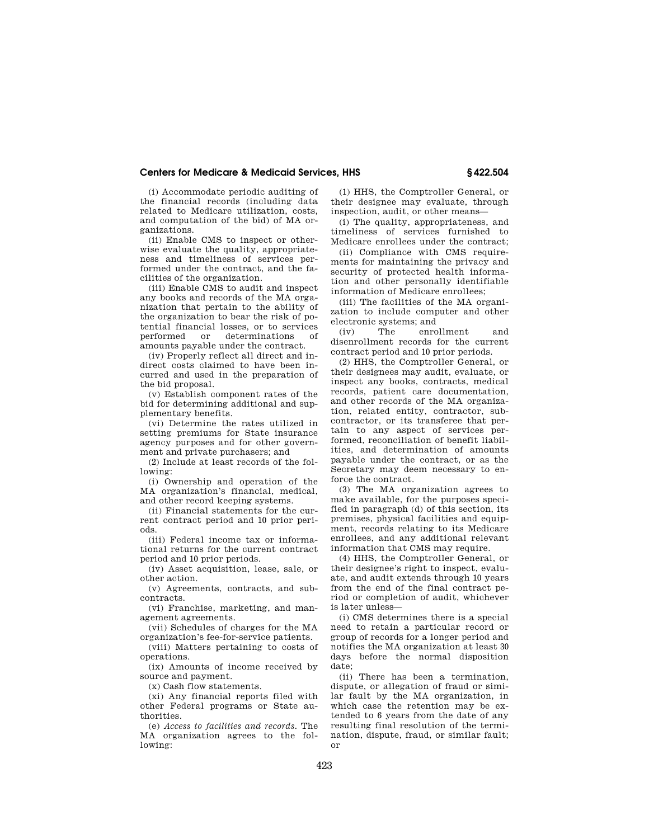(i) Accommodate periodic auditing of the financial records (including data related to Medicare utilization, costs, and computation of the bid) of MA organizations.

(ii) Enable CMS to inspect or otherwise evaluate the quality, appropriateness and timeliness of services performed under the contract, and the facilities of the organization.

(iii) Enable CMS to audit and inspect any books and records of the MA organization that pertain to the ability of the organization to bear the risk of potential financial losses, or to services performed or determinations of amounts payable under the contract.

(iv) Properly reflect all direct and indirect costs claimed to have been incurred and used in the preparation of the bid proposal.

(v) Establish component rates of the bid for determining additional and supplementary benefits.

(vi) Determine the rates utilized in setting premiums for State insurance agency purposes and for other government and private purchasers; and

(2) Include at least records of the following:

(i) Ownership and operation of the MA organization's financial, medical, and other record keeping systems.

(ii) Financial statements for the current contract period and 10 prior periods.

(iii) Federal income tax or informational returns for the current contract period and 10 prior periods.

(iv) Asset acquisition, lease, sale, or other action.

(v) Agreements, contracts, and subcontracts.

(vi) Franchise, marketing, and management agreements.

(vii) Schedules of charges for the MA organization's fee-for-service patients.

(viii) Matters pertaining to costs of operations.

(ix) Amounts of income received by source and payment.

(x) Cash flow statements.

(xi) Any financial reports filed with other Federal programs or State authorities.

(e) *Access to facilities and records.* The MA organization agrees to the following:

(1) HHS, the Comptroller General, or their designee may evaluate, through inspection, audit, or other means—

(i) The quality, appropriateness, and timeliness of services furnished to Medicare enrollees under the contract;

(ii) Compliance with CMS requirements for maintaining the privacy and security of protected health information and other personally identifiable information of Medicare enrollees;

(iii) The facilities of the MA organization to include computer and other electronic systems; and

(iv) The enrollment and disenrollment records for the current contract period and 10 prior periods.

(2) HHS, the Comptroller General, or their designees may audit, evaluate, or inspect any books, contracts, medical records, patient care documentation, and other records of the MA organization, related entity, contractor, subcontractor, or its transferee that pertain to any aspect of services performed, reconciliation of benefit liabilities, and determination of amounts payable under the contract, or as the Secretary may deem necessary to enforce the contract.

(3) The MA organization agrees to make available, for the purposes specified in paragraph (d) of this section, its premises, physical facilities and equipment, records relating to its Medicare enrollees, and any additional relevant information that CMS may require.

(4) HHS, the Comptroller General, or their designee's right to inspect, evaluate, and audit extends through 10 years from the end of the final contract period or completion of audit, whichever is later unless—

(i) CMS determines there is a special need to retain a particular record or group of records for a longer period and notifies the MA organization at least 30 days before the normal disposition date;

(ii) There has been a termination, dispute, or allegation of fraud or similar fault by the MA organization, in which case the retention may be extended to 6 years from the date of any resulting final resolution of the termination, dispute, fraud, or similar fault; or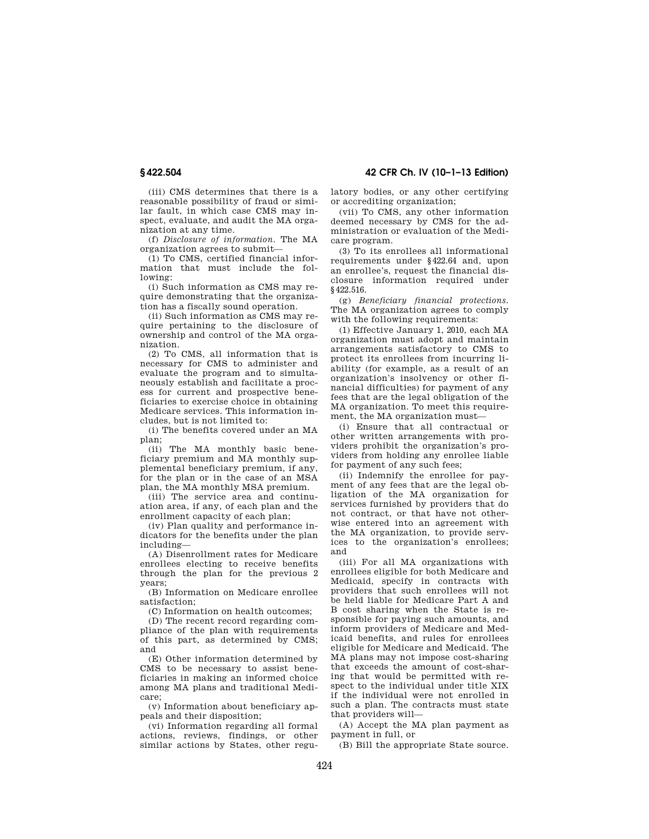**§ 422.504 42 CFR Ch. IV (10–1–13 Edition)** 

(iii) CMS determines that there is a reasonable possibility of fraud or similar fault, in which case CMS may inspect, evaluate, and audit the MA organization at any time.

(f) *Disclosure of information.* The MA organization agrees to submit—

(1) To CMS, certified financial information that must include the following:

(i) Such information as CMS may require demonstrating that the organization has a fiscally sound operation.

(ii) Such information as CMS may require pertaining to the disclosure of ownership and control of the MA organization.

(2) To CMS, all information that is necessary for CMS to administer and evaluate the program and to simultaneously establish and facilitate a process for current and prospective beneficiaries to exercise choice in obtaining Medicare services. This information includes, but is not limited to:

(i) The benefits covered under an MA plan;

(ii) The MA monthly basic beneficiary premium and MA monthly supplemental beneficiary premium, if any, for the plan or in the case of an MSA plan, the MA monthly MSA premium.

(iii) The service area and continuation area, if any, of each plan and the enrollment capacity of each plan;

(iv) Plan quality and performance indicators for the benefits under the plan including—

(A) Disenrollment rates for Medicare enrollees electing to receive benefits through the plan for the previous 2 years;

(B) Information on Medicare enrollee satisfaction;

(C) Information on health outcomes;

(D) The recent record regarding compliance of the plan with requirements of this part, as determined by CMS; and

(E) Other information determined by CMS to be necessary to assist beneficiaries in making an informed choice among MA plans and traditional Medicare;

(v) Information about beneficiary appeals and their disposition;

(vi) Information regarding all formal actions, reviews, findings, or other similar actions by States, other regulatory bodies, or any other certifying or accrediting organization;

(vii) To CMS, any other information deemed necessary by CMS for the administration or evaluation of the Medicare program.

(3) To its enrollees all informational requirements under §422.64 and, upon an enrollee's, request the financial disclosure information required under §422.516.

(g) *Beneficiary financial protections.*  The MA organization agrees to comply with the following requirements:

(1) Effective January 1, 2010, each MA organization must adopt and maintain arrangements satisfactory to CMS to protect its enrollees from incurring liability (for example, as a result of an organization's insolvency or other financial difficulties) for payment of any fees that are the legal obligation of the MA organization. To meet this requirement, the MA organization must—

(i) Ensure that all contractual or other written arrangements with providers prohibit the organization's providers from holding any enrollee liable for payment of any such fees;

(ii) Indemnify the enrollee for payment of any fees that are the legal obligation of the MA organization for services furnished by providers that do not contract, or that have not otherwise entered into an agreement with the MA organization, to provide services to the organization's enrollees; and

(iii) For all MA organizations with enrollees eligible for both Medicare and Medicaid, specify in contracts with providers that such enrollees will not be held liable for Medicare Part A and B cost sharing when the State is responsible for paying such amounts, and inform providers of Medicare and Medicaid benefits, and rules for enrollees eligible for Medicare and Medicaid. The MA plans may not impose cost-sharing that exceeds the amount of cost-sharing that would be permitted with respect to the individual under title XIX if the individual were not enrolled in such a plan. The contracts must state that providers will—

(A) Accept the MA plan payment as payment in full, or

(B) Bill the appropriate State source.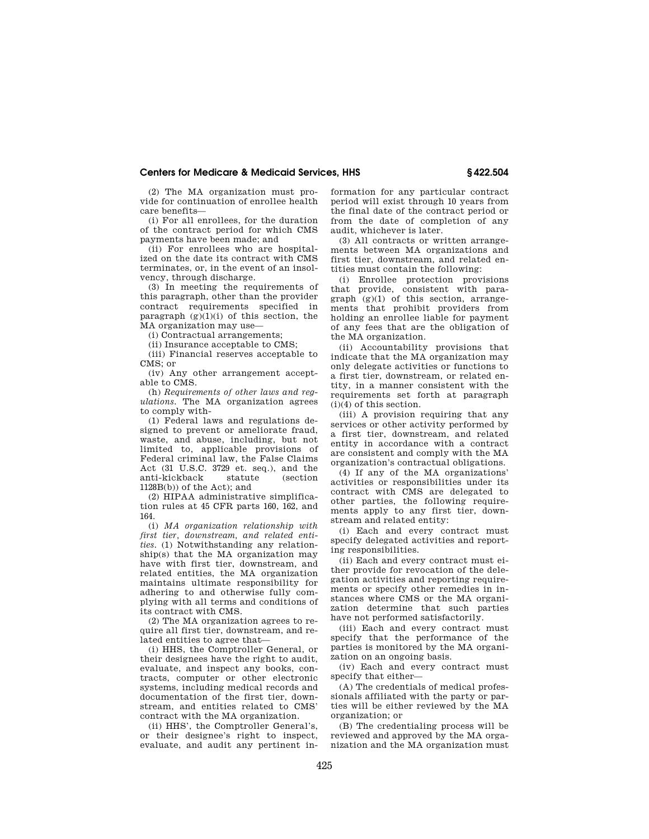(2) The MA organization must provide for continuation of enrollee health care benefits—

(i) For all enrollees, for the duration of the contract period for which CMS payments have been made; and

(ii) For enrollees who are hospitalized on the date its contract with CMS terminates, or, in the event of an insolvency, through discharge.

(3) In meeting the requirements of this paragraph, other than the provider contract requirements specified in paragraph  $(g)(1)(i)$  of this section, the MA organization may use—

(i) Contractual arrangements;

(ii) Insurance acceptable to CMS;

(iii) Financial reserves acceptable to CMS; or

(iv) Any other arrangement acceptable to CMS.

(h) *Requirements of other laws and regulations.* The MA organization agrees to comply with-

(1) Federal laws and regulations designed to prevent or ameliorate fraud, waste, and abuse, including, but not limited to, applicable provisions of Federal criminal law, the False Claims Act (31 U.S.C. 3729 et. seq.), and the anti-kickback statute (section 1128B(b)) of the Act); and

(2) HIPAA administrative simplification rules at 45 CFR parts 160, 162, and 164.

(i) *MA organization relationship with first tier, downstream, and related entities.* (1) Notwithstanding any relationship(s) that the MA organization may have with first tier, downstream, and related entities, the MA organization maintains ultimate responsibility for adhering to and otherwise fully complying with all terms and conditions of its contract with CMS.

(2) The MA organization agrees to require all first tier, downstream, and related entities to agree that—

(i) HHS, the Comptroller General, or their designees have the right to audit, evaluate, and inspect any books, contracts, computer or other electronic systems, including medical records and documentation of the first tier, downstream, and entities related to CMS' contract with the MA organization.

(ii) HHS', the Comptroller General's, or their designee's right to inspect, evaluate, and audit any pertinent information for any particular contract period will exist through 10 years from the final date of the contract period or from the date of completion of any audit, whichever is later.

(3) All contracts or written arrangements between MA organizations and first tier, downstream, and related entities must contain the following:

(i) Enrollee protection provisions that provide, consistent with para $graph (g)(1)$  of this section, arrangements that prohibit providers from holding an enrollee liable for payment of any fees that are the obligation of the MA organization.

(ii) Accountability provisions that indicate that the MA organization may only delegate activities or functions to a first tier, downstream, or related entity, in a manner consistent with the requirements set forth at paragraph (i)(4) of this section.

(iii) A provision requiring that any services or other activity performed by a first tier, downstream, and related entity in accordance with a contract are consistent and comply with the MA organization's contractual obligations.

(4) If any of the MA organizations' activities or responsibilities under its contract with CMS are delegated to other parties, the following requirements apply to any first tier, downstream and related entity:

(i) Each and every contract must specify delegated activities and reporting responsibilities.

(ii) Each and every contract must either provide for revocation of the delegation activities and reporting requirements or specify other remedies in instances where CMS or the MA organization determine that such parties have not performed satisfactorily.

(iii) Each and every contract must specify that the performance of the parties is monitored by the MA organization on an ongoing basis.

(iv) Each and every contract must specify that either—

(A) The credentials of medical professionals affiliated with the party or parties will be either reviewed by the MA organization; or

(B) The credentialing process will be reviewed and approved by the MA organization and the MA organization must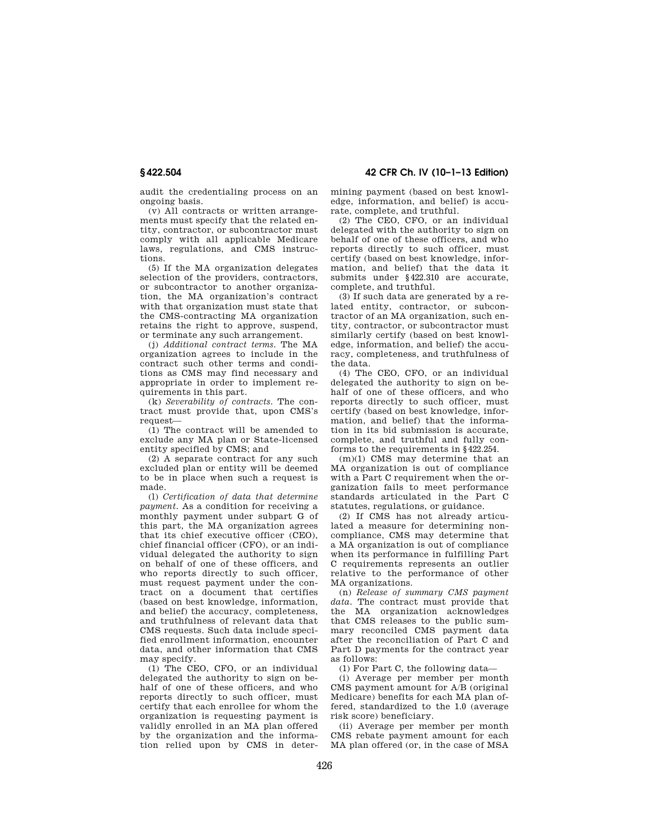**§ 422.504 42 CFR Ch. IV (10–1–13 Edition)** 

audit the credentialing process on an ongoing basis.

(v) All contracts or written arrangements must specify that the related entity, contractor, or subcontractor must comply with all applicable Medicare laws, regulations, and CMS instructions.

(5) If the MA organization delegates selection of the providers, contractors, or subcontractor to another organization, the MA organization's contract with that organization must state that the CMS-contracting MA organization retains the right to approve, suspend, or terminate any such arrangement.

(j) *Additional contract terms.* The MA organization agrees to include in the contract such other terms and conditions as CMS may find necessary and appropriate in order to implement requirements in this part.

(k) *Severability of contracts.* The contract must provide that, upon CMS's request—

(1) The contract will be amended to exclude any MA plan or State-licensed entity specified by CMS; and

(2) A separate contract for any such excluded plan or entity will be deemed to be in place when such a request is made.

(l) *Certification of data that determine payment.* As a condition for receiving a monthly payment under subpart G of this part, the MA organization agrees that its chief executive officer (CEO), chief financial officer (CFO), or an individual delegated the authority to sign on behalf of one of these officers, and who reports directly to such officer, must request payment under the contract on a document that certifies (based on best knowledge, information, and belief) the accuracy, completeness, and truthfulness of relevant data that CMS requests. Such data include specified enrollment information, encounter data, and other information that CMS may specify.

(1) The CEO, CFO, or an individual delegated the authority to sign on behalf of one of these officers, and who reports directly to such officer, must certify that each enrollee for whom the organization is requesting payment is validly enrolled in an MA plan offered by the organization and the information relied upon by CMS in determining payment (based on best knowledge, information, and belief) is accurate, complete, and truthful.

(2) The CEO, CFO, or an individual delegated with the authority to sign on behalf of one of these officers, and who reports directly to such officer, must certify (based on best knowledge, information, and belief) that the data it submits under §422.310 are accurate, complete, and truthful.

(3) If such data are generated by a related entity, contractor, or subcontractor of an MA organization, such entity, contractor, or subcontractor must similarly certify (based on best knowledge, information, and belief) the accuracy, completeness, and truthfulness of the data.

(4) The CEO, CFO, or an individual delegated the authority to sign on behalf of one of these officers, and who reports directly to such officer, must certify (based on best knowledge, information, and belief) that the information in its bid submission is accurate, complete, and truthful and fully conforms to the requirements in §422.254.

(m)(1) CMS may determine that an MA organization is out of compliance with a Part C requirement when the organization fails to meet performance standards articulated in the Part C statutes, regulations, or guidance.

(2) If CMS has not already articulated a measure for determining noncompliance, CMS may determine that a MA organization is out of compliance when its performance in fulfilling Part C requirements represents an outlier relative to the performance of other MA organizations.

(n) *Release of summary CMS payment data.* The contract must provide that the MA organization acknowledges that CMS releases to the public summary reconciled CMS payment data after the reconciliation of Part C and Part D payments for the contract year as follows:

(1) For Part C, the following data—

(i) Average per member per month CMS payment amount for A/B (original Medicare) benefits for each MA plan offered, standardized to the 1.0 (average risk score) beneficiary.

(ii) Average per member per month CMS rebate payment amount for each MA plan offered (or, in the case of MSA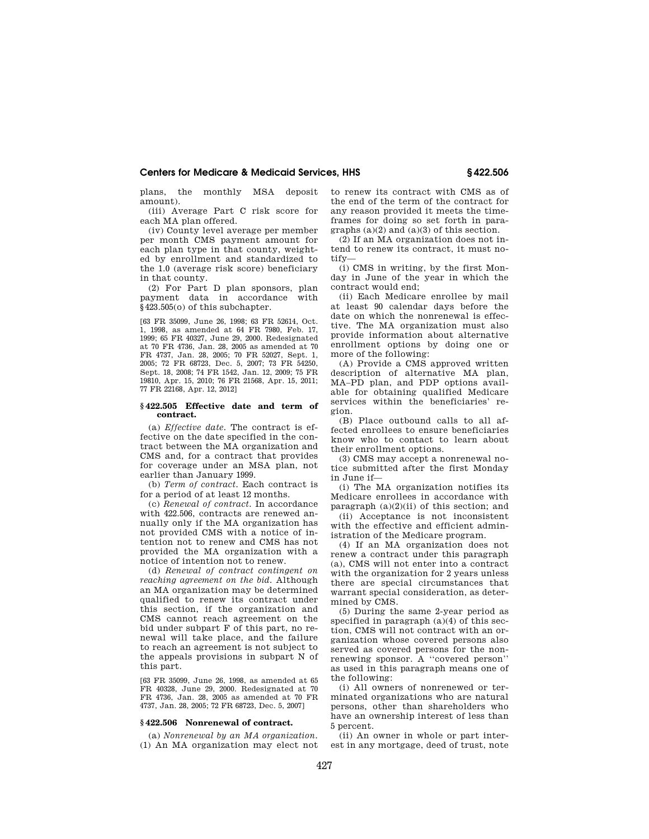plans, the monthly MSA deposit amount).

(iii) Average Part C risk score for each MA plan offered.

(iv) County level average per member per month CMS payment amount for each plan type in that county, weighted by enrollment and standardized to the 1.0 (average risk score) beneficiary in that county.

(2) For Part D plan sponsors, plan payment data in accordance with §423.505(o) of this subchapter.

[63 FR 35099, June 26, 1998; 63 FR 52614, Oct. 1, 1998, as amended at 64 FR 7980, Feb. 17, 1999; 65 FR 40327, June 29, 2000. Redesignated at 70 FR 4736, Jan. 28, 2005 as amended at 70 FR 4737, Jan. 28, 2005; 70 FR 52027, Sept. 1, 2005; 72 FR 68723, Dec. 5, 2007; 73 FR 54250, Sept. 18, 2008; 74 FR 1542, Jan. 12, 2009; 75 FR 19810, Apr. 15, 2010; 76 FR 21568, Apr. 15, 2011; 77 FR 22168, Apr. 12, 2012]

#### **§ 422.505 Effective date and term of contract.**

(a) *Effective date.* The contract is effective on the date specified in the contract between the MA organization and CMS and, for a contract that provides for coverage under an MSA plan, not earlier than January 1999.

(b) *Term of contract.* Each contract is for a period of at least 12 months.

(c) *Renewal of contract.* In accordance with 422.506, contracts are renewed annually only if the MA organization has not provided CMS with a notice of intention not to renew and CMS has not provided the MA organization with a notice of intention not to renew.

(d) *Renewal of contract contingent on reaching agreement on the bid.* Although an MA organization may be determined qualified to renew its contract under this section, if the organization and CMS cannot reach agreement on the bid under subpart F of this part, no renewal will take place, and the failure to reach an agreement is not subject to the appeals provisions in subpart N of this part.

[63 FR 35099, June 26, 1998, as amended at 65 FR 40328, June 29, 2000. Redesignated at 70 FR 4736, Jan. 28, 2005 as amended at 70 FR 4737, Jan. 28, 2005; 72 FR 68723, Dec. 5, 2007]

# **§ 422.506 Nonrenewal of contract.**

(a) *Nonrenewal by an MA organization.*  (1) An MA organization may elect not to renew its contract with CMS as of the end of the term of the contract for any reason provided it meets the timeframes for doing so set forth in paragraphs (a)(2) and (a)(3) of this section.

(2) If an MA organization does not intend to renew its contract, it must notify—

(i) CMS in writing, by the first Monday in June of the year in which the contract would end;

(ii) Each Medicare enrollee by mail at least 90 calendar days before the date on which the nonrenewal is effective. The MA organization must also provide information about alternative enrollment options by doing one or more of the following:

(A) Provide a CMS approved written description of alternative MA plan, MA–PD plan, and PDP options available for obtaining qualified Medicare services within the beneficiaries' region.

(B) Place outbound calls to all affected enrollees to ensure beneficiaries know who to contact to learn about their enrollment options.

(3) CMS may accept a nonrenewal notice submitted after the first Monday in June if—

(i) The MA organization notifies its Medicare enrollees in accordance with paragraph  $(a)(2)(ii)$  of this section; and

(ii) Acceptance is not inconsistent with the effective and efficient administration of the Medicare program.

(4) If an MA organization does not renew a contract under this paragraph (a), CMS will not enter into a contract with the organization for 2 years unless there are special circumstances that warrant special consideration, as determined by CMS.

(5) During the same 2-year period as specified in paragraph (a)(4) of this section, CMS will not contract with an organization whose covered persons also served as covered persons for the nonrenewing sponsor. A ''covered person'' as used in this paragraph means one of the following:

(i) All owners of nonrenewed or terminated organizations who are natural persons, other than shareholders who have an ownership interest of less than 5 percent.

(ii) An owner in whole or part interest in any mortgage, deed of trust, note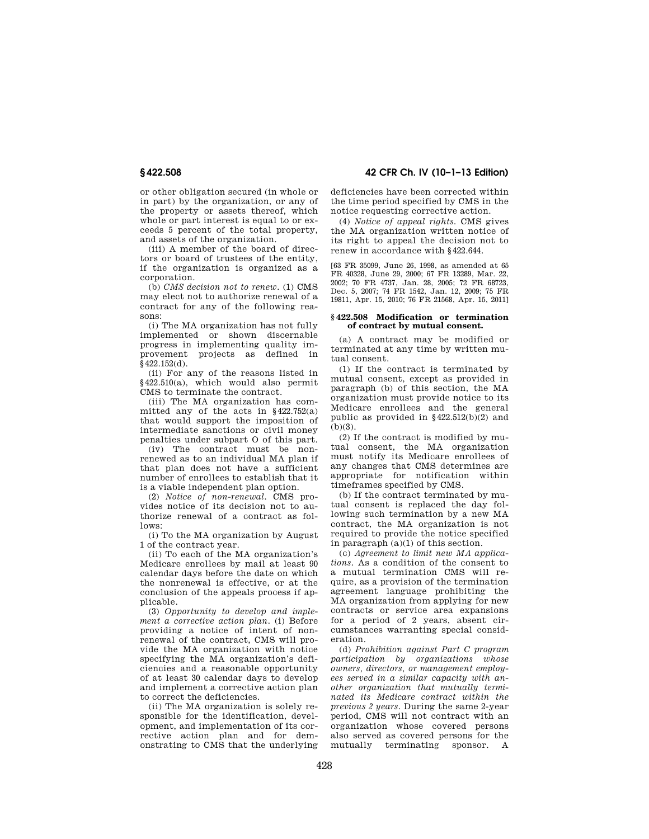or other obligation secured (in whole or in part) by the organization, or any of the property or assets thereof, which whole or part interest is equal to or exceeds 5 percent of the total property, and assets of the organization.

(iii) A member of the board of directors or board of trustees of the entity, if the organization is organized as a corporation.

(b) *CMS decision not to renew.* (1) CMS may elect not to authorize renewal of a contract for any of the following reasons:

(i) The MA organization has not fully implemented or shown discernable progress in implementing quality improvement projects as defined in  $\frac{1}{9}$  422.152(d).

(ii) For any of the reasons listed in §422.510(a), which would also permit CMS to terminate the contract.

(iii) The MA organization has committed any of the acts in §422.752(a) that would support the imposition of intermediate sanctions or civil money penalties under subpart O of this part.

(iv) The contract must be nonrenewed as to an individual MA plan if that plan does not have a sufficient number of enrollees to establish that it is a viable independent plan option.

(2) *Notice of non-renewal.* CMS provides notice of its decision not to authorize renewal of a contract as follows:

(i) To the MA organization by August 1 of the contract year.

(ii) To each of the MA organization's Medicare enrollees by mail at least 90 calendar days before the date on which the nonrenewal is effective, or at the conclusion of the appeals process if applicable.

(3) *Opportunity to develop and implement a corrective action plan.* (i) Before providing a notice of intent of nonrenewal of the contract, CMS will provide the MA organization with notice specifying the MA organization's deficiencies and a reasonable opportunity of at least 30 calendar days to develop and implement a corrective action plan to correct the deficiencies.

(ii) The MA organization is solely responsible for the identification, development, and implementation of its corrective action plan and for demonstrating to CMS that the underlying

**§ 422.508 42 CFR Ch. IV (10–1–13 Edition)** 

deficiencies have been corrected within the time period specified by CMS in the notice requesting corrective action.

(4) *Notice of appeal rights.* CMS gives the MA organization written notice of its right to appeal the decision not to renew in accordance with §422.644.

[63 FR 35099, June 26, 1998, as amended at 65 FR 40328, June 29, 2000; 67 FR 13289, Mar. 22, 2002; 70 FR 4737, Jan. 28, 2005; 72 FR 68723, Dec. 5, 2007; 74 FR 1542, Jan. 12, 2009; 75 FR 19811, Apr. 15, 2010; 76 FR 21568, Apr. 15, 2011]

#### **§ 422.508 Modification or termination of contract by mutual consent.**

(a) A contract may be modified or terminated at any time by written mutual consent.

(1) If the contract is terminated by mutual consent, except as provided in paragraph (b) of this section, the MA organization must provide notice to its Medicare enrollees and the general public as provided in  $$422.512(b)(2)$  and  $(b)(3)$ .

(2) If the contract is modified by mutual consent, the MA organization must notify its Medicare enrollees of any changes that CMS determines are appropriate for notification within timeframes specified by CMS.

(b) If the contract terminated by mutual consent is replaced the day following such termination by a new MA contract, the MA organization is not required to provide the notice specified in paragraph (a)(1) of this section.

(c) *Agreement to limit new MA applications.* As a condition of the consent to a mutual termination CMS will require, as a provision of the termination agreement language prohibiting the MA organization from applying for new contracts or service area expansions for a period of 2 years, absent circumstances warranting special consideration.

(d) *Prohibition against Part C program participation by organizations whose owners, directors, or management employees served in a similar capacity with another organization that mutually terminated its Medicare contract within the previous 2 years.* During the same 2-year period, CMS will not contract with an organization whose covered persons also served as covered persons for the mutually terminating sponsor. A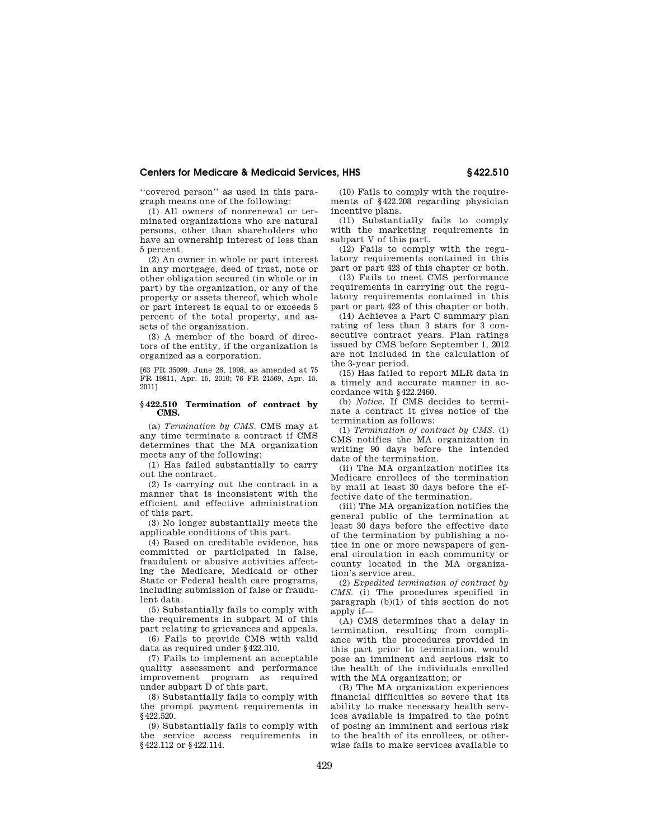''covered person'' as used in this paragraph means one of the following:

(1) All owners of nonrenewal or terminated organizations who are natural persons, other than shareholders who have an ownership interest of less than 5 percent.

(2) An owner in whole or part interest in any mortgage, deed of trust, note or other obligation secured (in whole or in part) by the organization, or any of the property or assets thereof, which whole or part interest is equal to or exceeds 5 percent of the total property, and assets of the organization.

(3) A member of the board of directors of the entity, if the organization is organized as a corporation.

[63 FR 35099, June 26, 1998, as amended at 75 FR 19811, Apr. 15, 2010; 76 FR 21569, Apr. 15, 2011]

#### **§ 422.510 Termination of contract by CMS.**

(a) *Termination by CMS.* CMS may at any time terminate a contract if CMS determines that the MA organization meets any of the following:

(1) Has failed substantially to carry out the contract.

(2) Is carrying out the contract in a manner that is inconsistent with the efficient and effective administration of this part.

(3) No longer substantially meets the applicable conditions of this part.

(4) Based on creditable evidence, has committed or participated in false, fraudulent or abusive activities affecting the Medicare, Medicaid or other State or Federal health care programs, including submission of false or fraudulent data.

(5) Substantially fails to comply with the requirements in subpart M of this part relating to grievances and appeals.

(6) Fails to provide CMS with valid data as required under §422.310.

(7) Fails to implement an acceptable quality assessment and performance improvement program as required under subpart D of this part.

(8) Substantially fails to comply with the prompt payment requirements in §422.520.

(9) Substantially fails to comply with the service access requirements in §422.112 or §422.114.

(10) Fails to comply with the requirements of §422.208 regarding physician incentive plans.

(11) Substantially fails to comply with the marketing requirements in subpart V of this part.

(12) Fails to comply with the regulatory requirements contained in this part or part 423 of this chapter or both.

(13) Fails to meet CMS performance requirements in carrying out the regulatory requirements contained in this part or part 423 of this chapter or both.

(14) Achieves a Part C summary plan rating of less than 3 stars for 3 consecutive contract years. Plan ratings issued by CMS before September 1, 2012 are not included in the calculation of the 3-year period.

(15) Has failed to report MLR data in a timely and accurate manner in accordance with §422.2460.

(b) *Notice.* If CMS decides to terminate a contract it gives notice of the termination as follows:

(1) *Termination of contract by CMS.* (i) CMS notifies the MA organization in writing 90 days before the intended date of the termination.

(ii) The MA organization notifies its Medicare enrollees of the termination by mail at least 30 days before the effective date of the termination.

(iii) The MA organization notifies the general public of the termination at least 30 days before the effective date of the termination by publishing a notice in one or more newspapers of general circulation in each community or county located in the MA organization's service area.

(2) *Expedited termination of contract by CMS.* (i) The procedures specified in paragraph  $(b)(1)$  of this section do not apply if-

(A) CMS determines that a delay in termination, resulting from compliance with the procedures provided in this part prior to termination, would pose an imminent and serious risk to the health of the individuals enrolled with the MA organization; or

(B) The MA organization experiences financial difficulties so severe that its ability to make necessary health services available is impaired to the point of posing an imminent and serious risk to the health of its enrollees, or otherwise fails to make services available to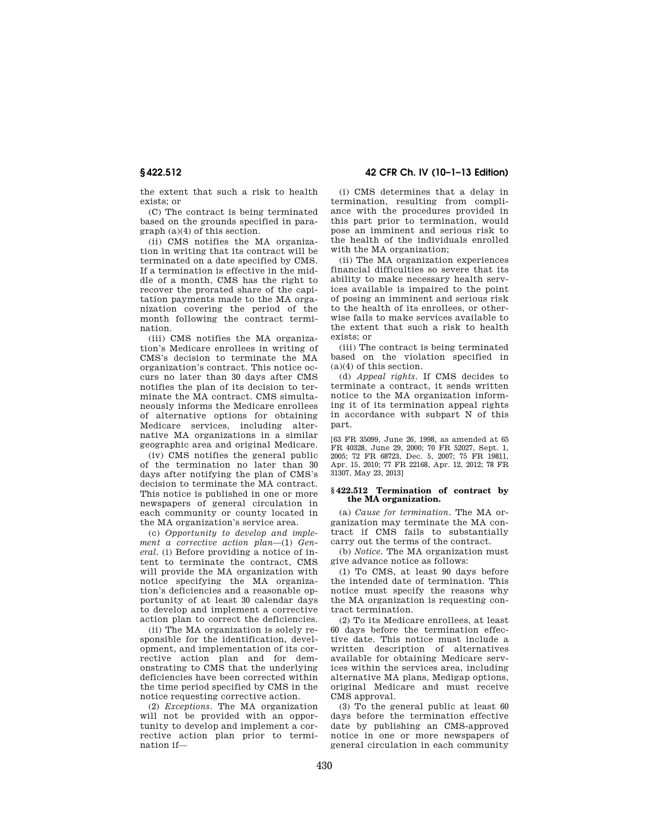**§ 422.512 42 CFR Ch. IV (10–1–13 Edition)** 

the extent that such a risk to health exists; or

(C) The contract is being terminated based on the grounds specified in paragraph (a)(4) of this section.

(ii) CMS notifies the MA organization in writing that its contract will be terminated on a date specified by CMS. If a termination is effective in the middle of a month, CMS has the right to recover the prorated share of the capitation payments made to the MA organization covering the period of the month following the contract termination.

(iii) CMS notifies the MA organization's Medicare enrollees in writing of CMS's decision to terminate the MA organization's contract. This notice occurs no later than 30 days after CMS notifies the plan of its decision to terminate the MA contract. CMS simultaneously informs the Medicare enrollees of alternative options for obtaining Medicare services, including alternative MA organizations in a similar geographic area and original Medicare.

(iv) CMS notifies the general public of the termination no later than 30 days after notifying the plan of CMS's decision to terminate the MA contract. This notice is published in one or more newspapers of general circulation in each community or county located in the MA organization's service area.

(c) *Opportunity to develop and implement a corrective action plan*—(1) *General.* (i) Before providing a notice of intent to terminate the contract, CMS will provide the MA organization with notice specifying the MA organization's deficiencies and a reasonable opportunity of at least 30 calendar days to develop and implement a corrective action plan to correct the deficiencies.

(ii) The MA organization is solely responsible for the identification, development, and implementation of its corrective action plan and for demonstrating to CMS that the underlying deficiencies have been corrected within the time period specified by CMS in the notice requesting corrective action.

(2) *Exceptions.* The MA organization will not be provided with an opportunity to develop and implement a corrective action plan prior to termination if—

(i) CMS determines that a delay in termination, resulting from compliance with the procedures provided in this part prior to termination, would pose an imminent and serious risk to the health of the individuals enrolled with the MA organization:

(ii) The MA organization experiences financial difficulties so severe that its ability to make necessary health services available is impaired to the point of posing an imminent and serious risk to the health of its enrollees, or otherwise fails to make services available to the extent that such a risk to health exists; or

(iii) The contract is being terminated based on the violation specified in (a)(4) of this section.

(d) *Appeal rights.* If CMS decides to terminate a contract, it sends written notice to the MA organization informing it of its termination appeal rights in accordance with subpart N of this part.

[63 FR 35099, June 26, 1998, as amended at 65 FR 40328, June 29, 2000; 70 FR 52027, Sept. 1, 2005; 72 FR 68723, Dec. 5, 2007; 75 FR 19811, Apr. 15, 2010; 77 FR 22168, Apr. 12, 2012; 78 FR 31307, May 23, 2013]

# **§ 422.512 Termination of contract by the MA organization.**

(a) *Cause for termination.* The MA organization may terminate the MA contract if CMS fails to substantially carry out the terms of the contract.

(b) *Notice.* The MA organization must give advance notice as follows:

(1) To CMS, at least 90 days before the intended date of termination. This notice must specify the reasons why the MA organization is requesting contract termination.

(2) To its Medicare enrollees, at least 60 days before the termination effective date. This notice must include a written description of alternatives available for obtaining Medicare services within the services area, including alternative MA plans, Medigap options, original Medicare and must receive CMS approval.

(3) To the general public at least 60 days before the termination effective date by publishing an CMS-approved notice in one or more newspapers of general circulation in each community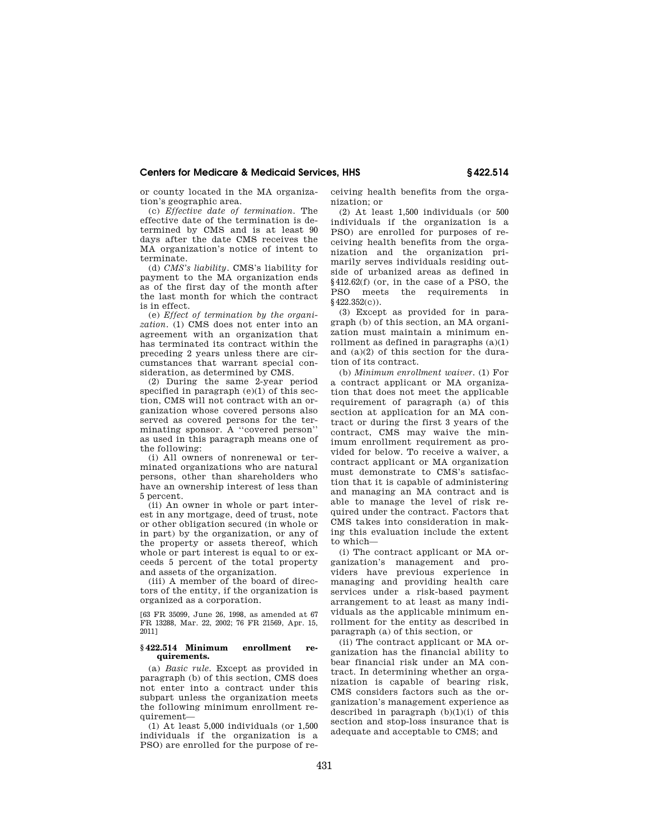or county located in the MA organization's geographic area.

(c) *Effective date of termination.* The effective date of the termination is determined by CMS and is at least 90 days after the date CMS receives the MA organization's notice of intent to terminate.

(d) *CMS's liability.* CMS's liability for payment to the MA organization ends as of the first day of the month after the last month for which the contract is in effect.

(e) *Effect of termination by the organization.* (1) CMS does not enter into an agreement with an organization that has terminated its contract within the preceding 2 years unless there are circumstances that warrant special consideration, as determined by CMS.

(2) During the same 2-year period specified in paragraph (e)(1) of this section, CMS will not contract with an organization whose covered persons also served as covered persons for the terminating sponsor. A ''covered person'' as used in this paragraph means one of the following:

(i) All owners of nonrenewal or terminated organizations who are natural persons, other than shareholders who have an ownership interest of less than 5 percent.

(ii) An owner in whole or part interest in any mortgage, deed of trust, note or other obligation secured (in whole or in part) by the organization, or any of the property or assets thereof, which whole or part interest is equal to or exceeds 5 percent of the total property and assets of the organization.

(iii) A member of the board of directors of the entity, if the organization is organized as a corporation.

[63 FR 35099, June 26, 1998, as amended at 67 FR 13288, Mar. 22, 2002; 76 FR 21569, Apr. 15, 2011]

### **§ 422.514 Minimum enrollment requirements.**

(a) *Basic rule.* Except as provided in paragraph (b) of this section, CMS does not enter into a contract under this subpart unless the organization meets the following minimum enrollment requirement—

(1) At least 5,000 individuals (or 1,500 individuals if the organization is a PSO) are enrolled for the purpose of receiving health benefits from the organization; or

(2) At least 1,500 individuals (or 500 individuals if the organization is a PSO) are enrolled for purposes of receiving health benefits from the organization and the organization primarily serves individuals residing outside of urbanized areas as defined in §412.62(f) (or, in the case of a PSO, the PSO meets the requirements in §422.352(c)).

(3) Except as provided for in paragraph (b) of this section, an MA organization must maintain a minimum enrollment as defined in paragraphs (a)(1) and (a)(2) of this section for the duration of its contract.

(b) *Minimum enrollment waiver.* (1) For a contract applicant or MA organization that does not meet the applicable requirement of paragraph (a) of this section at application for an MA contract or during the first 3 years of the contract, CMS may waive the minimum enrollment requirement as provided for below. To receive a waiver, a contract applicant or MA organization must demonstrate to CMS's satisfaction that it is capable of administering and managing an MA contract and is able to manage the level of risk required under the contract. Factors that CMS takes into consideration in making this evaluation include the extent to which—

(i) The contract applicant or MA organization's management and providers have previous experience in managing and providing health care services under a risk-based payment arrangement to at least as many individuals as the applicable minimum enrollment for the entity as described in paragraph (a) of this section, or

(ii) The contract applicant or MA organization has the financial ability to bear financial risk under an MA contract. In determining whether an organization is capable of bearing risk, CMS considers factors such as the organization's management experience as described in paragraph  $(b)(1)(i)$  of this section and stop-loss insurance that is adequate and acceptable to CMS; and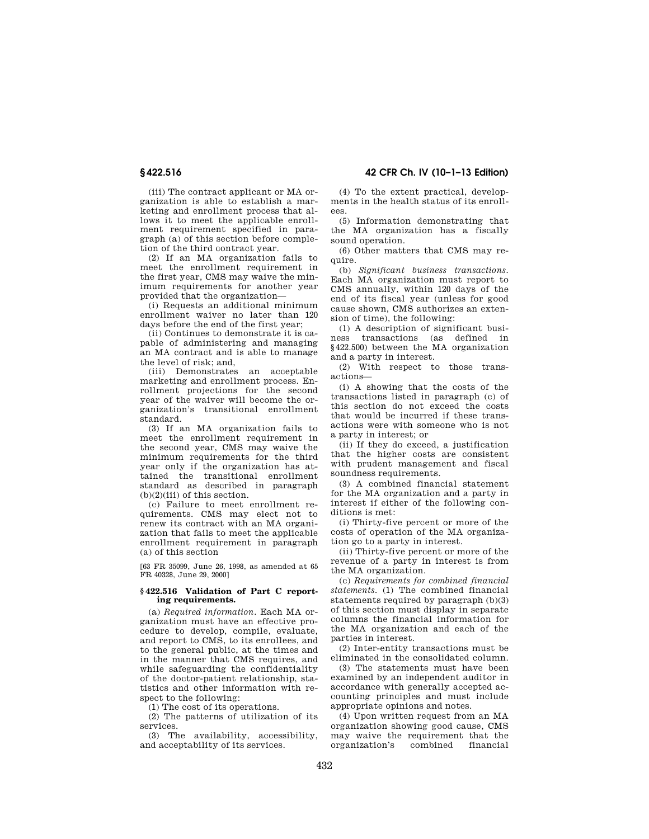(iii) The contract applicant or MA organization is able to establish a marketing and enrollment process that allows it to meet the applicable enrollment requirement specified in paragraph (a) of this section before completion of the third contract year.

(2) If an MA organization fails to meet the enrollment requirement in the first year, CMS may waive the minimum requirements for another year provided that the organization—

(i) Requests an additional minimum enrollment waiver no later than 120 days before the end of the first year;

(ii) Continues to demonstrate it is capable of administering and managing an MA contract and is able to manage the level of risk; and,

(iii) Demonstrates an acceptable marketing and enrollment process. Enrollment projections for the second year of the waiver will become the organization's transitional enrollment standard.

(3) If an MA organization fails to meet the enrollment requirement in the second year, CMS may waive the minimum requirements for the third year only if the organization has attained the transitional enrollment standard as described in paragraph  $(b)(2)(iii)$  of this section.

(c) Failure to meet enrollment requirements. CMS may elect not to renew its contract with an MA organization that fails to meet the applicable enrollment requirement in paragraph (a) of this section

[63 FR 35099, June 26, 1998, as amended at 65 FR 40328, June 29, 2000]

#### **§ 422.516 Validation of Part C reporting requirements.**

(a) *Required information.* Each MA organization must have an effective procedure to develop, compile, evaluate, and report to CMS, to its enrollees, and to the general public, at the times and in the manner that CMS requires, and while safeguarding the confidentiality of the doctor-patient relationship, statistics and other information with respect to the following:

(1) The cost of its operations.

(2) The patterns of utilization of its services.

(3) The availability, accessibility, and acceptability of its services.

**§ 422.516 42 CFR Ch. IV (10–1–13 Edition)** 

(4) To the extent practical, developments in the health status of its enrollees.

(5) Information demonstrating that the MA organization has a fiscally sound operation.

(6) Other matters that CMS may require.

(b) *Significant business transactions.*  Each MA organization must report to CMS annually, within 120 days of the end of its fiscal year (unless for good cause shown, CMS authorizes an extension of time), the following:

(1) A description of significant business transactions (as defined in §422.500) between the MA organization and a party in interest.

(2) With respect to those transactions—

(i) A showing that the costs of the transactions listed in paragraph (c) of this section do not exceed the costs that would be incurred if these transactions were with someone who is not a party in interest; or

(ii) If they do exceed, a justification that the higher costs are consistent with prudent management and fiscal soundness requirements.

(3) A combined financial statement for the MA organization and a party in interest if either of the following conditions is met:

(i) Thirty-five percent or more of the costs of operation of the MA organization go to a party in interest.

(ii) Thirty-five percent or more of the revenue of a party in interest is from the MA organization.

(c) *Requirements for combined financial statements.* (1) The combined financial statements required by paragraph (b)(3) of this section must display in separate columns the financial information for the MA organization and each of the parties in interest.

(2) Inter-entity transactions must be eliminated in the consolidated column.

(3) The statements must have been examined by an independent auditor in accordance with generally accepted accounting principles and must include appropriate opinions and notes.

(4) Upon written request from an MA organization showing good cause, CMS may waive the requirement that the<br>organization's combined financial organization's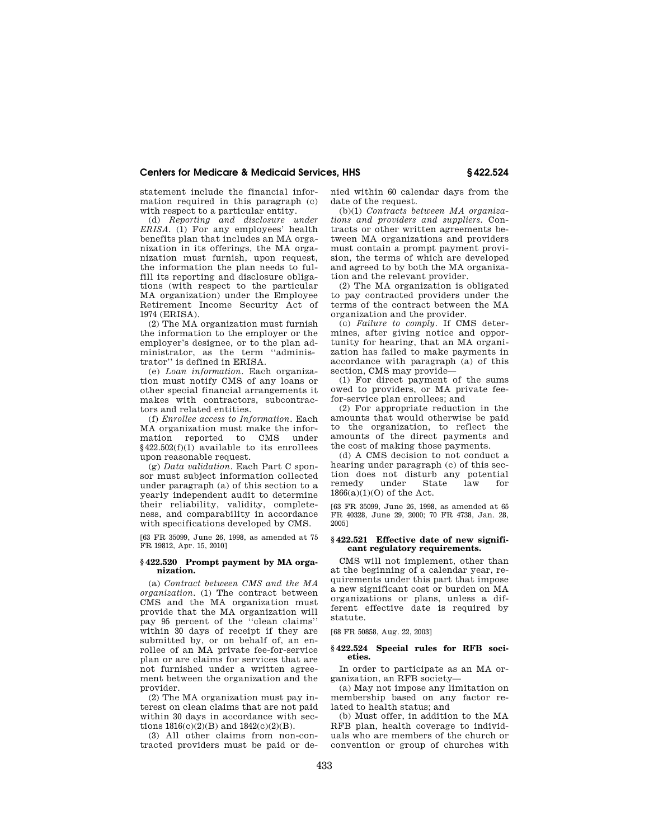statement include the financial information required in this paragraph (c) with respect to a particular entity.

(d) *Reporting and disclosure under ERISA.* (1) For any employees' health benefits plan that includes an MA organization in its offerings, the MA organization must furnish, upon request, the information the plan needs to fulfill its reporting and disclosure obligations (with respect to the particular MA organization) under the Employee Retirement Income Security Act of 1974 (ERISA).

(2) The MA organization must furnish the information to the employer or the employer's designee, or to the plan administrator, as the term ''administrator'' is defined in ERISA.

(e) *Loan information.* Each organization must notify CMS of any loans or other special financial arrangements it makes with contractors, subcontractors and related entities.

(f) *Enrollee access to Information.* Each MA organization must make the information reported to CMS under §422.502(f)(1) available to its enrollees upon reasonable request.

(g) *Data validation.* Each Part C sponsor must subject information collected under paragraph (a) of this section to a yearly independent audit to determine their reliability, validity, completeness, and comparability in accordance with specifications developed by CMS.

[63 FR 35099, June 26, 1998, as amended at 75 FR 19812, Apr. 15, 2010]

# **§ 422.520 Prompt payment by MA organization.**

(a) *Contract between CMS and the MA organization.* (1) The contract between CMS and the MA organization must provide that the MA organization will pay 95 percent of the ''clean claims'' within 30 days of receipt if they are submitted by, or on behalf of, an enrollee of an MA private fee-for-service plan or are claims for services that are not furnished under a written agreement between the organization and the provider.

(2) The MA organization must pay interest on clean claims that are not paid within 30 days in accordance with sections 1816(c)(2)(B) and 1842(c)(2)(B).

(3) All other claims from non-contracted providers must be paid or denied within 60 calendar days from the date of the request.

(b)(1) *Contracts between MA organizations and providers and suppliers.* Contracts or other written agreements between MA organizations and providers must contain a prompt payment provision, the terms of which are developed and agreed to by both the MA organization and the relevant provider.

(2) The MA organization is obligated to pay contracted providers under the terms of the contract between the MA organization and the provider.

(c) *Failure to comply.* If CMS determines, after giving notice and opportunity for hearing, that an MA organization has failed to make payments in accordance with paragraph (a) of this section, CMS may provide—

(1) For direct payment of the sums owed to providers, or MA private feefor-service plan enrollees; and

(2) For appropriate reduction in the amounts that would otherwise be paid to the organization, to reflect the amounts of the direct payments and the cost of making those payments.

(d) A CMS decision to not conduct a hearing under paragraph (c) of this section does not disturb any potential<br>remedy under State law for remedy under State law for 1866(a)(1)(O) of the Act.

[63 FR 35099, June 26, 1998, as amended at 65 FR 40328, June 29, 2000; 70 FR 4738, Jan. 28, 2005]

# **§ 422.521 Effective date of new significant regulatory requirements.**

CMS will not implement, other than at the beginning of a calendar year, requirements under this part that impose a new significant cost or burden on MA organizations or plans, unless a different effective date is required by statute.

[68 FR 50858, Aug. 22, 2003]

### **§ 422.524 Special rules for RFB societies.**

In order to participate as an MA organization, an RFB society—

(a) May not impose any limitation on membership based on any factor related to health status; and

(b) Must offer, in addition to the MA RFB plan, health coverage to individuals who are members of the church or convention or group of churches with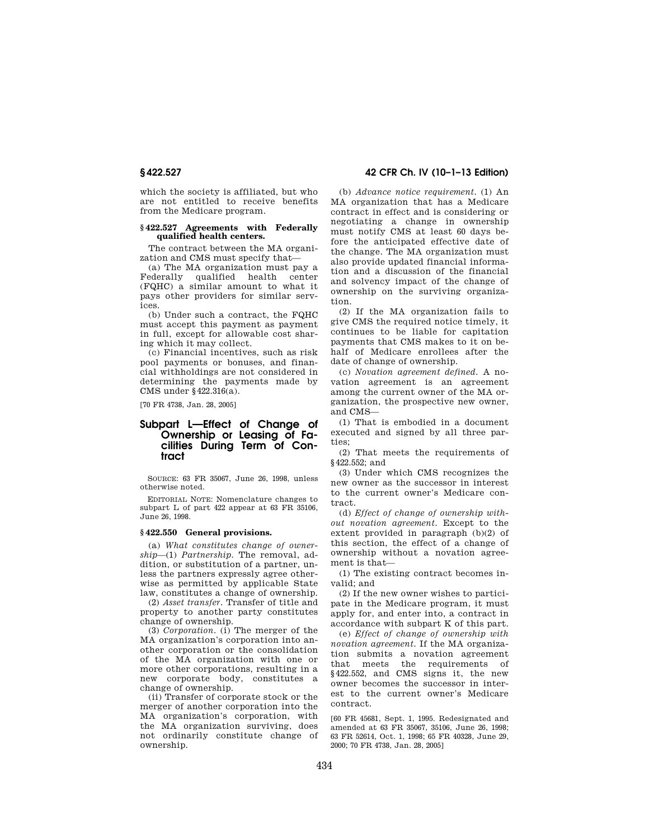which the society is affiliated, but who are not entitled to receive benefits from the Medicare program.

# **§ 422.527 Agreements with Federally qualified health centers.**

The contract between the MA organization and CMS must specify that—

(a) The MA organization must pay a Federally qualified health center (FQHC) a similar amount to what it pays other providers for similar services.

(b) Under such a contract, the FQHC must accept this payment as payment in full, except for allowable cost sharing which it may collect.

(c) Financial incentives, such as risk pool payments or bonuses, and financial withholdings are not considered in determining the payments made by CMS under §422.316(a).

[70 FR 4738, Jan. 28, 2005]

# **Subpart L—Effect of Change of Ownership or Leasing of Facilities During Term of Contract**

SOURCE: 63 FR 35067, June 26, 1998, unless otherwise noted.

EDITORIAL NOTE: Nomenclature changes to subpart L of part 422 appear at 63 FR 35106, June 26, 1998.

#### **§ 422.550 General provisions.**

(a) *What constitutes change of ownership*—(1) *Partnership.* The removal, addition, or substitution of a partner, unless the partners expressly agree otherwise as permitted by applicable State law, constitutes a change of ownership.

(2) *Asset transfer.* Transfer of title and property to another party constitutes change of ownership.

(3) *Corporation.* (i) The merger of the MA organization's corporation into another corporation or the consolidation of the MA organization with one or more other corporations, resulting in a new corporate body, constitutes a change of ownership.

(ii) Transfer of corporate stock or the merger of another corporation into the MA organization's corporation, with the MA organization surviving, does not ordinarily constitute change of ownership.

**§ 422.527 42 CFR Ch. IV (10–1–13 Edition)** 

(b) *Advance notice requirement.* (1) An MA organization that has a Medicare contract in effect and is considering or negotiating a change in ownership must notify CMS at least 60 days before the anticipated effective date of the change. The MA organization must also provide updated financial information and a discussion of the financial and solvency impact of the change of ownership on the surviving organization.

(2) If the MA organization fails to give CMS the required notice timely, it continues to be liable for capitation payments that CMS makes to it on behalf of Medicare enrollees after the date of change of ownership.

(c) *Novation agreement defined.* A novation agreement is an agreement among the current owner of the MA organization, the prospective new owner, and CMS—

(1) That is embodied in a document executed and signed by all three parties;

(2) That meets the requirements of §422.552; and

(3) Under which CMS recognizes the new owner as the successor in interest to the current owner's Medicare contract.

(d) *Effect of change of ownership without novation agreement.* Except to the extent provided in paragraph (b)(2) of this section, the effect of a change of ownership without a novation agreement is that—

(1) The existing contract becomes invalid; and

(2) If the new owner wishes to participate in the Medicare program, it must apply for, and enter into, a contract in accordance with subpart K of this part.

(e) *Effect of change of ownership with novation agreement.* If the MA organization submits a novation agreement that meets the requirements of §422.552, and CMS signs it, the new owner becomes the successor in interest to the current owner's Medicare contract.

[60 FR 45681, Sept. 1, 1995. Redesignated and amended at 63 FR 35067, 35106, June 26, 1998; 63 FR 52614, Oct. 1, 1998; 65 FR 40328, June 29, 2000; 70 FR 4738, Jan. 28, 2005]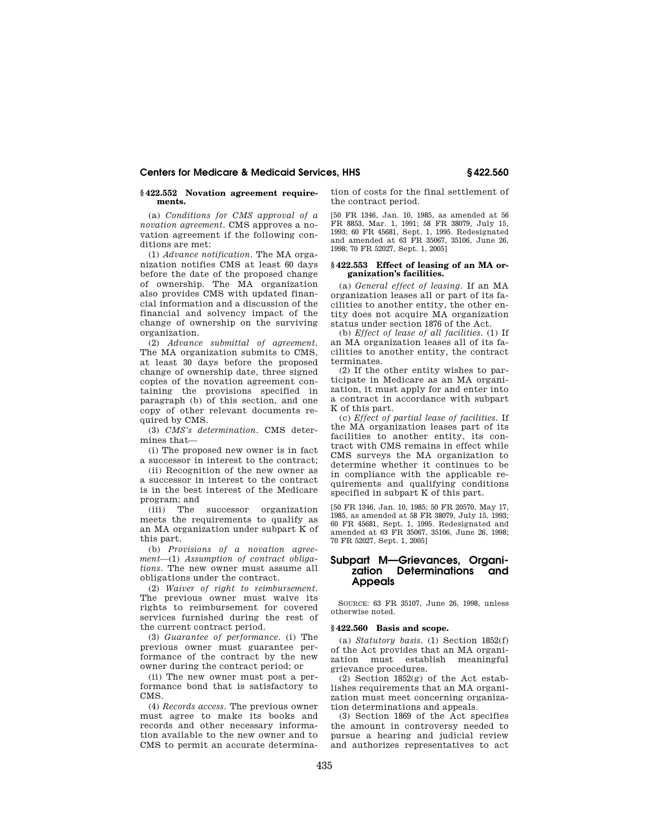# **§ 422.552 Novation agreement requirements.**

(a) *Conditions for CMS approval of a novation agreement.* CMS approves a novation agreement if the following conditions are met:

(1) *Advance notification.* The MA organization notifies CMS at least 60 days before the date of the proposed change of ownership. The MA organization also provides CMS with updated financial information and a discussion of the financial and solvency impact of the change of ownership on the surviving organization.

(2) *Advance submittal of agreement.*  The MA organization submits to CMS, at least 30 days before the proposed change of ownership date, three signed copies of the novation agreement containing the provisions specified in paragraph (b) of this section, and one copy of other relevant documents required by CMS.

(3) *CMS's determination.* CMS determines that—

(i) The proposed new owner is in fact a successor in interest to the contract;

(ii) Recognition of the new owner as a successor in interest to the contract is in the best interest of the Medicare program; and

(iii) The successor organization meets the requirements to qualify as an MA organization under subpart K of this part.

(b) *Provisions of a novation agreement*—(1) *Assumption of contract obligations.* The new owner must assume all obligations under the contract.

(2) *Waiver of right to reimbursement.*  The previous owner must waive its rights to reimbursement for covered services furnished during the rest of the current contract period.

(3) *Guarantee of performance.* (i) The previous owner must guarantee performance of the contract by the new owner during the contract period; or

(ii) The new owner must post a performance bond that is satisfactory to CMS.

(4) *Records access.* The previous owner must agree to make its books and records and other necessary information available to the new owner and to CMS to permit an accurate determination of costs for the final settlement of the contract period.

[50 FR 1346, Jan. 10, 1985, as amended at 56 FR 8853, Mar. 1, 1991; 58 FR 38079, July 15, 1993; 60 FR 45681, Sept. 1, 1995. Redesignated and amended at 63 FR 35067, 35106, June 26, 1998; 70 FR 52027, Sept. 1, 2005]

#### **§ 422.553 Effect of leasing of an MA organization's facilities.**

(a) *General effect of leasing.* If an MA organization leases all or part of its facilities to another entity, the other entity does not acquire MA organization status under section 1876 of the Act.

(b) *Effect of lease of all facilities.* (1) If an MA organization leases all of its facilities to another entity, the contract terminates.

(2) If the other entity wishes to participate in Medicare as an MA organization, it must apply for and enter into a contract in accordance with subpart K of this part.

(c) *Effect of partial lease of facilities.* If the MA organization leases part of its facilities to another entity, its contract with CMS remains in effect while CMS surveys the MA organization to determine whether it continues to be in compliance with the applicable requirements and qualifying conditions specified in subpart K of this part.

[50 FR 1346, Jan. 10, 1985; 50 FR 20570, May 17, 1985, as amended at 58 FR 38079, July 15, 1993; 60 FR 45681, Sept. 1, 1995. Redesignated and amended at 63 FR 35067, 35106, June 26, 1998; 70 FR 52027, Sept. 1, 2005]

# **Subpart M—Grievances, Organization Determinations and Appeals**

SOURCE: 63 FR 35107, June 26, 1998, unless otherwise noted.

#### **§ 422.560 Basis and scope.**

(a) *Statutory basis.* (1) Section 1852(f) of the Act provides that an MA organization must establish meaningful grievance procedures.

(2) Section 1852(g) of the Act establishes requirements that an MA organization must meet concerning organization determinations and appeals.

(3) Section 1869 of the Act specifies the amount in controversy needed to pursue a hearing and judicial review and authorizes representatives to act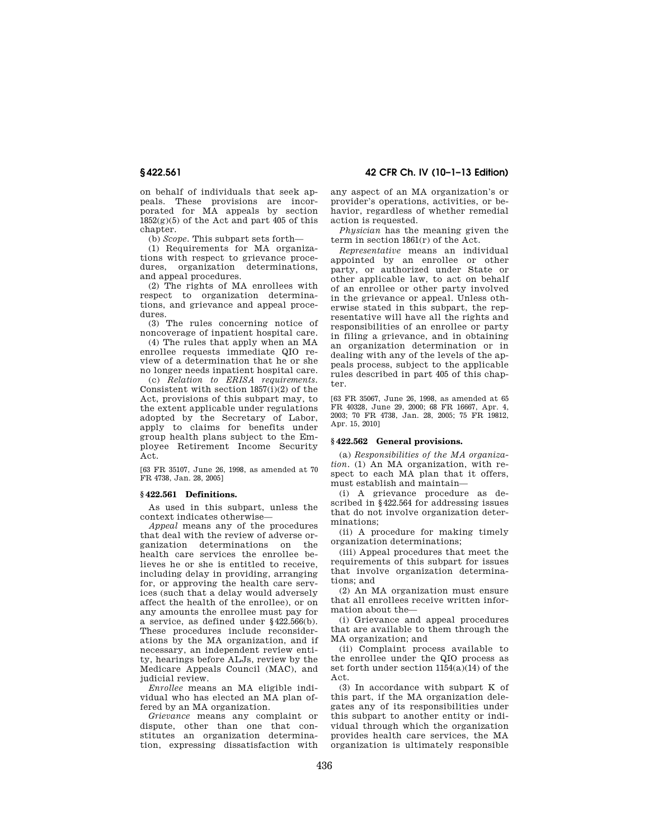on behalf of individuals that seek appeals. These provisions are incorporated for MA appeals by section  $1852(g)(5)$  of the Act and part 405 of this chapter.

(b) *Scope.* This subpart sets forth—

(1) Requirements for MA organizations with respect to grievance procedures, organization determinations, and appeal procedures.

(2) The rights of MA enrollees with respect to organization determinations, and grievance and appeal procedures.

(3) The rules concerning notice of noncoverage of inpatient hospital care.

(4) The rules that apply when an MA enrollee requests immediate QIO review of a determination that he or she no longer needs inpatient hospital care.

(c) *Relation to ERISA requirements.*  Consistent with section  $1857(i)(2)$  of the Act, provisions of this subpart may, to the extent applicable under regulations adopted by the Secretary of Labor, apply to claims for benefits under group health plans subject to the Employee Retirement Income Security Act.

[63 FR 35107, June 26, 1998, as amended at 70 FR 4738, Jan. 28, 2005]

#### **§ 422.561 Definitions.**

As used in this subpart, unless the context indicates otherwise—

*Appeal* means any of the procedures that deal with the review of adverse organization determinations on the health care services the enrollee believes he or she is entitled to receive, including delay in providing, arranging for, or approving the health care services (such that a delay would adversely affect the health of the enrollee), or on any amounts the enrollee must pay for a service, as defined under §422.566(b). These procedures include reconsiderations by the MA organization, and if necessary, an independent review entity, hearings before ALJs, review by the Medicare Appeals Council (MAC), and judicial review.

*Enrollee* means an MA eligible individual who has elected an MA plan offered by an MA organization.

*Grievance* means any complaint or dispute, other than one that constitutes an organization determination, expressing dissatisfaction with

**§ 422.561 42 CFR Ch. IV (10–1–13 Edition)** 

any aspect of an MA organization's or provider's operations, activities, or behavior, regardless of whether remedial action is requested.

*Physician* has the meaning given the term in section 1861(r) of the Act.

*Representative* means an individual appointed by an enrollee or other party, or authorized under State or other applicable law, to act on behalf of an enrollee or other party involved in the grievance or appeal. Unless otherwise stated in this subpart, the representative will have all the rights and responsibilities of an enrollee or party in filing a grievance, and in obtaining an organization determination or in dealing with any of the levels of the appeals process, subject to the applicable rules described in part 405 of this chapter.

[63 FR 35067, June 26, 1998, as amended at 65 FR 40328, June 29, 2000; 68 FR 16667, Apr. 4, 2003; 70 FR 4738, Jan. 28, 2005; 75 FR 19812, Apr. 15, 2010]

# **§ 422.562 General provisions.**

(a) *Responsibilities of the MA organization.* (1) An MA organization, with respect to each MA plan that it offers, must establish and maintain—

(i) A grievance procedure as described in §422.564 for addressing issues that do not involve organization determinations;

(ii) A procedure for making timely organization determinations;

(iii) Appeal procedures that meet the requirements of this subpart for issues that involve organization determinations; and

(2) An MA organization must ensure that all enrollees receive written information about the—

(i) Grievance and appeal procedures that are available to them through the MA organization; and

(ii) Complaint process available to the enrollee under the QIO process as set forth under section 1154(a)(14) of the Act.

(3) In accordance with subpart K of this part, if the MA organization delegates any of its responsibilities under this subpart to another entity or individual through which the organization provides health care services, the MA organization is ultimately responsible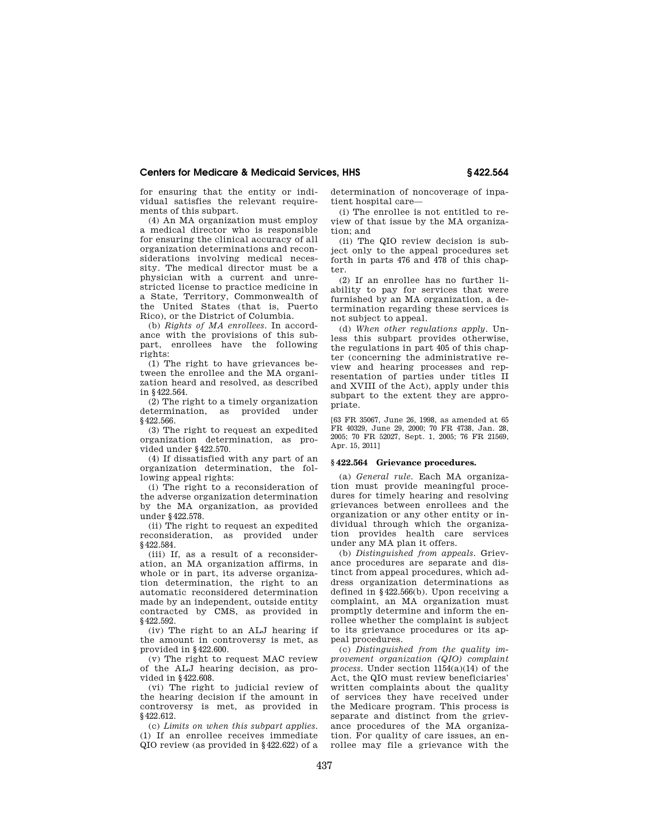for ensuring that the entity or individual satisfies the relevant requirements of this subpart.

(4) An MA organization must employ a medical director who is responsible for ensuring the clinical accuracy of all organization determinations and reconsiderations involving medical necessity. The medical director must be a physician with a current and unrestricted license to practice medicine in a State, Territory, Commonwealth of the United States (that is, Puerto Rico), or the District of Columbia.

(b) *Rights of MA enrollees.* In accordance with the provisions of this subpart, enrollees have the following rights:

(1) The right to have grievances between the enrollee and the MA organization heard and resolved, as described in §422.564.

(2) The right to a timely organization determination, as provided under §422.566.

(3) The right to request an expedited organization determination, as provided under §422.570.

(4) If dissatisfied with any part of an organization determination, the following appeal rights:

(i) The right to a reconsideration of the adverse organization determination by the MA organization, as provided under §422.578.

(ii) The right to request an expedited reconsideration, as provided under §422.584.

(iii) If, as a result of a reconsideration, an MA organization affirms, in whole or in part, its adverse organization determination, the right to an automatic reconsidered determination made by an independent, outside entity contracted by CMS, as provided in §422.592.

(iv) The right to an ALJ hearing if the amount in controversy is met, as provided in §422.600.

(v) The right to request MAC review of the ALJ hearing decision, as provided in §422.608.

(vi) The right to judicial review of the hearing decision if the amount in controversy is met, as provided in §422.612.

(c) *Limits on when this subpart applies.*  (1) If an enrollee receives immediate QIO review (as provided in §422.622) of a determination of noncoverage of inpatient hospital care—

(i) The enrollee is not entitled to review of that issue by the MA organization; and

(ii) The QIO review decision is subject only to the appeal procedures set forth in parts 476 and 478 of this chapter.

(2) If an enrollee has no further liability to pay for services that were furnished by an MA organization, a determination regarding these services is not subject to appeal.

(d) *When other regulations apply.* Unless this subpart provides otherwise, the regulations in part 405 of this chapter (concerning the administrative review and hearing processes and representation of parties under titles II and XVIII of the Act), apply under this subpart to the extent they are appropriate.

[63 FR 35067, June 26, 1998, as amended at 65 FR 40329, June 29, 2000; 70 FR 4738, Jan. 28, 2005; 70 FR 52027, Sept. 1, 2005; 76 FR 21569, Apr. 15, 2011]

# **§ 422.564 Grievance procedures.**

(a) *General rule.* Each MA organization must provide meaningful procedures for timely hearing and resolving grievances between enrollees and the organization or any other entity or individual through which the organization provides health care services under any MA plan it offers.

(b) *Distinguished from appeals.* Grievance procedures are separate and distinct from appeal procedures, which address organization determinations as defined in §422.566(b). Upon receiving a complaint, an MA organization must promptly determine and inform the enrollee whether the complaint is subject to its grievance procedures or its appeal procedures.

(c) *Distinguished from the quality improvement organization (QIO) complaint process.* Under section 1154(a)(14) of the Act, the QIO must review beneficiaries' written complaints about the quality of services they have received under the Medicare program. This process is separate and distinct from the grievance procedures of the MA organization. For quality of care issues, an enrollee may file a grievance with the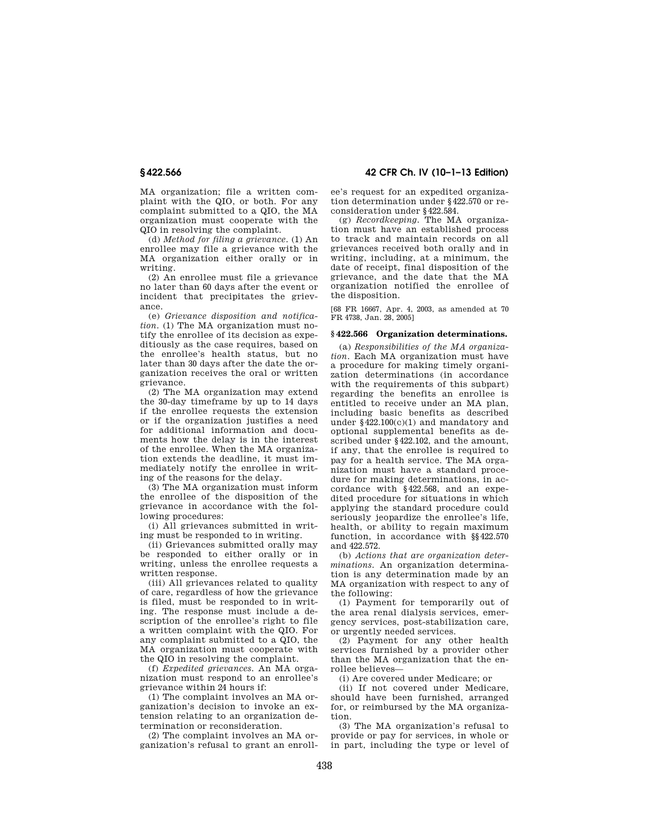MA organization; file a written complaint with the QIO, or both. For any complaint submitted to a QIO, the MA organization must cooperate with the QIO in resolving the complaint.

(d) *Method for filing a grievance.* (1) An enrollee may file a grievance with the MA organization either orally or in writing.

(2) An enrollee must file a grievance no later than 60 days after the event or incident that precipitates the grievance.

(e) *Grievance disposition and notification.* (1) The MA organization must notify the enrollee of its decision as expeditiously as the case requires, based on the enrollee's health status, but no later than 30 days after the date the organization receives the oral or written grievance.

(2) The MA organization may extend the 30-day timeframe by up to 14 days if the enrollee requests the extension or if the organization justifies a need for additional information and documents how the delay is in the interest of the enrollee. When the MA organization extends the deadline, it must immediately notify the enrollee in writing of the reasons for the delay.

(3) The MA organization must inform the enrollee of the disposition of the grievance in accordance with the following procedures:

(i) All grievances submitted in writing must be responded to in writing.

(ii) Grievances submitted orally may be responded to either orally or in writing, unless the enrollee requests a written response.

(iii) All grievances related to quality of care, regardless of how the grievance is filed, must be responded to in writing. The response must include a description of the enrollee's right to file a written complaint with the QIO. For any complaint submitted to a QIO, the MA organization must cooperate with the QIO in resolving the complaint.

(f) *Expedited grievances.* An MA organization must respond to an enrollee's grievance within 24 hours if:

(1) The complaint involves an MA organization's decision to invoke an extension relating to an organization determination or reconsideration.

(2) The complaint involves an MA organization's refusal to grant an enroll-

**§ 422.566 42 CFR Ch. IV (10–1–13 Edition)** 

ee's request for an expedited organization determination under §422.570 or reconsideration under §422.584.

(g) *Recordkeeping.* The MA organization must have an established process to track and maintain records on all grievances received both orally and in writing, including, at a minimum, the date of receipt, final disposition of the grievance, and the date that the MA organization notified the enrollee of the disposition.

[68 FR 16667, Apr. 4, 2003, as amended at 70 FR 4738, Jan. 28, 2005]

# **§ 422.566 Organization determinations.**

(a) *Responsibilities of the MA organization.* Each MA organization must have a procedure for making timely organization determinations (in accordance with the requirements of this subpart) regarding the benefits an enrollee is entitled to receive under an MA plan, including basic benefits as described under §422.100(c)(1) and mandatory and optional supplemental benefits as described under §422.102, and the amount, if any, that the enrollee is required to pay for a health service. The MA organization must have a standard procedure for making determinations, in accordance with §422.568, and an expedited procedure for situations in which applying the standard procedure could seriously jeopardize the enrollee's life, health, or ability to regain maximum function, in accordance with §§422.570 and 422.572.

(b) *Actions that are organization determinations.* An organization determination is any determination made by an MA organization with respect to any of the following:

(1) Payment for temporarily out of the area renal dialysis services, emergency services, post-stabilization care, or urgently needed services.

(2) Payment for any other health services furnished by a provider other than the MA organization that the enrollee believes—

(i) Are covered under Medicare; or

(ii) If not covered under Medicare, should have been furnished, arranged for, or reimbursed by the MA organization.

(3) The MA organization's refusal to provide or pay for services, in whole or in part, including the type or level of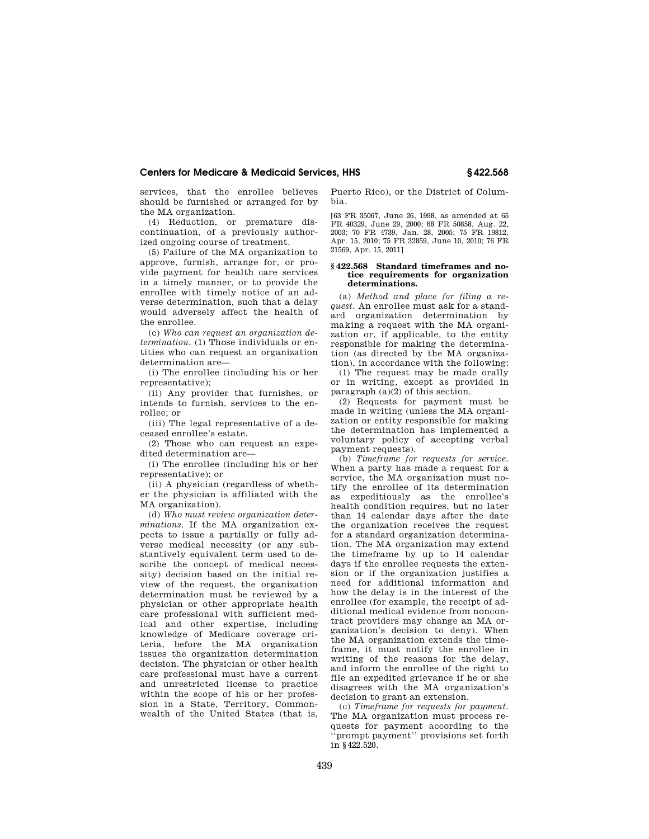services, that the enrollee believes should be furnished or arranged for by the MA organization.

(4) Reduction, or premature discontinuation, of a previously authorized ongoing course of treatment.

(5) Failure of the MA organization to approve, furnish, arrange for, or provide payment for health care services in a timely manner, or to provide the enrollee with timely notice of an adverse determination, such that a delay would adversely affect the health of the enrollee.

(c) *Who can request an organization determination.* (1) Those individuals or entities who can request an organization determination are—

(i) The enrollee (including his or her representative);

(ii) Any provider that furnishes, or intends to furnish, services to the enrollee; or

(iii) The legal representative of a deceased enrollee's estate.

(2) Those who can request an expedited determination are—

(i) The enrollee (including his or her representative); or

(ii) A physician (regardless of whether the physician is affiliated with the MA organization).

(d) *Who must review organization determinations.* If the MA organization expects to issue a partially or fully adverse medical necessity (or any substantively equivalent term used to describe the concept of medical necessity) decision based on the initial review of the request, the organization determination must be reviewed by a physician or other appropriate health care professional with sufficient medical and other expertise, including knowledge of Medicare coverage criteria, before the MA organization issues the organization determination decision. The physician or other health care professional must have a current and unrestricted license to practice within the scope of his or her profession in a State, Territory, Commonwealth of the United States (that is,

Puerto Rico), or the District of Columbia.

[63 FR 35067, June 26, 1998, as amended at 65 FR 40329, June 29, 2000; 68 FR 50858, Aug. 22, 2003; 70 FR 4739, Jan. 28, 2005; 75 FR 19812, Apr. 15, 2010; 75 FR 32859, June 10, 2010; 76 FR 21569, Apr. 15, 2011]

#### **§ 422.568 Standard timeframes and notice requirements for organization determinations.**

(a) *Method and place for filing a request.* An enrollee must ask for a standard organization determination by making a request with the MA organization or, if applicable, to the entity responsible for making the determination (as directed by the MA organization), in accordance with the following:

(1) The request may be made orally or in writing, except as provided in paragraph (a)(2) of this section.

(2) Requests for payment must be made in writing (unless the MA organization or entity responsible for making the determination has implemented a voluntary policy of accepting verbal payment requests).

(b) *Timeframe for requests for service.*  When a party has made a request for a service, the MA organization must notify the enrollee of its determination as expeditiously as the enrollee's health condition requires, but no later than 14 calendar days after the date the organization receives the request for a standard organization determination. The MA organization may extend the timeframe by up to 14 calendar days if the enrollee requests the extension or if the organization justifies a need for additional information and how the delay is in the interest of the enrollee (for example, the receipt of additional medical evidence from noncontract providers may change an MA organization's decision to deny). When the MA organization extends the timeframe, it must notify the enrollee in writing of the reasons for the delay, and inform the enrollee of the right to file an expedited grievance if he or she disagrees with the MA organization's decision to grant an extension.

(c) *Timeframe for requests for payment.*  The MA organization must process requests for payment according to the ''prompt payment'' provisions set forth in §422.520.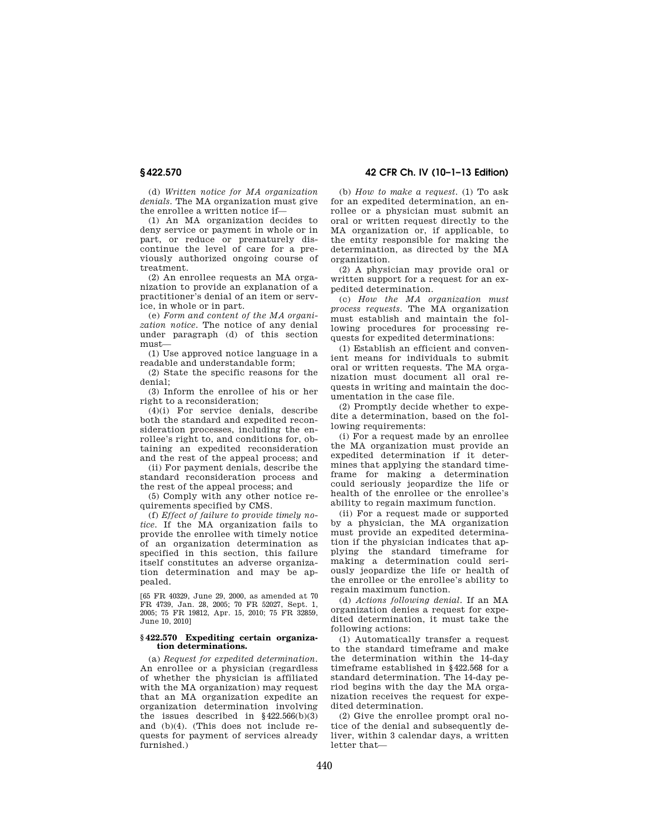(d) *Written notice for MA organization denials.* The MA organization must give the enrollee a written notice if—

(1) An MA organization decides to deny service or payment in whole or in part, or reduce or prematurely discontinue the level of care for a previously authorized ongoing course of treatment.

(2) An enrollee requests an MA organization to provide an explanation of a practitioner's denial of an item or service, in whole or in part.

(e) *Form and content of the MA organization notice.* The notice of any denial under paragraph (d) of this section must—

(1) Use approved notice language in a readable and understandable form;

(2) State the specific reasons for the denial;

(3) Inform the enrollee of his or her right to a reconsideration;

(4)(i) For service denials, describe both the standard and expedited reconsideration processes, including the enrollee's right to, and conditions for, obtaining an expedited reconsideration and the rest of the appeal process; and

(ii) For payment denials, describe the standard reconsideration process and the rest of the appeal process; and

(5) Comply with any other notice requirements specified by CMS.

(f) *Effect of failure to provide timely notice.* If the MA organization fails to provide the enrollee with timely notice of an organization determination as specified in this section, this failure itself constitutes an adverse organization determination and may be appealed.

[65 FR 40329, June 29, 2000, as amended at 70 FR 4739, Jan. 28, 2005; 70 FR 52027, Sept. 1, 2005; 75 FR 19812, Apr. 15, 2010; 75 FR 32859, June 10, 2010]

#### **§ 422.570 Expediting certain organization determinations.**

(a) *Request for expedited determination.*  An enrollee or a physician (regardless of whether the physician is affiliated with the MA organization) may request that an MA organization expedite an organization determination involving the issues described in  $§422.566(b)(3)$ and (b)(4). (This does not include requests for payment of services already furnished.)

# **§ 422.570 42 CFR Ch. IV (10–1–13 Edition)**

(b) *How to make a request.* (1) To ask for an expedited determination, an enrollee or a physician must submit an oral or written request directly to the MA organization or, if applicable, to the entity responsible for making the determination, as directed by the MA organization.

(2) A physician may provide oral or written support for a request for an expedited determination.

(c) *How the MA organization must process requests.* The MA organization must establish and maintain the following procedures for processing requests for expedited determinations:

(1) Establish an efficient and convenient means for individuals to submit oral or written requests. The MA organization must document all oral requests in writing and maintain the documentation in the case file.

(2) Promptly decide whether to expedite a determination, based on the following requirements:

(i) For a request made by an enrollee the MA organization must provide an expedited determination if it determines that applying the standard timeframe for making a determination could seriously jeopardize the life or health of the enrollee or the enrollee's ability to regain maximum function.

(ii) For a request made or supported by a physician, the MA organization must provide an expedited determination if the physician indicates that applying the standard timeframe for making a determination could seriously jeopardize the life or health of the enrollee or the enrollee's ability to regain maximum function.

(d) *Actions following denial.* If an MA organization denies a request for expedited determination, it must take the following actions:

(1) Automatically transfer a request to the standard timeframe and make the determination within the 14-day timeframe established in §422.568 for a standard determination. The 14-day period begins with the day the MA organization receives the request for expedited determination.

(2) Give the enrollee prompt oral notice of the denial and subsequently deliver, within 3 calendar days, a written letter that—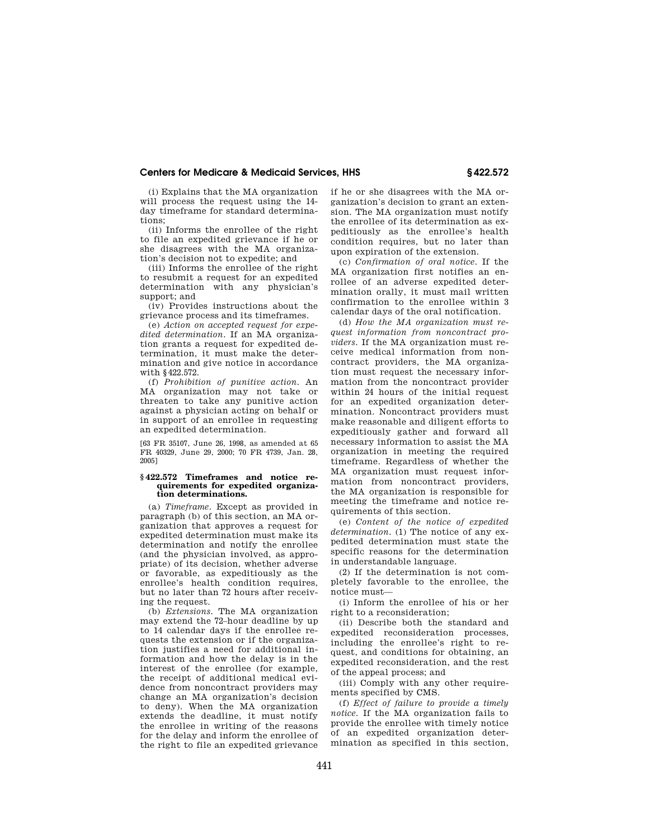(i) Explains that the MA organization will process the request using the 14 day timeframe for standard determinations;

(ii) Informs the enrollee of the right to file an expedited grievance if he or she disagrees with the MA organization's decision not to expedite; and

(iii) Informs the enrollee of the right to resubmit a request for an expedited determination with any physician's support; and

(iv) Provides instructions about the grievance process and its timeframes.

(e) *Action on accepted request for expedited determination.* If an MA organization grants a request for expedited determination, it must make the determination and give notice in accordance with §422.572.

(f) *Prohibition of punitive action.* An MA organization may not take or threaten to take any punitive action against a physician acting on behalf or in support of an enrollee in requesting an expedited determination.

[63 FR 35107, June 26, 1998, as amended at 65 FR 40329, June 29, 2000; 70 FR 4739, Jan. 28, 2005]

#### **§ 422.572 Timeframes and notice requirements for expedited organization determinations.**

(a) *Timeframe.* Except as provided in paragraph (b) of this section, an MA organization that approves a request for expedited determination must make its determination and notify the enrollee (and the physician involved, as appropriate) of its decision, whether adverse or favorable, as expeditiously as the enrollee's health condition requires, but no later than 72 hours after receiving the request.

(b) *Extensions.* The MA organization may extend the 72–hour deadline by up to 14 calendar days if the enrollee requests the extension or if the organization justifies a need for additional information and how the delay is in the interest of the enrollee (for example, the receipt of additional medical evidence from noncontract providers may change an MA organization's decision to deny). When the MA organization extends the deadline, it must notify the enrollee in writing of the reasons for the delay and inform the enrollee of the right to file an expedited grievance

if he or she disagrees with the MA organization's decision to grant an extension. The MA organization must notify the enrollee of its determination as expeditiously as the enrollee's health condition requires, but no later than upon expiration of the extension.

(c) *Confirmation of oral notice.* If the MA organization first notifies an enrollee of an adverse expedited determination orally, it must mail written confirmation to the enrollee within 3 calendar days of the oral notification.

(d) *How the MA organization must request information from noncontract providers.* If the MA organization must receive medical information from noncontract providers, the MA organization must request the necessary information from the noncontract provider within 24 hours of the initial request for an expedited organization determination. Noncontract providers must make reasonable and diligent efforts to expeditiously gather and forward all necessary information to assist the MA organization in meeting the required timeframe. Regardless of whether the MA organization must request information from noncontract providers, the MA organization is responsible for meeting the timeframe and notice requirements of this section.

(e) *Content of the notice of expedited determination.* (1) The notice of any expedited determination must state the specific reasons for the determination in understandable language.

(2) If the determination is not completely favorable to the enrollee, the notice must—

(i) Inform the enrollee of his or her right to a reconsideration;

(ii) Describe both the standard and expedited reconsideration processes, including the enrollee's right to request, and conditions for obtaining, an expedited reconsideration, and the rest of the appeal process; and

(iii) Comply with any other requirements specified by CMS.

(f) *Effect of failure to provide a timely notice.* If the MA organization fails to provide the enrollee with timely notice of an expedited organization determination as specified in this section,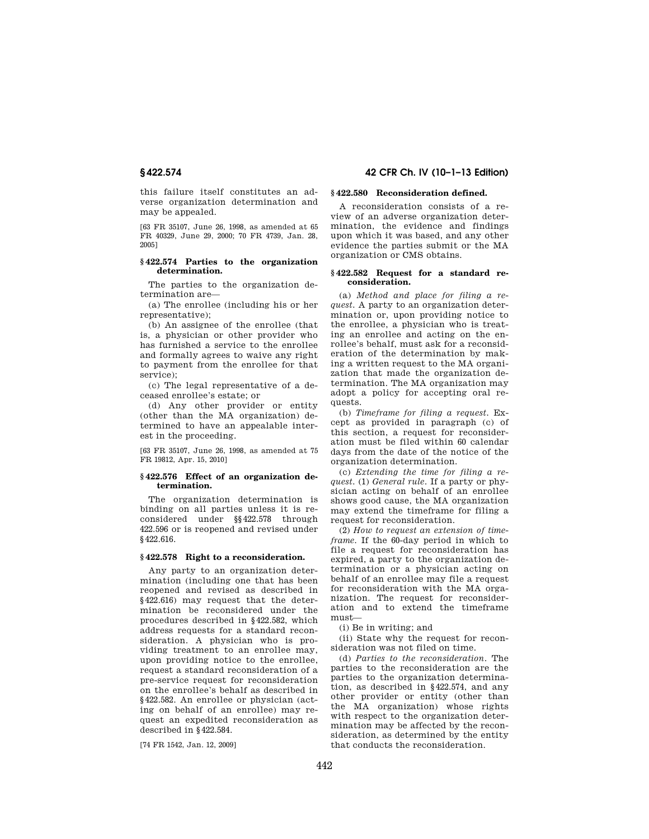this failure itself constitutes an adverse organization determination and may be appealed.

[63 FR 35107, June 26, 1998, as amended at 65 FR 40329, June 29, 2000; 70 FR 4739, Jan. 28, 2005]

### **§ 422.574 Parties to the organization determination.**

The parties to the organization determination are—

(a) The enrollee (including his or her representative);

(b) An assignee of the enrollee (that is, a physician or other provider who has furnished a service to the enrollee and formally agrees to waive any right to payment from the enrollee for that service);

(c) The legal representative of a deceased enrollee's estate; or

(d) Any other provider or entity (other than the MA organization) determined to have an appealable interest in the proceeding.

[63 FR 35107, June 26, 1998, as amended at 75 FR 19812, Apr. 15, 2010]

#### **§ 422.576 Effect of an organization determination.**

The organization determination is binding on all parties unless it is reconsidered under §§422.578 through 422.596 or is reopened and revised under §422.616.

# **§ 422.578 Right to a reconsideration.**

Any party to an organization determination (including one that has been reopened and revised as described in §422.616) may request that the determination be reconsidered under the procedures described in §422.582, which address requests for a standard reconsideration. A physician who is providing treatment to an enrollee may, upon providing notice to the enrollee, request a standard reconsideration of a pre-service request for reconsideration on the enrollee's behalf as described in §422.582. An enrollee or physician (acting on behalf of an enrollee) may request an expedited reconsideration as described in §422.584.

[74 FR 1542, Jan. 12, 2009]

# **§ 422.574 42 CFR Ch. IV (10–1–13 Edition)**

# **§ 422.580 Reconsideration defined.**

A reconsideration consists of a review of an adverse organization determination, the evidence and findings upon which it was based, and any other evidence the parties submit or the MA organization or CMS obtains.

# **§ 422.582 Request for a standard reconsideration.**

(a) *Method and place for filing a request.* A party to an organization determination or, upon providing notice to the enrollee, a physician who is treating an enrollee and acting on the enrollee's behalf, must ask for a reconsideration of the determination by making a written request to the MA organization that made the organization determination. The MA organization may adopt a policy for accepting oral requests.

(b) *Timeframe for filing a request.* Except as provided in paragraph (c) of this section, a request for reconsideration must be filed within 60 calendar days from the date of the notice of the organization determination.

(c) *Extending the time for filing a request.* (1) *General rule.* If a party or physician acting on behalf of an enrollee shows good cause, the MA organization may extend the timeframe for filing a request for reconsideration.

(2) *How to request an extension of timeframe.* If the 60-day period in which to file a request for reconsideration has expired, a party to the organization determination or a physician acting on behalf of an enrollee may file a request for reconsideration with the MA organization. The request for reconsideration and to extend the timeframe must—

(i) Be in writing; and

(ii) State why the request for reconsideration was not filed on time.

(d) *Parties to the reconsideration.* The parties to the reconsideration are the parties to the organization determination, as described in §422.574, and any other provider or entity (other than the MA organization) whose rights with respect to the organization determination may be affected by the reconsideration, as determined by the entity that conducts the reconsideration.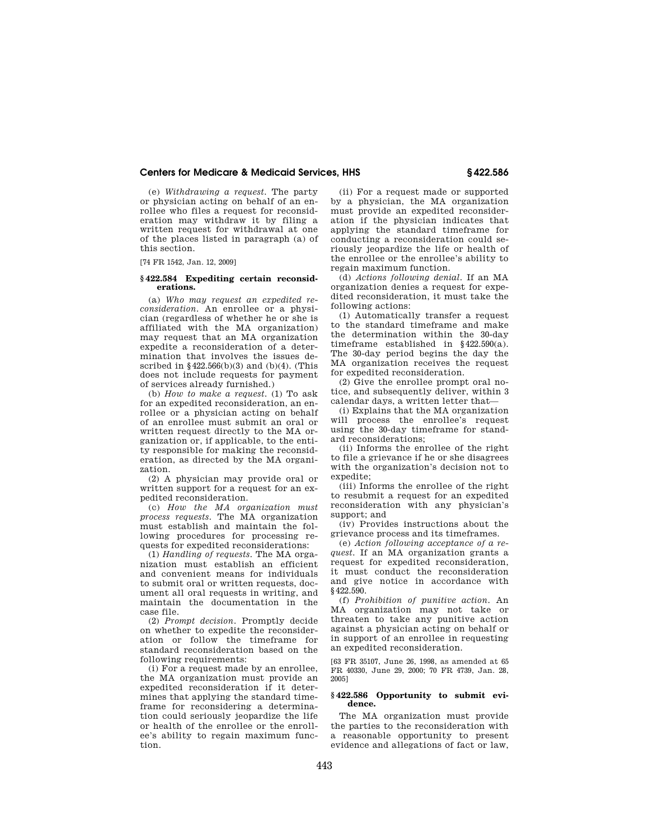(e) *Withdrawing a request.* The party or physician acting on behalf of an enrollee who files a request for reconsideration may withdraw it by filing a written request for withdrawal at one of the places listed in paragraph (a) of this section.

[74 FR 1542, Jan. 12, 2009]

#### **§ 422.584 Expediting certain reconsiderations.**

(a) *Who may request an expedited reconsideration.* An enrollee or a physician (regardless of whether he or she is affiliated with the MA organization) may request that an MA organization expedite a reconsideration of a determination that involves the issues described in  $§422.566(b)(3)$  and  $(b)(4)$ . (This does not include requests for payment of services already furnished.)

(b) *How to make a request.* (1) To ask for an expedited reconsideration, an enrollee or a physician acting on behalf of an enrollee must submit an oral or written request directly to the MA organization or, if applicable, to the entity responsible for making the reconsideration, as directed by the MA organization.

(2) A physician may provide oral or written support for a request for an expedited reconsideration.

(c) *How the MA organization must process requests.* The MA organization must establish and maintain the following procedures for processing requests for expedited reconsiderations:

(1) *Handling of requests.* The MA organization must establish an efficient and convenient means for individuals to submit oral or written requests, document all oral requests in writing, and maintain the documentation in the case file.

(2) *Prompt decision.* Promptly decide on whether to expedite the reconsideration or follow the timeframe for standard reconsideration based on the following requirements:

(i) For a request made by an enrollee, the MA organization must provide an expedited reconsideration if it determines that applying the standard timeframe for reconsidering a determination could seriously jeopardize the life or health of the enrollee or the enrollee's ability to regain maximum function.

(ii) For a request made or supported by a physician, the MA organization must provide an expedited reconsideration if the physician indicates that applying the standard timeframe for conducting a reconsideration could seriously jeopardize the life or health of the enrollee or the enrollee's ability to regain maximum function.

(d) *Actions following denial.* If an MA organization denies a request for expedited reconsideration, it must take the following actions:

(1) Automatically transfer a request to the standard timeframe and make the determination within the 30-day timeframe established in §422.590(a). The 30-day period begins the day the MA organization receives the request for expedited reconsideration.

(2) Give the enrollee prompt oral notice, and subsequently deliver, within 3 calendar days, a written letter that—

(i) Explains that the MA organization will process the enrollee's request using the 30-day timeframe for standard reconsiderations;

(ii) Informs the enrollee of the right to file a grievance if he or she disagrees with the organization's decision not to expedite;

(iii) Informs the enrollee of the right to resubmit a request for an expedited reconsideration with any physician's support; and

(iv) Provides instructions about the grievance process and its timeframes.

(e) *Action following acceptance of a request.* If an MA organization grants a request for expedited reconsideration, it must conduct the reconsideration and give notice in accordance with §422.590.

(f) *Prohibition of punitive action.* An MA organization may not take or threaten to take any punitive action against a physician acting on behalf or in support of an enrollee in requesting an expedited reconsideration.

[63 FR 35107, June 26, 1998, as amended at 65 FR 40330, June 29, 2000; 70 FR 4739, Jan. 28, 2005]

#### **§ 422.586 Opportunity to submit evidence.**

The MA organization must provide the parties to the reconsideration with a reasonable opportunity to present evidence and allegations of fact or law,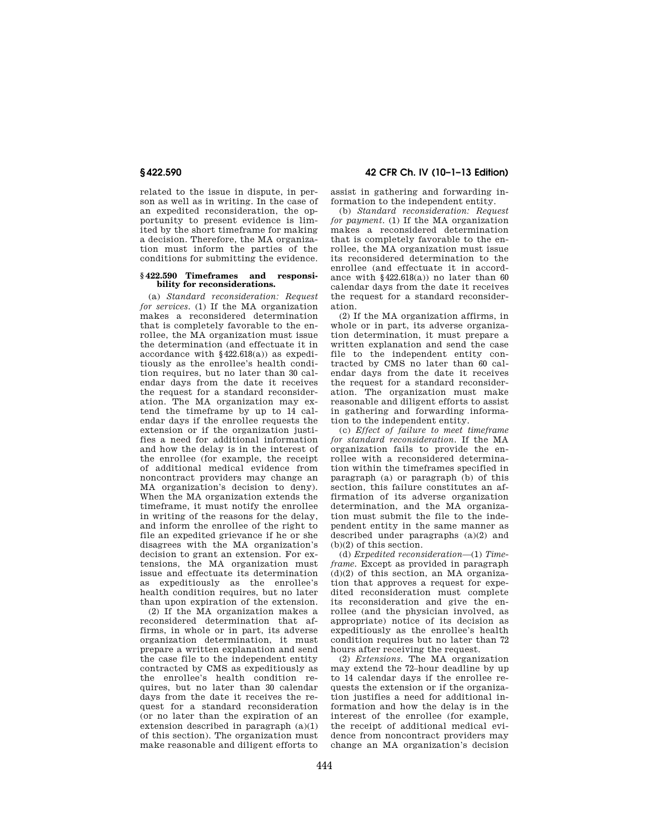related to the issue in dispute, in person as well as in writing. In the case of an expedited reconsideration, the opportunity to present evidence is limited by the short timeframe for making a decision. Therefore, the MA organization must inform the parties of the conditions for submitting the evidence.

#### **§ 422.590 Timeframes and responsibility for reconsiderations.**

(a) *Standard reconsideration: Request for services.* (1) If the MA organization makes a reconsidered determination that is completely favorable to the enrollee, the MA organization must issue the determination (and effectuate it in accordance with §422.618(a)) as expeditiously as the enrollee's health condition requires, but no later than 30 calendar days from the date it receives the request for a standard reconsideration. The MA organization may extend the timeframe by up to 14 calendar days if the enrollee requests the extension or if the organization justifies a need for additional information and how the delay is in the interest of the enrollee (for example, the receipt of additional medical evidence from noncontract providers may change an MA organization's decision to deny). When the MA organization extends the timeframe, it must notify the enrollee in writing of the reasons for the delay, and inform the enrollee of the right to file an expedited grievance if he or she disagrees with the MA organization's decision to grant an extension. For extensions, the MA organization must issue and effectuate its determination as expeditiously as the enrollee's health condition requires, but no later than upon expiration of the extension.

(2) If the MA organization makes a reconsidered determination that affirms, in whole or in part, its adverse organization determination, it must prepare a written explanation and send the case file to the independent entity contracted by CMS as expeditiously as the enrollee's health condition requires, but no later than 30 calendar days from the date it receives the request for a standard reconsideration (or no later than the expiration of an extension described in paragraph  $(a)(1)$ of this section). The organization must make reasonable and diligent efforts to

**§ 422.590 42 CFR Ch. IV (10–1–13 Edition)** 

assist in gathering and forwarding information to the independent entity.

(b) *Standard reconsideration: Request for payment.* (1) If the MA organization makes a reconsidered determination that is completely favorable to the enrollee, the MA organization must issue its reconsidered determination to the enrollee (and effectuate it in accordance with  $$422.618(a)$  no later than 60 calendar days from the date it receives the request for a standard reconsideration.

(2) If the MA organization affirms, in whole or in part, its adverse organization determination, it must prepare a written explanation and send the case file to the independent entity contracted by CMS no later than 60 calendar days from the date it receives the request for a standard reconsideration. The organization must make reasonable and diligent efforts to assist in gathering and forwarding information to the independent entity.

(c) *Effect of failure to meet timeframe for standard reconsideration.* If the MA organization fails to provide the enrollee with a reconsidered determination within the timeframes specified in paragraph (a) or paragraph (b) of this section, this failure constitutes an affirmation of its adverse organization determination, and the MA organization must submit the file to the independent entity in the same manner as described under paragraphs (a)(2) and (b)(2) of this section.

(d) *Expedited reconsideration*—(1) *Timeframe.* Except as provided in paragraph (d)(2) of this section, an MA organization that approves a request for expedited reconsideration must complete its reconsideration and give the enrollee (and the physician involved, as appropriate) notice of its decision as expeditiously as the enrollee's health condition requires but no later than 72 hours after receiving the request.

(2) *Extensions.* The MA organization may extend the 72–hour deadline by up to 14 calendar days if the enrollee requests the extension or if the organization justifies a need for additional information and how the delay is in the interest of the enrollee (for example, the receipt of additional medical evidence from noncontract providers may change an MA organization's decision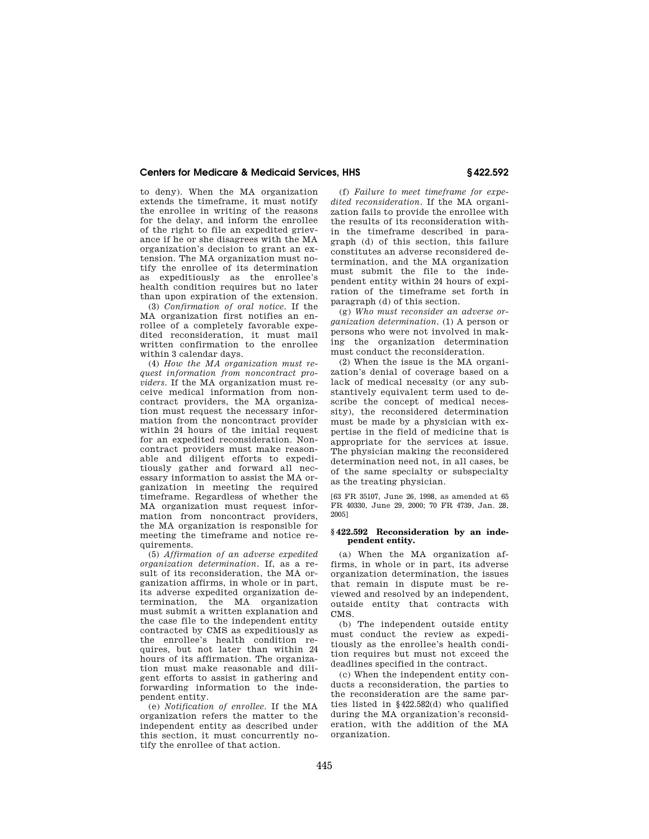to deny). When the MA organization extends the timeframe, it must notify the enrollee in writing of the reasons for the delay, and inform the enrollee of the right to file an expedited grievance if he or she disagrees with the MA organization's decision to grant an extension. The MA organization must notify the enrollee of its determination as expeditiously as the enrollee's health condition requires but no later than upon expiration of the extension.

(3) *Confirmation of oral notice.* If the MA organization first notifies an enrollee of a completely favorable expedited reconsideration, it must mail written confirmation to the enrollee within 3 calendar days.

(4) *How the MA organization must request information from noncontract providers.* If the MA organization must receive medical information from noncontract providers, the MA organization must request the necessary information from the noncontract provider within 24 hours of the initial request for an expedited reconsideration. Noncontract providers must make reasonable and diligent efforts to expeditiously gather and forward all necessary information to assist the MA organization in meeting the required timeframe. Regardless of whether the MA organization must request information from noncontract providers, the MA organization is responsible for meeting the timeframe and notice requirements.

(5) *Affirmation of an adverse expedited organization determination.* If, as a result of its reconsideration, the MA organization affirms, in whole or in part, its adverse expedited organization determination, the MA organization must submit a written explanation and the case file to the independent entity contracted by CMS as expeditiously as the enrollee's health condition requires, but not later than within 24 hours of its affirmation. The organization must make reasonable and diligent efforts to assist in gathering and forwarding information to the independent entity.

(e) *Notification of enrollee.* If the MA organization refers the matter to the independent entity as described under this section, it must concurrently notify the enrollee of that action.

(f) *Failure to meet timeframe for expedited reconsideration.* If the MA organization fails to provide the enrollee with the results of its reconsideration within the timeframe described in paragraph (d) of this section, this failure constitutes an adverse reconsidered determination, and the MA organization must submit the file to the independent entity within 24 hours of expiration of the timeframe set forth in paragraph (d) of this section.

(g) *Who must reconsider an adverse organization determination.* (1) A person or persons who were not involved in making the organization determination must conduct the reconsideration.

(2) When the issue is the MA organization's denial of coverage based on a lack of medical necessity (or any substantively equivalent term used to describe the concept of medical necessity), the reconsidered determination must be made by a physician with expertise in the field of medicine that is appropriate for the services at issue. The physician making the reconsidered determination need not, in all cases, be of the same specialty or subspecialty as the treating physician.

[63 FR 35107, June 26, 1998, as amended at 65 FR 40330, June 29, 2000; 70 FR 4739, Jan. 28, 2005]

# **§ 422.592 Reconsideration by an independent entity.**

(a) When the MA organization affirms, in whole or in part, its adverse organization determination, the issues that remain in dispute must be reviewed and resolved by an independent, outside entity that contracts with CMS.

(b) The independent outside entity must conduct the review as expeditiously as the enrollee's health condition requires but must not exceed the deadlines specified in the contract.

(c) When the independent entity conducts a reconsideration, the parties to the reconsideration are the same parties listed in §422.582(d) who qualified during the MA organization's reconsideration, with the addition of the MA organization.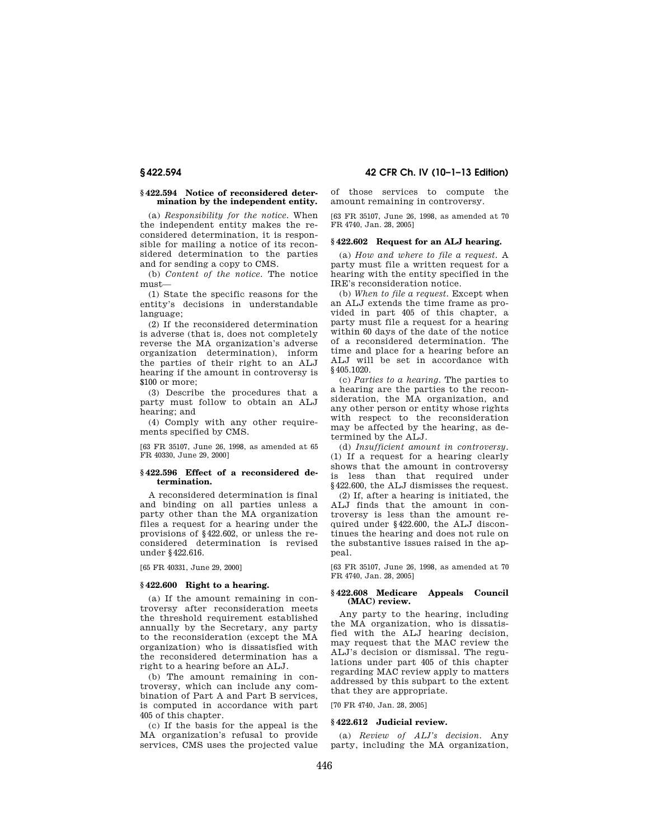# **§ 422.594 Notice of reconsidered determination by the independent entity.**

(a) *Responsibility for the notice.* When the independent entity makes the reconsidered determination, it is responsible for mailing a notice of its reconsidered determination to the parties and for sending a copy to CMS.

(b) *Content of the notice.* The notice must—

(1) State the specific reasons for the entity's decisions in understandable language;

(2) If the reconsidered determination is adverse (that is, does not completely reverse the MA organization's adverse organization determination), inform the parties of their right to an ALJ hearing if the amount in controversy is \$100 or more;

(3) Describe the procedures that a party must follow to obtain an ALJ hearing; and

(4) Comply with any other requirements specified by CMS.

[63 FR 35107, June 26, 1998, as amended at 65 FR 40330, June 29, 2000]

### **§ 422.596 Effect of a reconsidered determination.**

A reconsidered determination is final and binding on all parties unless a party other than the MA organization files a request for a hearing under the provisions of §422.602, or unless the reconsidered determination is revised under §422.616.

[65 FR 40331, June 29, 2000]

# **§ 422.600 Right to a hearing.**

(a) If the amount remaining in controversy after reconsideration meets the threshold requirement established annually by the Secretary, any party to the reconsideration (except the MA organization) who is dissatisfied with the reconsidered determination has a right to a hearing before an ALJ.

(b) The amount remaining in controversy, which can include any combination of Part A and Part B services, is computed in accordance with part 405 of this chapter.

(c) If the basis for the appeal is the MA organization's refusal to provide services, CMS uses the projected value

**§ 422.594 42 CFR Ch. IV (10–1–13 Edition)** 

of those services to compute the amount remaining in controversy.

[63 FR 35107, June 26, 1998, as amended at 70 FR 4740, Jan. 28, 2005]

#### **§ 422.602 Request for an ALJ hearing.**

(a) *How and where to file a request.* A party must file a written request for a hearing with the entity specified in the IRE's reconsideration notice.

(b) *When to file a request.* Except when an ALJ extends the time frame as provided in part 405 of this chapter, a party must file a request for a hearing within 60 days of the date of the notice of a reconsidered determination. The time and place for a hearing before an ALJ will be set in accordance with §405.1020.

(c) *Parties to a hearing.* The parties to a hearing are the parties to the reconsideration, the MA organization, and any other person or entity whose rights with respect to the reconsideration may be affected by the hearing, as determined by the ALJ.

(d) *Insufficient amount in controversy.*  (1) If a request for a hearing clearly shows that the amount in controversy is less than that required under §422.600, the ALJ dismisses the request.

(2) If, after a hearing is initiated, the ALJ finds that the amount in controversy is less than the amount required under §422.600, the ALJ discontinues the hearing and does not rule on the substantive issues raised in the appeal.

[63 FR 35107, June 26, 1998, as amended at 70 FR 4740, Jan. 28, 2005]

# **§ 422.608 Medicare Appeals Council (MAC) review.**

Any party to the hearing, including the MA organization, who is dissatisfied with the ALJ hearing decision, may request that the MAC review the ALJ's decision or dismissal. The regulations under part 405 of this chapter regarding MAC review apply to matters addressed by this subpart to the extent that they are appropriate.

[70 FR 4740, Jan. 28, 2005]

# **§ 422.612 Judicial review.**

(a) *Review of ALJ's decision.* Any party, including the MA organization,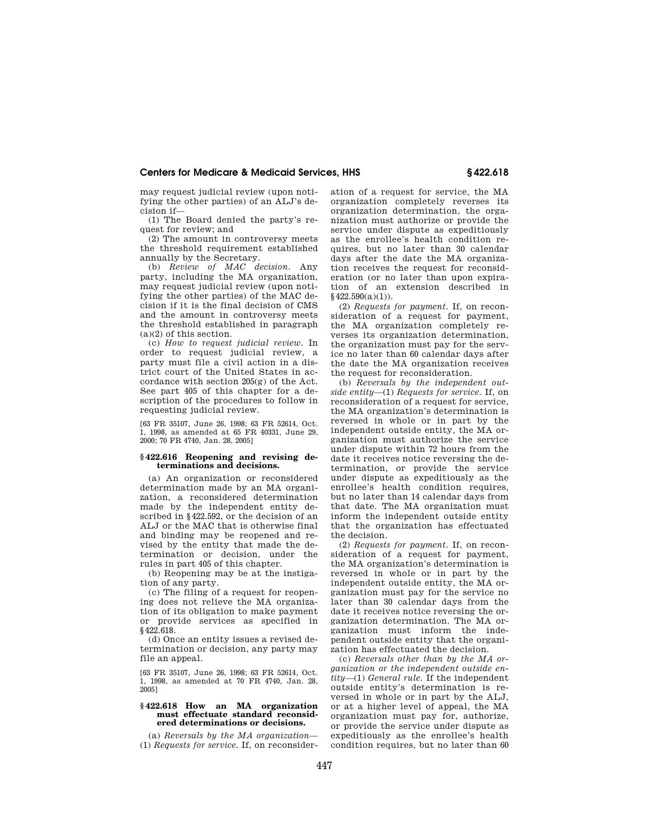may request judicial review (upon notifying the other parties) of an ALJ's decision if—

(1) The Board denied the party's request for review; and

(2) The amount in controversy meets the threshold requirement established annually by the Secretary.

(b) *Review of MAC decision.* Any party, including the MA organization, may request judicial review (upon notifying the other parties) of the MAC decision if it is the final decision of CMS and the amount in controversy meets the threshold established in paragraph  $(a)(2)$  of this section.

(c) *How to request judicial review.* In order to request judicial review, a party must file a civil action in a district court of the United States in accordance with section 205(g) of the Act. See part 405 of this chapter for a description of the procedures to follow in requesting judicial review.

[63 FR 35107, June 26, 1998; 63 FR 52614, Oct. 1, 1998, as amended at 65 FR 40331, June 29, 2000; 70 FR 4740, Jan. 28, 2005]

#### **§ 422.616 Reopening and revising determinations and decisions.**

(a) An organization or reconsidered determination made by an MA organization, a reconsidered determination made by the independent entity described in §422.592, or the decision of an ALJ or the MAC that is otherwise final and binding may be reopened and revised by the entity that made the determination or decision, under the rules in part 405 of this chapter.

(b) Reopening may be at the instigation of any party.

(c) The filing of a request for reopening does not relieve the MA organization of its obligation to make payment or provide services as specified in §422.618.

(d) Once an entity issues a revised determination or decision, any party may file an appeal.

[63 FR 35107, June 26, 1998; 63 FR 52614, Oct. 1, 1998, as amended at 70 FR 4740, Jan. 28, 2005]

# **§ 422.618 How an MA organization must effectuate standard reconsidered determinations or decisions.**

(a) *Reversals by the MA organization*— (1) *Requests for service.* If, on reconsideration of a request for service, the MA organization completely reverses its organization determination, the organization must authorize or provide the service under dispute as expeditiously as the enrollee's health condition requires, but no later than 30 calendar days after the date the MA organization receives the request for reconsideration (or no later than upon expiration of an extension described in  $§$ 422.590(a)(1)).

(2) *Requests for payment.* If, on reconsideration of a request for payment, the MA organization completely reverses its organization determination, the organization must pay for the service no later than 60 calendar days after the date the MA organization receives the request for reconsideration.

(b) *Reversals by the independent outside entity*—(1) *Requests for service.* If, on reconsideration of a request for service. the MA organization's determination is reversed in whole or in part by the independent outside entity, the MA organization must authorize the service under dispute within 72 hours from the date it receives notice reversing the determination, or provide the service under dispute as expeditiously as the enrollee's health condition requires, but no later than 14 calendar days from that date. The MA organization must inform the independent outside entity that the organization has effectuated the decision.

(2) *Requests for payment.* If, on reconsideration of a request for payment, the MA organization's determination is reversed in whole or in part by the independent outside entity, the MA organization must pay for the service no later than 30 calendar days from the date it receives notice reversing the organization determination. The MA organization must inform the independent outside entity that the organization has effectuated the decision.

(c) *Reversals other than by the MA organization or the independent outside entity*—(1) *General rule.* If the independent outside entity's determination is reversed in whole or in part by the ALJ, or at a higher level of appeal, the MA organization must pay for, authorize, or provide the service under dispute as expeditiously as the enrollee's health condition requires, but no later than 60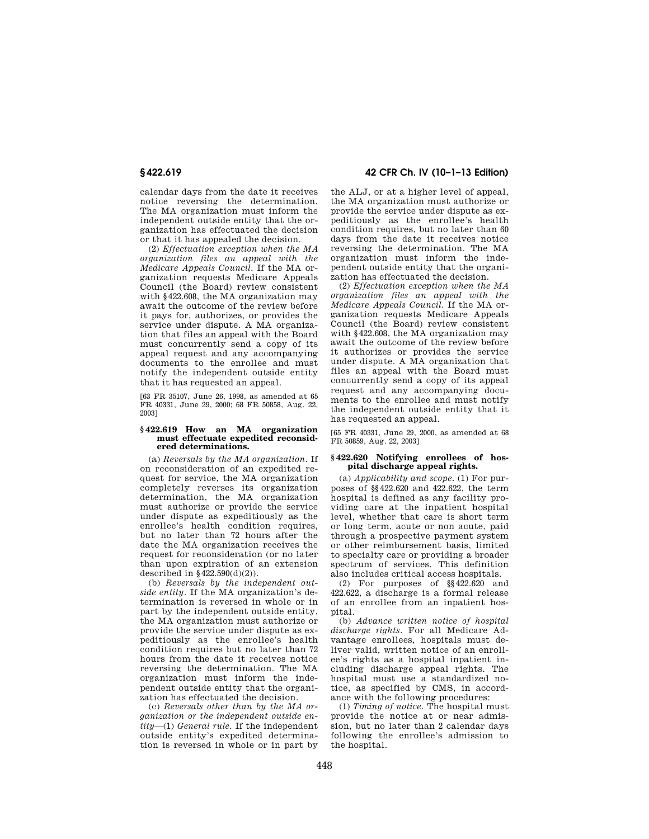calendar days from the date it receives notice reversing the determination. The MA organization must inform the independent outside entity that the organization has effectuated the decision or that it has appealed the decision.

(2) *Effectuation exception when the MA organization files an appeal with the Medicare Appeals Council.* If the MA organization requests Medicare Appeals Council (the Board) review consistent with §422.608, the MA organization may await the outcome of the review before it pays for, authorizes, or provides the service under dispute. A MA organization that files an appeal with the Board must concurrently send a copy of its appeal request and any accompanying documents to the enrollee and must notify the independent outside entity that it has requested an appeal.

[63 FR 35107, June 26, 1998, as amended at 65 FR 40331, June 29, 2000; 68 FR 50858, Aug. 22, 2003]

#### **§ 422.619 How an MA organization must effectuate expedited reconsidered determinations.**

(a) *Reversals by the MA organization.* If on reconsideration of an expedited request for service, the MA organization completely reverses its organization determination, the MA organization must authorize or provide the service under dispute as expeditiously as the enrollee's health condition requires, but no later than 72 hours after the date the MA organization receives the request for reconsideration (or no later than upon expiration of an extension described in  $\S 422.590(d)(2)$ .

(b) *Reversals by the independent outside entity.* If the MA organization's determination is reversed in whole or in part by the independent outside entity, the MA organization must authorize or provide the service under dispute as expeditiously as the enrollee's health condition requires but no later than 72 hours from the date it receives notice reversing the determination. The MA organization must inform the independent outside entity that the organization has effectuated the decision.

(c) *Reversals other than by the MA organization or the independent outside entity*—(1) *General rule.* If the independent outside entity's expedited determination is reversed in whole or in part by

# **§ 422.619 42 CFR Ch. IV (10–1–13 Edition)**

the ALJ, or at a higher level of appeal, the MA organization must authorize or provide the service under dispute as expeditiously as the enrollee's health condition requires, but no later than 60 days from the date it receives notice reversing the determination. The MA organization must inform the independent outside entity that the organization has effectuated the decision.

(2) *Effectuation exception when the MA organization files an appeal with the Medicare Appeals Council.* If the MA organization requests Medicare Appeals Council (the Board) review consistent with §422.608, the MA organization may await the outcome of the review before it authorizes or provides the service under dispute. A MA organization that files an appeal with the Board must concurrently send a copy of its appeal request and any accompanying documents to the enrollee and must notify the independent outside entity that it has requested an appeal.

[65 FR 40331, June 29, 2000, as amended at 68 FR 50859, Aug. 22, 2003]

#### **§ 422.620 Notifying enrollees of hospital discharge appeal rights.**

(a) *Applicability and scope.* (1) For purposes of §§422.620 and 422.622, the term hospital is defined as any facility providing care at the inpatient hospital level, whether that care is short term or long term, acute or non acute, paid through a prospective payment system or other reimbursement basis, limited to specialty care or providing a broader spectrum of services. This definition also includes critical access hospitals.

(2) For purposes of §§422.620 and 422.622, a discharge is a formal release of an enrollee from an inpatient hospital.

(b) *Advance written notice of hospital discharge rights.* For all Medicare Advantage enrollees, hospitals must deliver valid, written notice of an enrollee's rights as a hospital inpatient including discharge appeal rights. The hospital must use a standardized notice, as specified by CMS, in accordance with the following procedures:

(1) *Timing of notice.* The hospital must provide the notice at or near admission, but no later than 2 calendar days following the enrollee's admission to the hospital.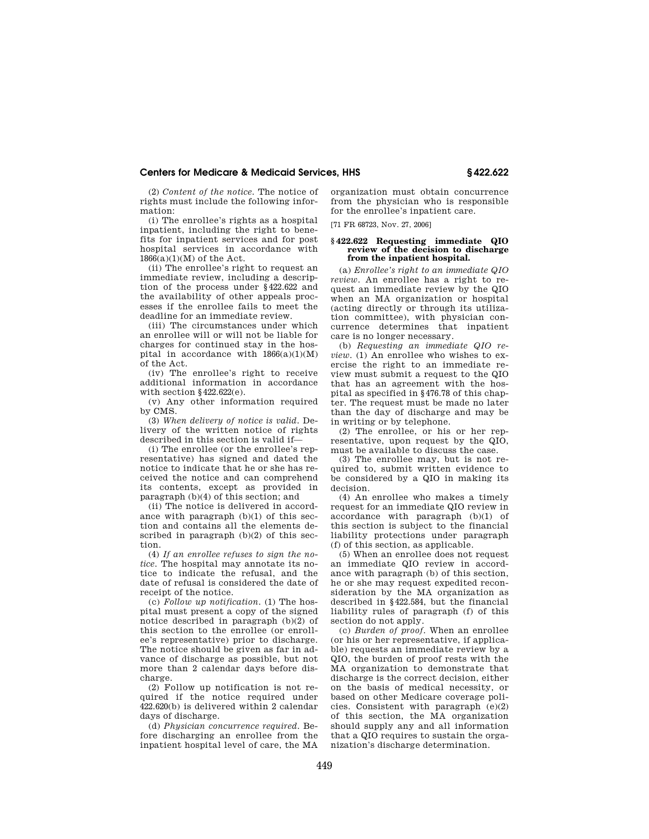(2) *Content of the notice.* The notice of rights must include the following information:

(i) The enrollee's rights as a hospital inpatient, including the right to benefits for inpatient services and for post hospital services in accordance with 1866(a)(1)(M) of the Act.

(ii) The enrollee's right to request an immediate review, including a description of the process under §422.622 and the availability of other appeals processes if the enrollee fails to meet the deadline for an immediate review.

(iii) The circumstances under which an enrollee will or will not be liable for charges for continued stay in the hospital in accordance with  $1866(a)(1)(M)$ of the Act.

(iv) The enrollee's right to receive additional information in accordance with section  $§422.622(e)$ .

(v) Any other information required by CMS.

(3) *When delivery of notice is valid.* Delivery of the written notice of rights described in this section is valid if—

(i) The enrollee (or the enrollee's representative) has signed and dated the notice to indicate that he or she has received the notice and can comprehend its contents, except as provided in paragraph (b)(4) of this section; and

(ii) The notice is delivered in accordance with paragraph (b)(1) of this section and contains all the elements described in paragraph  $(b)(2)$  of this section.

(4) *If an enrollee refuses to sign the notice*. The hospital may annotate its notice to indicate the refusal, and the date of refusal is considered the date of receipt of the notice.

(c) *Follow up notification*. (1) The hospital must present a copy of the signed notice described in paragraph (b)(2) of this section to the enrollee (or enrollee's representative) prior to discharge. The notice should be given as far in advance of discharge as possible, but not more than 2 calendar days before discharge.

(2) Follow up notification is not required if the notice required under 422.620(b) is delivered within 2 calendar days of discharge.

(d) *Physician concurrence required*. Before discharging an enrollee from the inpatient hospital level of care, the MA organization must obtain concurrence from the physician who is responsible for the enrollee's inpatient care.

[71 FR 68723, Nov. 27, 2006]

# **§ 422.622 Requesting immediate QIO review of the decision to discharge from the inpatient hospital.**

(a) *Enrollee's right to an immediate QIO review*. An enrollee has a right to request an immediate review by the QIO when an MA organization or hospital (acting directly or through its utilization committee), with physician concurrence determines that inpatient care is no longer necessary.

(b) *Requesting an immediate QIO review*. (1) An enrollee who wishes to exercise the right to an immediate review must submit a request to the QIO that has an agreement with the hospital as specified in §476.78 of this chapter. The request must be made no later than the day of discharge and may be in writing or by telephone.

(2) The enrollee, or his or her representative, upon request by the QIO, must be available to discuss the case.

(3) The enrollee may, but is not required to, submit written evidence to be considered by a QIO in making its decision.

(4) An enrollee who makes a timely request for an immediate QIO review in accordance with paragraph (b)(1) of this section is subject to the financial liability protections under paragraph (f) of this section, as applicable.

(5) When an enrollee does not request an immediate QIO review in accordance with paragraph (b) of this section, he or she may request expedited reconsideration by the MA organization as described in §422.584, but the financial liability rules of paragraph (f) of this section do not apply.

(c) *Burden of proof*. When an enrollee (or his or her representative, if applicable) requests an immediate review by a QIO, the burden of proof rests with the MA organization to demonstrate that discharge is the correct decision, either on the basis of medical necessity, or based on other Medicare coverage policies. Consistent with paragraph (e)(2) of this section, the MA organization should supply any and all information that a QIO requires to sustain the organization's discharge determination.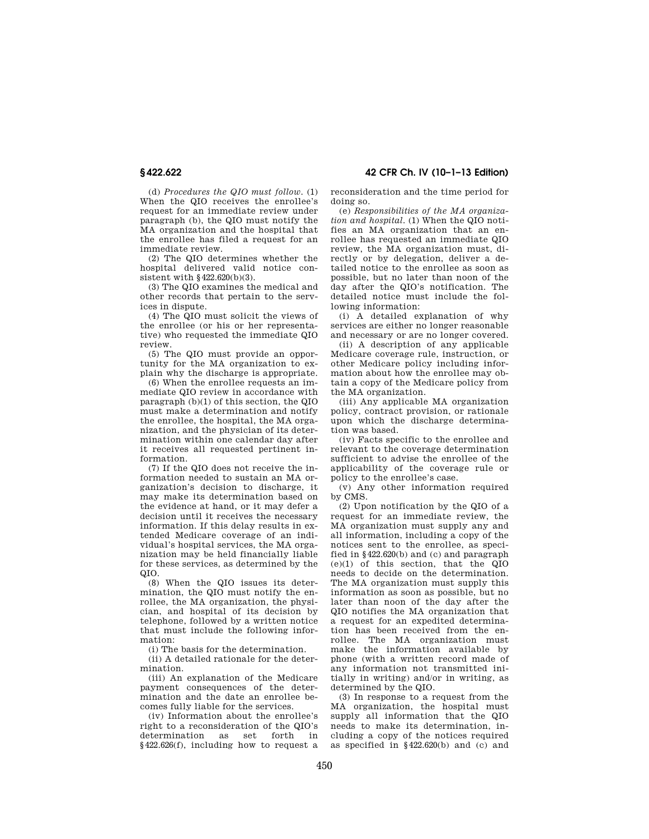**§ 422.622 42 CFR Ch. IV (10–1–13 Edition)** 

(d) *Procedures the QIO must follow*. (1) When the QIO receives the enrollee's request for an immediate review under paragraph (b), the QIO must notify the MA organization and the hospital that the enrollee has filed a request for an immediate review.

(2) The QIO determines whether the hospital delivered valid notice consistent with §422.620(b)(3).

(3) The QIO examines the medical and other records that pertain to the services in dispute.

(4) The QIO must solicit the views of the enrollee (or his or her representative) who requested the immediate QIO review.

(5) The QIO must provide an opportunity for the MA organization to explain why the discharge is appropriate.

(6) When the enrollee requests an immediate QIO review in accordance with paragraph (b)(1) of this section, the QIO must make a determination and notify the enrollee, the hospital, the MA organization, and the physician of its determination within one calendar day after it receives all requested pertinent information.

(7) If the QIO does not receive the information needed to sustain an MA organization's decision to discharge, it may make its determination based on the evidence at hand, or it may defer a decision until it receives the necessary information. If this delay results in extended Medicare coverage of an individual's hospital services, the MA organization may be held financially liable for these services, as determined by the QIO.

(8) When the QIO issues its determination, the QIO must notify the enrollee, the MA organization, the physician, and hospital of its decision by telephone, followed by a written notice that must include the following information:

(i) The basis for the determination.

(ii) A detailed rationale for the determination.

(iii) An explanation of the Medicare payment consequences of the determination and the date an enrollee becomes fully liable for the services.

(iv) Information about the enrollee's right to a reconsideration of the QIO's determination as set forth in §422.626(f), including how to request a reconsideration and the time period for doing so.

(e) *Responsibilities of the MA organization and hospital*. (1) When the QIO notifies an MA organization that an enrollee has requested an immediate QIO review, the MA organization must, directly or by delegation, deliver a detailed notice to the enrollee as soon as possible, but no later than noon of the day after the QIO's notification. The detailed notice must include the following information:

(i) A detailed explanation of why services are either no longer reasonable and necessary or are no longer covered.

(ii) A description of any applicable Medicare coverage rule, instruction, or other Medicare policy including information about how the enrollee may obtain a copy of the Medicare policy from the MA organization.

(iii) Any applicable MA organization policy, contract provision, or rationale upon which the discharge determination was based.

(iv) Facts specific to the enrollee and relevant to the coverage determination sufficient to advise the enrollee of the applicability of the coverage rule or policy to the enrollee's case.

(v) Any other information required by CMS.

(2) Upon notification by the QIO of a request for an immediate review, the MA organization must supply any and all information, including a copy of the notices sent to the enrollee, as specified in §422.620(b) and (c) and paragraph (e)(1) of this section, that the QIO needs to decide on the determination. The MA organization must supply this information as soon as possible, but no later than noon of the day after the QIO notifies the MA organization that a request for an expedited determination has been received from the enrollee. The MA organization must make the information available by phone (with a written record made of any information not transmitted initially in writing) and/or in writing, as determined by the QIO.

(3) In response to a request from the MA organization, the hospital must supply all information that the QIO needs to make its determination, including a copy of the notices required as specified in §422.620(b) and (c) and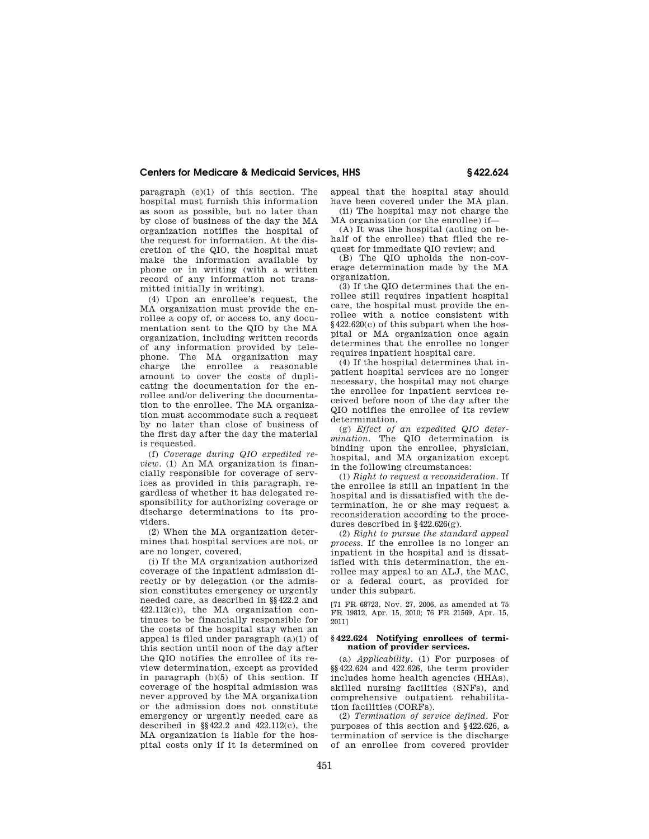paragraph (e)(1) of this section. The hospital must furnish this information as soon as possible, but no later than by close of business of the day the MA organization notifies the hospital of the request for information. At the discretion of the QIO, the hospital must make the information available by phone or in writing (with a written record of any information not transmitted initially in writing).

(4) Upon an enrollee's request, the MA organization must provide the enrollee a copy of, or access to, any documentation sent to the QIO by the MA organization, including written records of any information provided by telephone. The MA organization may charge the enrollee a reasonable amount to cover the costs of duplicating the documentation for the enrollee and/or delivering the documentation to the enrollee. The MA organization must accommodate such a request by no later than close of business of the first day after the day the material is requested.

(f) *Coverage during QIO expedited review.* (1) An MA organization is financially responsible for coverage of services as provided in this paragraph, regardless of whether it has delegated responsibility for authorizing coverage or discharge determinations to its providers.

(2) When the MA organization determines that hospital services are not, or are no longer, covered,

(i) If the MA organization authorized coverage of the inpatient admission directly or by delegation (or the admission constitutes emergency or urgently needed care, as described in §§422.2 and 422.112(c)), the MA organization continues to be financially responsible for the costs of the hospital stay when an appeal is filed under paragraph (a)(1) of this section until noon of the day after the QIO notifies the enrollee of its review determination, except as provided in paragraph (b)(5) of this section. If coverage of the hospital admission was never approved by the MA organization or the admission does not constitute emergency or urgently needed care as described in  $\S$ §422.2 and 422.112 $(c)$ , the MA organization is liable for the hospital costs only if it is determined on

appeal that the hospital stay should have been covered under the MA plan. (ii) The hospital may not charge the

MA organization (or the enrollee) if— (A) It was the hospital (acting on behalf of the enrollee) that filed the re-

quest for immediate QIO review; and

(B) The QIO upholds the non-coverage determination made by the MA organization.

(3) If the QIO determines that the enrollee still requires inpatient hospital care, the hospital must provide the enrollee with a notice consistent with §422.620(c) of this subpart when the hospital or MA organization once again determines that the enrollee no longer requires inpatient hospital care.

(4) If the hospital determines that inpatient hospital services are no longer necessary, the hospital may not charge the enrollee for inpatient services received before noon of the day after the QIO notifies the enrollee of its review determination.

(g) *Effect of an expedited QIO determination.* The QIO determination is binding upon the enrollee, physician, hospital, and MA organization except in the following circumstances:

(1) *Right to request a reconsideration.* If the enrollee is still an inpatient in the hospital and is dissatisfied with the determination, he or she may request a reconsideration according to the procedures described in  $§422.626(g)$ .

(2) *Right to pursue the standard appeal process.* If the enrollee is no longer an inpatient in the hospital and is dissatisfied with this determination, the enrollee may appeal to an ALJ, the MAC, or a federal court, as provided for under this subpart.

[71 FR 68723, Nov. 27, 2006, as amended at 75 FR 19812, Apr. 15, 2010; 76 FR 21569, Apr. 15, 2011]

### **§ 422.624 Notifying enrollees of termination of provider services.**

(a) *Applicability.* (1) For purposes of §§422.624 and 422.626, the term provider includes home health agencies (HHAs), skilled nursing facilities (SNFs), and comprehensive outpatient rehabilitation facilities (CORFs).

(2) *Termination of service defined.* For purposes of this section and §422.626, a termination of service is the discharge of an enrollee from covered provider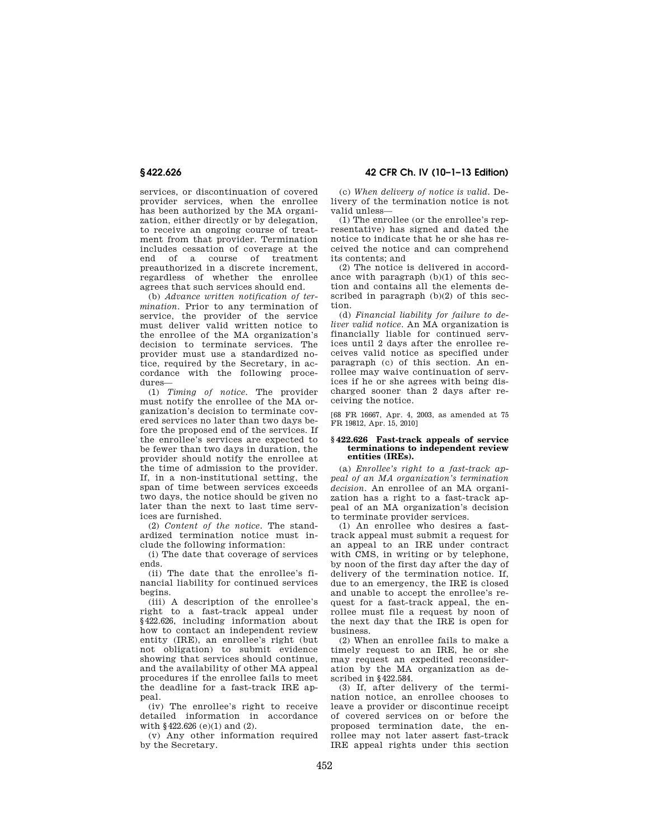services, or discontinuation of covered provider services, when the enrollee has been authorized by the MA organization, either directly or by delegation, to receive an ongoing course of treatment from that provider. Termination includes cessation of coverage at the end of a course of treatment preauthorized in a discrete increment, regardless of whether the enrollee agrees that such services should end.

(b) *Advance written notification of termination.* Prior to any termination of service, the provider of the service must deliver valid written notice to the enrollee of the MA organization's decision to terminate services. The provider must use a standardized notice, required by the Secretary, in accordance with the following procedures—

(1) *Timing of notice.* The provider must notify the enrollee of the MA organization's decision to terminate covered services no later than two days before the proposed end of the services. If the enrollee's services are expected to be fewer than two days in duration, the provider should notify the enrollee at the time of admission to the provider. If, in a non-institutional setting, the span of time between services exceeds two days, the notice should be given no later than the next to last time services are furnished.

(2) *Content of the notice.* The standardized termination notice must include the following information:

(i) The date that coverage of services ends.

(ii) The date that the enrollee's financial liability for continued services begins.

(iii) A description of the enrollee's right to a fast-track appeal under §422.626, including information about how to contact an independent review entity (IRE), an enrollee's right (but not obligation) to submit evidence showing that services should continue, and the availability of other MA appeal procedures if the enrollee fails to meet the deadline for a fast-track IRE appeal.

(iv) The enrollee's right to receive detailed information in accordance with §422.626 (e)(1) and (2).

(v) Any other information required by the Secretary.

**§ 422.626 42 CFR Ch. IV (10–1–13 Edition)** 

(c) *When delivery of notice is valid.* Delivery of the termination notice is not valid unless—

(1) The enrollee (or the enrollee's representative) has signed and dated the notice to indicate that he or she has received the notice and can comprehend its contents; and

(2) The notice is delivered in accordance with paragraph (b)(1) of this section and contains all the elements described in paragraph (b)(2) of this section.

(d) *Financial liability for failure to deliver valid notice.* An MA organization is financially liable for continued services until 2 days after the enrollee receives valid notice as specified under paragraph (c) of this section. An enrollee may waive continuation of services if he or she agrees with being discharged sooner than 2 days after receiving the notice.

[68 FR 16667, Apr. 4, 2003, as amended at 75 FR 19812, Apr. 15, 2010]

#### **§ 422.626 Fast-track appeals of service terminations to independent review entities (IREs).**

(a) *Enrollee's right to a fast-track appeal of an MA organization's termination decision.* An enrollee of an MA organization has a right to a fast-track appeal of an MA organization's decision to terminate provider services.

(1) An enrollee who desires a fasttrack appeal must submit a request for an appeal to an IRE under contract with CMS, in writing or by telephone, by noon of the first day after the day of delivery of the termination notice. If, due to an emergency, the IRE is closed and unable to accept the enrollee's request for a fast-track appeal, the enrollee must file a request by noon of the next day that the IRE is open for business.

(2) When an enrollee fails to make a timely request to an IRE, he or she may request an expedited reconsideration by the MA organization as described in §422.584.

(3) If, after delivery of the termination notice, an enrollee chooses to leave a provider or discontinue receipt of covered services on or before the proposed termination date, the enrollee may not later assert fast-track IRE appeal rights under this section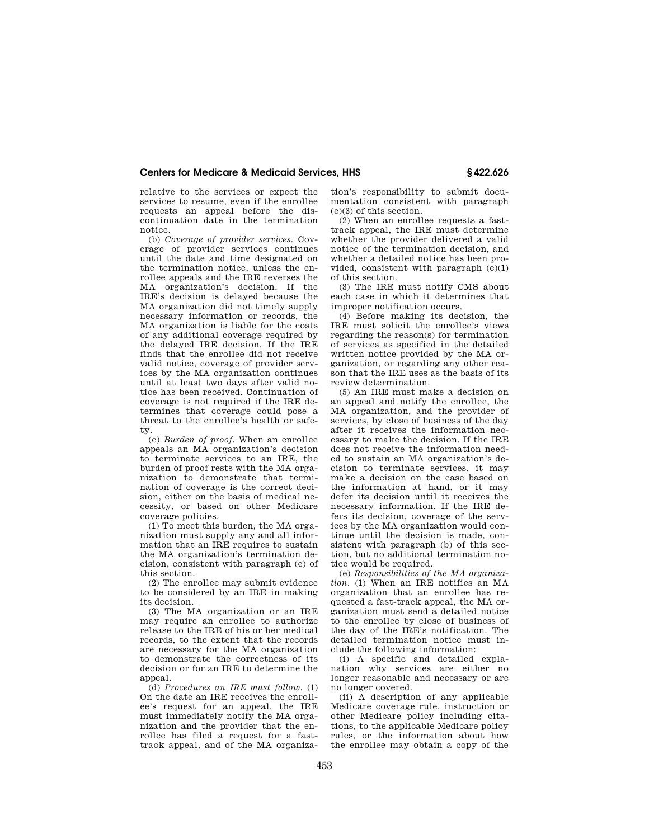relative to the services or expect the services to resume, even if the enrollee requests an appeal before the discontinuation date in the termination notice.

(b) *Coverage of provider services.* Coverage of provider services continues until the date and time designated on the termination notice, unless the enrollee appeals and the IRE reverses the MA organization's decision. If the IRE's decision is delayed because the MA organization did not timely supply necessary information or records, the MA organization is liable for the costs of any additional coverage required by the delayed IRE decision. If the IRE finds that the enrollee did not receive valid notice, coverage of provider services by the MA organization continues until at least two days after valid notice has been received. Continuation of coverage is not required if the IRE determines that coverage could pose a threat to the enrollee's health or safety.

(c) *Burden of proof.* When an enrollee appeals an MA organization's decision to terminate services to an IRE, the burden of proof rests with the MA organization to demonstrate that termination of coverage is the correct decision, either on the basis of medical necessity, or based on other Medicare coverage policies.

(1) To meet this burden, the MA organization must supply any and all information that an IRE requires to sustain the MA organization's termination decision, consistent with paragraph (e) of this section.

(2) The enrollee may submit evidence to be considered by an IRE in making its decision.

(3) The MA organization or an IRE may require an enrollee to authorize release to the IRE of his or her medical records, to the extent that the records are necessary for the MA organization to demonstrate the correctness of its decision or for an IRE to determine the appeal.

(d) *Procedures an IRE must follow.* (1) On the date an IRE receives the enrollee's request for an appeal, the IRE must immediately notify the MA organization and the provider that the enrollee has filed a request for a fasttrack appeal, and of the MA organization's responsibility to submit documentation consistent with paragraph  $(e)(3)$  of this section.

(2) When an enrollee requests a fasttrack appeal, the IRE must determine whether the provider delivered a valid notice of the termination decision, and whether a detailed notice has been provided, consistent with paragraph  $(e)(1)$ of this section.

(3) The IRE must notify CMS about each case in which it determines that improper notification occurs.

(4) Before making its decision, the IRE must solicit the enrollee's views regarding the reason(s) for termination of services as specified in the detailed written notice provided by the MA organization, or regarding any other reason that the IRE uses as the basis of its review determination.

(5) An IRE must make a decision on an appeal and notify the enrollee, the MA organization, and the provider of services, by close of business of the day after it receives the information necessary to make the decision. If the IRE does not receive the information needed to sustain an MA organization's decision to terminate services, it may make a decision on the case based on the information at hand, or it may defer its decision until it receives the necessary information. If the IRE defers its decision, coverage of the services by the MA organization would continue until the decision is made, consistent with paragraph (b) of this section, but no additional termination notice would be required.

(e) *Responsibilities of the MA organization.* (1) When an IRE notifies an MA organization that an enrollee has requested a fast-track appeal, the MA organization must send a detailed notice to the enrollee by close of business of the day of the IRE's notification. The detailed termination notice must include the following information:

(i) A specific and detailed explanation why services are either no longer reasonable and necessary or are no longer covered.

(ii) A description of any applicable Medicare coverage rule, instruction or other Medicare policy including citations, to the applicable Medicare policy rules, or the information about how the enrollee may obtain a copy of the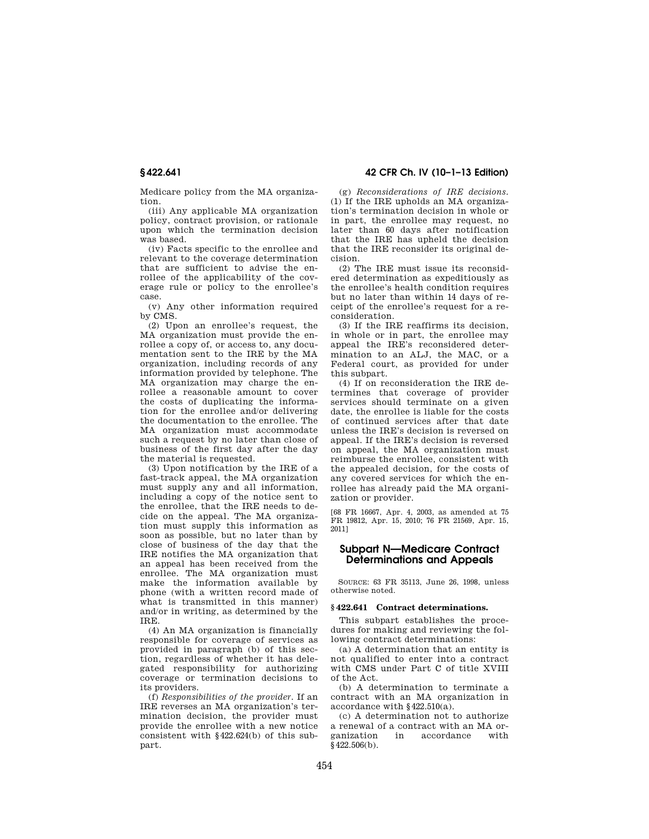Medicare policy from the MA organization.

(iii) Any applicable MA organization policy, contract provision, or rationale upon which the termination decision was based.

(iv) Facts specific to the enrollee and relevant to the coverage determination that are sufficient to advise the enrollee of the applicability of the coverage rule or policy to the enrollee's case.

(v) Any other information required by CMS.

 $(2)$  Upon an enrollee's request, the MA organization must provide the enrollee a copy of, or access to, any documentation sent to the IRE by the MA organization, including records of any information provided by telephone. The MA organization may charge the enrollee a reasonable amount to cover the costs of duplicating the information for the enrollee and/or delivering the documentation to the enrollee. The MA organization must accommodate such a request by no later than close of business of the first day after the day the material is requested.

(3) Upon notification by the IRE of a fast-track appeal, the MA organization must supply any and all information, including a copy of the notice sent to the enrollee, that the IRE needs to decide on the appeal. The MA organization must supply this information as soon as possible, but no later than by close of business of the day that the IRE notifies the MA organization that an appeal has been received from the enrollee. The MA organization must make the information available by phone (with a written record made of what is transmitted in this manner) and/or in writing, as determined by the IRE.

(4) An MA organization is financially responsible for coverage of services as provided in paragraph (b) of this section, regardless of whether it has delegated responsibility for authorizing coverage or termination decisions to its providers.

(f) *Responsibilities of the provider.* If an IRE reverses an MA organization's termination decision, the provider must provide the enrollee with a new notice consistent with §422.624(b) of this subpart.

**§ 422.641 42 CFR Ch. IV (10–1–13 Edition)** 

(g) *Reconsiderations of IRE decisions.*  (1) If the IRE upholds an MA organization's termination decision in whole or in part, the enrollee may request, no later than 60 days after notification that the IRE has upheld the decision that the IRE reconsider its original decision.

(2) The IRE must issue its reconsidered determination as expeditiously as the enrollee's health condition requires but no later than within 14 days of receipt of the enrollee's request for a reconsideration.

(3) If the IRE reaffirms its decision, in whole or in part, the enrollee may appeal the IRE's reconsidered determination to an ALJ, the MAC, or a Federal court, as provided for under this subpart.

(4) If on reconsideration the IRE determines that coverage of provider services should terminate on a given date, the enrollee is liable for the costs of continued services after that date unless the IRE's decision is reversed on appeal. If the IRE's decision is reversed on appeal, the MA organization must reimburse the enrollee, consistent with the appealed decision, for the costs of any covered services for which the enrollee has already paid the MA organization or provider.

[68 FR 16667, Apr. 4, 2003, as amended at 75 FR 19812, Apr. 15, 2010; 76 FR 21569, Apr. 15, 2011]

# **Subpart N—Medicare Contract Determinations and Appeals**

SOURCE: 63 FR 35113, June 26, 1998, unless otherwise noted.

# **§ 422.641 Contract determinations.**

This subpart establishes the procedures for making and reviewing the following contract determinations:

(a) A determination that an entity is not qualified to enter into a contract with CMS under Part C of title XVIII of the Act.

(b) A determination to terminate a contract with an MA organization in accordance with §422.510(a).

(c) A determination not to authorize a renewal of a contract with an MA organization in accordance with  $\bar{8}422.506(b)$ .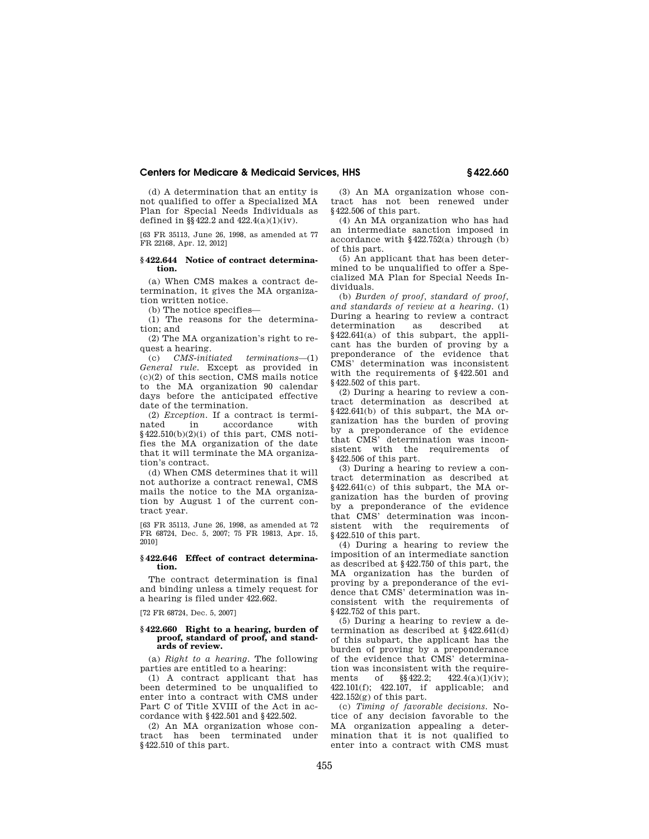(d) A determination that an entity is not qualified to offer a Specialized MA Plan for Special Needs Individuals as defined in  $\S$  422.2 and 422.4(a)(1)(iv).

[63 FR 35113, June 26, 1998, as amended at 77 FR 22168, Apr. 12, 2012]

# **§ 422.644 Notice of contract determination.**

(a) When CMS makes a contract determination, it gives the MA organization written notice.

(b) The notice specifies—

(1) The reasons for the determination; and

(2) The MA organization's right to request a hearing.

(c) *CMS-initiated terminations*—(1) *General rule.* Except as provided in (c)(2) of this section, CMS mails notice to the MA organization 90 calendar days before the anticipated effective date of the termination.

(2) *Exception*. If a contract is termi-<br>nated in accordance with in accordance §422.510(b)(2)(i) of this part, CMS notifies the MA organization of the date that it will terminate the MA organization's contract.

(d) When CMS determines that it will not authorize a contract renewal, CMS mails the notice to the MA organization by August 1 of the current contract year.

[63 FR 35113, June 26, 1998, as amended at 72 FR 68724, Dec. 5, 2007; 75 FR 19813, Apr. 15, 2010]

#### **§ 422.646 Effect of contract determination.**

The contract determination is final and binding unless a timely request for a hearing is filed under 422.662.

[72 FR 68724, Dec. 5, 2007]

#### **§ 422.660 Right to a hearing, burden of proof, standard of proof, and standards of review.**

(a) *Right to a hearing.* The following parties are entitled to a hearing:

(1) A contract applicant that has been determined to be unqualified to enter into a contract with CMS under Part C of Title XVIII of the Act in accordance with §422.501 and §422.502.

(2) An MA organization whose contract has been terminated under §422.510 of this part.

(3) An MA organization whose contract has not been renewed under §422.506 of this part.

(4) An MA organization who has had an intermediate sanction imposed in accordance with §422.752(a) through (b) of this part.

(5) An applicant that has been determined to be unqualified to offer a Specialized MA Plan for Special Needs Individuals.

(b) *Burden of proof, standard of proof, and standards of review at a hearing.* (1) During a hearing to review a contract<br>determination as described at determination as described at §422.641(a) of this subpart, the applicant has the burden of proving by a preponderance of the evidence that CMS' determination was inconsistent with the requirements of §422.501 and §422.502 of this part.

(2) During a hearing to review a contract determination as described at §422.641(b) of this subpart, the MA organization has the burden of proving by a preponderance of the evidence that CMS' determination was inconsistent with the requirements of §422.506 of this part.

(3) During a hearing to review a contract determination as described at §422.641(c) of this subpart, the MA organization has the burden of proving by a preponderance of the evidence that CMS' determination was inconsistent with the requirements of §422.510 of this part.

(4) During a hearing to review the imposition of an intermediate sanction as described at §422.750 of this part, the MA organization has the burden of proving by a preponderance of the evidence that CMS' determination was inconsistent with the requirements of §422.752 of this part.

(5) During a hearing to review a determination as described at §422.641(d) of this subpart, the applicant has the burden of proving by a preponderance of the evidence that CMS' determination was inconsistent with the require-<br>ments of  $\frac{\$422.2}{2}$   $\frac{422.4(a)(1)(iv)}{2}$ ments of  $\sqrt{$}422.2$ ;  $422.4(a)(1)(iv)$ ; 422.101(f); 422.107, if applicable; and  $422.152(r)$  of this part.

(c) *Timing of favorable decisions.* Notice of any decision favorable to the MA organization appealing a determination that it is not qualified to enter into a contract with CMS must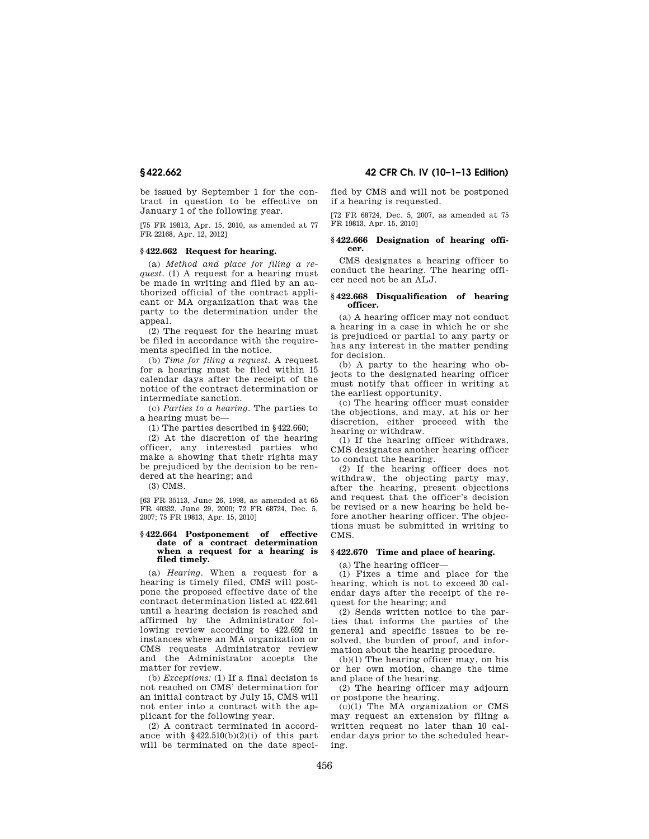be issued by September 1 for the contract in question to be effective on January 1 of the following year.

[75 FR 19813, Apr. 15, 2010, as amended at 77 FR 22168, Apr. 12, 2012]

# **§ 422.662 Request for hearing.**

(a) *Method and place for filing a request.* (1) A request for a hearing must be made in writing and filed by an authorized official of the contract applicant or MA organization that was the party to the determination under the appeal.

(2) The request for the hearing must be filed in accordance with the requirements specified in the notice.

(b) *Time for filing a request.* A request for a hearing must be filed within 15 calendar days after the receipt of the notice of the contract determination or intermediate sanction.

(c) *Parties to a hearing.* The parties to a hearing must be—

(1) The parties described in §422.660;

(2) At the discretion of the hearing officer, any interested parties who make a showing that their rights may be prejudiced by the decision to be rendered at the hearing; and

(3) CMS.

[63 FR 35113, June 26, 1998, as amended at 65 FR 40332, June 29, 2000; 72 FR 68724, Dec. 5, 2007; 75 FR 19813, Apr. 15, 2010]

#### **§ 422.664 Postponement of effective date of a contract determination when a request for a hearing is filed timely.**

(a) *Hearing.* When a request for a hearing is timely filed, CMS will postpone the proposed effective date of the contract determination listed at 422.641 until a hearing decision is reached and affirmed by the Administrator following review according to 422.692 in instances where an MA organization or CMS requests Administrator review and the Administrator accepts the matter for review.

(b) *Exceptions:* (1) If a final decision is not reached on CMS' determination for an initial contract by July 15, CMS will not enter into a contract with the applicant for the following year.

(2) A contract terminated in accordance with  $$422.510(b)(2)(i)$  of this part will be terminated on the date speci-

**§ 422.662 42 CFR Ch. IV (10–1–13 Edition)** 

fied by CMS and will not be postponed if a hearing is requested.

[72 FR 68724, Dec. 5, 2007, as amended at 75 FR 19813, Apr. 15, 2010]

# **§ 422.666 Designation of hearing offi- cer.**

CMS designates a hearing officer to conduct the hearing. The hearing officer need not be an ALJ.

# **§ 422.668 Disqualification of hearing officer.**

(a) A hearing officer may not conduct a hearing in a case in which he or she is prejudiced or partial to any party or has any interest in the matter pending for decision.

(b) A party to the hearing who objects to the designated hearing officer must notify that officer in writing at the earliest opportunity.

(c) The hearing officer must consider the objections, and may, at his or her discretion, either proceed with the hearing or withdraw.

(1) If the hearing officer withdraws, CMS designates another hearing officer to conduct the hearing.

(2) If the hearing officer does not withdraw, the objecting party may, after the hearing, present objections and request that the officer's decision be revised or a new hearing be held before another hearing officer. The objections must be submitted in writing to CMS.

# **§ 422.670 Time and place of hearing.**

(a) The hearing officer—

(1) Fixes a time and place for the hearing, which is not to exceed 30 calendar days after the receipt of the request for the hearing; and

(2) Sends written notice to the parties that informs the parties of the general and specific issues to be resolved, the burden of proof, and information about the hearing procedure.

(b)(1) The hearing officer may, on his or her own motion, change the time and place of the hearing.

(2) The hearing officer may adjourn or postpone the hearing.

(c)(1) The MA organization or CMS may request an extension by filing a written request no later than 10 calendar days prior to the scheduled hearing.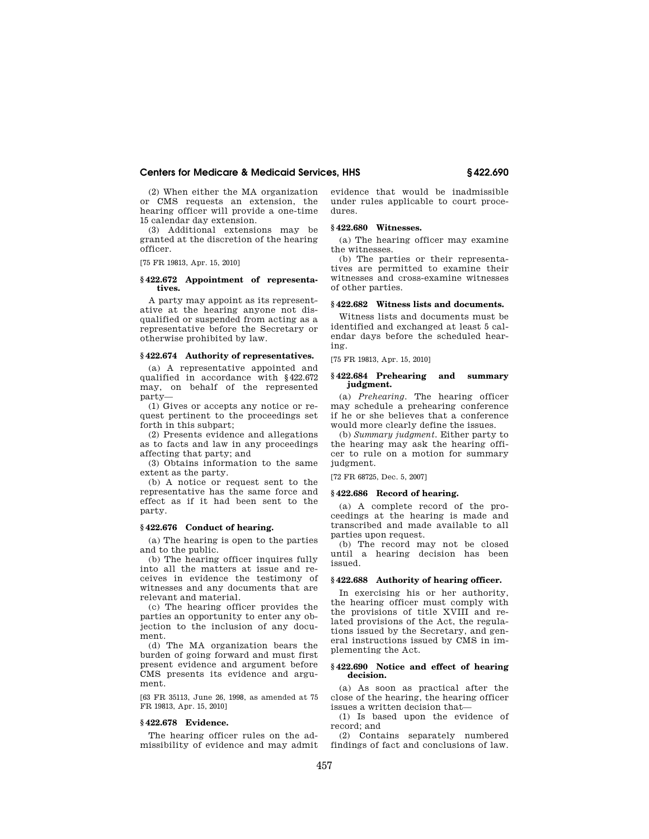(2) When either the MA organization or CMS requests an extension, the hearing officer will provide a one-time 15 calendar day extension.

(3) Additional extensions may be granted at the discretion of the hearing officer.

[75 FR 19813, Apr. 15, 2010]

#### **§ 422.672 Appointment of representatives.**

A party may appoint as its representative at the hearing anyone not disqualified or suspended from acting as a representative before the Secretary or otherwise prohibited by law.

# **§ 422.674 Authority of representatives.**

(a) A representative appointed and qualified in accordance with §422.672 may, on behalf of the represented party—

(1) Gives or accepts any notice or request pertinent to the proceedings set forth in this subpart;

(2) Presents evidence and allegations as to facts and law in any proceedings affecting that party; and

(3) Obtains information to the same extent as the party.

(b) A notice or request sent to the representative has the same force and effect as if it had been sent to the party.

#### **§ 422.676 Conduct of hearing.**

(a) The hearing is open to the parties and to the public.

(b) The hearing officer inquires fully into all the matters at issue and receives in evidence the testimony of witnesses and any documents that are relevant and material.

(c) The hearing officer provides the parties an opportunity to enter any objection to the inclusion of any document.

(d) The MA organization bears the burden of going forward and must first present evidence and argument before CMS presents its evidence and argument.

[63 FR 35113, June 26, 1998, as amended at 75 FR 19813, Apr. 15, 2010]

# **§ 422.678 Evidence.**

The hearing officer rules on the admissibility of evidence and may admit evidence that would be inadmissible under rules applicable to court procedures.

# **§ 422.680 Witnesses.**

(a) The hearing officer may examine the witnesses.

(b) The parties or their representatives are permitted to examine their witnesses and cross-examine witnesses of other parties.

# **§ 422.682 Witness lists and documents.**

Witness lists and documents must be identified and exchanged at least 5 calendar days before the scheduled hearing.

[75 FR 19813, Apr. 15, 2010]

#### **§ 422.684 Prehearing and summary judgment.**

(a) *Prehearing.* The hearing officer may schedule a prehearing conference if he or she believes that a conference would more clearly define the issues.

(b) *Summary judgment.* Either party to the hearing may ask the hearing officer to rule on a motion for summary judgment.

[72 FR 68725, Dec. 5, 2007]

# **§ 422.686 Record of hearing.**

(a) A complete record of the proceedings at the hearing is made and transcribed and made available to all parties upon request.

(b) The record may not be closed until a hearing decision has been issued.

#### **§ 422.688 Authority of hearing officer.**

In exercising his or her authority, the hearing officer must comply with the provisions of title XVIII and related provisions of the Act, the regulations issued by the Secretary, and general instructions issued by CMS in implementing the Act.

# **§ 422.690 Notice and effect of hearing decision.**

(a) As soon as practical after the close of the hearing, the hearing officer issues a written decision that—

(1) Is based upon the evidence of record; and

(2) Contains separately numbered findings of fact and conclusions of law.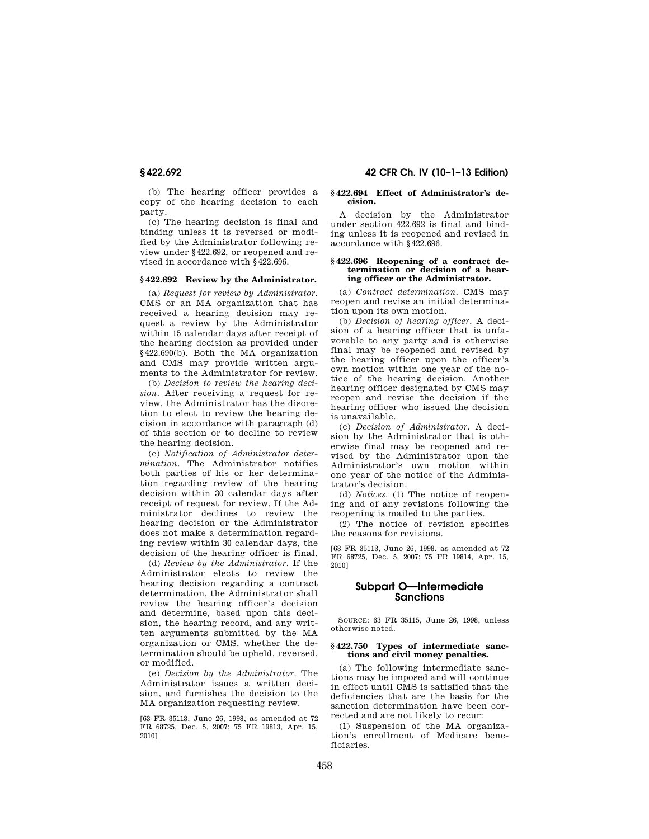(b) The hearing officer provides a copy of the hearing decision to each party.

(c) The hearing decision is final and binding unless it is reversed or modified by the Administrator following review under §422.692, or reopened and revised in accordance with §422.696.

# **§ 422.692 Review by the Administrator.**

(a) *Request for review by Administrator.*  CMS or an MA organization that has received a hearing decision may request a review by the Administrator within 15 calendar days after receipt of the hearing decision as provided under §422.690(b). Both the MA organization and CMS may provide written arguments to the Administrator for review.

(b) *Decision to review the hearing decision.* After receiving a request for review, the Administrator has the discretion to elect to review the hearing decision in accordance with paragraph (d) of this section or to decline to review the hearing decision.

(c) *Notification of Administrator determination.* The Administrator notifies both parties of his or her determination regarding review of the hearing decision within 30 calendar days after receipt of request for review. If the Administrator declines to review the hearing decision or the Administrator does not make a determination regarding review within 30 calendar days, the decision of the hearing officer is final.

(d) *Review by the Administrator.* If the Administrator elects to review the hearing decision regarding a contract determination, the Administrator shall review the hearing officer's decision and determine, based upon this decision, the hearing record, and any written arguments submitted by the MA organization or CMS, whether the determination should be upheld, reversed, or modified.

(e) *Decision by the Administrator.* The Administrator issues a written decision, and furnishes the decision to the MA organization requesting review.

[63 FR 35113, June 26, 1998, as amended at 72 FR 68725, Dec. 5, 2007; 75 FR 19813, Apr. 15, 2010]

# **§ 422.692 42 CFR Ch. IV (10–1–13 Edition)**

#### **§ 422.694 Effect of Administrator's decision.**

A decision by the Administrator under section 422.692 is final and binding unless it is reopened and revised in accordance with §422.696.

#### **§ 422.696 Reopening of a contract determination or decision of a hearing officer or the Administrator.**

(a) *Contract determination.* CMS may reopen and revise an initial determination upon its own motion.

(b) *Decision of hearing officer.* A decision of a hearing officer that is unfavorable to any party and is otherwise final may be reopened and revised by the hearing officer upon the officer's own motion within one year of the notice of the hearing decision. Another hearing officer designated by CMS may reopen and revise the decision if the hearing officer who issued the decision is unavailable.

(c) *Decision of Administrator.* A decision by the Administrator that is otherwise final may be reopened and revised by the Administrator upon the Administrator's own motion within one year of the notice of the Administrator's decision.

(d) *Notices.* (1) The notice of reopening and of any revisions following the reopening is mailed to the parties.

(2) The notice of revision specifies the reasons for revisions.

[63 FR 35113, June 26, 1998, as amended at 72 FR 68725, Dec. 5, 2007; 75 FR 19814, Apr. 15, 2010]

# **Subpart O—Intermediate Sanctions**

SOURCE: 63 FR 35115, June 26, 1998, unless otherwise noted.

#### **§ 422.750 Types of intermediate sanctions and civil money penalties.**

(a) The following intermediate sanctions may be imposed and will continue in effect until CMS is satisfied that the deficiencies that are the basis for the sanction determination have been corrected and are not likely to recur:

(1) Suspension of the MA organization's enrollment of Medicare beneficiaries.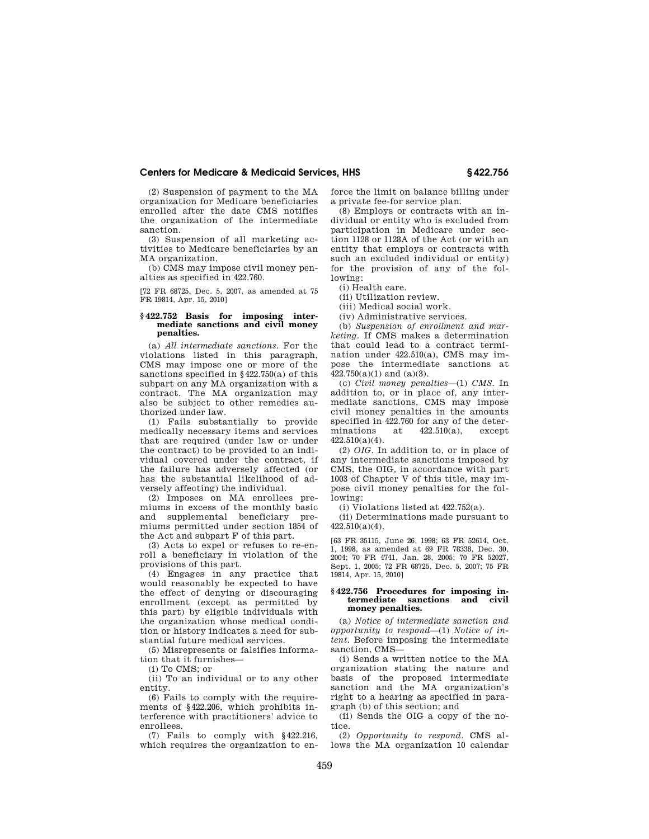(2) Suspension of payment to the MA organization for Medicare beneficiaries enrolled after the date CMS notifies the organization of the intermediate sanction.

(3) Suspension of all marketing activities to Medicare beneficiaries by an MA organization.

(b) CMS may impose civil money penalties as specified in 422.760.

[72 FR 68725, Dec. 5, 2007, as amended at 75 FR 19814, Apr. 15, 2010]

#### **§ 422.752 Basis for imposing intermediate sanctions and civil money penalties.**

(a) *All intermediate sanctions.* For the violations listed in this paragraph, CMS may impose one or more of the sanctions specified in §422.750(a) of this subpart on any MA organization with a contract. The MA organization may also be subject to other remedies authorized under law.

(1) Fails substantially to provide medically necessary items and services that are required (under law or under the contract) to be provided to an individual covered under the contract, if the failure has adversely affected (or has the substantial likelihood of adversely affecting) the individual.

(2) Imposes on MA enrollees premiums in excess of the monthly basic and supplemental beneficiary premiums permitted under section 1854 of the Act and subpart F of this part.

(3) Acts to expel or refuses to re-enroll a beneficiary in violation of the provisions of this part.

(4) Engages in any practice that would reasonably be expected to have the effect of denying or discouraging enrollment (except as permitted by this part) by eligible individuals with the organization whose medical condition or history indicates a need for substantial future medical services.

(5) Misrepresents or falsifies information that it furnishes—

(i) To CMS; or

(ii) To an individual or to any other entity.

(6) Fails to comply with the requirements of §422.206, which prohibits interference with practitioners' advice to enrollees.

(7) Fails to comply with §422.216, which requires the organization to enforce the limit on balance billing under a private fee-for service plan.

(8) Employs or contracts with an individual or entity who is excluded from participation in Medicare under section 1128 or 1128A of the Act (or with an entity that employs or contracts with such an excluded individual or entity) for the provision of any of the following:

(i) Health care.

(ii) Utilization review.

(iii) Medical social work.

(iv) Administrative services.

(b) *Suspension of enrollment and marketing.* If CMS makes a determination that could lead to a contract termination under 422.510(a), CMS may impose the intermediate sanctions at 422.750(a)(1) and (a)(3).

(c) *Civil money penalties*—(1) *CMS.* In addition to, or in place of, any intermediate sanctions, CMS may impose civil money penalties in the amounts specified in  $422.760$  for any of the deter-<br>minations at  $422.510(a)$ , except minations 422.510(a)(4).

(2) *OIG.* In addition to, or in place of any intermediate sanctions imposed by CMS, the OIG, in accordance with part 1003 of Chapter V of this title, may impose civil money penalties for the following:

(i) Violations listed at 422.752(a).

(ii) Determinations made pursuant to 422.510(a)(4).

[63 FR 35115, June 26, 1998; 63 FR 52614, Oct. 1, 1998, as amended at 69 FR 78338, Dec. 30, 2004; 70 FR 4741, Jan. 28, 2005; 70 FR 52027, Sept. 1, 2005; 72 FR 68725, Dec. 5, 2007; 75 FR 19814, Apr. 15, 2010]

### **§ 422.756 Procedures for imposing intermediate sanctions and civil money penalties.**

(a) *Notice of intermediate sanction and opportunity to respond*—(1) *Notice of intent.* Before imposing the intermediate sanction, CMS—

(i) Sends a written notice to the MA organization stating the nature and basis of the proposed intermediate sanction and the MA organization's right to a hearing as specified in paragraph (b) of this section; and

(ii) Sends the OIG a copy of the notice.

(2) *Opportunity to respond.* CMS allows the MA organization 10 calendar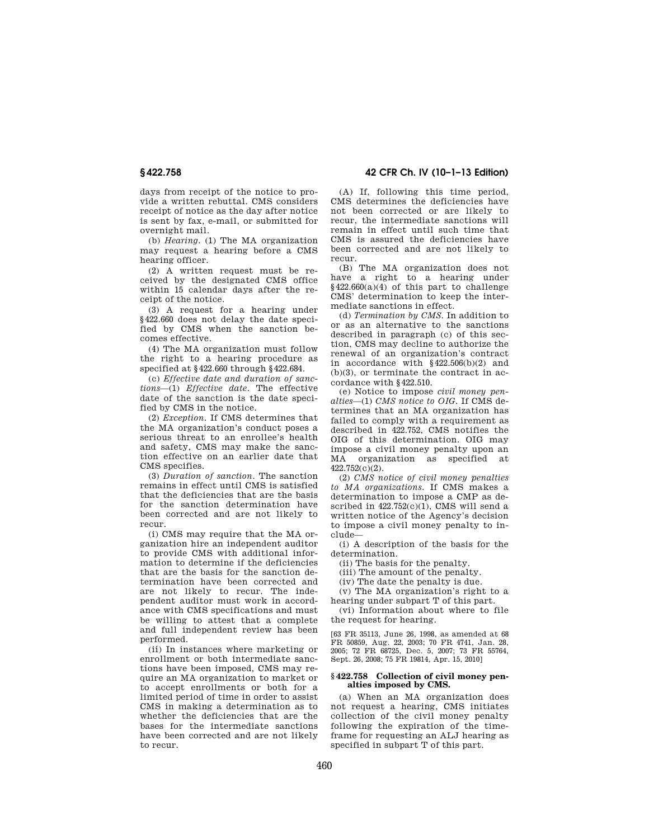days from receipt of the notice to provide a written rebuttal. CMS considers receipt of notice as the day after notice is sent by fax, e-mail, or submitted for overnight mail.

(b) *Hearing.* (1) The MA organization may request a hearing before a CMS hearing officer.

(2) A written request must be received by the designated CMS office within 15 calendar days after the receipt of the notice.

(3) A request for a hearing under §422.660 does not delay the date specified by CMS when the sanction becomes effective.

(4) The MA organization must follow the right to a hearing procedure as specified at §422.660 through §422.684.

(c) *Effective date and duration of sanctions*—(1) *Effective date.* The effective date of the sanction is the date specified by CMS in the notice.

(2) *Exception.* If CMS determines that the MA organization's conduct poses a serious threat to an enrollee's health and safety, CMS may make the sanction effective on an earlier date that CMS specifies.

(3) *Duration of sanction.* The sanction remains in effect until CMS is satisfied that the deficiencies that are the basis for the sanction determination have been corrected and are not likely to recur.

(i) CMS may require that the MA organization hire an independent auditor to provide CMS with additional information to determine if the deficiencies that are the basis for the sanction determination have been corrected and are not likely to recur. The independent auditor must work in accord-.<br>ance with CMS specifications and must be willing to attest that a complete and full independent review has been performed.

(ii) In instances where marketing or enrollment or both intermediate sanctions have been imposed, CMS may require an MA organization to market or to accept enrollments or both for a limited period of time in order to assist CMS in making a determination as to whether the deficiencies that are the bases for the intermediate sanctions have been corrected and are not likely to recur.

**§ 422.758 42 CFR Ch. IV (10–1–13 Edition)** 

(A) If, following this time period, CMS determines the deficiencies have not been corrected or are likely to recur, the intermediate sanctions will remain in effect until such time that CMS is assured the deficiencies have been corrected and are not likely to recur.

(B) The MA organization does not have a right to a hearing under  $§422.660(a)(4)$  of this part to challenge CMS' determination to keep the intermediate sanctions in effect.

(d) *Termination by CMS.* In addition to or as an alternative to the sanctions described in paragraph (c) of this section, CMS may decline to authorize the renewal of an organization's contract in accordance with §422.506(b)(2) and (b)(3), or terminate the contract in accordance with §422.510.

(e) Notice to impose *civil money penalties*—(1) *CMS notice to OIG.* If CMS determines that an MA organization has failed to comply with a requirement as described in 422.752, CMS notifies the OIG of this determination. OIG may impose a civil money penalty upon an MA organization as specified 422.752(c)(2).

(2) *CMS notice of civil money penalties to MA organizations.* If CMS makes a determination to impose a CMP as described in  $422.752(c)(1)$ , CMS will send a written notice of the Agency's decision to impose a civil money penalty to include—

(i) A description of the basis for the determination.

(ii) The basis for the penalty.

(iii) The amount of the penalty.

(iv) The date the penalty is due.

(v) The MA organization's right to a hearing under subpart T of this part.

(vi) Information about where to file the request for hearing.

[63 FR 35113, June 26, 1998, as amended at 68 FR 50859, Aug. 22, 2003; 70 FR 4741, Jan. 28, 2005; 72 FR 68725, Dec. 5, 2007; 73 FR 55764, Sept. 26, 2008; 75 FR 19814, Apr. 15, 2010]

#### **§ 422.758 Collection of civil money penalties imposed by CMS.**

(a) When an MA organization does not request a hearing, CMS initiates collection of the civil money penalty following the expiration of the timeframe for requesting an ALJ hearing as specified in subpart T of this part.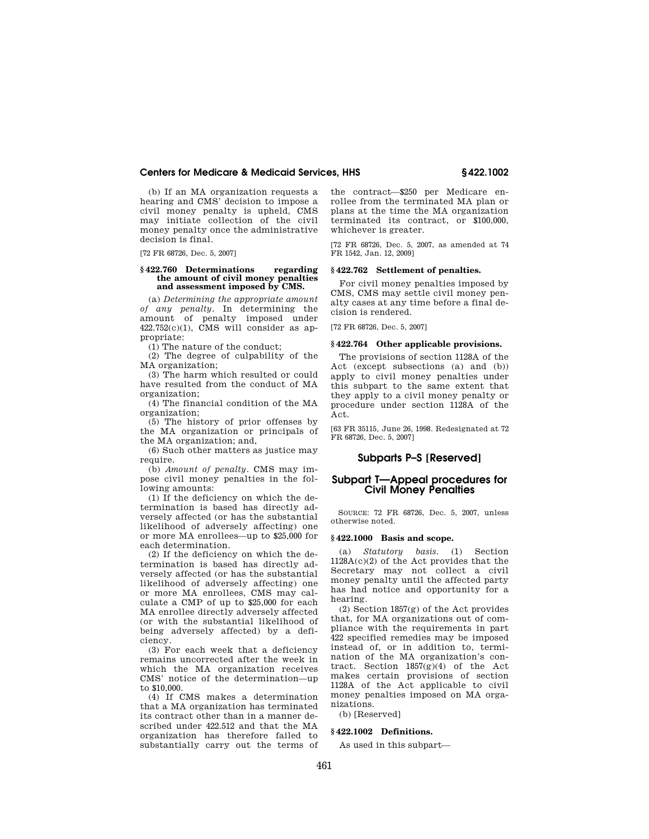(b) If an MA organization requests a hearing and CMS' decision to impose a civil money penalty is upheld, CMS may initiate collection of the civil money penalty once the administrative decision is final.

[72 FR 68726, Dec. 5, 2007]

#### **§ 422.760 Determinations regarding the amount of civil money penalties and assessment imposed by CMS.**

(a) *Determining the appropriate amount of any penalty.* In determining the amount of penalty imposed under  $422.752(c)(1)$ , CMS will consider as appropriate:

(1) The nature of the conduct;

(2) The degree of culpability of the MA organization;

(3) The harm which resulted or could have resulted from the conduct of MA organization;

(4) The financial condition of the MA organization;

(5) The history of prior offenses by the MA organization or principals of the MA organization; and,

(6) Such other matters as justice may require.

(b) *Amount of penalty.* CMS may impose civil money penalties in the following amounts:

(1) If the deficiency on which the determination is based has directly adversely affected (or has the substantial likelihood of adversely affecting) one or more MA enrollees—up to \$25,000 for each determination.

(2) If the deficiency on which the determination is based has directly adversely affected (or has the substantial likelihood of adversely affecting) one or more MA enrollees, CMS may calculate a CMP of up to \$25,000 for each MA enrollee directly adversely affected (or with the substantial likelihood of being adversely affected) by a deficiency.

(3) For each week that a deficiency remains uncorrected after the week in which the MA organization receives CMS' notice of the determination—up to \$10,000.

(4) If CMS makes a determination that a MA organization has terminated its contract other than in a manner described under 422.512 and that the MA organization has therefore failed to substantially carry out the terms of the contract—\$250 per Medicare enrollee from the terminated MA plan or plans at the time the MA organization terminated its contract, or \$100,000, whichever is greater.

[72 FR 68726, Dec. 5, 2007, as amended at 74 FR 1542, Jan. 12, 2009]

#### **§ 422.762 Settlement of penalties.**

For civil money penalties imposed by CMS, CMS may settle civil money penalty cases at any time before a final decision is rendered.

[72 FR 68726, Dec. 5, 2007]

# **§ 422.764 Other applicable provisions.**

The provisions of section 1128A of the Act (except subsections (a) and (b)) apply to civil money penalties under this subpart to the same extent that they apply to a civil money penalty or procedure under section 1128A of the Act.

[63 FR 35115, June 26, 1998. Redesignated at 72 FR 68726, Dec. 5, 2007]

# **Subparts P–S [Reserved]**

# **Subpart T—Appeal procedures for Civil Money Penalties**

SOURCE: 72 FR 68726, Dec. 5, 2007, unless otherwise noted.

#### **§ 422.1000 Basis and scope.**

(a) *Statutory basis.* (1) Section 1128A(c)(2) of the Act provides that the Secretary may not collect a civil money penalty until the affected party has had notice and opportunity for a hearing.

(2) Section 1857(g) of the Act provides that, for MA organizations out of compliance with the requirements in part 422 specified remedies may be imposed instead of, or in addition to, termination of the MA organization's contract. Section  $1857(g)(4)$  of the Act makes certain provisions of section 1128A of the Act applicable to civil money penalties imposed on MA organizations.

(b) [Reserved]

#### **§ 422.1002 Definitions.**

As used in this subpart—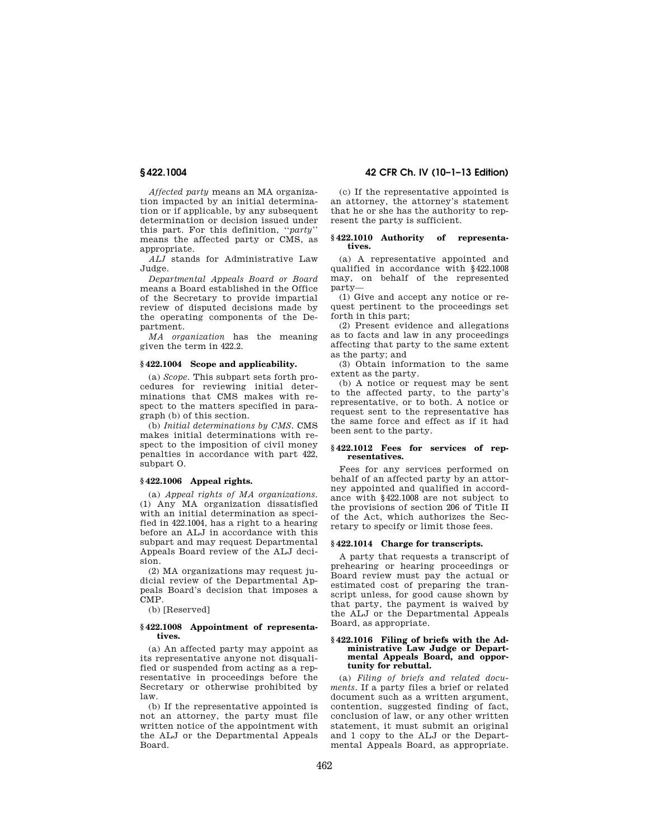*Affected party* means an MA organization impacted by an initial determination or if applicable, by any subsequent determination or decision issued under this part. For this definition, ''*party*'' means the affected party or CMS, as appropriate.

*ALJ* stands for Administrative Law Judge.

*Departmental Appeals Board or Board*  means a Board established in the Office of the Secretary to provide impartial review of disputed decisions made by the operating components of the Department.

*MA organization* has the meaning given the term in 422.2.

# **§ 422.1004 Scope and applicability.**

(a) *Scope.* This subpart sets forth procedures for reviewing initial determinations that CMS makes with respect to the matters specified in paragraph (b) of this section.

(b) *Initial determinations by CMS.* CMS makes initial determinations with respect to the imposition of civil money penalties in accordance with part 422, subpart O.

# **§ 422.1006 Appeal rights.**

(a) *Appeal rights of MA organizations.*  (1) Any MA organization dissatisfied with an initial determination as specified in 422.1004, has a right to a hearing before an ALJ in accordance with this subpart and may request Departmental Appeals Board review of the ALJ decision.

(2) MA organizations may request judicial review of the Departmental Appeals Board's decision that imposes a CMP.

(b) [Reserved]

# **§ 422.1008 Appointment of representatives.**

(a) An affected party may appoint as its representative anyone not disqualified or suspended from acting as a representative in proceedings before the Secretary or otherwise prohibited by law.

(b) If the representative appointed is not an attorney, the party must file written notice of the appointment with the ALJ or the Departmental Appeals Board.

# **§ 422.1004 42 CFR Ch. IV (10–1–13 Edition)**

(c) If the representative appointed is an attorney, the attorney's statement that he or she has the authority to represent the party is sufficient.

#### **§ 422.1010 Authority of representatives.**

(a) A representative appointed and qualified in accordance with §422.1008 may, on behalf of the represented party—

(1) Give and accept any notice or request pertinent to the proceedings set forth in this part;

(2) Present evidence and allegations as to facts and law in any proceedings affecting that party to the same extent as the party; and

(3) Obtain information to the same extent as the party.

(b) A notice or request may be sent to the affected party, to the party's representative, or to both. A notice or request sent to the representative has the same force and effect as if it had been sent to the party.

# **§ 422.1012 Fees for services of representatives.**

Fees for any services performed on behalf of an affected party by an attorney appointed and qualified in accordance with §422.1008 are not subject to the provisions of section 206 of Title II of the Act, which authorizes the Secretary to specify or limit those fees.

#### **§ 422.1014 Charge for transcripts.**

A party that requests a transcript of prehearing or hearing proceedings or Board review must pay the actual or estimated cost of preparing the transcript unless, for good cause shown by that party, the payment is waived by the ALJ or the Departmental Appeals Board, as appropriate.

#### **§ 422.1016 Filing of briefs with the Administrative Law Judge or Departmental Appeals Board, and opportunity for rebuttal.**

(a) *Filing of briefs and related documents.* If a party files a brief or related document such as a written argument. contention, suggested finding of fact, conclusion of law, or any other written statement, it must submit an original and 1 copy to the ALJ or the Departmental Appeals Board, as appropriate.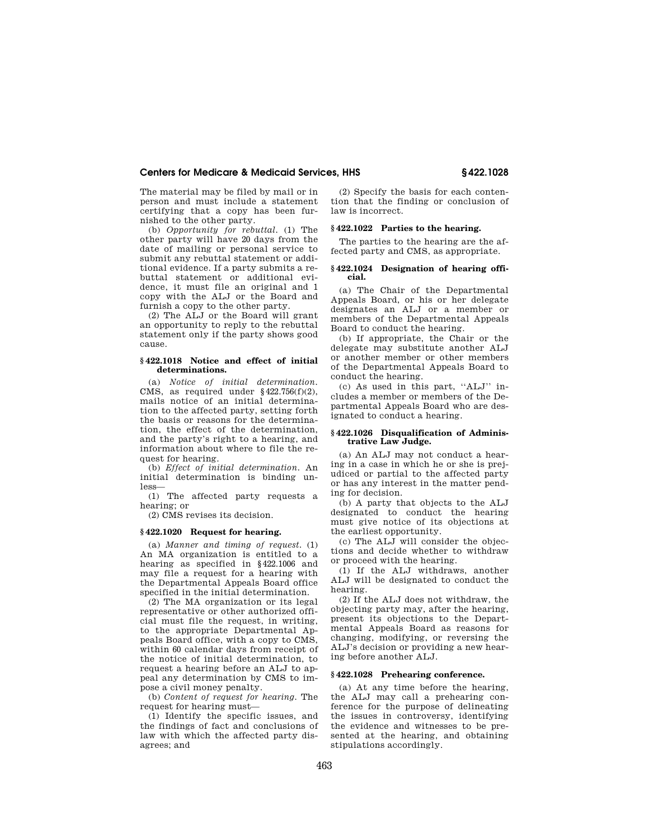The material may be filed by mail or in person and must include a statement certifying that a copy has been furnished to the other party.

(b) *Opportunity for rebuttal.* (1) The other party will have 20 days from the date of mailing or personal service to submit any rebuttal statement or additional evidence. If a party submits a rebuttal statement or additional evidence, it must file an original and 1 copy with the ALJ or the Board and furnish a copy to the other party.

(2) The ALJ or the Board will grant an opportunity to reply to the rebuttal statement only if the party shows good cause.

## **§ 422.1018 Notice and effect of initial determinations.**

(a) *Notice of initial determination.*  CMS, as required under  $§422.756(f)(2),$ mails notice of an initial determination to the affected party, setting forth the basis or reasons for the determination, the effect of the determination, and the party's right to a hearing, and information about where to file the request for hearing.

(b) *Effect of initial determination.* An initial determination is binding unless—

(1) The affected party requests a hearing; or

(2) CMS revises its decision.

### **§ 422.1020 Request for hearing.**

(a) *Manner and timing of request.* (1) An MA organization is entitled to a hearing as specified in §422.1006 and may file a request for a hearing with the Departmental Appeals Board office specified in the initial determination.

(2) The MA organization or its legal representative or other authorized official must file the request, in writing, to the appropriate Departmental Appeals Board office, with a copy to CMS, within 60 calendar days from receipt of the notice of initial determination, to request a hearing before an ALJ to appeal any determination by CMS to impose a civil money penalty.

(b) *Content of request for hearing.* The request for hearing must—

(1) Identify the specific issues, and the findings of fact and conclusions of law with which the affected party disagrees; and

(2) Specify the basis for each contention that the finding or conclusion of law is incorrect.

### **§ 422.1022 Parties to the hearing.**

The parties to the hearing are the affected party and CMS, as appropriate.

### **§ 422.1024 Designation of hearing official.**

(a) The Chair of the Departmental Appeals Board, or his or her delegate designates an ALJ or a member or members of the Departmental Appeals Board to conduct the hearing.

(b) If appropriate, the Chair or the delegate may substitute another ALJ or another member or other members of the Departmental Appeals Board to conduct the hearing.

(c) As used in this part, ''ALJ'' includes a member or members of the Departmental Appeals Board who are designated to conduct a hearing.

### **§ 422.1026 Disqualification of Administrative Law Judge.**

(a) An ALJ may not conduct a hearing in a case in which he or she is prejudiced or partial to the affected party or has any interest in the matter pending for decision.

(b) A party that objects to the ALJ designated to conduct the hearing must give notice of its objections at the earliest opportunity.

(c) The ALJ will consider the objections and decide whether to withdraw or proceed with the hearing.

(1) If the ALJ withdraws, another ALJ will be designated to conduct the hearing.

(2) If the ALJ does not withdraw, the objecting party may, after the hearing, present its objections to the Departmental Appeals Board as reasons for changing, modifying, or reversing the ALJ's decision or providing a new hearing before another ALJ.

## **§ 422.1028 Prehearing conference.**

(a) At any time before the hearing, the ALJ may call a prehearing conference for the purpose of delineating the issues in controversy, identifying the evidence and witnesses to be presented at the hearing, and obtaining stipulations accordingly.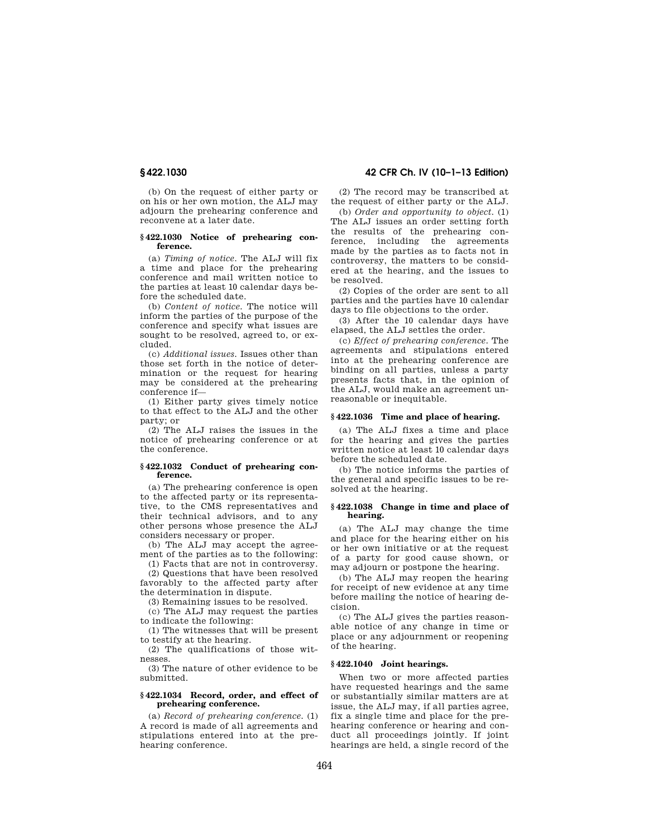(b) On the request of either party or on his or her own motion, the ALJ may adjourn the prehearing conference and reconvene at a later date.

### **§ 422.1030 Notice of prehearing conference.**

(a) *Timing of notice.* The ALJ will fix a time and place for the prehearing conference and mail written notice to the parties at least 10 calendar days before the scheduled date.

(b) *Content of notice.* The notice will inform the parties of the purpose of the conference and specify what issues are sought to be resolved, agreed to, or excluded.

(c) *Additional issues.* Issues other than those set forth in the notice of determination or the request for hearing may be considered at the prehearing conference if—

(1) Either party gives timely notice to that effect to the ALJ and the other party; or

(2) The ALJ raises the issues in the notice of prehearing conference or at the conference.

### **§ 422.1032 Conduct of prehearing conference.**

(a) The prehearing conference is open to the affected party or its representative, to the CMS representatives and their technical advisors, and to any other persons whose presence the ALJ considers necessary or proper.

(b) The ALJ may accept the agreement of the parties as to the following:

(1) Facts that are not in controversy.

(2) Questions that have been resolved favorably to the affected party after the determination in dispute.

(3) Remaining issues to be resolved.

(c) The ALJ may request the parties to indicate the following:

(1) The witnesses that will be present to testify at the hearing.

(2) The qualifications of those witnesses.

(3) The nature of other evidence to be submitted.

## **§ 422.1034 Record, order, and effect of prehearing conference.**

(a) *Record of prehearing conference.* (1) A record is made of all agreements and stipulations entered into at the prehearing conference.

# **§ 422.1030 42 CFR Ch. IV (10–1–13 Edition)**

(2) The record may be transcribed at the request of either party or the ALJ.

(b) *Order and opportunity to object.* (1) The ALJ issues an order setting forth the results of the prehearing conference, including the agreements made by the parties as to facts not in controversy, the matters to be considered at the hearing, and the issues to be resolved.

(2) Copies of the order are sent to all parties and the parties have 10 calendar days to file objections to the order.

(3) After the 10 calendar days have elapsed, the ALJ settles the order.

(c) *Effect of prehearing conference.* The agreements and stipulations entered into at the prehearing conference are binding on all parties, unless a party presents facts that, in the opinion of the ALJ, would make an agreement unreasonable or inequitable.

## **§ 422.1036 Time and place of hearing.**

(a) The ALJ fixes a time and place for the hearing and gives the parties written notice at least 10 calendar days before the scheduled date.

(b) The notice informs the parties of the general and specific issues to be resolved at the hearing.

### **§ 422.1038 Change in time and place of hearing.**

(a) The ALJ may change the time and place for the hearing either on his or her own initiative or at the request of a party for good cause shown, or may adjourn or postpone the hearing.

(b) The ALJ may reopen the hearing for receipt of new evidence at any time before mailing the notice of hearing decision.

(c) The ALJ gives the parties reasonable notice of any change in time or place or any adjournment or reopening of the hearing.

### **§ 422.1040 Joint hearings.**

When two or more affected parties have requested hearings and the same or substantially similar matters are at issue, the ALJ may, if all parties agree, fix a single time and place for the prehearing conference or hearing and conduct all proceedings jointly. If joint hearings are held, a single record of the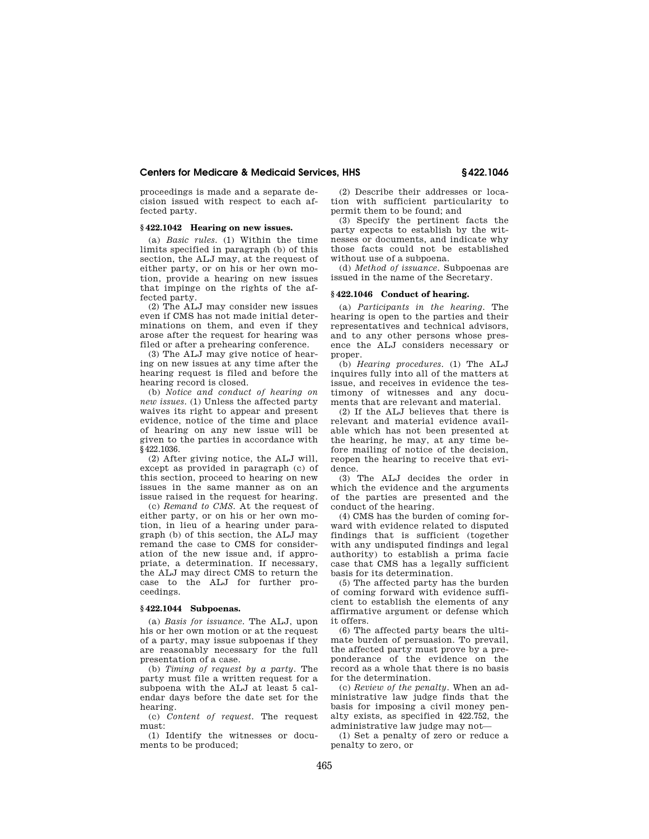proceedings is made and a separate decision issued with respect to each affected party.

# **§ 422.1042 Hearing on new issues.**

(a) *Basic rules.* (1) Within the time limits specified in paragraph (b) of this section, the ALJ may, at the request of either party, or on his or her own motion, provide a hearing on new issues that impinge on the rights of the affected party.

(2) The ALJ may consider new issues even if CMS has not made initial determinations on them, and even if they arose after the request for hearing was filed or after a prehearing conference.

(3) The ALJ may give notice of hearing on new issues at any time after the hearing request is filed and before the hearing record is closed.

(b) *Notice and conduct of hearing on new issues.* (1) Unless the affected party waives its right to appear and present evidence, notice of the time and place of hearing on any new issue will be given to the parties in accordance with §422.1036.

(2) After giving notice, the ALJ will, except as provided in paragraph (c) of this section, proceed to hearing on new issues in the same manner as on an issue raised in the request for hearing.

(c) *Remand to CMS.* At the request of either party, or on his or her own motion, in lieu of a hearing under paragraph (b) of this section, the ALJ may remand the case to CMS for consideration of the new issue and, if appropriate, a determination. If necessary, the ALJ may direct CMS to return the case to the ALJ for further proceedings.

### **§ 422.1044 Subpoenas.**

(a) *Basis for issuance.* The ALJ, upon his or her own motion or at the request of a party, may issue subpoenas if they are reasonably necessary for the full presentation of a case.

(b) *Timing of request by a party.* The party must file a written request for a subpoena with the ALJ at least 5 calendar days before the date set for the hearing.

(c) *Content of request.* The request must:

(1) Identify the witnesses or documents to be produced;

(2) Describe their addresses or location with sufficient particularity to permit them to be found; and

(3) Specify the pertinent facts the party expects to establish by the witnesses or documents, and indicate why those facts could not be established without use of a subpoena.

(d) *Method of issuance.* Subpoenas are issued in the name of the Secretary.

## **§ 422.1046 Conduct of hearing.**

(a) *Participants in the hearing.* The hearing is open to the parties and their representatives and technical advisors, and to any other persons whose presence the ALJ considers necessary or proper.

(b) *Hearing procedures.* (1) The ALJ inquires fully into all of the matters at issue, and receives in evidence the testimony of witnesses and any documents that are relevant and material.

(2) If the ALJ believes that there is relevant and material evidence available which has not been presented at the hearing, he may, at any time before mailing of notice of the decision, reopen the hearing to receive that evidence.

(3) The ALJ decides the order in which the evidence and the arguments of the parties are presented and the conduct of the hearing.

(4) CMS has the burden of coming forward with evidence related to disputed findings that is sufficient (together with any undisputed findings and legal authority) to establish a prima facie case that CMS has a legally sufficient basis for its determination.

(5) The affected party has the burden of coming forward with evidence sufficient to establish the elements of any affirmative argument or defense which it offers.

(6) The affected party bears the ultimate burden of persuasion. To prevail, the affected party must prove by a preponderance of the evidence on the record as a whole that there is no basis for the determination.

(c) *Review of the penalty.* When an administrative law judge finds that the basis for imposing a civil money penalty exists, as specified in 422.752, the administrative law judge may not—

(1) Set a penalty of zero or reduce a penalty to zero, or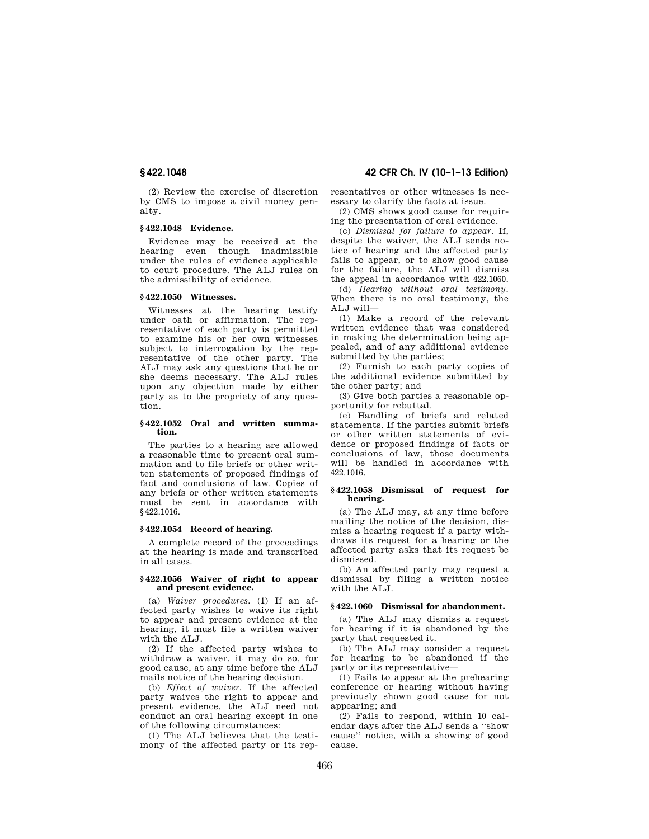(2) Review the exercise of discretion by CMS to impose a civil money penalty.

## **§ 422.1048 Evidence.**

Evidence may be received at the hearing even though inadmissible under the rules of evidence applicable to court procedure. The ALJ rules on the admissibility of evidence.

## **§ 422.1050 Witnesses.**

Witnesses at the hearing testify under oath or affirmation. The representative of each party is permitted to examine his or her own witnesses subject to interrogation by the representative of the other party. The ALJ may ask any questions that he or she deems necessary. The ALJ rules upon any objection made by either party as to the propriety of any question.

### **§ 422.1052 Oral and written summation.**

The parties to a hearing are allowed a reasonable time to present oral summation and to file briefs or other written statements of proposed findings of fact and conclusions of law. Copies of any briefs or other written statements must be sent in accordance with §422.1016.

### **§ 422.1054 Record of hearing.**

A complete record of the proceedings at the hearing is made and transcribed in all cases.

## **§ 422.1056 Waiver of right to appear and present evidence.**

(a) *Waiver procedures.* (1) If an affected party wishes to waive its right to appear and present evidence at the hearing, it must file a written waiver with the ALJ.

(2) If the affected party wishes to withdraw a waiver, it may do so, for good cause, at any time before the ALJ mails notice of the hearing decision.

(b) *Effect of waiver.* If the affected party waives the right to appear and present evidence, the ALJ need not conduct an oral hearing except in one of the following circumstances:

(1) The ALJ believes that the testimony of the affected party or its rep-

# **§ 422.1048 42 CFR Ch. IV (10–1–13 Edition)**

resentatives or other witnesses is necessary to clarify the facts at issue.

(2) CMS shows good cause for requiring the presentation of oral evidence.

(c) *Dismissal for failure to appear.* If, despite the waiver, the ALJ sends notice of hearing and the affected party fails to appear, or to show good cause for the failure, the ALJ will dismiss the appeal in accordance with 422.1060.

(d) *Hearing without oral testimony.*  When there is no oral testimony, the ALJ will—

(1) Make a record of the relevant written evidence that was considered in making the determination being appealed, and of any additional evidence submitted by the parties;

(2) Furnish to each party copies of the additional evidence submitted by the other party; and

(3) Give both parties a reasonable opportunity for rebuttal.

(e) Handling of briefs and related statements. If the parties submit briefs or other written statements of evidence or proposed findings of facts or conclusions of law, those documents will be handled in accordance with 422.1016.

### **§ 422.1058 Dismissal of request for hearing.**

(a) The ALJ may, at any time before mailing the notice of the decision, dismiss a hearing request if a party withdraws its request for a hearing or the affected party asks that its request be dismissed.

(b) An affected party may request a dismissal by filing a written notice with the ALJ.

### **§ 422.1060 Dismissal for abandonment.**

(a) The ALJ may dismiss a request for hearing if it is abandoned by the party that requested it.

(b) The ALJ may consider a request for hearing to be abandoned if the party or its representative—

(1) Fails to appear at the prehearing conference or hearing without having previously shown good cause for not appearing; and

(2) Fails to respond, within 10 calendar days after the ALJ sends a ''show cause'' notice, with a showing of good cause.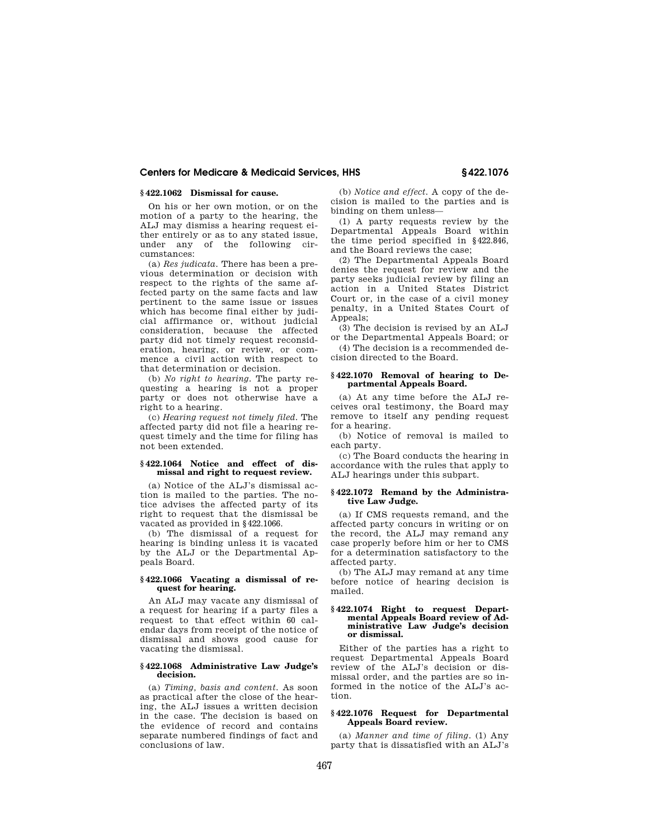# **§ 422.1062 Dismissal for cause.**

On his or her own motion, or on the motion of a party to the hearing, the ALJ may dismiss a hearing request either entirely or as to any stated issue, under any of the following circumstances:

(a) *Res judicata.* There has been a previous determination or decision with respect to the rights of the same affected party on the same facts and law pertinent to the same issue or issues which has become final either by judicial affirmance or, without judicial consideration, because the affected party did not timely request reconsideration, hearing, or review, or commence a civil action with respect to that determination or decision.

(b) *No right to hearing.* The party requesting a hearing is not a proper party or does not otherwise have a right to a hearing.

(c) *Hearing request not timely filed.* The affected party did not file a hearing request timely and the time for filing has not been extended.

### **§ 422.1064 Notice and effect of dismissal and right to request review.**

(a) Notice of the ALJ's dismissal action is mailed to the parties. The notice advises the affected party of its right to request that the dismissal be vacated as provided in §422.1066.

(b) The dismissal of a request for hearing is binding unless it is vacated by the ALJ or the Departmental Appeals Board.

## **§ 422.1066 Vacating a dismissal of request for hearing.**

An ALJ may vacate any dismissal of a request for hearing if a party files a request to that effect within 60 calendar days from receipt of the notice of dismissal and shows good cause for vacating the dismissal.

### **§ 422.1068 Administrative Law Judge's decision.**

(a) *Timing, basis and content.* As soon as practical after the close of the hearing, the ALJ issues a written decision in the case. The decision is based on the evidence of record and contains separate numbered findings of fact and conclusions of law.

(b) *Notice and effect.* A copy of the decision is mailed to the parties and is binding on them unless—

(1) A party requests review by the Departmental Appeals Board within the time period specified in §422.846, and the Board reviews the case;

(2) The Departmental Appeals Board denies the request for review and the party seeks judicial review by filing an action in a United States District Court or, in the case of a civil money penalty, in a United States Court of Appeals;

(3) The decision is revised by an ALJ or the Departmental Appeals Board; or

(4) The decision is a recommended decision directed to the Board.

### **§ 422.1070 Removal of hearing to Departmental Appeals Board.**

(a) At any time before the ALJ receives oral testimony, the Board may remove to itself any pending request for a hearing.

(b) Notice of removal is mailed to each party.

(c) The Board conducts the hearing in accordance with the rules that apply to ALJ hearings under this subpart.

### **§ 422.1072 Remand by the Administrative Law Judge.**

(a) If CMS requests remand, and the affected party concurs in writing or on the record, the ALJ may remand any case properly before him or her to CMS for a determination satisfactory to the affected party.

(b) The ALJ may remand at any time before notice of hearing decision is mailed.

### **§ 422.1074 Right to request Departmental Appeals Board review of Administrative Law Judge's decision or dismissal.**

Either of the parties has a right to request Departmental Appeals Board review of the ALJ's decision or dismissal order, and the parties are so informed in the notice of the ALJ's action.

## **§ 422.1076 Request for Departmental Appeals Board review.**

(a) *Manner and time of filing.* (1) Any party that is dissatisfied with an ALJ's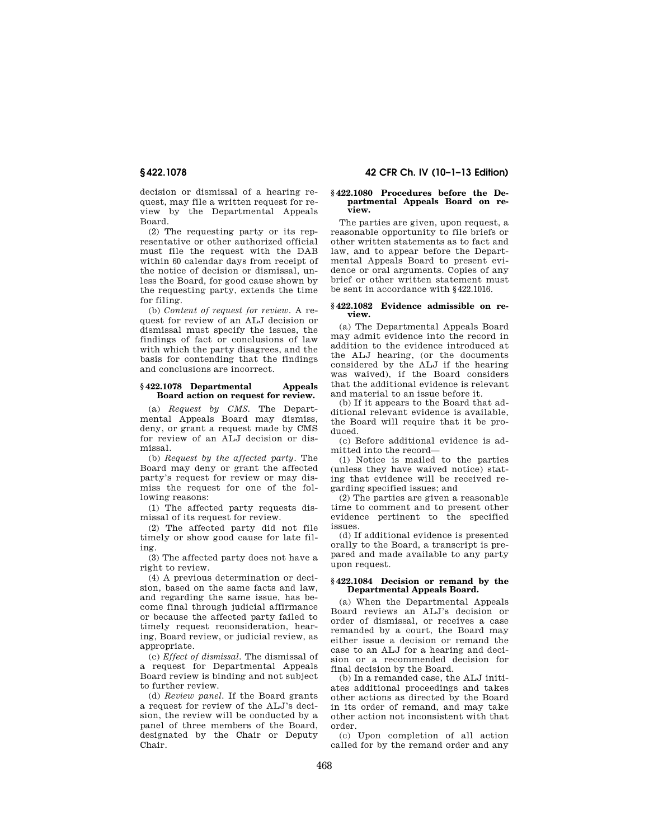decision or dismissal of a hearing request, may file a written request for review by the Departmental Appeals Board.

(2) The requesting party or its representative or other authorized official must file the request with the DAB within 60 calendar days from receipt of the notice of decision or dismissal, unless the Board, for good cause shown by the requesting party, extends the time for filing.

(b) *Content of request for review.* A request for review of an ALJ decision or dismissal must specify the issues, the findings of fact or conclusions of law with which the party disagrees, and the basis for contending that the findings and conclusions are incorrect.

## **§ 422.1078 Departmental Appeals Board action on request for review.**

(a) *Request by CMS.* The Departmental Appeals Board may dismiss, deny, or grant a request made by CMS for review of an ALJ decision or dismissal.

(b) *Request by the affected party.* The Board may deny or grant the affected party's request for review or may dismiss the request for one of the following reasons:

(1) The affected party requests dismissal of its request for review.

(2) The affected party did not file timely or show good cause for late filing.

(3) The affected party does not have a right to review.

(4) A previous determination or decision, based on the same facts and law, and regarding the same issue, has become final through judicial affirmance or because the affected party failed to timely request reconsideration, hearing, Board review, or judicial review, as appropriate.

(c) *Effect of dismissal.* The dismissal of a request for Departmental Appeals Board review is binding and not subject to further review.

(d) *Review panel.* If the Board grants a request for review of the ALJ's decision, the review will be conducted by a panel of three members of the Board, designated by the Chair or Deputy Chair.

# **§ 422.1078 42 CFR Ch. IV (10–1–13 Edition)**

### **§ 422.1080 Procedures before the Departmental Appeals Board on review.**

The parties are given, upon request, a reasonable opportunity to file briefs or other written statements as to fact and law, and to appear before the Departmental Appeals Board to present evidence or oral arguments. Copies of any brief or other written statement must be sent in accordance with §422.1016.

### **§ 422.1082 Evidence admissible on review.**

(a) The Departmental Appeals Board may admit evidence into the record in addition to the evidence introduced at the ALJ hearing, (or the documents considered by the ALJ if the hearing was waived), if the Board considers that the additional evidence is relevant and material to an issue before it.

(b) If it appears to the Board that additional relevant evidence is available, the Board will require that it be produced.

(c) Before additional evidence is admitted into the record—

(1) Notice is mailed to the parties (unless they have waived notice) stating that evidence will be received regarding specified issues; and

(2) The parties are given a reasonable time to comment and to present other evidence pertinent to the specified issues.

(d) If additional evidence is presented orally to the Board, a transcript is prepared and made available to any party upon request.

## **§ 422.1084 Decision or remand by the Departmental Appeals Board.**

(a) When the Departmental Appeals Board reviews an ALJ's decision or order of dismissal, or receives a case remanded by a court, the Board may either issue a decision or remand the case to an ALJ for a hearing and decision or a recommended decision for final decision by the Board.

(b) In a remanded case, the ALJ initiates additional proceedings and takes other actions as directed by the Board in its order of remand, and may take other action not inconsistent with that order.

(c) Upon completion of all action called for by the remand order and any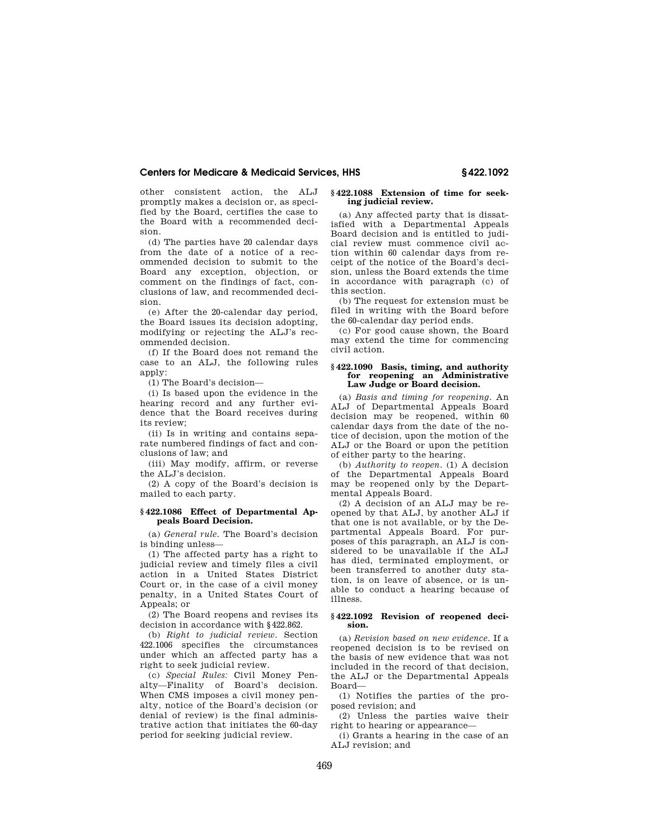other consistent action, the ALJ promptly makes a decision or, as specified by the Board, certifies the case to the Board with a recommended decision.

(d) The parties have 20 calendar days from the date of a notice of a recommended decision to submit to the Board any exception, objection, or comment on the findings of fact, conclusions of law, and recommended decision.

(e) After the 20-calendar day period, the Board issues its decision adopting, modifying or rejecting the ALJ's recommended decision.

(f) If the Board does not remand the case to an ALJ, the following rules apply:

(1) The Board's decision—

(i) Is based upon the evidence in the hearing record and any further evidence that the Board receives during its review;

(ii) Is in writing and contains separate numbered findings of fact and conclusions of law; and

(iii) May modify, affirm, or reverse the ALJ's decision.

(2) A copy of the Board's decision is mailed to each party.

## **§ 422.1086 Effect of Departmental Appeals Board Decision.**

(a) *General rule.* The Board's decision is binding unless—

(1) The affected party has a right to judicial review and timely files a civil action in a United States District Court or, in the case of a civil money penalty, in a United States Court of Appeals; or

(2) The Board reopens and revises its decision in accordance with §422.862.

(b) *Right to judicial review.* Section 422.1006 specifies the circumstances under which an affected party has a right to seek judicial review.

(c) *Special Rules:* Civil Money Penalty—Finality of Board's decision. When CMS imposes a civil money penalty, notice of the Board's decision (or denial of review) is the final administrative action that initiates the 60-day period for seeking judicial review.

### **§ 422.1088 Extension of time for seeking judicial review.**

(a) Any affected party that is dissatisfied with a Departmental Appeals Board decision and is entitled to judicial review must commence civil action within 60 calendar days from receipt of the notice of the Board's decision, unless the Board extends the time in accordance with paragraph (c) of this section.

(b) The request for extension must be filed in writing with the Board before the 60-calendar day period ends.

(c) For good cause shown, the Board may extend the time for commencing civil action.

### **§ 422.1090 Basis, timing, and authority for reopening an Administrative Law Judge or Board decision.**

(a) *Basis and timing for reopening.* An ALJ of Departmental Appeals Board decision may be reopened, within 60 calendar days from the date of the notice of decision, upon the motion of the ALJ or the Board or upon the petition of either party to the hearing.

(b) *Authority to reopen.* (1) A decision of the Departmental Appeals Board may be reopened only by the Departmental Appeals Board.

(2) A decision of an ALJ may be reopened by that ALJ, by another ALJ if that one is not available, or by the Departmental Appeals Board. For purposes of this paragraph, an ALJ is considered to be unavailable if the ALJ has died, terminated employment, or been transferred to another duty station, is on leave of absence, or is unable to conduct a hearing because of illness.

## **§ 422.1092 Revision of reopened decision.**

(a) *Revision based on new evidence.* If a reopened decision is to be revised on the basis of new evidence that was not included in the record of that decision, the ALJ or the Departmental Appeals Board—

(1) Notifies the parties of the proposed revision; and

(2) Unless the parties waive their right to hearing or appearance—

(i) Grants a hearing in the case of an ALJ revision; and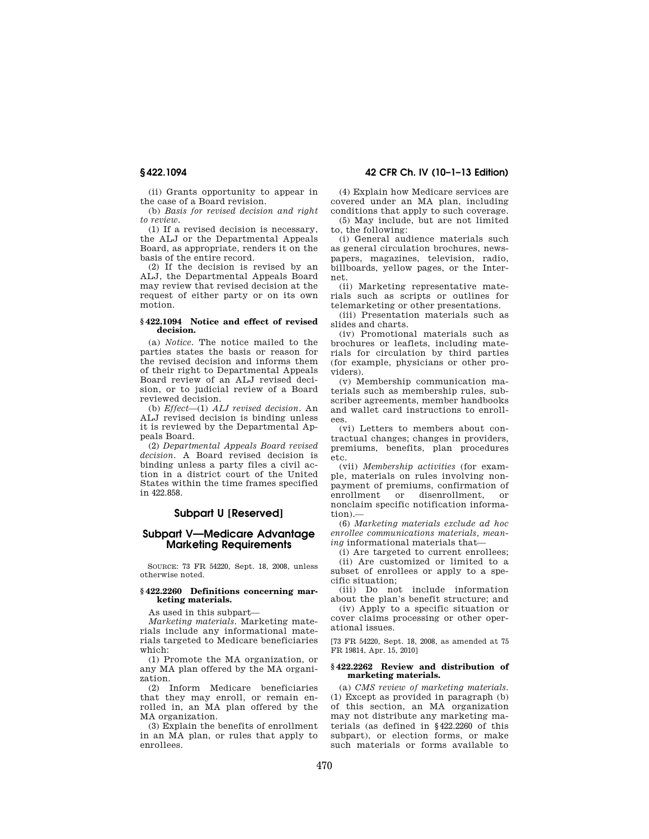(ii) Grants opportunity to appear in the case of a Board revision.

(b) *Basis for revised decision and right to review*.

(1) If a revised decision is necessary, the ALJ or the Departmental Appeals Board, as appropriate, renders it on the basis of the entire record.

(2) If the decision is revised by an ALJ, the Departmental Appeals Board may review that revised decision at the request of either party or on its own motion.

### **§ 422.1094 Notice and effect of revised decision.**

(a) *Notice.* The notice mailed to the parties states the basis or reason for the revised decision and informs them of their right to Departmental Appeals Board review of an ALJ revised decision, or to judicial review of a Board reviewed decision.

(b) *Effect*—(1) *ALJ revised decision.* An ALJ revised decision is binding unless it is reviewed by the Departmental Appeals Board.

(2) *Departmental Appeals Board revised decision.* A Board revised decision is binding unless a party files a civil action in a district court of the United States within the time frames specified in 422.858.

# **Subpart U [Reserved]**

# **Subpart V—Medicare Advantage Marketing Requirements**

SOURCE: 73 FR 54220, Sept. 18, 2008, unless otherwise noted.

## **§ 422.2260 Definitions concerning marketing materials.**

As used in this subpart—

*Marketing materials.* Marketing materials include any informational materials targeted to Medicare beneficiaries which:

(1) Promote the MA organization, or any MA plan offered by the MA organization.

(2) Inform Medicare beneficiaries that they may enroll, or remain enrolled in, an MA plan offered by the MA organization.

(3) Explain the benefits of enrollment in an MA plan, or rules that apply to enrollees.

# **§ 422.1094 42 CFR Ch. IV (10–1–13 Edition)**

(4) Explain how Medicare services are covered under an MA plan, including conditions that apply to such coverage.

(5) May include, but are not limited to, the following:

(i) General audience materials such as general circulation brochures, newspapers, magazines, television, radio, billboards, yellow pages, or the Internet.

(ii) Marketing representative materials such as scripts or outlines for telemarketing or other presentations.

(iii) Presentation materials such as slides and charts.

(iv) Promotional materials such as brochures or leaflets, including materials for circulation by third parties (for example, physicians or other providers).

(v) Membership communication materials such as membership rules, subscriber agreements, member handbooks and wallet card instructions to enrollees.

(vi) Letters to members about contractual changes; changes in providers, premiums, benefits, plan procedures etc.

(vii) *Membership activities* (for example, materials on rules involving nonpayment of premiums, confirmation of enrollment or disenrollment, or nonclaim specific notification information).

(6) *Marketing materials exclude ad hoc enrollee communications materials, meaning* informational materials that—

(i) Are targeted to current enrollees; (ii) Are customized or limited to a subset of enrollees or apply to a specific situation;

(iii) Do not include information about the plan's benefit structure; and

(iv) Apply to a specific situation or cover claims processing or other operational issues.

[73 FR 54220, Sept. 18, 2008, as amended at 75 FR 19814, Apr. 15, 2010]

### **§ 422.2262 Review and distribution of marketing materials.**

(a) *CMS review of marketing materials.*  (1) Except as provided in paragraph (b) of this section, an MA organization may not distribute any marketing materials (as defined in §422.2260 of this subpart), or election forms, or make such materials or forms available to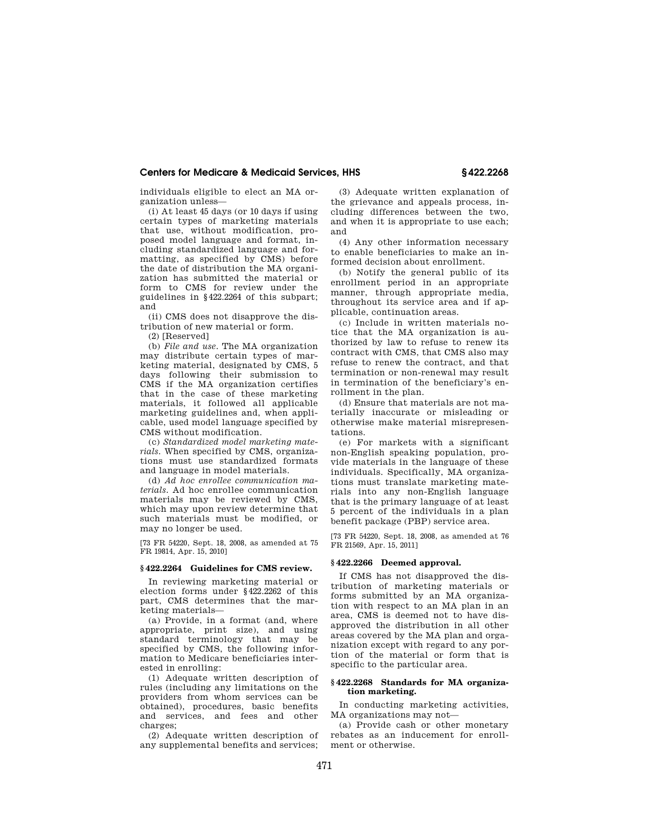individuals eligible to elect an MA organization unless—

(i) At least 45 days (or 10 days if using certain types of marketing materials that use, without modification, proposed model language and format, including standardized language and formatting, as specified by CMS) before the date of distribution the MA organization has submitted the material or form to CMS for review under the guidelines in §422.2264 of this subpart; and

(ii) CMS does not disapprove the distribution of new material or form.

(2) [Reserved]

(b) *File and use.* The MA organization may distribute certain types of marketing material, designated by CMS, 5 days following their submission to CMS if the MA organization certifies that in the case of these marketing materials, it followed all applicable marketing guidelines and, when applicable, used model language specified by CMS without modification.

(c) *Standardized model marketing materials.* When specified by CMS, organizations must use standardized formats and language in model materials.

(d) *Ad hoc enrollee communication materials.* Ad hoc enrollee communication materials may be reviewed by CMS, which may upon review determine that such materials must be modified, or may no longer be used.

[73 FR 54220, Sept. 18, 2008, as amended at 75 FR 19814, Apr. 15, 2010]

### **§ 422.2264 Guidelines for CMS review.**

In reviewing marketing material or election forms under §422.2262 of this part, CMS determines that the marketing materials—

(a) Provide, in a format (and, where appropriate, print size), and using standard terminology that may be specified by CMS, the following information to Medicare beneficiaries interested in enrolling:

(1) Adequate written description of rules (including any limitations on the providers from whom services can be obtained), procedures, basic benefits and services, and fees and other charges;

(2) Adequate written description of any supplemental benefits and services;

(3) Adequate written explanation of the grievance and appeals process, including differences between the two, and when it is appropriate to use each; and

(4) Any other information necessary to enable beneficiaries to make an informed decision about enrollment.

(b) Notify the general public of its enrollment period in an appropriate manner, through appropriate media, throughout its service area and if applicable, continuation areas.

(c) Include in written materials notice that the MA organization is authorized by law to refuse to renew its contract with CMS, that CMS also may refuse to renew the contract, and that termination or non-renewal may result in termination of the beneficiary's enrollment in the plan.

(d) Ensure that materials are not materially inaccurate or misleading or otherwise make material misrepresentations.

(e) For markets with a significant non-English speaking population, provide materials in the language of these individuals. Specifically, MA organizations must translate marketing materials into any non-English language that is the primary language of at least 5 percent of the individuals in a plan benefit package (PBP) service area.

[73 FR 54220, Sept. 18, 2008, as amended at 76 FR 21569, Apr. 15, 2011]

# **§ 422.2266 Deemed approval.**

If CMS has not disapproved the distribution of marketing materials or forms submitted by an MA organization with respect to an MA plan in an area, CMS is deemed not to have disapproved the distribution in all other areas covered by the MA plan and organization except with regard to any portion of the material or form that is specific to the particular area.

## **§ 422.2268 Standards for MA organization marketing.**

In conducting marketing activities, MA organizations may not—

(a) Provide cash or other monetary rebates as an inducement for enrollment or otherwise.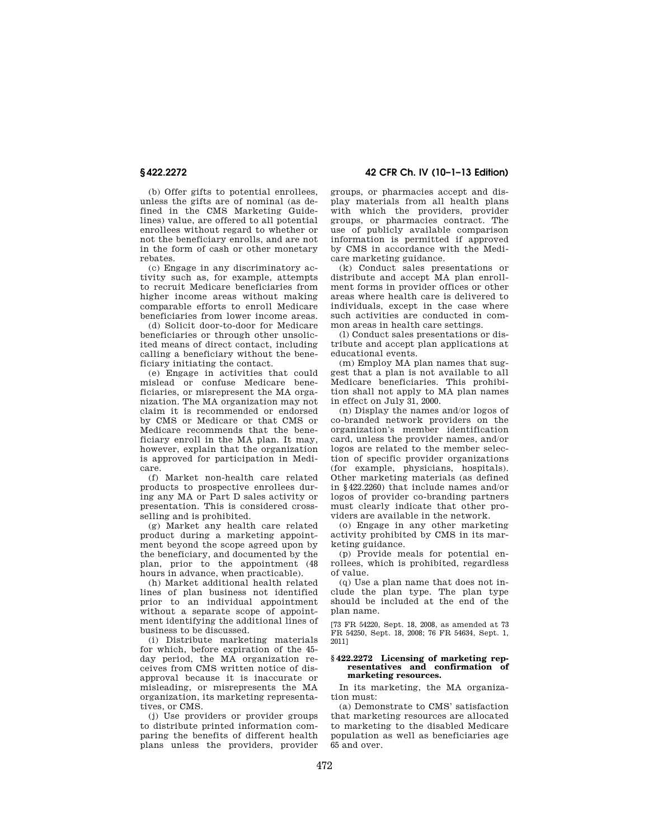(b) Offer gifts to potential enrollees, unless the gifts are of nominal (as defined in the CMS Marketing Guidelines) value, are offered to all potential enrollees without regard to whether or not the beneficiary enrolls, and are not in the form of cash or other monetary rebates.

(c) Engage in any discriminatory activity such as, for example, attempts to recruit Medicare beneficiaries from higher income areas without making comparable efforts to enroll Medicare beneficiaries from lower income areas.

(d) Solicit door-to-door for Medicare beneficiaries or through other unsolicited means of direct contact, including calling a beneficiary without the beneficiary initiating the contact.

(e) Engage in activities that could mislead or confuse Medicare beneficiaries, or misrepresent the MA organization. The MA organization may not claim it is recommended or endorsed by CMS or Medicare or that CMS or Medicare recommends that the beneficiary enroll in the MA plan. It may, however, explain that the organization is approved for participation in Medicare.

(f) Market non-health care related products to prospective enrollees during any MA or Part D sales activity or presentation. This is considered crossselling and is prohibited.

(g) Market any health care related product during a marketing appointment beyond the scope agreed upon by the beneficiary, and documented by the plan, prior to the appointment (48 hours in advance, when practicable).

(h) Market additional health related lines of plan business not identified prior to an individual appointment without a separate scope of appointment identifying the additional lines of business to be discussed.

(i) Distribute marketing materials for which, before expiration of the 45 day period, the MA organization receives from CMS written notice of disapproval because it is inaccurate or misleading, or misrepresents the MA organization, its marketing representatives, or CMS.

(j) Use providers or provider groups to distribute printed information comparing the benefits of different health plans unless the providers, provider

**§ 422.2272 42 CFR Ch. IV (10–1–13 Edition)** 

groups, or pharmacies accept and display materials from all health plans with which the providers, provider groups, or pharmacies contract. The use of publicly available comparison information is permitted if approved by CMS in accordance with the Medicare marketing guidance.

(k) Conduct sales presentations or distribute and accept MA plan enrollment forms in provider offices or other areas where health care is delivered to individuals, except in the case where such activities are conducted in common areas in health care settings.

(l) Conduct sales presentations or distribute and accept plan applications at educational events.

(m) Employ MA plan names that suggest that a plan is not available to all Medicare beneficiaries. This prohibition shall not apply to MA plan names in effect on July 31, 2000.

(n) Display the names and/or logos of co-branded network providers on the organization's member identification card, unless the provider names, and/or logos are related to the member selection of specific provider organizations (for example, physicians, hospitals). Other marketing materials (as defined in §422.2260) that include names and/or logos of provider co-branding partners must clearly indicate that other providers are available in the network.

(o) Engage in any other marketing activity prohibited by CMS in its marketing guidance.

(p) Provide meals for potential enrollees, which is prohibited, regardless of value.

(q) Use a plan name that does not include the plan type. The plan type should be included at the end of the plan name.

[73 FR 54220, Sept. 18, 2008, as amended at 73 FR 54250, Sept. 18, 2008; 76 FR 54634, Sept. 1, 2011]

### **§ 422.2272 Licensing of marketing representatives and confirmation of marketing resources.**

In its marketing, the MA organization must:

(a) Demonstrate to CMS' satisfaction that marketing resources are allocated to marketing to the disabled Medicare population as well as beneficiaries age 65 and over.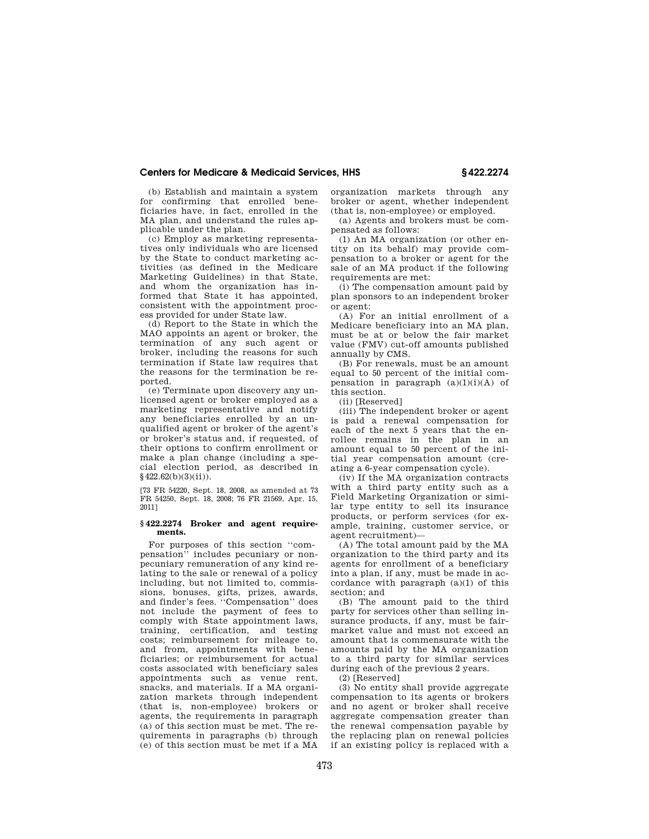(b) Establish and maintain a system for confirming that enrolled beneficiaries have, in fact, enrolled in the MA plan, and understand the rules applicable under the plan.

(c) Employ as marketing representatives only individuals who are licensed by the State to conduct marketing activities (as defined in the Medicare Marketing Guidelines) in that State, and whom the organization has informed that State it has appointed, consistent with the appointment process provided for under State law.

(d) Report to the State in which the MAO appoints an agent or broker, the termination of any such agent or broker, including the reasons for such termination if State law requires that the reasons for the termination be reported.

(e) Terminate upon discovery any unlicensed agent or broker employed as a marketing representative and notify any beneficiaries enrolled by an unqualified agent or broker of the agent's or broker's status and, if requested, of their options to confirm enrollment or make a plan change (including a special election period, as described in  $$422.62(b)(3)(ii)$ .

[73 FR 54220, Sept. 18, 2008, as amended at 73 FR 54250, Sept. 18, 2008; 76 FR 21569, Apr. 15, 2011]

## **§ 422.2274 Broker and agent requirements.**

For purposes of this section ''compensation'' includes pecuniary or nonpecuniary remuneration of any kind relating to the sale or renewal of a policy including, but not limited to, commissions, bonuses, gifts, prizes, awards, and finder's fees. ''Compensation'' does not include the payment of fees to comply with State appointment laws, training, certification, and testing costs; reimbursement for mileage to, and from, appointments with beneficiaries; or reimbursement for actual costs associated with beneficiary sales appointments such as venue rent, snacks, and materials. If a MA organization markets through independent (that is, non-employee) brokers or agents, the requirements in paragraph (a) of this section must be met. The requirements in paragraphs (b) through (e) of this section must be met if a MA

organization markets through any broker or agent, whether independent (that is, non-employee) or employed.

(a) Agents and brokers must be compensated as follows:

(1) An MA organization (or other entity on its behalf) may provide compensation to a broker or agent for the sale of an MA product if the following requirements are met:

(i) The compensation amount paid by plan sponsors to an independent broker or agent:

(A) For an initial enrollment of a Medicare beneficiary into an MA plan, must be at or below the fair market value (FMV) cut-off amounts published annually by CMS.

(B) For renewals, must be an amount equal to 50 percent of the initial compensation in paragraph  $(a)(1)(i)(A)$  of this section.

(ii) [Reserved]

(iii) The independent broker or agent is paid a renewal compensation for each of the next 5 years that the enrollee remains in the plan in an amount equal to 50 percent of the initial year compensation amount (creating a 6-year compensation cycle).

(iv) If the MA organization contracts with a third party entity such as a Field Marketing Organization or similar type entity to sell its insurance products, or perform services (for example, training, customer service, or agent recruitment)—

(A) The total amount paid by the MA organization to the third party and its agents for enrollment of a beneficiary into a plan, if any, must be made in accordance with paragraph (a)(1) of this section; and

(B) The amount paid to the third party for services other than selling insurance products, if any, must be fairmarket value and must not exceed an amount that is commensurate with the amounts paid by the MA organization to a third party for similar services during each of the previous 2 years.

(2) [Reserved]

(3) No entity shall provide aggregate compensation to its agents or brokers and no agent or broker shall receive aggregate compensation greater than the renewal compensation payable by the replacing plan on renewal policies if an existing policy is replaced with a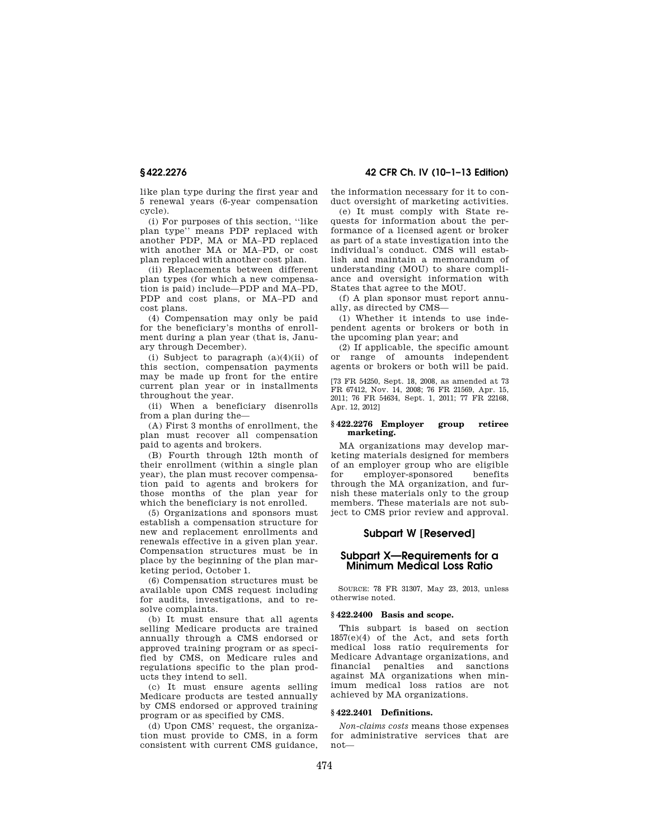like plan type during the first year and 5 renewal years (6-year compensation cycle).

(i) For purposes of this section, ''like plan type'' means PDP replaced with another PDP, MA or MA–PD replaced with another MA or MA–PD, or cost plan replaced with another cost plan.

(ii) Replacements between different plan types (for which a new compensation is paid) include—PDP and MA–PD, PDP and cost plans, or MA–PD and cost plans.

(4) Compensation may only be paid for the beneficiary's months of enrollment during a plan year (that is, January through December).

(i) Subject to paragraph (a)(4)(ii) of this section, compensation payments may be made up front for the entire current plan year or in installments throughout the year.

(ii) When a beneficiary disenrolls from a plan during the—

(A) First 3 months of enrollment, the plan must recover all compensation paid to agents and brokers.

(B) Fourth through 12th month of their enrollment (within a single plan year), the plan must recover compensation paid to agents and brokers for those months of the plan year for which the beneficiary is not enrolled.

(5) Organizations and sponsors must establish a compensation structure for new and replacement enrollments and renewals effective in a given plan year. Compensation structures must be in place by the beginning of the plan marketing period, October 1.

(6) Compensation structures must be available upon CMS request including for audits, investigations, and to resolve complaints.

(b) It must ensure that all agents selling Medicare products are trained annually through a CMS endorsed or approved training program or as specified by CMS, on Medicare rules and regulations specific to the plan products they intend to sell.

(c) It must ensure agents selling Medicare products are tested annually by CMS endorsed or approved training program or as specified by CMS.

(d) Upon CMS' request, the organization must provide to CMS, in a form consistent with current CMS guidance,

**§ 422.2276 42 CFR Ch. IV (10–1–13 Edition)** 

the information necessary for it to conduct oversight of marketing activities.

(e) It must comply with State requests for information about the performance of a licensed agent or broker as part of a state investigation into the individual's conduct. CMS will establish and maintain a memorandum of understanding (MOU) to share compliance and oversight information with States that agree to the MOU.

(f) A plan sponsor must report annually, as directed by CMS—

(1) Whether it intends to use independent agents or brokers or both in the upcoming plan year; and

(2) If applicable, the specific amount or range of amounts independent agents or brokers or both will be paid.

[73 FR 54250, Sept. 18, 2008, as amended at 73 FR 67412, Nov. 14, 2008; 76 FR 21569, Apr. 15, 2011; 76 FR 54634, Sept. 1, 2011; 77 FR 22168, Apr. 12, 2012]

### **§ 422.2276 Employer group retiree marketing.**

MA organizations may develop marketing materials designed for members of an employer group who are eligible for employer-sponsored benefits through the MA organization, and furnish these materials only to the group members. These materials are not subject to CMS prior review and approval.

# **Subpart W [Reserved]**

# **Subpart X—Requirements for a Minimum Medical Loss Ratio**

SOURCE: 78 FR 31307, May 23, 2013, unless otherwise noted.

## **§ 422.2400 Basis and scope.**

This subpart is based on section  $1857(e)(4)$  of the Act, and sets forth medical loss ratio requirements for Medicare Advantage organizations, and financial penalties and sanctions against MA organizations when minimum medical loss ratios are not achieved by MA organizations.

## **§ 422.2401 Definitions.**

*Non-claims costs* means those expenses for administrative services that are not—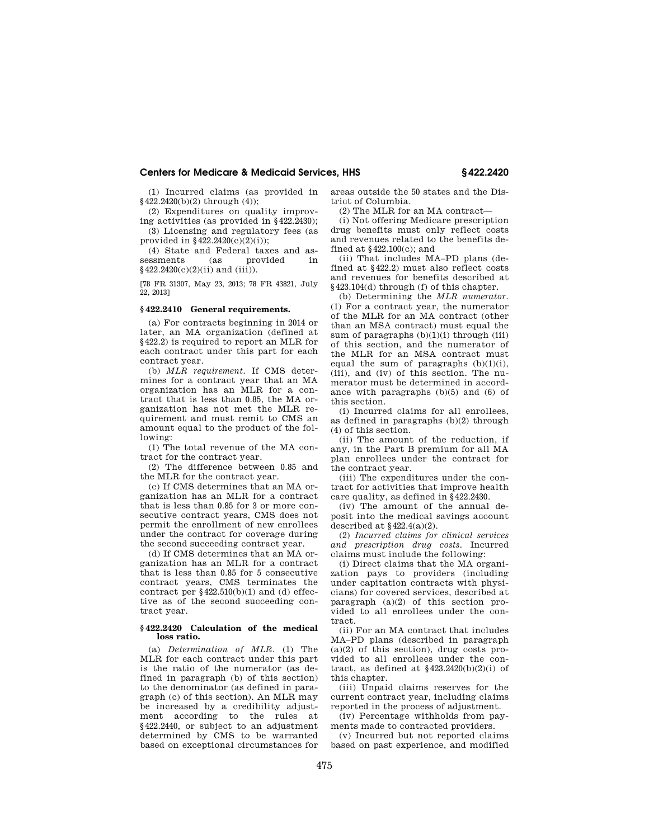(1) Incurred claims (as provided in §422.2420(b)(2) through (4));

(2) Expenditures on quality improving activities (as provided in §422.2430); (3) Licensing and regulatory fees (as

provided in §422.2420(c)(2)(i)); (4) State and Federal taxes and as-

sessments (as provided in §422.2420(c)(2)(ii) and (iii)).

[78 FR 31307, May 23, 2013; 78 FR 43821, July 22, 2013]

## **§ 422.2410 General requirements.**

(a) For contracts beginning in 2014 or later, an MA organization (defined at §422.2) is required to report an MLR for each contract under this part for each contract year.

(b) *MLR requirement.* If CMS determines for a contract year that an MA organization has an MLR for a contract that is less than 0.85, the MA organization has not met the MLR requirement and must remit to CMS an amount equal to the product of the following:

(1) The total revenue of the MA contract for the contract year.

(2) The difference between 0.85 and the MLR for the contract year.

(c) If CMS determines that an MA organization has an MLR for a contract that is less than 0.85 for 3 or more consecutive contract years, CMS does not permit the enrollment of new enrollees under the contract for coverage during the second succeeding contract year.

(d) If CMS determines that an MA organization has an MLR for a contract that is less than 0.85 for 5 consecutive contract years, CMS terminates the contract per  $§422.510(b)(1)$  and (d) effective as of the second succeeding contract year.

## **§ 422.2420 Calculation of the medical loss ratio.**

(a) *Determination of MLR.* (1) The MLR for each contract under this part is the ratio of the numerator (as defined in paragraph (b) of this section) to the denominator (as defined in paragraph (c) of this section). An MLR may be increased by a credibility adjustment according to the rules at §422.2440, or subject to an adjustment determined by CMS to be warranted based on exceptional circumstances for

areas outside the 50 states and the District of Columbia.

(2) The MLR for an MA contract—

(i) Not offering Medicare prescription drug benefits must only reflect costs and revenues related to the benefits defined at §422.100(c); and

(ii) That includes MA–PD plans (defined at §422.2) must also reflect costs and revenues for benefits described at §423.104(d) through (f) of this chapter.

(b) Determining the *MLR numerator.*  (1) For a contract year, the numerator of the MLR for an MA contract (other than an MSA contract) must equal the sum of paragraphs  $(b)(1)(i)$  through (iii) of this section, and the numerator of the MLR for an MSA contract must equal the sum of paragraphs  $(b)(1)(i)$ , (iii), and (iv) of this section. The numerator must be determined in accordance with paragraphs (b)(5) and (6) of this section.

(i) Incurred claims for all enrollees, as defined in paragraphs (b)(2) through (4) of this section.

(ii) The amount of the reduction, if any, in the Part B premium for all MA plan enrollees under the contract for the contract year.

(iii) The expenditures under the contract for activities that improve health care quality, as defined in §422.2430.

(iv) The amount of the annual deposit into the medical savings account described at  $§422.4(a)(2)$ .

(2) *Incurred claims for clinical services and prescription drug costs.* Incurred claims must include the following:

(i) Direct claims that the MA organization pays to providers (including under capitation contracts with physicians) for covered services, described at paragraph  $(a)(2)$  of this section provided to all enrollees under the contract.

(ii) For an MA contract that includes MA–PD plans (described in paragraph  $(a)(2)$  of this section), drug costs provided to all enrollees under the contract, as defined at  $$423.2420(b)(2)(i)$  of this chapter.

(iii) Unpaid claims reserves for the current contract year, including claims reported in the process of adjustment.

(iv) Percentage withholds from payments made to contracted providers.

(v) Incurred but not reported claims based on past experience, and modified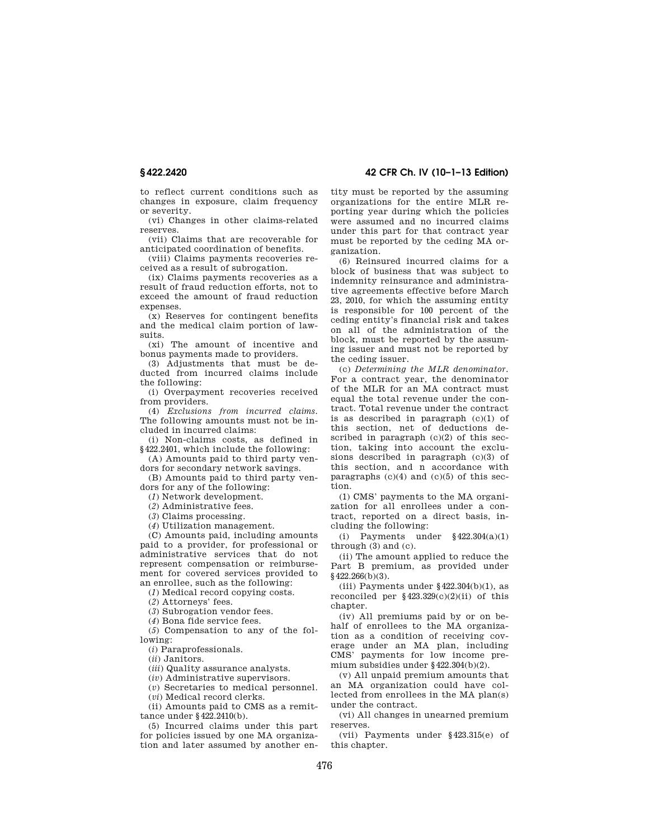to reflect current conditions such as changes in exposure, claim frequency or severity.

(vi) Changes in other claims-related reserves.

(vii) Claims that are recoverable for anticipated coordination of benefits.

(viii) Claims payments recoveries received as a result of subrogation.

(ix) Claims payments recoveries as a result of fraud reduction efforts, not to exceed the amount of fraud reduction expenses.

(x) Reserves for contingent benefits and the medical claim portion of lawsuits.

(xi) The amount of incentive and bonus payments made to providers.

(3) Adjustments that must be deducted from incurred claims include the following:

(i) Overpayment recoveries received from providers.

(4) *Exclusions from incurred claims.*  The following amounts must not be included in incurred claims:

(i) Non-claims costs, as defined in §422.2401, which include the following:

(A) Amounts paid to third party vendors for secondary network savings.

(B) Amounts paid to third party vendors for any of the following:

(*1*) Network development.

(*2*) Administrative fees.

(*3*) Claims processing.

(*4*) Utilization management.

(C) Amounts paid, including amounts paid to a provider, for professional or administrative services that do not represent compensation or reimbursement for covered services provided to an enrollee, such as the following:

(*1*) Medical record copying costs.

(*2*) Attorneys' fees.

(*3*) Subrogation vendor fees.

(*4*) Bona fide service fees.

(*5*) Compensation to any of the following:

(*i*) Paraprofessionals.

(*ii*) Janitors.

(*iii*) Quality assurance analysts.

(*iv*) Administrative supervisors.

(*v*) Secretaries to medical personnel.

(*vi*) Medical record clerks.

(ii) Amounts paid to CMS as a remittance under §422.2410(b).

(5) Incurred claims under this part for policies issued by one MA organization and later assumed by another en-

**§ 422.2420 42 CFR Ch. IV (10–1–13 Edition)** 

tity must be reported by the assuming organizations for the entire MLR reporting year during which the policies were assumed and no incurred claims under this part for that contract year must be reported by the ceding MA organization.

(6) Reinsured incurred claims for a block of business that was subject to indemnity reinsurance and administrative agreements effective before March 23, 2010, for which the assuming entity is responsible for 100 percent of the ceding entity's financial risk and takes on all of the administration of the block, must be reported by the assuming issuer and must not be reported by the ceding issuer.

(c) *Determining the MLR denominator.*  For a contract year, the denominator of the MLR for an MA contract must equal the total revenue under the contract. Total revenue under the contract is as described in paragraph (c)(1) of this section, net of deductions described in paragraph (c)(2) of this section, taking into account the exclusions described in paragraph (c)(3) of this section, and n accordance with paragraphs  $(c)(4)$  and  $(c)(5)$  of this section.

(1) CMS' payments to the MA organization for all enrollees under a contract, reported on a direct basis, including the following:

(i) Payments under §422.304(a)(1) through (3) and (c).

(ii) The amount applied to reduce the Part B premium, as provided under  $§$ 422.266(b)(3).

(iii) Payments under  $§422.304(b)(1)$ , as reconciled per  $$423.329(c)(2)(ii)$  of this chapter.

(iv) All premiums paid by or on behalf of enrollees to the MA organization as a condition of receiving coverage under an MA plan, including CMS' payments for low income premium subsidies under §422.304(b)(2).

(v) All unpaid premium amounts that an MA organization could have collected from enrollees in the MA plan(s) under the contract.

(vi) All changes in unearned premium reserves.

(vii) Payments under §423.315(e) of this chapter.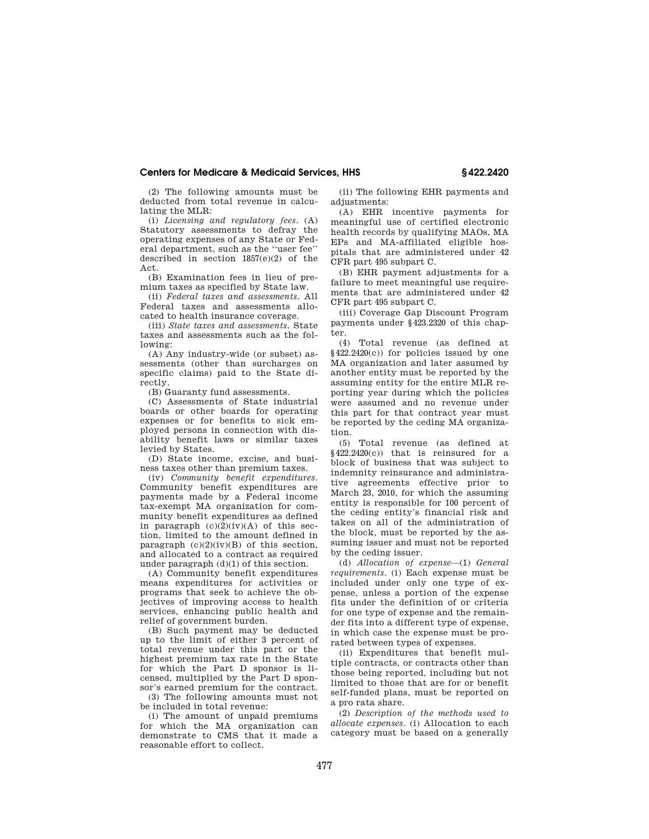(2) The following amounts must be deducted from total revenue in calculating the MLR:

(i) *Licensing and regulatory fees.* (A) Statutory assessments to defray the operating expenses of any State or Federal department, such as the ''user fee'' described in section 1857(e)(2) of the Act.

(B) Examination fees in lieu of premium taxes as specified by State law.

(ii) *Federal taxes and assessments.* All Federal taxes and assessments allocated to health insurance coverage.

(iii) *State taxes and assessments.* State taxes and assessments such as the following:

(A) Any industry-wide (or subset) assessments (other than surcharges on specific claims) paid to the State directly.

(B) Guaranty fund assessments.

(C) Assessments of State industrial boards or other boards for operating expenses or for benefits to sick employed persons in connection with disability benefit laws or similar taxes levied by States.

(D) State income, excise, and business taxes other than premium taxes.

(iv) *Community benefit expenditures.*  Community benefit expenditures are payments made by a Federal income tax-exempt MA organization for community benefit expenditures as defined in paragraph  $(c)(2)(iv)(A)$  of this section, limited to the amount defined in paragraph  $(c)(2)(iv)(B)$  of this section, and allocated to a contract as required under paragraph (d)(1) of this section.

(A) Community benefit expenditures means expenditures for activities or programs that seek to achieve the objectives of improving access to health services, enhancing public health and relief of government burden.

(B) Such payment may be deducted up to the limit of either 3 percent of total revenue under this part or the highest premium tax rate in the State for which the Part D sponsor is licensed, multiplied by the Part D sponsor's earned premium for the contract.

(3) The following amounts must not be included in total revenue:

(i) The amount of unpaid premiums for which the MA organization can demonstrate to CMS that it made a reasonable effort to collect.

(ii) The following EHR payments and adjustments:

(A) EHR incentive payments for meaningful use of certified electronic health records by qualifying MAOs, MA EPs and MA-affiliated eligible hospitals that are administered under 42 CFR part 495 subpart C.

(B) EHR payment adjustments for a failure to meet meaningful use requirements that are administered under 42 CFR part 495 subpart C.

(iii) Coverage Gap Discount Program payments under §423.2320 of this chapter.

(4) Total revenue (as defined at §422.2420(c)) for policies issued by one MA organization and later assumed by another entity must be reported by the assuming entity for the entire MLR reporting year during which the policies were assumed and no revenue under this part for that contract year must be reported by the ceding MA organization.

(5) Total revenue (as defined at  $§422.2420(c)$  that is reinsured for a block of business that was subject to indemnity reinsurance and administrative agreements effective prior to March 23, 2010, for which the assuming entity is responsible for 100 percent of the ceding entity's financial risk and takes on all of the administration of the block, must be reported by the assuming issuer and must not be reported by the ceding issuer.

(d) *Allocation of expense*—(1) *General requirements.* (i) Each expense must be included under only one type of expense, unless a portion of the expense fits under the definition of or criteria for one type of expense and the remainder fits into a different type of expense, in which case the expense must be prorated between types of expenses.

(ii) Expenditures that benefit multiple contracts, or contracts other than those being reported, including but not limited to those that are for or benefit self-funded plans, must be reported on a pro rata share.

(2) *Description of the methods used to allocate expenses.* (i) Allocation to each category must be based on a generally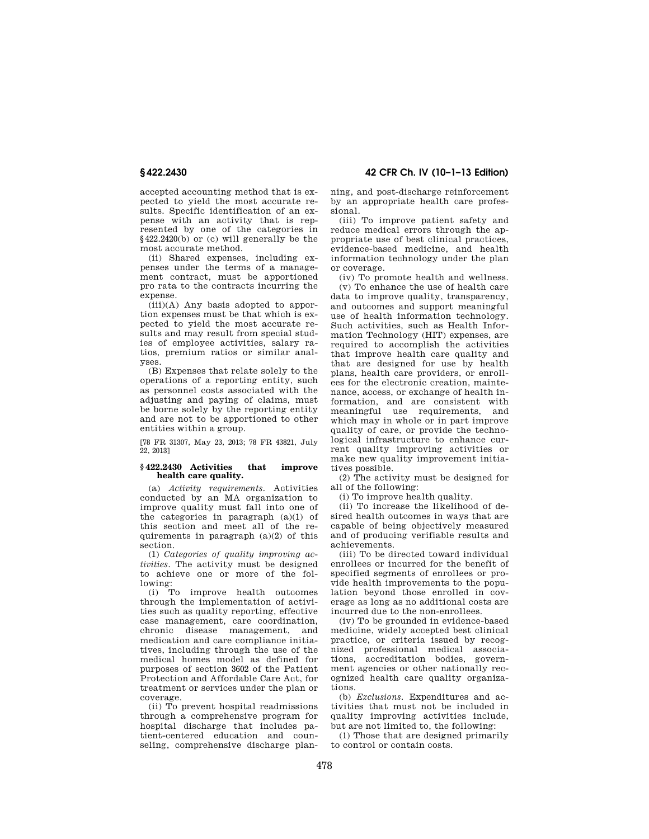accepted accounting method that is expected to yield the most accurate results. Specific identification of an expense with an activity that is represented by one of the categories in §422.2420(b) or (c) will generally be the most accurate method.

(ii) Shared expenses, including expenses under the terms of a management contract, must be apportioned pro rata to the contracts incurring the expense.

 $(iii)(A)$  Any basis adopted to apportion expenses must be that which is expected to yield the most accurate results and may result from special studies of employee activities, salary ratios, premium ratios or similar analyses.

(B) Expenses that relate solely to the operations of a reporting entity, such as personnel costs associated with the adjusting and paying of claims, must be borne solely by the reporting entity and are not to be apportioned to other entities within a group.

[78 FR 31307, May 23, 2013; 78 FR 43821, July 22, 2013]

### **§ 422.2430 Activities that improve health care quality.**

(a) *Activity requirements.* Activities conducted by an MA organization to improve quality must fall into one of the categories in paragraph (a)(1) of this section and meet all of the requirements in paragraph (a)(2) of this section.

(1) *Categories of quality improving activities.* The activity must be designed to achieve one or more of the following:

(i) To improve health outcomes through the implementation of activities such as quality reporting, effective case management, care coordination, chronic disease management, and medication and care compliance initiatives, including through the use of the medical homes model as defined for purposes of section 3602 of the Patient Protection and Affordable Care Act, for treatment or services under the plan or coverage.

(ii) To prevent hospital readmissions through a comprehensive program for hospital discharge that includes patient-centered education and counseling, comprehensive discharge plan-

**§ 422.2430 42 CFR Ch. IV (10–1–13 Edition)** 

ning, and post-discharge reinforcement by an appropriate health care professional.

(iii) To improve patient safety and reduce medical errors through the appropriate use of best clinical practices, evidence-based medicine, and health information technology under the plan or coverage.

(iv) To promote health and wellness.

(v) To enhance the use of health care data to improve quality, transparency, and outcomes and support meaningful use of health information technology. Such activities, such as Health Information Technology (HIT) expenses, are required to accomplish the activities that improve health care quality and that are designed for use by health plans, health care providers, or enrollees for the electronic creation, maintenance, access, or exchange of health information, and are consistent with meaningful use requirements, and which may in whole or in part improve quality of care, or provide the technological infrastructure to enhance current quality improving activities or make new quality improvement initiatives possible.

(2) The activity must be designed for all of the following:

(i) To improve health quality.

(ii) To increase the likelihood of desired health outcomes in ways that are capable of being objectively measured and of producing verifiable results and achievements.

(iii) To be directed toward individual enrollees or incurred for the benefit of specified segments of enrollees or provide health improvements to the population beyond those enrolled in coverage as long as no additional costs are incurred due to the non-enrollees.

(iv) To be grounded in evidence-based medicine, widely accepted best clinical practice, or criteria issued by recognized professional medical associations, accreditation bodies, government agencies or other nationally recognized health care quality organizations.

(b) *Exclusions.* Expenditures and activities that must not be included in quality improving activities include, but are not limited to, the following:

(1) Those that are designed primarily to control or contain costs.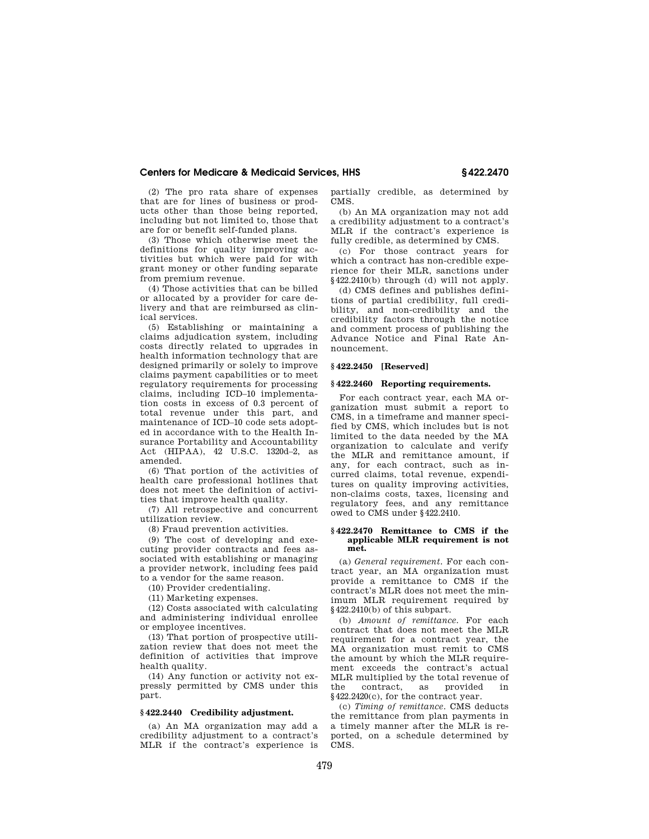(2) The pro rata share of expenses that are for lines of business or products other than those being reported, including but not limited to, those that are for or benefit self-funded plans.

(3) Those which otherwise meet the definitions for quality improving activities but which were paid for with grant money or other funding separate from premium revenue.

(4) Those activities that can be billed or allocated by a provider for care delivery and that are reimbursed as clinical services.

(5) Establishing or maintaining a claims adjudication system, including costs directly related to upgrades in health information technology that are designed primarily or solely to improve claims payment capabilities or to meet regulatory requirements for processing claims, including ICD–10 implementation costs in excess of 0.3 percent of total revenue under this part, and maintenance of ICD–10 code sets adopted in accordance with to the Health Insurance Portability and Accountability Act (HIPAA), 42 U.S.C. 1320d–2, as amended.

(6) That portion of the activities of health care professional hotlines that does not meet the definition of activities that improve health quality.

(7) All retrospective and concurrent utilization review.

(8) Fraud prevention activities.

(9) The cost of developing and executing provider contracts and fees associated with establishing or managing a provider network, including fees paid to a vendor for the same reason.

(10) Provider credentialing.

(11) Marketing expenses.

(12) Costs associated with calculating and administering individual enrollee or employee incentives.

(13) That portion of prospective utilization review that does not meet the definition of activities that improve health quality.

(14) Any function or activity not expressly permitted by CMS under this part.

## **§ 422.2440 Credibility adjustment.**

(a) An MA organization may add a credibility adjustment to a contract's MLR if the contract's experience is partially credible, as determined by CMS.

(b) An MA organization may not add a credibility adjustment to a contract's MLR if the contract's experience is fully credible, as determined by CMS.

(c) For those contract years for which a contract has non-credible experience for their MLR, sanctions under §422.2410(b) through (d) will not apply.

(d) CMS defines and publishes definitions of partial credibility, full credibility, and non-credibility and the credibility factors through the notice and comment process of publishing the Advance Notice and Final Rate Announcement.

# **§ 422.2450 [Reserved]**

# **§ 422.2460 Reporting requirements.**

For each contract year, each MA organization must submit a report to CMS, in a timeframe and manner specified by CMS, which includes but is not limited to the data needed by the MA organization to calculate and verify the MLR and remittance amount, if any, for each contract, such as incurred claims, total revenue, expenditures on quality improving activities, non-claims costs, taxes, licensing and regulatory fees, and any remittance owed to CMS under §422.2410.

### **§ 422.2470 Remittance to CMS if the applicable MLR requirement is not met.**

(a) *General requirement.* For each contract year, an MA organization must provide a remittance to CMS if the contract's MLR does not meet the minimum MLR requirement required by §422.2410(b) of this subpart.

(b) *Amount of remittance.* For each contract that does not meet the MLR requirement for a contract year, the MA organization must remit to CMS the amount by which the MLR requirement exceeds the contract's actual MLR multiplied by the total revenue of the contract, as provided in §422.2420(c), for the contract year.

(c) *Timing of remittance.* CMS deducts the remittance from plan payments in a timely manner after the MLR is reported, on a schedule determined by CMS.